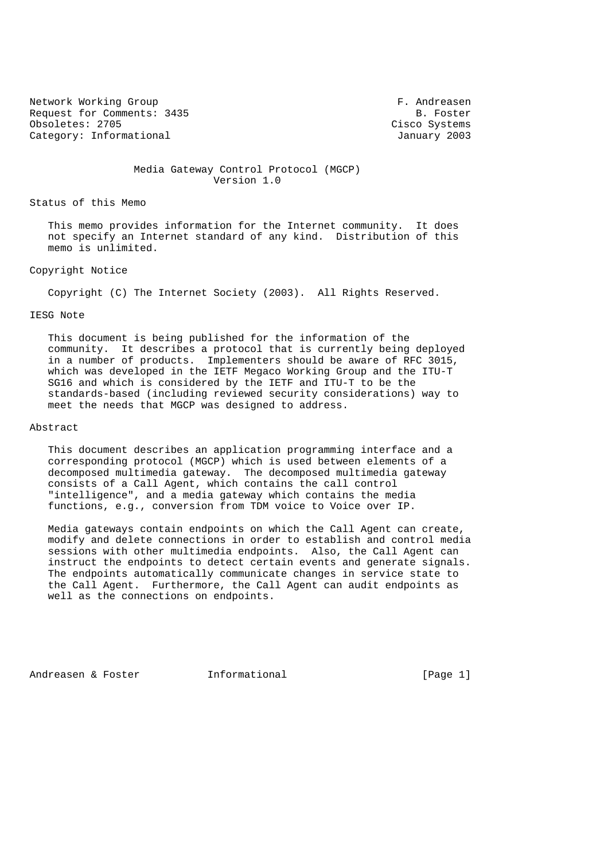Network Working Group **F. Andreasen** Request for Comments: 3435 B. Foster Obsoletes: 2705 Cisco Systems Category: Informational and Category: Informational and January 2003

 Media Gateway Control Protocol (MGCP) Version 1.0

Status of this Memo

 This memo provides information for the Internet community. It does not specify an Internet standard of any kind. Distribution of this memo is unlimited.

## Copyright Notice

Copyright (C) The Internet Society (2003). All Rights Reserved.

## IESG Note

 This document is being published for the information of the community. It describes a protocol that is currently being deployed in a number of products. Implementers should be aware of RFC 3015, which was developed in the IETF Megaco Working Group and the ITU-T SG16 and which is considered by the IETF and ITU-T to be the standards-based (including reviewed security considerations) way to meet the needs that MGCP was designed to address.

#### Abstract

 This document describes an application programming interface and a corresponding protocol (MGCP) which is used between elements of a decomposed multimedia gateway. The decomposed multimedia gateway consists of a Call Agent, which contains the call control "intelligence", and a media gateway which contains the media functions, e.g., conversion from TDM voice to Voice over IP.

 Media gateways contain endpoints on which the Call Agent can create, modify and delete connections in order to establish and control media sessions with other multimedia endpoints. Also, the Call Agent can instruct the endpoints to detect certain events and generate signals. The endpoints automatically communicate changes in service state to the Call Agent. Furthermore, the Call Agent can audit endpoints as well as the connections on endpoints.

Andreasen & Foster **Informational** [Page 1]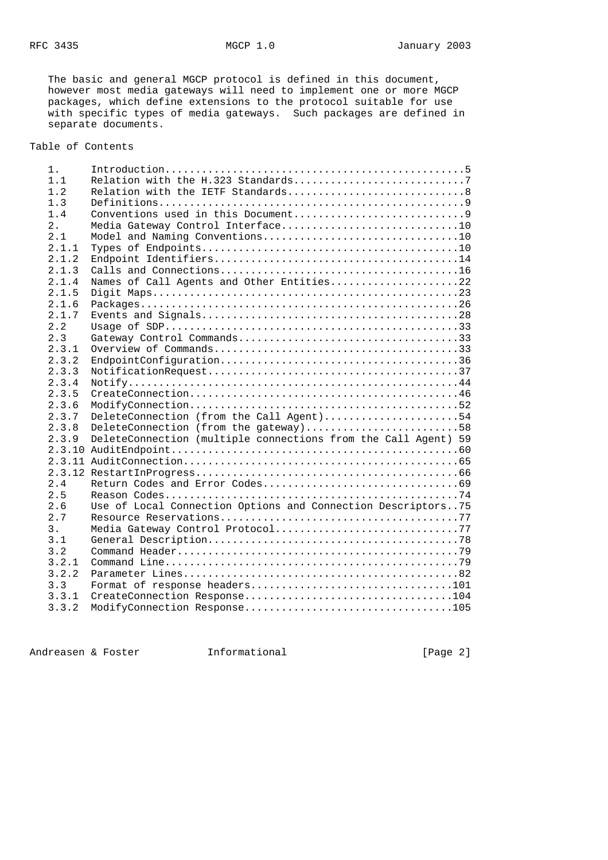The basic and general MGCP protocol is defined in this document, however most media gateways will need to implement one or more MGCP packages, which define extensions to the protocol suitable for use with specific types of media gateways. Such packages are defined in separate documents.

Table of Contents

| 1 <sup>1</sup> |                                                                |
|----------------|----------------------------------------------------------------|
| 1.1            | Relation with the H.323 Standards7                             |
| 1.2            |                                                                |
| 1.3            |                                                                |
| 1.4            |                                                                |
| 2.             | Media Gateway Control Interface10                              |
| 2.1            |                                                                |
| 2.1.1          |                                                                |
| 2.1.2          |                                                                |
| 2.1.3          |                                                                |
| 2.1.4          | Names of Call Agents and Other Entities22                      |
| 2.1.5          |                                                                |
| 2.1.6          |                                                                |
| 2.1.7          |                                                                |
| 2.2            |                                                                |
| 2.3            |                                                                |
| 2.3.1          |                                                                |
| 2.3.2          |                                                                |
| 2.3.3          |                                                                |
| 2.3.4          |                                                                |
| 2.3.5          |                                                                |
| 2.3.6          |                                                                |
| 2.3.7          | DeleteConnection (from the Call Agent)54                       |
| 2.3.8          | DeleteConnection (from the gateway)58                          |
| 2.3.9          | DeleteConnection (multiple connections from the Call Agent) 59 |
|                |                                                                |
|                |                                                                |
|                |                                                                |
| 2.4            |                                                                |
| 2.5            |                                                                |
| 2.6            | Use of Local Connection Options and Connection Descriptors75   |
| 2.7            |                                                                |
| 3.             | Media Gateway Control Protocol77                               |
| 3.1            |                                                                |
| 3.2            |                                                                |
| 3.2.1          |                                                                |
| 3.2.2          |                                                                |
| 3.3            | Format of response headers101                                  |
| 3.3.1          |                                                                |
| 3.3.2          |                                                                |

Andreasen & Foster **Informational Informational** [Page 2]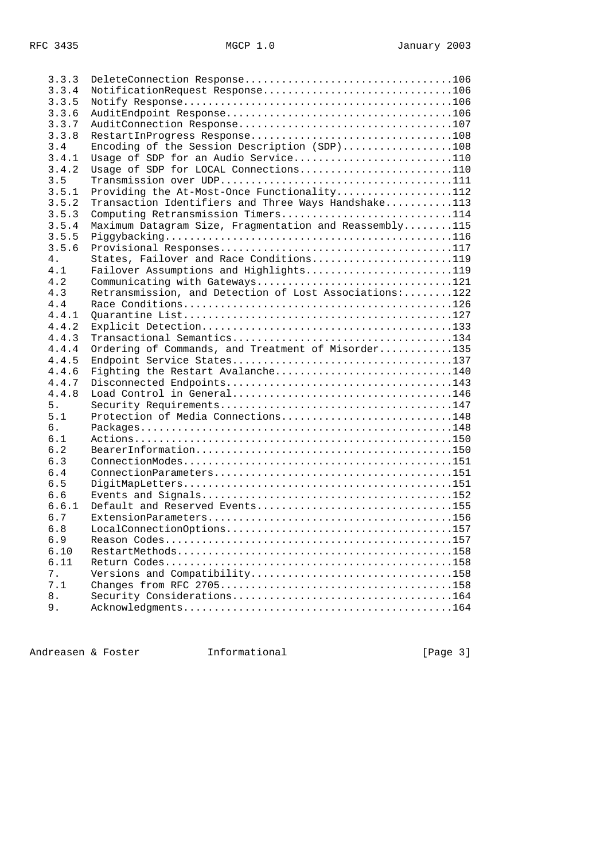| 3.3.3 | DeleteConnection Response106                           |  |
|-------|--------------------------------------------------------|--|
| 3.3.4 | NotificationRequest Response106                        |  |
| 3.3.5 |                                                        |  |
| 3.3.6 |                                                        |  |
| 3.3.7 |                                                        |  |
| 3.3.8 | RestartInProgress Response108                          |  |
| 3.4   | Encoding of the Session Description (SDP)108           |  |
| 3.4.1 | Usage of SDP for an Audio Service110                   |  |
| 3.4.2 | Usage of SDP for LOCAL Connections110                  |  |
| 3.5   |                                                        |  |
|       |                                                        |  |
| 3.5.1 | Providing the At-Most-Once Functionality112            |  |
| 3.5.2 | Transaction Identifiers and Three Ways Handshake113    |  |
| 3.5.3 | Computing Retransmission Timers114                     |  |
| 3.5.4 | Maximum Datagram Size, Fragmentation and Reassembly115 |  |
| 3.5.5 |                                                        |  |
| 3.5.6 |                                                        |  |
| 4.    | States, Failover and Race Conditions119                |  |
| 4.1   | Failover Assumptions and Highlights119                 |  |
| 4.2   | Communicating with Gateways121                         |  |
| 4.3   | Retransmission, and Detection of Lost Associations:122 |  |
| 4.4   |                                                        |  |
| 4.4.1 |                                                        |  |
| 4.4.2 |                                                        |  |
| 4.4.3 |                                                        |  |
| 4.4.4 | Ordering of Commands, and Treatment of Misorder135     |  |
| 4.4.5 |                                                        |  |
| 4.4.6 | Fighting the Restart Avalanche140                      |  |
| 4.4.7 |                                                        |  |
| 4.4.8 |                                                        |  |
| 5.    |                                                        |  |
| 5.1   | Protection of Media Connections148                     |  |
| б.    |                                                        |  |
| 6.1   |                                                        |  |
| 6.2   |                                                        |  |
| 6.3   |                                                        |  |
| 6.4   |                                                        |  |
| 6.5   |                                                        |  |
| 6.6   |                                                        |  |
| 6.6.1 | Default and Reserved Events155                         |  |
| 6.7   |                                                        |  |
| 6.8   |                                                        |  |
| 6.9   |                                                        |  |
| 6.10  |                                                        |  |
| 6.11  |                                                        |  |
| 7.    | Versions and Compatibility158                          |  |
| 7.1   |                                                        |  |
| $8$ . |                                                        |  |
| 9.    |                                                        |  |
|       |                                                        |  |

Andreasen & Foster **Informational** 11.1 [Page 3]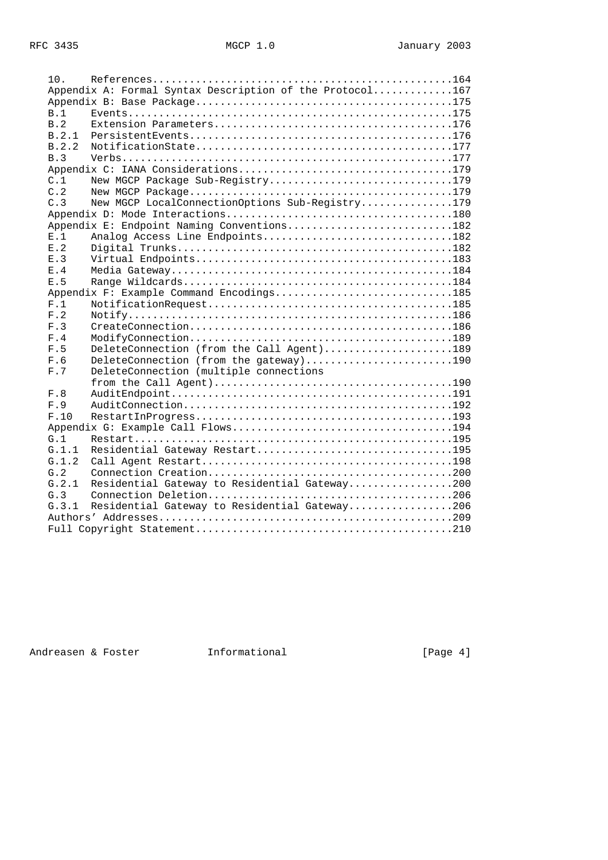| 10.       |                                                          |  |
|-----------|----------------------------------------------------------|--|
|           | Appendix A: Formal Syntax Description of the Protocol167 |  |
|           |                                                          |  |
| B.1       |                                                          |  |
| B.2       |                                                          |  |
| B.2.1     |                                                          |  |
| B.2.2     |                                                          |  |
| B.3       |                                                          |  |
|           |                                                          |  |
| C.1       | New MGCP Package Sub-Registry179                         |  |
| C.2       |                                                          |  |
| C.3       | New MGCP LocalConnectionOptions Sub-Reqistry179          |  |
|           |                                                          |  |
|           | Appendix E: Endpoint Naming Conventions182               |  |
| E.1       | Analog Access Line Endpoints182                          |  |
| $F1$ . 2. |                                                          |  |
| E.3       |                                                          |  |
| E.4       |                                                          |  |
| F.5       |                                                          |  |
|           | Appendix F: Example Command Encodings185                 |  |
| F.1       |                                                          |  |
| F.2       |                                                          |  |
| F.3       |                                                          |  |
| F.4       |                                                          |  |
| F.5       | DeleteConnection (from the Call Agent)189                |  |
| F.6       | DeleteConnection (from the gateway)190                   |  |
| F.7       | DeleteConnection (multiple connections                   |  |
|           |                                                          |  |
| F.8       |                                                          |  |
| F.9       |                                                          |  |
| F.10      |                                                          |  |
|           |                                                          |  |
| G.1       |                                                          |  |
| G.1.1     | Residential Gateway Restart195                           |  |
| G.1.2     |                                                          |  |
| G.2       |                                                          |  |
| G.2.1     | Residential Gateway to Residential Gateway200            |  |
| G.3       |                                                          |  |
| G.3.1     | Residential Gateway to Residential Gateway206            |  |
|           |                                                          |  |
|           |                                                          |  |

Andreasen & Foster **Informational** 11.1 [Page 4]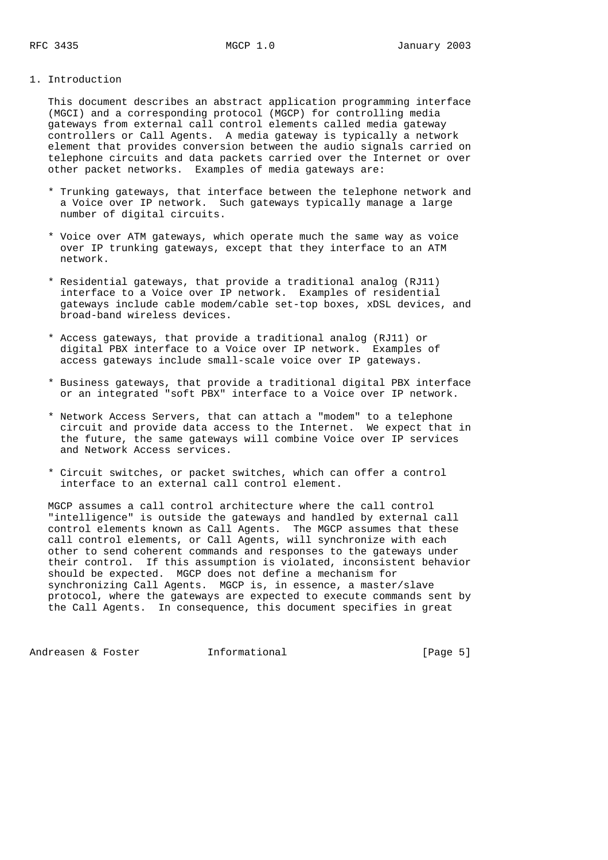## 1. Introduction

 This document describes an abstract application programming interface (MGCI) and a corresponding protocol (MGCP) for controlling media gateways from external call control elements called media gateway controllers or Call Agents. A media gateway is typically a network element that provides conversion between the audio signals carried on telephone circuits and data packets carried over the Internet or over other packet networks. Examples of media gateways are:

- \* Trunking gateways, that interface between the telephone network and a Voice over IP network. Such gateways typically manage a large number of digital circuits.
- \* Voice over ATM gateways, which operate much the same way as voice over IP trunking gateways, except that they interface to an ATM network.
- \* Residential gateways, that provide a traditional analog (RJ11) interface to a Voice over IP network. Examples of residential gateways include cable modem/cable set-top boxes, xDSL devices, and broad-band wireless devices.
- \* Access gateways, that provide a traditional analog (RJ11) or digital PBX interface to a Voice over IP network. Examples of access gateways include small-scale voice over IP gateways.
- \* Business gateways, that provide a traditional digital PBX interface or an integrated "soft PBX" interface to a Voice over IP network.
- \* Network Access Servers, that can attach a "modem" to a telephone circuit and provide data access to the Internet. We expect that in the future, the same gateways will combine Voice over IP services and Network Access services.
- \* Circuit switches, or packet switches, which can offer a control interface to an external call control element.

 MGCP assumes a call control architecture where the call control "intelligence" is outside the gateways and handled by external call control elements known as Call Agents. The MGCP assumes that these call control elements, or Call Agents, will synchronize with each other to send coherent commands and responses to the gateways under their control. If this assumption is violated, inconsistent behavior should be expected. MGCP does not define a mechanism for synchronizing Call Agents. MGCP is, in essence, a master/slave protocol, where the gateways are expected to execute commands sent by the Call Agents. In consequence, this document specifies in great

Andreasen & Foster **Informational Informational** [Page 5]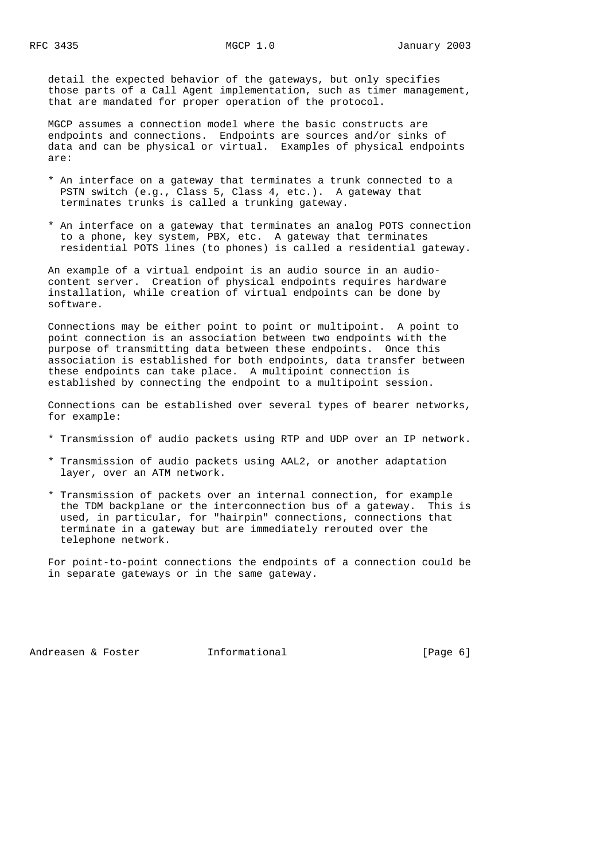detail the expected behavior of the gateways, but only specifies those parts of a Call Agent implementation, such as timer management, that are mandated for proper operation of the protocol.

 MGCP assumes a connection model where the basic constructs are endpoints and connections. Endpoints are sources and/or sinks of data and can be physical or virtual. Examples of physical endpoints are:

- \* An interface on a gateway that terminates a trunk connected to a PSTN switch (e.g., Class 5, Class 4, etc.). A gateway that terminates trunks is called a trunking gateway.
- \* An interface on a gateway that terminates an analog POTS connection to a phone, key system, PBX, etc. A gateway that terminates residential POTS lines (to phones) is called a residential gateway.

 An example of a virtual endpoint is an audio source in an audio content server. Creation of physical endpoints requires hardware installation, while creation of virtual endpoints can be done by software.

 Connections may be either point to point or multipoint. A point to point connection is an association between two endpoints with the purpose of transmitting data between these endpoints. Once this association is established for both endpoints, data transfer between these endpoints can take place. A multipoint connection is established by connecting the endpoint to a multipoint session.

 Connections can be established over several types of bearer networks, for example:

- \* Transmission of audio packets using RTP and UDP over an IP network.
- \* Transmission of audio packets using AAL2, or another adaptation layer, over an ATM network.
- \* Transmission of packets over an internal connection, for example the TDM backplane or the interconnection bus of a gateway. This is used, in particular, for "hairpin" connections, connections that terminate in a gateway but are immediately rerouted over the telephone network.

 For point-to-point connections the endpoints of a connection could be in separate gateways or in the same gateway.

Andreasen & Foster **Informational Informational** [Page 6]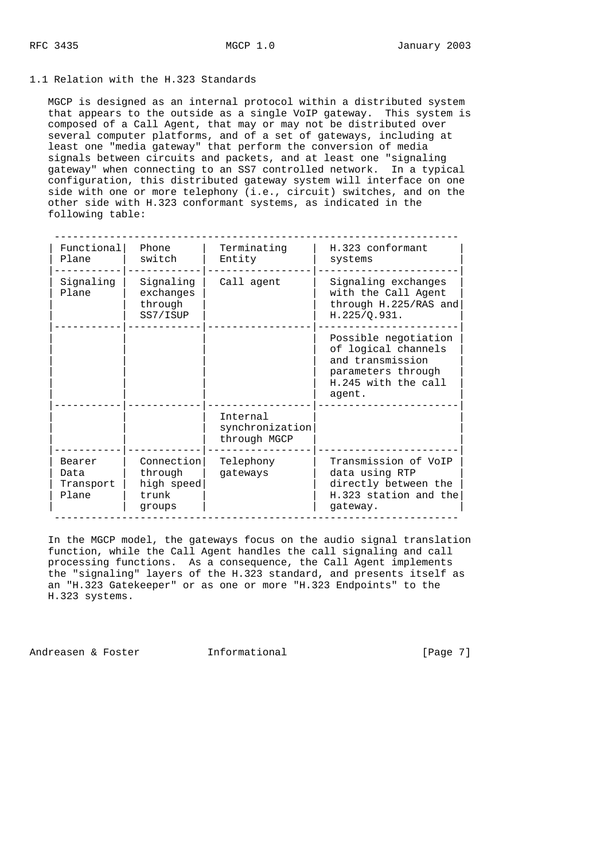### 1.1 Relation with the H.323 Standards

 MGCP is designed as an internal protocol within a distributed system that appears to the outside as a single VoIP gateway. This system is composed of a Call Agent, that may or may not be distributed over several computer platforms, and of a set of gateways, including at least one "media gateway" that perform the conversion of media signals between circuits and packets, and at least one "signaling gateway" when connecting to an SS7 controlled network. In a typical configuration, this distributed gateway system will interface on one side with one or more telephony (i.e., circuit) switches, and on the other side with H.323 conformant systems, as indicated in the following table:

| Functional<br>Plane                  | Phone<br>switch                                        | Terminating<br>Entity                       | H.323 conformant<br>systems                                                                                            |
|--------------------------------------|--------------------------------------------------------|---------------------------------------------|------------------------------------------------------------------------------------------------------------------------|
| Signaling<br>Plane                   | Signaling<br>exchanges<br>through<br>SS7/ISUP          | Call agent                                  | Signaling exchanges<br>with the Call Agent<br>through H.225/RAS and<br>H.225/Q.931.                                    |
|                                      |                                                        |                                             | Possible negotiation<br>of logical channels<br>and transmission<br>parameters through<br>H.245 with the call<br>agent. |
|                                      |                                                        | Internal<br>synchronization<br>through MGCP |                                                                                                                        |
| Bearer<br>Data<br>Transport<br>Plane | Connection<br>through<br>high speed<br>trunk<br>groups | Telephony<br>gateways                       | Transmission of VoIP<br>data using RTP<br>directly between the<br>H.323 station and the<br>gateway.                    |

 In the MGCP model, the gateways focus on the audio signal translation function, while the Call Agent handles the call signaling and call processing functions. As a consequence, the Call Agent implements the "signaling" layers of the H.323 standard, and presents itself as an "H.323 Gatekeeper" or as one or more "H.323 Endpoints" to the H.323 systems.

Andreasen & Foster **Informational Informational** [Page 7]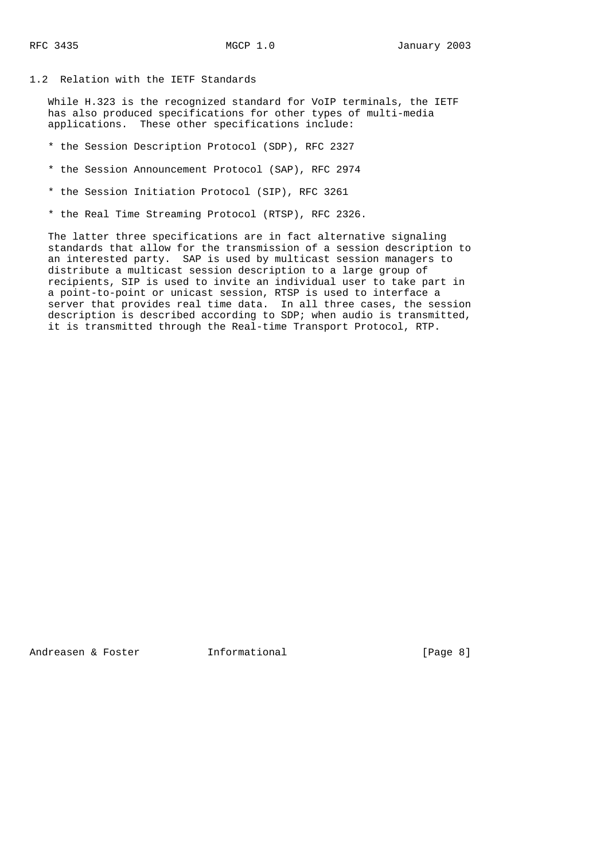## 1.2 Relation with the IETF Standards

 While H.323 is the recognized standard for VoIP terminals, the IETF has also produced specifications for other types of multi-media applications. These other specifications include:

- \* the Session Description Protocol (SDP), RFC 2327
- \* the Session Announcement Protocol (SAP), RFC 2974
- \* the Session Initiation Protocol (SIP), RFC 3261
- \* the Real Time Streaming Protocol (RTSP), RFC 2326.

 The latter three specifications are in fact alternative signaling standards that allow for the transmission of a session description to an interested party. SAP is used by multicast session managers to distribute a multicast session description to a large group of recipients, SIP is used to invite an individual user to take part in a point-to-point or unicast session, RTSP is used to interface a server that provides real time data. In all three cases, the session description is described according to SDP; when audio is transmitted, it is transmitted through the Real-time Transport Protocol, RTP.

Andreasen & Foster **Informational Informational** [Page 8]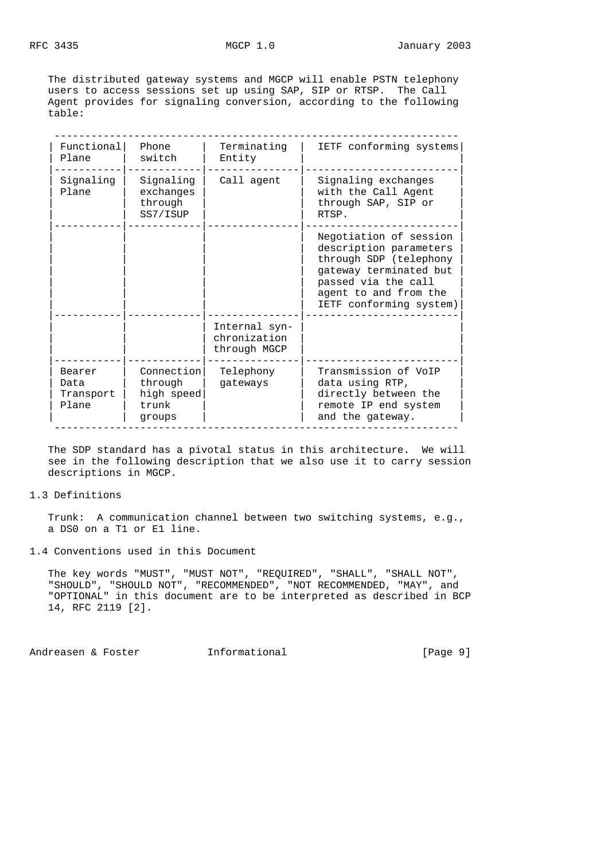The distributed gateway systems and MGCP will enable PSTN telephony users to access sessions set up using SAP, SIP or RTSP. The Call Agent provides for signaling conversion, according to the following table:

| Functional<br>Plane                  | Phone<br>switch                                        | Terminating<br>Entity                         | IETF conforming systems                                                                                                                                                         |
|--------------------------------------|--------------------------------------------------------|-----------------------------------------------|---------------------------------------------------------------------------------------------------------------------------------------------------------------------------------|
| Signaling<br>Plane                   | Signaling<br>exchanges<br>through<br>SS7/ISUP          | Call agent                                    | Signaling exchanges<br>with the Call Agent<br>through SAP, SIP or<br>RTSP.                                                                                                      |
|                                      |                                                        |                                               | Negotiation of session<br>description parameters<br>through SDP (telephony<br>gateway terminated but<br>passed via the call<br>agent to and from the<br>IETF conforming system) |
|                                      |                                                        | Internal syn-<br>chronization<br>through MGCP |                                                                                                                                                                                 |
| Bearer<br>Data<br>Transport<br>Plane | Connection<br>through<br>high speed<br>trunk<br>groups | Telephony<br>gateways                         | Transmission of VoIP<br>data using RTP,<br>directly between the<br>remote IP end system<br>and the gateway.                                                                     |

 The SDP standard has a pivotal status in this architecture. We will see in the following description that we also use it to carry session descriptions in MGCP.

### 1.3 Definitions

 Trunk: A communication channel between two switching systems, e.g., a DS0 on a T1 or E1 line.

1.4 Conventions used in this Document

 The key words "MUST", "MUST NOT", "REQUIRED", "SHALL", "SHALL NOT", "SHOULD", "SHOULD NOT", "RECOMMENDED", "NOT RECOMMENDED, "MAY", and "OPTIONAL" in this document are to be interpreted as described in BCP 14, RFC 2119 [2].

Andreasen & Foster **Informational Informational** [Page 9]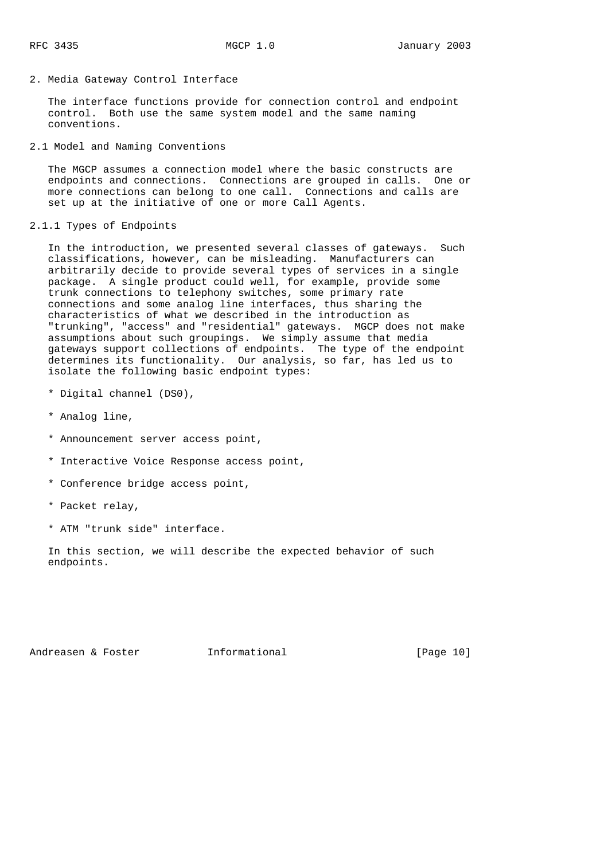2. Media Gateway Control Interface

 The interface functions provide for connection control and endpoint control. Both use the same system model and the same naming conventions.

2.1 Model and Naming Conventions

 The MGCP assumes a connection model where the basic constructs are endpoints and connections. Connections are grouped in calls. One or more connections can belong to one call. Connections and calls are set up at the initiative of one or more Call Agents.

2.1.1 Types of Endpoints

 In the introduction, we presented several classes of gateways. Such classifications, however, can be misleading. Manufacturers can arbitrarily decide to provide several types of services in a single package. A single product could well, for example, provide some trunk connections to telephony switches, some primary rate connections and some analog line interfaces, thus sharing the characteristics of what we described in the introduction as "trunking", "access" and "residential" gateways. MGCP does not make assumptions about such groupings. We simply assume that media gateways support collections of endpoints. The type of the endpoint determines its functionality. Our analysis, so far, has led us to isolate the following basic endpoint types:

- \* Digital channel (DS0),
- \* Analog line,
- \* Announcement server access point,
- \* Interactive Voice Response access point,
- \* Conference bridge access point,
- \* Packet relay,
- \* ATM "trunk side" interface.

 In this section, we will describe the expected behavior of such endpoints.

Andreasen & Foster **Informational** [Page 10]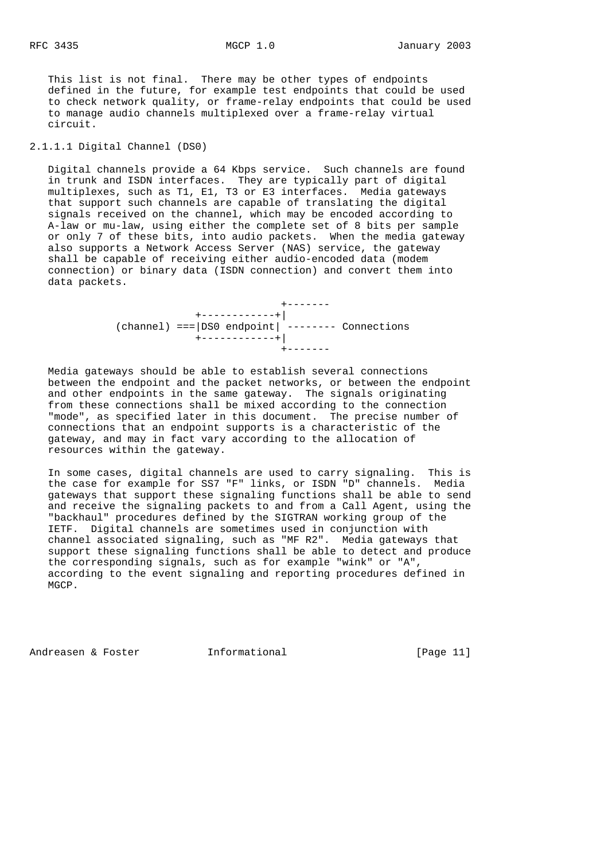This list is not final. There may be other types of endpoints defined in the future, for example test endpoints that could be used to check network quality, or frame-relay endpoints that could be used to manage audio channels multiplexed over a frame-relay virtual circuit.

# 2.1.1.1 Digital Channel (DS0)

 Digital channels provide a 64 Kbps service. Such channels are found in trunk and ISDN interfaces. They are typically part of digital multiplexes, such as T1, E1, T3 or E3 interfaces. Media gateways that support such channels are capable of translating the digital signals received on the channel, which may be encoded according to A-law or mu-law, using either the complete set of 8 bits per sample or only 7 of these bits, into audio packets. When the media gateway also supports a Network Access Server (NAS) service, the gateway shall be capable of receiving either audio-encoded data (modem connection) or binary data (ISDN connection) and convert them into data packets.

> +------- +------------+| (channel) ===|DS0 endpoint| -------- Connections +------------+| +-------

 Media gateways should be able to establish several connections between the endpoint and the packet networks, or between the endpoint and other endpoints in the same gateway. The signals originating from these connections shall be mixed according to the connection "mode", as specified later in this document. The precise number of connections that an endpoint supports is a characteristic of the gateway, and may in fact vary according to the allocation of resources within the gateway.

 In some cases, digital channels are used to carry signaling. This is the case for example for SS7 "F" links, or ISDN "D" channels. Media gateways that support these signaling functions shall be able to send and receive the signaling packets to and from a Call Agent, using the "backhaul" procedures defined by the SIGTRAN working group of the IETF. Digital channels are sometimes used in conjunction with channel associated signaling, such as "MF R2". Media gateways that support these signaling functions shall be able to detect and produce the corresponding signals, such as for example "wink" or "A", according to the event signaling and reporting procedures defined in MGCP.

Andreasen & Foster **Informational Informational** [Page 11]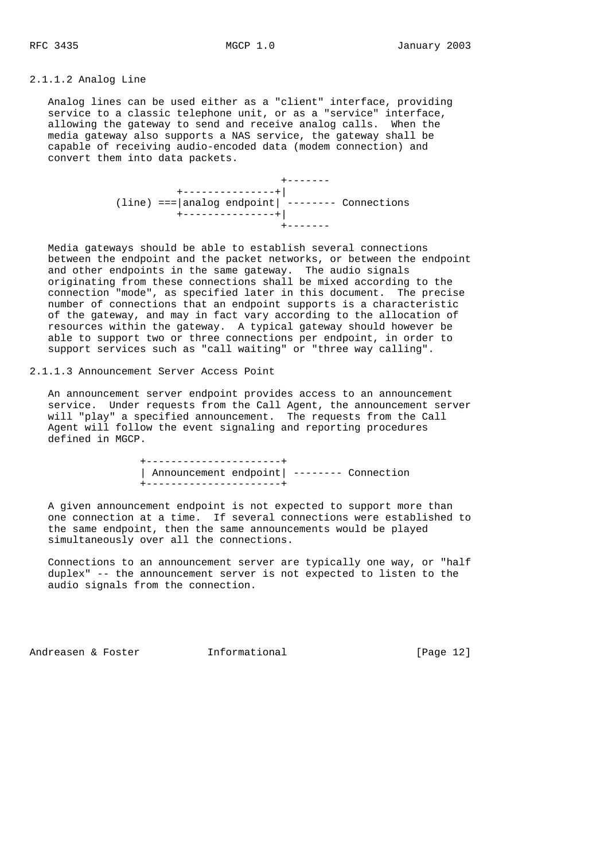#### 2.1.1.2 Analog Line

 Analog lines can be used either as a "client" interface, providing service to a classic telephone unit, or as a "service" interface, allowing the gateway to send and receive analog calls. When the media gateway also supports a NAS service, the gateway shall be capable of receiving audio-encoded data (modem connection) and convert them into data packets.

 +------- +---------------+| (line) ===|analog endpoint| -------- Connections +---------------+| +-------

 Media gateways should be able to establish several connections between the endpoint and the packet networks, or between the endpoint and other endpoints in the same gateway. The audio signals originating from these connections shall be mixed according to the connection "mode", as specified later in this document. The precise number of connections that an endpoint supports is a characteristic of the gateway, and may in fact vary according to the allocation of resources within the gateway. A typical gateway should however be able to support two or three connections per endpoint, in order to support services such as "call waiting" or "three way calling".

#### 2.1.1.3 Announcement Server Access Point

 An announcement server endpoint provides access to an announcement service. Under requests from the Call Agent, the announcement server will "play" a specified announcement. The requests from the Call Agent will follow the event signaling and reporting procedures defined in MGCP.

> +----------------------+ | Announcement endpoint| -------- Connection +----------------------+

 A given announcement endpoint is not expected to support more than one connection at a time. If several connections were established to the same endpoint, then the same announcements would be played simultaneously over all the connections.

 Connections to an announcement server are typically one way, or "half duplex" -- the announcement server is not expected to listen to the audio signals from the connection.

Andreasen & Foster **Informational** [Page 12]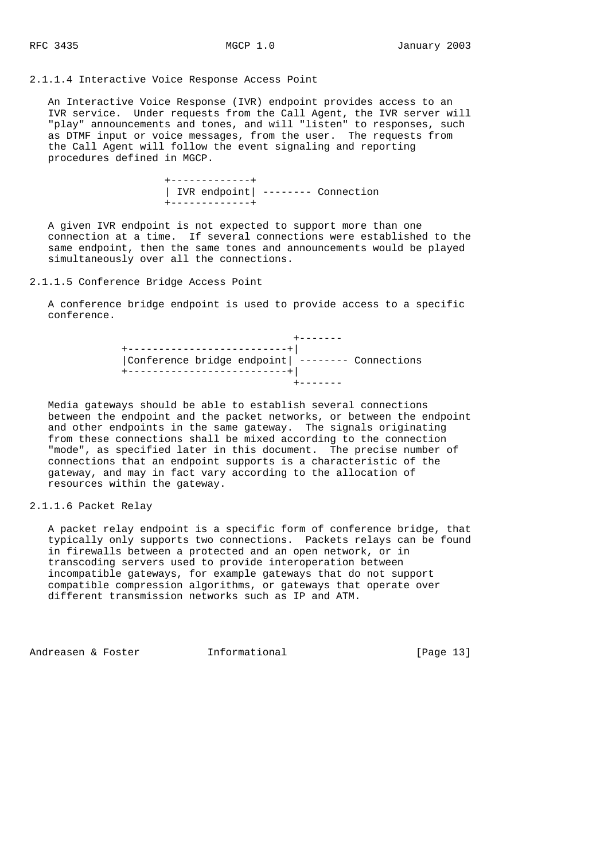## 2.1.1.4 Interactive Voice Response Access Point

 An Interactive Voice Response (IVR) endpoint provides access to an IVR service. Under requests from the Call Agent, the IVR server will "play" announcements and tones, and will "listen" to responses, such as DTMF input or voice messages, from the user. The requests from the Call Agent will follow the event signaling and reporting procedures defined in MGCP.

> +-------------+ | IVR endpoint| -------- Connection +-------------+

 A given IVR endpoint is not expected to support more than one connection at a time. If several connections were established to the same endpoint, then the same tones and announcements would be played simultaneously over all the connections.

2.1.1.5 Conference Bridge Access Point

 A conference bridge endpoint is used to provide access to a specific conference.

> +------- +--------------------------+| |Conference bridge endpoint| -------- Connections +--------------------------+| +-------

 Media gateways should be able to establish several connections between the endpoint and the packet networks, or between the endpoint and other endpoints in the same gateway. The signals originating from these connections shall be mixed according to the connection "mode", as specified later in this document. The precise number of connections that an endpoint supports is a characteristic of the gateway, and may in fact vary according to the allocation of resources within the gateway.

2.1.1.6 Packet Relay

 A packet relay endpoint is a specific form of conference bridge, that typically only supports two connections. Packets relays can be found in firewalls between a protected and an open network, or in transcoding servers used to provide interoperation between incompatible gateways, for example gateways that do not support compatible compression algorithms, or gateways that operate over different transmission networks such as IP and ATM.

Andreasen & Foster **Informational** [Page 13]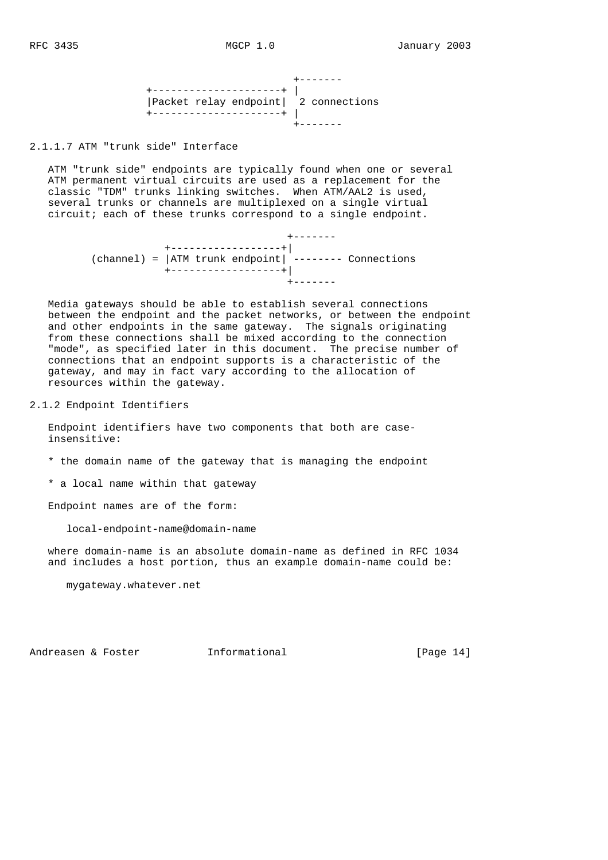+------- +---------------------+ | |Packet relay endpoint| 2 connections +---------------------+ | +-------

2.1.1.7 ATM "trunk side" Interface

 ATM "trunk side" endpoints are typically found when one or several ATM permanent virtual circuits are used as a replacement for the classic "TDM" trunks linking switches. When ATM/AAL2 is used, several trunks or channels are multiplexed on a single virtual circuit; each of these trunks correspond to a single endpoint.

 +------- +------------------+| (channel) = |ATM trunk endpoint| -------- Connections +------------------+| +-------

 Media gateways should be able to establish several connections between the endpoint and the packet networks, or between the endpoint and other endpoints in the same gateway. The signals originating from these connections shall be mixed according to the connection "mode", as specified later in this document. The precise number of connections that an endpoint supports is a characteristic of the gateway, and may in fact vary according to the allocation of resources within the gateway.

2.1.2 Endpoint Identifiers

 Endpoint identifiers have two components that both are case insensitive:

- \* the domain name of the gateway that is managing the endpoint
- \* a local name within that gateway

Endpoint names are of the form:

local-endpoint-name@domain-name

 where domain-name is an absolute domain-name as defined in RFC 1034 and includes a host portion, thus an example domain-name could be:

mygateway.whatever.net

Andreasen & Foster **Informational** [Page 14]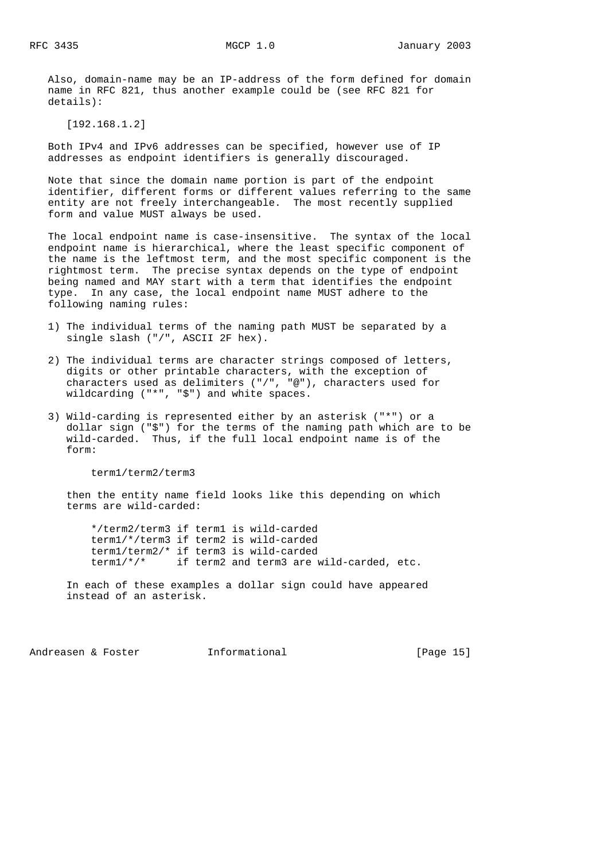Also, domain-name may be an IP-address of the form defined for domain name in RFC 821, thus another example could be (see RFC 821 for details):

[192.168.1.2]

 Both IPv4 and IPv6 addresses can be specified, however use of IP addresses as endpoint identifiers is generally discouraged.

 Note that since the domain name portion is part of the endpoint identifier, different forms or different values referring to the same entity are not freely interchangeable. The most recently supplied form and value MUST always be used.

 The local endpoint name is case-insensitive. The syntax of the local endpoint name is hierarchical, where the least specific component of the name is the leftmost term, and the most specific component is the rightmost term. The precise syntax depends on the type of endpoint being named and MAY start with a term that identifies the endpoint type. In any case, the local endpoint name MUST adhere to the following naming rules:

- 1) The individual terms of the naming path MUST be separated by a single slash ("/", ASCII 2F hex).
- 2) The individual terms are character strings composed of letters, digits or other printable characters, with the exception of characters used as delimiters ("/", "@"), characters used for wildcarding ("\*", "\$") and white spaces.
- 3) Wild-carding is represented either by an asterisk ("\*") or a dollar sign ("\$") for the terms of the naming path which are to be wild-carded. Thus, if the full local endpoint name is of the form:

term1/term2/term3

 then the entity name field looks like this depending on which terms are wild-carded:

 \*/term2/term3 if term1 is wild-carded term1/\*/term3 if term2 is wild-carded term1/term2/\* if term3 is wild-carded term1/\*/\* if term2 and term3 are wild-carded, etc.

 In each of these examples a dollar sign could have appeared instead of an asterisk.

Andreasen & Foster **Informational Informational** [Page 15]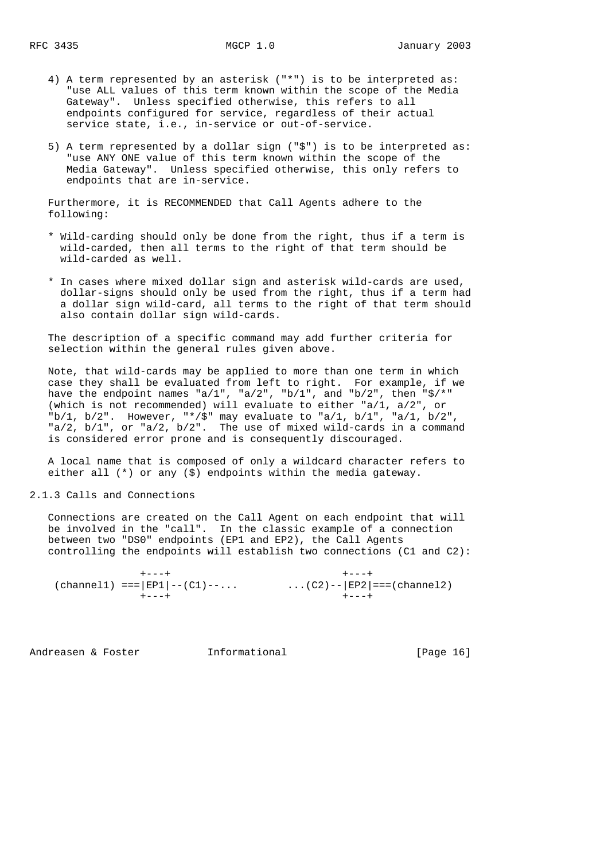- 4) A term represented by an asterisk ("\*") is to be interpreted as: "use ALL values of this term known within the scope of the Media Gateway". Unless specified otherwise, this refers to all endpoints configured for service, regardless of their actual service state, i.e., in-service or out-of-service.
- 5) A term represented by a dollar sign ("\$") is to be interpreted as: "use ANY ONE value of this term known within the scope of the Media Gateway". Unless specified otherwise, this only refers to endpoints that are in-service.

 Furthermore, it is RECOMMENDED that Call Agents adhere to the following:

- \* Wild-carding should only be done from the right, thus if a term is wild-carded, then all terms to the right of that term should be wild-carded as well.
- \* In cases where mixed dollar sign and asterisk wild-cards are used, dollar-signs should only be used from the right, thus if a term had a dollar sign wild-card, all terms to the right of that term should also contain dollar sign wild-cards.

 The description of a specific command may add further criteria for selection within the general rules given above.

 Note, that wild-cards may be applied to more than one term in which case they shall be evaluated from left to right. For example, if we have the endpoint names "a/1", "a/2", "b/1", and "b/2", then "\$/\*" (which is not recommended) will evaluate to either "a/1, a/2", or  $nb/1$ ,  $b/2$ ". However, "\*/\$" may evaluate to "a/1,  $b/1$ ", "a/1,  $b/2$ ", "a/2, b/1", or "a/2, b/2". The use of mixed wild-cards in a command is considered error prone and is consequently discouraged.

 A local name that is composed of only a wildcard character refers to either all (\*) or any (\$) endpoints within the media gateway.

2.1.3 Calls and Connections

 Connections are created on the Call Agent on each endpoint that will be involved in the "call". In the classic example of a connection between two "DS0" endpoints (EP1 and EP2), the Call Agents controlling the endpoints will establish two connections (C1 and C2):

 +---+ +---+ (channel1) === $|EP1| - (C1) - ...$  ...(C2)-- $|EP2| == (channel2)$ +---+ +---+

Andreasen & Foster **Informational** [Page 16]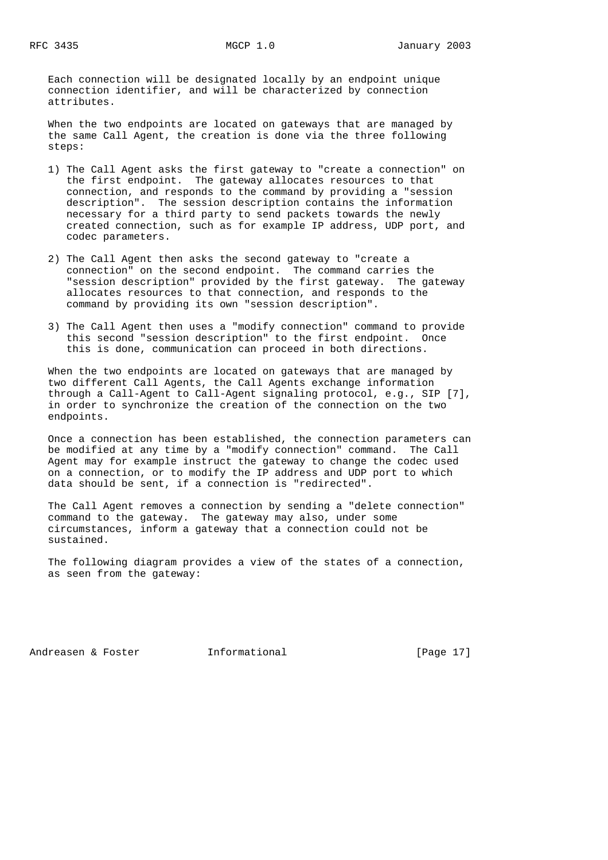Each connection will be designated locally by an endpoint unique connection identifier, and will be characterized by connection attributes.

 When the two endpoints are located on gateways that are managed by the same Call Agent, the creation is done via the three following steps:

- 1) The Call Agent asks the first gateway to "create a connection" on the first endpoint. The gateway allocates resources to that connection, and responds to the command by providing a "session description". The session description contains the information necessary for a third party to send packets towards the newly created connection, such as for example IP address, UDP port, and codec parameters.
- 2) The Call Agent then asks the second gateway to "create a connection" on the second endpoint. The command carries the "session description" provided by the first gateway. The gateway allocates resources to that connection, and responds to the command by providing its own "session description".
- 3) The Call Agent then uses a "modify connection" command to provide this second "session description" to the first endpoint. Once this is done, communication can proceed in both directions.

 When the two endpoints are located on gateways that are managed by two different Call Agents, the Call Agents exchange information through a Call-Agent to Call-Agent signaling protocol, e.g., SIP [7], in order to synchronize the creation of the connection on the two endpoints.

 Once a connection has been established, the connection parameters can be modified at any time by a "modify connection" command. The Call Agent may for example instruct the gateway to change the codec used on a connection, or to modify the IP address and UDP port to which data should be sent, if a connection is "redirected".

 The Call Agent removes a connection by sending a "delete connection" command to the gateway. The gateway may also, under some circumstances, inform a gateway that a connection could not be sustained.

 The following diagram provides a view of the states of a connection, as seen from the gateway:

Andreasen & Foster **Informational Informational** [Page 17]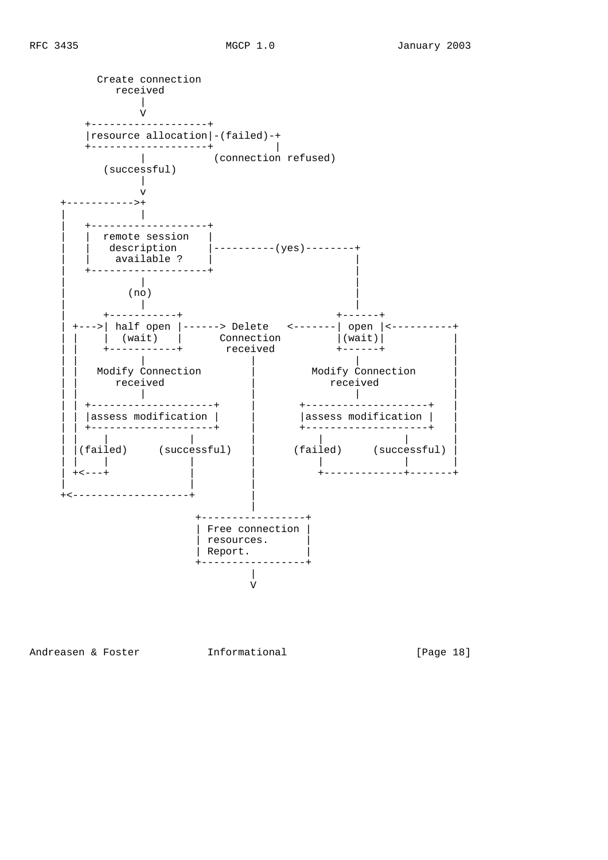

Andreasen & Foster **Informational Informational** [Page 18]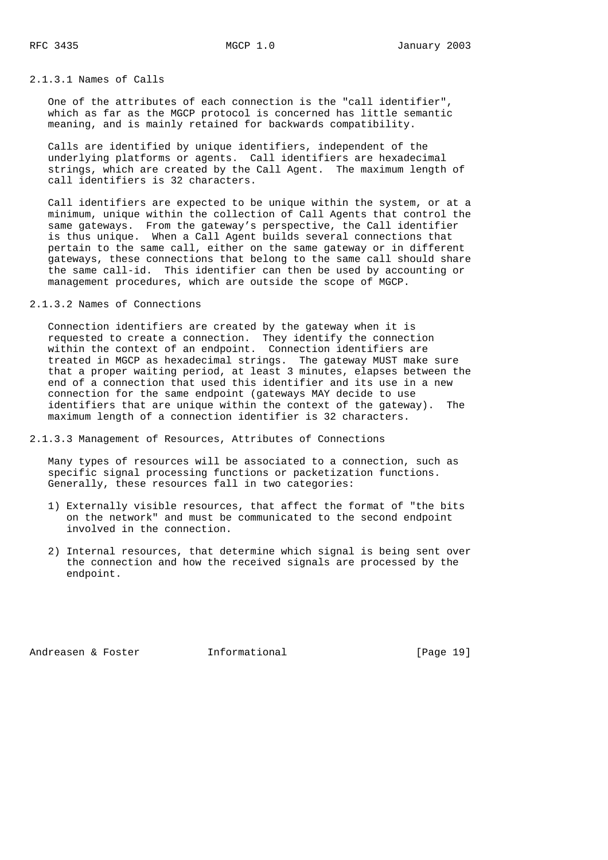## 2.1.3.1 Names of Calls

 One of the attributes of each connection is the "call identifier", which as far as the MGCP protocol is concerned has little semantic meaning, and is mainly retained for backwards compatibility.

 Calls are identified by unique identifiers, independent of the underlying platforms or agents. Call identifiers are hexadecimal strings, which are created by the Call Agent. The maximum length of call identifiers is 32 characters.

 Call identifiers are expected to be unique within the system, or at a minimum, unique within the collection of Call Agents that control the same gateways. From the gateway's perspective, the Call identifier is thus unique. When a Call Agent builds several connections that pertain to the same call, either on the same gateway or in different gateways, these connections that belong to the same call should share the same call-id. This identifier can then be used by accounting or management procedures, which are outside the scope of MGCP.

## 2.1.3.2 Names of Connections

 Connection identifiers are created by the gateway when it is requested to create a connection. They identify the connection within the context of an endpoint. Connection identifiers are treated in MGCP as hexadecimal strings. The gateway MUST make sure that a proper waiting period, at least 3 minutes, elapses between the end of a connection that used this identifier and its use in a new connection for the same endpoint (gateways MAY decide to use identifiers that are unique within the context of the gateway). The maximum length of a connection identifier is 32 characters.

2.1.3.3 Management of Resources, Attributes of Connections

 Many types of resources will be associated to a connection, such as specific signal processing functions or packetization functions. Generally, these resources fall in two categories:

- 1) Externally visible resources, that affect the format of "the bits on the network" and must be communicated to the second endpoint involved in the connection.
- 2) Internal resources, that determine which signal is being sent over the connection and how the received signals are processed by the endpoint.

Andreasen & Foster **Informational** [Page 19]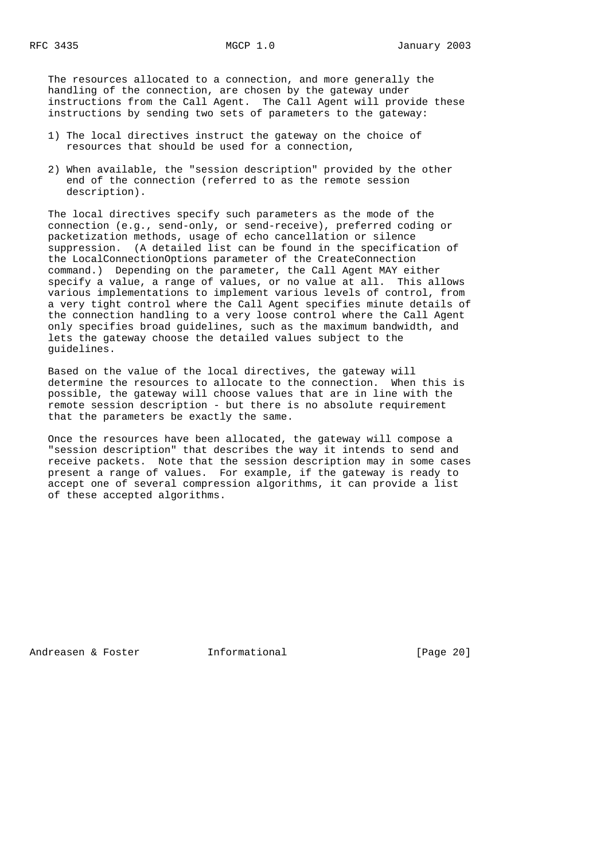The resources allocated to a connection, and more generally the handling of the connection, are chosen by the gateway under instructions from the Call Agent. The Call Agent will provide these instructions by sending two sets of parameters to the gateway:

- 1) The local directives instruct the gateway on the choice of resources that should be used for a connection,
- 2) When available, the "session description" provided by the other end of the connection (referred to as the remote session description).

 The local directives specify such parameters as the mode of the connection (e.g., send-only, or send-receive), preferred coding or packetization methods, usage of echo cancellation or silence suppression. (A detailed list can be found in the specification of the LocalConnectionOptions parameter of the CreateConnection command.) Depending on the parameter, the Call Agent MAY either specify a value, a range of values, or no value at all. This allows various implementations to implement various levels of control, from a very tight control where the Call Agent specifies minute details of the connection handling to a very loose control where the Call Agent only specifies broad guidelines, such as the maximum bandwidth, and lets the gateway choose the detailed values subject to the guidelines.

 Based on the value of the local directives, the gateway will determine the resources to allocate to the connection. When this is possible, the gateway will choose values that are in line with the remote session description - but there is no absolute requirement that the parameters be exactly the same.

 Once the resources have been allocated, the gateway will compose a "session description" that describes the way it intends to send and receive packets. Note that the session description may in some cases present a range of values. For example, if the gateway is ready to accept one of several compression algorithms, it can provide a list of these accepted algorithms.

Andreasen & Foster **Informational** [Page 20]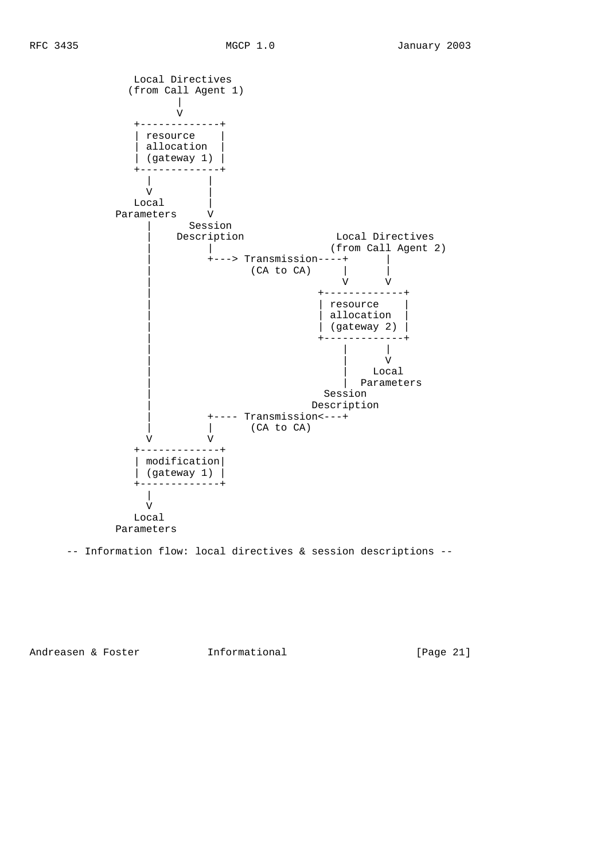Local Directives (from Call Agent 1)

+-------------+

 $\begin{array}{c|c} & & \\\mathbf{V} & & \\\mathbf{V} & & \\\mathbf{V} & & \\\mathbf{V} & & \\\mathbf{V} & & \\\mathbf{V} & & \\\mathbf{V} & & \\\mathbf{V} & & \\\mathbf{V} & & \\\mathbf{V} & & \\\mathbf{V} & & \\\mathbf{V} & & \\\mathbf{V} & & \\\mathbf{V} & & \\\mathbf{V} & & \\\mathbf{V} & & \\\mathbf{V} & & \\\mathbf{V} & & \\\mathbf{V} & & \\\mathbf{V} & & \\\mathbf{V} & & \\\mathbf{V} & & \\\mathbf{V} & & \\\$ 

V





Parameters

-- Information flow: local directives & session descriptions --

Andreasen & Foster **Informational** [Page 21]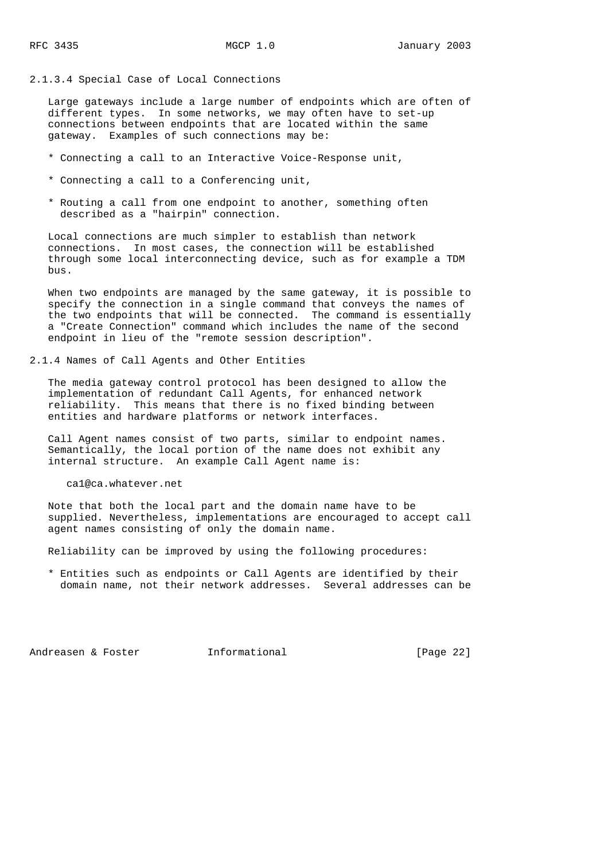### 2.1.3.4 Special Case of Local Connections

 Large gateways include a large number of endpoints which are often of different types. In some networks, we may often have to set-up connections between endpoints that are located within the same gateway. Examples of such connections may be:

- \* Connecting a call to an Interactive Voice-Response unit,
- \* Connecting a call to a Conferencing unit,
- \* Routing a call from one endpoint to another, something often described as a "hairpin" connection.

 Local connections are much simpler to establish than network connections. In most cases, the connection will be established through some local interconnecting device, such as for example a TDM bus.

 When two endpoints are managed by the same gateway, it is possible to specify the connection in a single command that conveys the names of the two endpoints that will be connected. The command is essentially a "Create Connection" command which includes the name of the second endpoint in lieu of the "remote session description".

#### 2.1.4 Names of Call Agents and Other Entities

 The media gateway control protocol has been designed to allow the implementation of redundant Call Agents, for enhanced network reliability. This means that there is no fixed binding between entities and hardware platforms or network interfaces.

 Call Agent names consist of two parts, similar to endpoint names. Semantically, the local portion of the name does not exhibit any internal structure. An example Call Agent name is:

ca1@ca.whatever.net

 Note that both the local part and the domain name have to be supplied. Nevertheless, implementations are encouraged to accept call agent names consisting of only the domain name.

Reliability can be improved by using the following procedures:

 \* Entities such as endpoints or Call Agents are identified by their domain name, not their network addresses. Several addresses can be

Andreasen & Foster **Informational** [Page 22]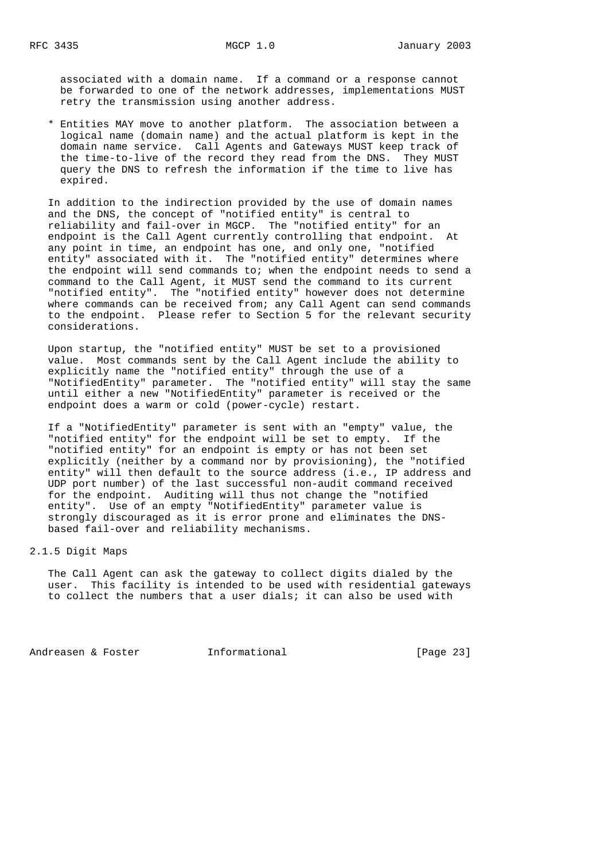associated with a domain name. If a command or a response cannot be forwarded to one of the network addresses, implementations MUST retry the transmission using another address.

 \* Entities MAY move to another platform. The association between a logical name (domain name) and the actual platform is kept in the domain name service. Call Agents and Gateways MUST keep track of the time-to-live of the record they read from the DNS. They MUST query the DNS to refresh the information if the time to live has expired.

 In addition to the indirection provided by the use of domain names and the DNS, the concept of "notified entity" is central to reliability and fail-over in MGCP. The "notified entity" for an endpoint is the Call Agent currently controlling that endpoint. At any point in time, an endpoint has one, and only one, "notified entity" associated with it. The "notified entity" determines where the endpoint will send commands to; when the endpoint needs to send a command to the Call Agent, it MUST send the command to its current "notified entity". The "notified entity" however does not determine where commands can be received from; any Call Agent can send commands to the endpoint. Please refer to Section 5 for the relevant security considerations.

 Upon startup, the "notified entity" MUST be set to a provisioned value. Most commands sent by the Call Agent include the ability to explicitly name the "notified entity" through the use of a "NotifiedEntity" parameter. The "notified entity" will stay the same until either a new "NotifiedEntity" parameter is received or the endpoint does a warm or cold (power-cycle) restart.

 If a "NotifiedEntity" parameter is sent with an "empty" value, the "notified entity" for the endpoint will be set to empty. If the "notified entity" for an endpoint is empty or has not been set explicitly (neither by a command nor by provisioning), the "notified entity" will then default to the source address (i.e., IP address and UDP port number) of the last successful non-audit command received for the endpoint. Auditing will thus not change the "notified entity". Use of an empty "NotifiedEntity" parameter value is strongly discouraged as it is error prone and eliminates the DNS based fail-over and reliability mechanisms.

## 2.1.5 Digit Maps

 The Call Agent can ask the gateway to collect digits dialed by the user. This facility is intended to be used with residential gateways to collect the numbers that a user dials; it can also be used with

Andreasen & Foster **Informational** [Page 23]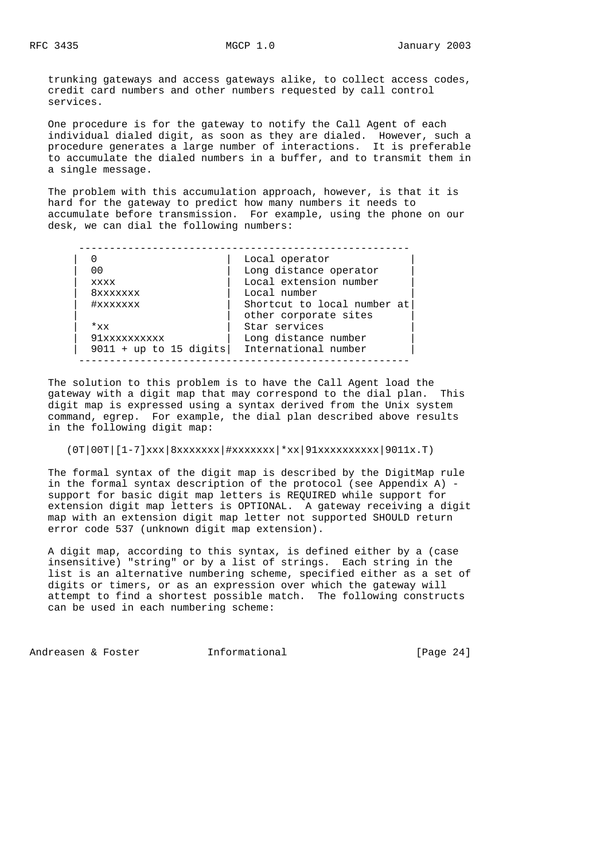trunking gateways and access gateways alike, to collect access codes, credit card numbers and other numbers requested by call control services.

 One procedure is for the gateway to notify the Call Agent of each individual dialed digit, as soon as they are dialed. However, such a procedure generates a large number of interactions. It is preferable to accumulate the dialed numbers in a buffer, and to transmit them in a single message.

 The problem with this accumulation approach, however, is that it is hard for the gateway to predict how many numbers it needs to accumulate before transmission. For example, using the phone on our desk, we can dial the following numbers:

------------------------------------------------------

|                          | Local operator              |
|--------------------------|-----------------------------|
| 00                       | Long distance operator      |
| <b>XXXX</b>              | Local extension number      |
| 8xxxxxxx                 | Local number                |
| #xxxxxxx                 | Shortcut to local number at |
|                          | other corporate sites       |
| $*_{xx}$                 | Star services               |
| 91xxxxxxxxxx             | Long distance number        |
| $9011 + up to 15 digits$ | International number        |
|                          |                             |

 The solution to this problem is to have the Call Agent load the gateway with a digit map that may correspond to the dial plan. This digit map is expressed using a syntax derived from the Unix system command, egrep. For example, the dial plan described above results in the following digit map:

 $(0T|00T|[1-7]xxx|8xxxxxxx|4xxxxxxx|*xx|91xxxxxxxxxxxx|9011x.T)$ 

 The formal syntax of the digit map is described by the DigitMap rule in the formal syntax description of the protocol (see Appendix A) support for basic digit map letters is REQUIRED while support for extension digit map letters is OPTIONAL. A gateway receiving a digit map with an extension digit map letter not supported SHOULD return error code 537 (unknown digit map extension).

 A digit map, according to this syntax, is defined either by a (case insensitive) "string" or by a list of strings. Each string in the list is an alternative numbering scheme, specified either as a set of digits or timers, or as an expression over which the gateway will attempt to find a shortest possible match. The following constructs can be used in each numbering scheme:

Andreasen & Foster **Informational** [Page 24]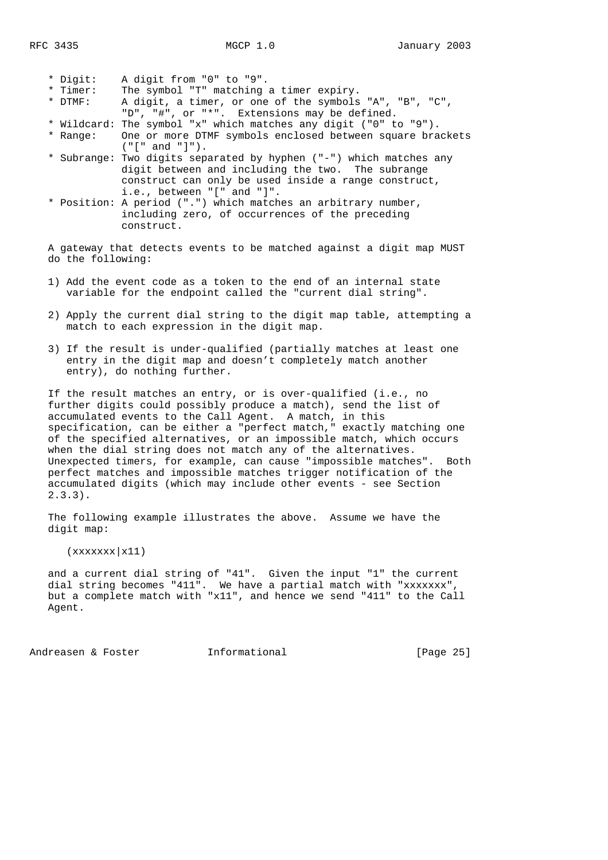|  | * Digit:  | A digit from "0" to "9".                                           |
|--|-----------|--------------------------------------------------------------------|
|  | * Timer:  | The symbol "T" matching a timer expiry.                            |
|  | $*$ DTMF: | A digit, a timer, or one of the symbols "A", "B", "C",             |
|  |           | "D", "#", or "*". Extensions may be defined.                       |
|  |           | * Wildcard: The symbol "x" which matches any digit ("0" to "9").   |
|  |           | * Range: One or more DTMF symbols enclosed between square brackets |
|  |           |                                                                    |
|  |           | * Subrange: Two digits separated by hyphen ("-") which matches any |

- digit between and including the two. The subrange construct can only be used inside a range construct, i.e., between "[" and "]". \* Position: A period (".") which matches an arbitrary number,
- including zero, of occurrences of the preceding construct.

 A gateway that detects events to be matched against a digit map MUST do the following:

- 1) Add the event code as a token to the end of an internal state variable for the endpoint called the "current dial string".
- 2) Apply the current dial string to the digit map table, attempting a match to each expression in the digit map.
- 3) If the result is under-qualified (partially matches at least one entry in the digit map and doesn't completely match another entry), do nothing further.

 If the result matches an entry, or is over-qualified (i.e., no further digits could possibly produce a match), send the list of accumulated events to the Call Agent. A match, in this specification, can be either a "perfect match," exactly matching one of the specified alternatives, or an impossible match, which occurs when the dial string does not match any of the alternatives. Unexpected timers, for example, can cause "impossible matches". Both perfect matches and impossible matches trigger notification of the accumulated digits (which may include other events - see Section  $2.3.3$ .

 The following example illustrates the above. Assume we have the digit map:

 $(xxxxxxx|x11)$ 

 and a current dial string of "41". Given the input "1" the current dial string becomes "411". We have a partial match with "xxxxxxx", but a complete match with "x11", and hence we send "411" to the Call Agent.

Andreasen & Foster **Informational** [Page 25]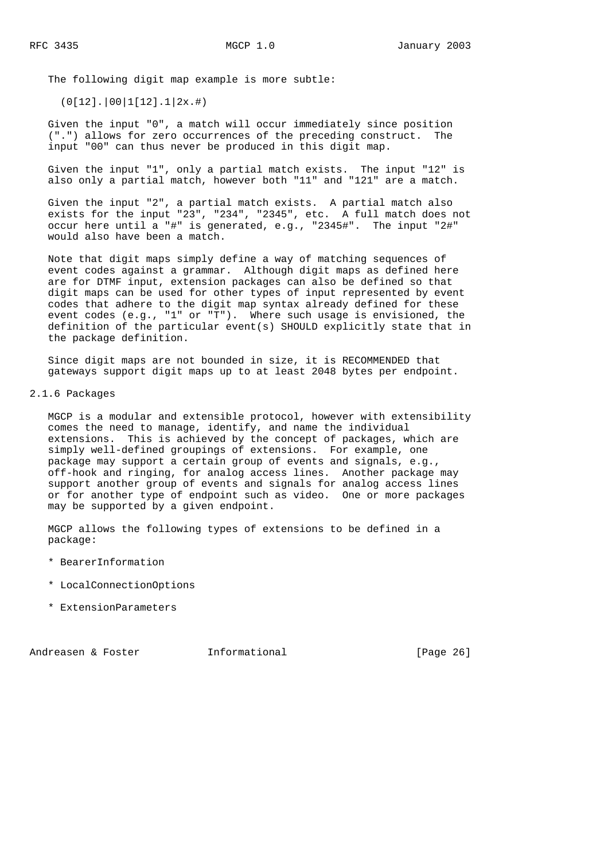The following digit map example is more subtle:

(0[12].|00|1[12].1|2x.#)

 Given the input "0", a match will occur immediately since position (".") allows for zero occurrences of the preceding construct. The input "00" can thus never be produced in this digit map.

 Given the input "1", only a partial match exists. The input "12" is also only a partial match, however both "11" and "121" are a match.

 Given the input "2", a partial match exists. A partial match also exists for the input "23", "234", "2345", etc. A full match does not occur here until a "#" is generated, e.g., "2345#". The input "2#" would also have been a match.

 Note that digit maps simply define a way of matching sequences of event codes against a grammar. Although digit maps as defined here are for DTMF input, extension packages can also be defined so that digit maps can be used for other types of input represented by event codes that adhere to the digit map syntax already defined for these event codes (e.g., "1" or "T"). Where such usage is envisioned, the definition of the particular event(s) SHOULD explicitly state that in the package definition.

 Since digit maps are not bounded in size, it is RECOMMENDED that gateways support digit maps up to at least 2048 bytes per endpoint.

#### 2.1.6 Packages

 MGCP is a modular and extensible protocol, however with extensibility comes the need to manage, identify, and name the individual extensions. This is achieved by the concept of packages, which are simply well-defined groupings of extensions. For example, one package may support a certain group of events and signals, e.g., off-hook and ringing, for analog access lines. Another package may support another group of events and signals for analog access lines or for another type of endpoint such as video. One or more packages may be supported by a given endpoint.

 MGCP allows the following types of extensions to be defined in a package:

- \* BearerInformation
- \* LocalConnectionOptions
- \* ExtensionParameters

Andreasen & Foster **Informational** [Page 26]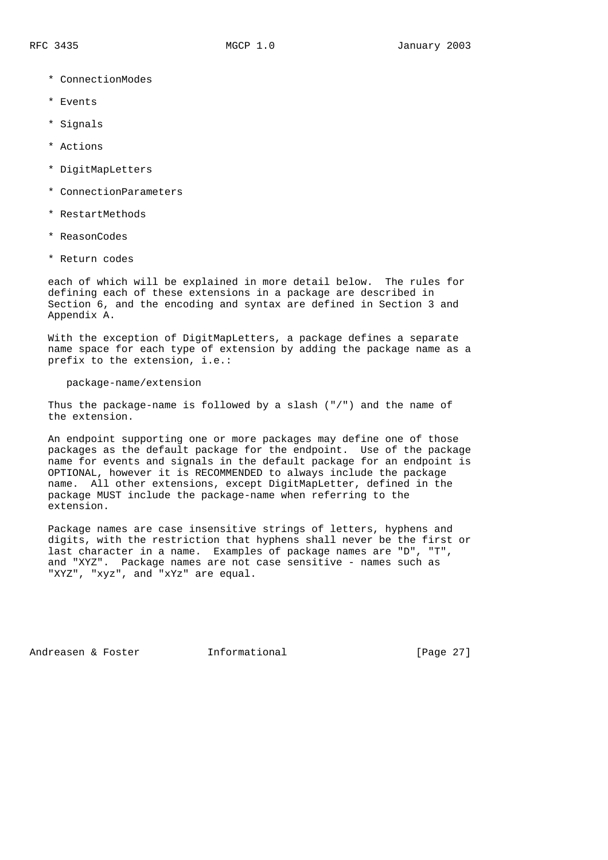- \* ConnectionModes
- \* Events
- \* Signals
- \* Actions
- \* DigitMapLetters
- \* ConnectionParameters
- \* RestartMethods
- \* ReasonCodes
- \* Return codes

 each of which will be explained in more detail below. The rules for defining each of these extensions in a package are described in Section 6, and the encoding and syntax are defined in Section 3 and Appendix A.

 With the exception of DigitMapLetters, a package defines a separate name space for each type of extension by adding the package name as a prefix to the extension, i.e.:

package-name/extension

 Thus the package-name is followed by a slash ("/") and the name of the extension.

 An endpoint supporting one or more packages may define one of those packages as the default package for the endpoint. Use of the package name for events and signals in the default package for an endpoint is OPTIONAL, however it is RECOMMENDED to always include the package name. All other extensions, except DigitMapLetter, defined in the package MUST include the package-name when referring to the extension.

 Package names are case insensitive strings of letters, hyphens and digits, with the restriction that hyphens shall never be the first or last character in a name. Examples of package names are "D", "T", and "XYZ". Package names are not case sensitive - names such as "XYZ", "xyz", and "xYz" are equal.

Andreasen & Foster **Informational** [Page 27]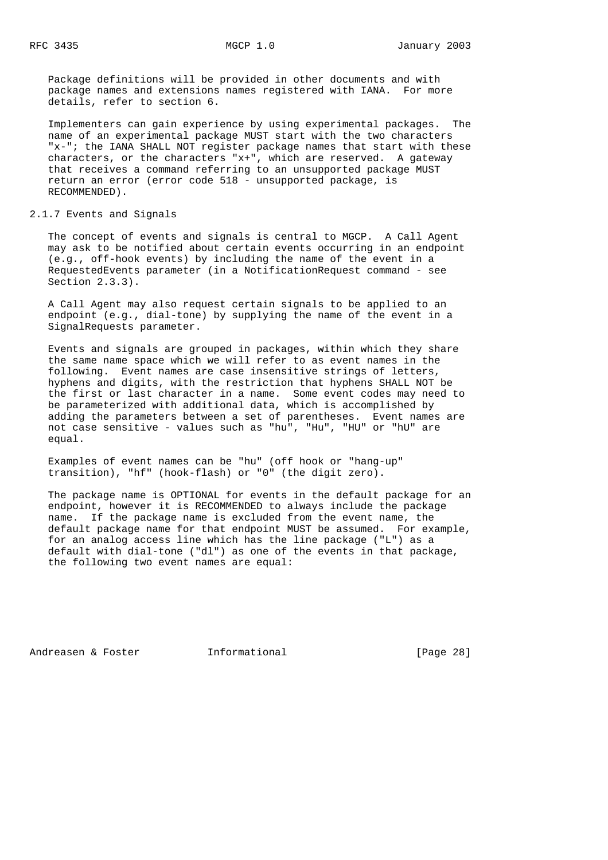Package definitions will be provided in other documents and with package names and extensions names registered with IANA. For more details, refer to section 6.

 Implementers can gain experience by using experimental packages. The name of an experimental package MUST start with the two characters "x-"; the IANA SHALL NOT register package names that start with these characters, or the characters "x+", which are reserved. A gateway that receives a command referring to an unsupported package MUST return an error (error code 518 - unsupported package, is RECOMMENDED).

## 2.1.7 Events and Signals

 The concept of events and signals is central to MGCP. A Call Agent may ask to be notified about certain events occurring in an endpoint (e.g., off-hook events) by including the name of the event in a RequestedEvents parameter (in a NotificationRequest command - see Section 2.3.3).

 A Call Agent may also request certain signals to be applied to an endpoint (e.g., dial-tone) by supplying the name of the event in a SignalRequests parameter.

 Events and signals are grouped in packages, within which they share the same name space which we will refer to as event names in the following. Event names are case insensitive strings of letters, hyphens and digits, with the restriction that hyphens SHALL NOT be the first or last character in a name. Some event codes may need to be parameterized with additional data, which is accomplished by adding the parameters between a set of parentheses. Event names are not case sensitive - values such as "hu", "Hu", "HU" or "hU" are equal.

 Examples of event names can be "hu" (off hook or "hang-up" transition), "hf" (hook-flash) or "0" (the digit zero).

 The package name is OPTIONAL for events in the default package for an endpoint, however it is RECOMMENDED to always include the package name. If the package name is excluded from the event name, the default package name for that endpoint MUST be assumed. For example, for an analog access line which has the line package ("L") as a default with dial-tone ("dl") as one of the events in that package, the following two event names are equal:

Andreasen & Foster **Informational** [Page 28]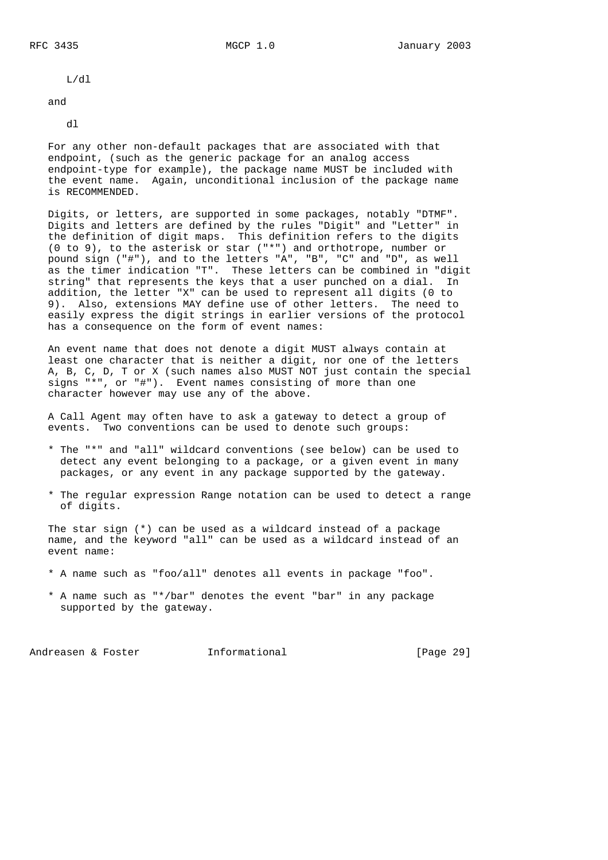L/dl

and

dl

 For any other non-default packages that are associated with that endpoint, (such as the generic package for an analog access endpoint-type for example), the package name MUST be included with the event name. Again, unconditional inclusion of the package name is RECOMMENDED.

 Digits, or letters, are supported in some packages, notably "DTMF". Digits and letters are defined by the rules "Digit" and "Letter" in the definition of digit maps. This definition refers to the digits (0 to 9), to the asterisk or star ("\*") and orthotrope, number or pound sign ("#"), and to the letters "A", "B", "C" and "D", as well as the timer indication "T". These letters can be combined in "digit string" that represents the keys that a user punched on a dial. In addition, the letter "X" can be used to represent all digits (0 to 9). Also, extensions MAY define use of other letters. The need to easily express the digit strings in earlier versions of the protocol has a consequence on the form of event names:

 An event name that does not denote a digit MUST always contain at least one character that is neither a digit, nor one of the letters A, B, C, D, T or X (such names also MUST NOT just contain the special signs "\*", or "#"). Event names consisting of more than one character however may use any of the above.

 A Call Agent may often have to ask a gateway to detect a group of events. Two conventions can be used to denote such groups:

- \* The "\*" and "all" wildcard conventions (see below) can be used to detect any event belonging to a package, or a given event in many packages, or any event in any package supported by the gateway.
- \* The regular expression Range notation can be used to detect a range of digits.

 The star sign (\*) can be used as a wildcard instead of a package name, and the keyword "all" can be used as a wildcard instead of an event name:

- \* A name such as "foo/all" denotes all events in package "foo".
- \* A name such as "\*/bar" denotes the event "bar" in any package supported by the gateway.

Andreasen & Foster **Informational Informational** [Page 29]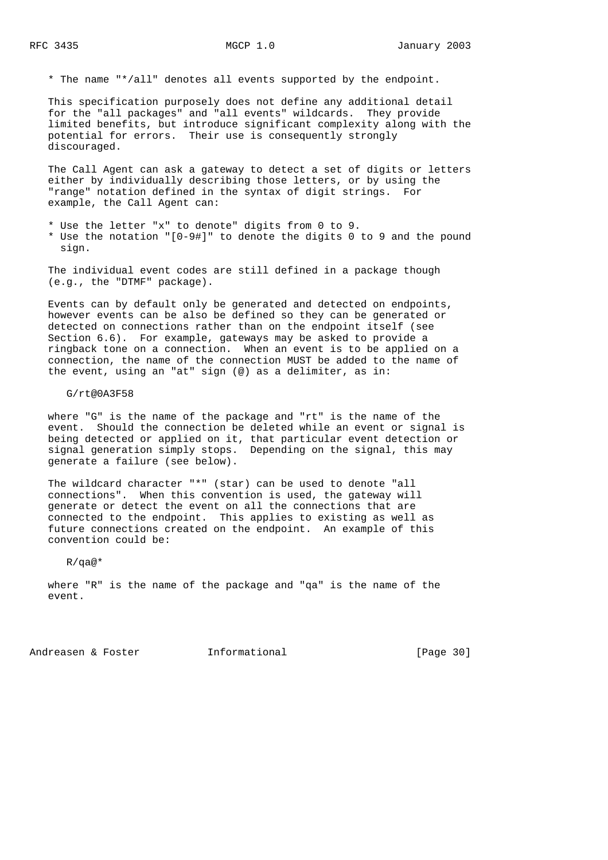\* The name "\*/all" denotes all events supported by the endpoint.

 This specification purposely does not define any additional detail for the "all packages" and "all events" wildcards. They provide limited benefits, but introduce significant complexity along with the potential for errors. Their use is consequently strongly discouraged.

 The Call Agent can ask a gateway to detect a set of digits or letters either by individually describing those letters, or by using the "range" notation defined in the syntax of digit strings. For example, the Call Agent can:

- \* Use the letter "x" to denote" digits from 0 to 9.
- \* Use the notation "[0-9#]" to denote the digits 0 to 9 and the pound sign.

 The individual event codes are still defined in a package though (e.g., the "DTMF" package).

 Events can by default only be generated and detected on endpoints, however events can be also be defined so they can be generated or detected on connections rather than on the endpoint itself (see Section 6.6). For example, gateways may be asked to provide a ringback tone on a connection. When an event is to be applied on a connection, the name of the connection MUST be added to the name of the event, using an "at" sign (@) as a delimiter, as in:

#### G/rt@0A3F58

 where "G" is the name of the package and "rt" is the name of the event. Should the connection be deleted while an event or signal is being detected or applied on it, that particular event detection or signal generation simply stops. Depending on the signal, this may generate a failure (see below).

 The wildcard character "\*" (star) can be used to denote "all connections". When this convention is used, the gateway will generate or detect the event on all the connections that are connected to the endpoint. This applies to existing as well as future connections created on the endpoint. An example of this convention could be:

R/qa@\*

 where "R" is the name of the package and "qa" is the name of the event.

Andreasen & Foster **Informational** [Page 30]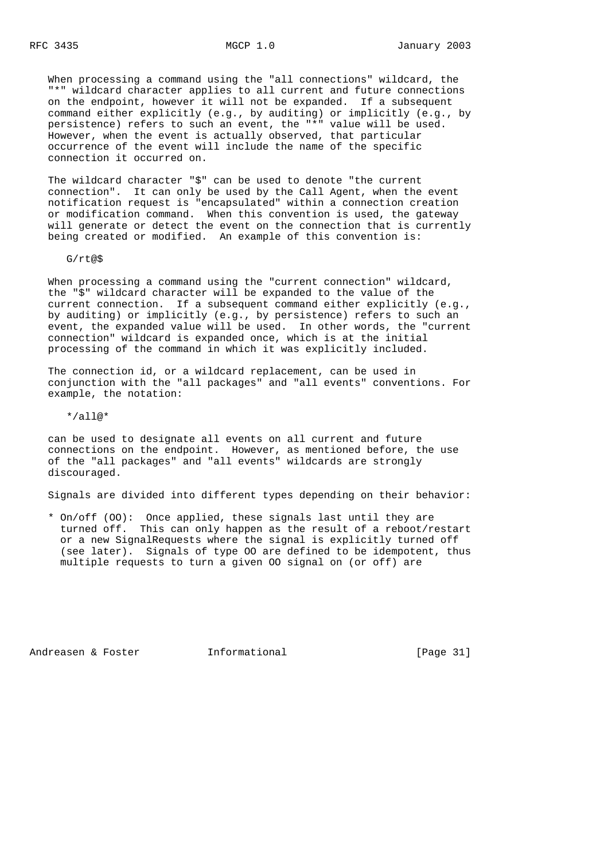When processing a command using the "all connections" wildcard, the "\*" wildcard character applies to all current and future connections on the endpoint, however it will not be expanded. If a subsequent command either explicitly (e.g., by auditing) or implicitly (e.g., by persistence) refers to such an event, the "\*" value will be used. However, when the event is actually observed, that particular occurrence of the event will include the name of the specific connection it occurred on.

 The wildcard character "\$" can be used to denote "the current connection". It can only be used by the Call Agent, when the event notification request is "encapsulated" within a connection creation or modification command. When this convention is used, the gateway will generate or detect the event on the connection that is currently being created or modified. An example of this convention is:

G/rt@\$

 When processing a command using the "current connection" wildcard, the "\$" wildcard character will be expanded to the value of the current connection. If a subsequent command either explicitly (e.g., by auditing) or implicitly (e.g., by persistence) refers to such an event, the expanded value will be used. In other words, the "current connection" wildcard is expanded once, which is at the initial processing of the command in which it was explicitly included.

 The connection id, or a wildcard replacement, can be used in conjunction with the "all packages" and "all events" conventions. For example, the notation:

 $*/align$ 

 can be used to designate all events on all current and future connections on the endpoint. However, as mentioned before, the use of the "all packages" and "all events" wildcards are strongly discouraged.

Signals are divided into different types depending on their behavior:

 \* On/off (OO): Once applied, these signals last until they are turned off. This can only happen as the result of a reboot/restart or a new SignalRequests where the signal is explicitly turned off (see later). Signals of type OO are defined to be idempotent, thus multiple requests to turn a given OO signal on (or off) are

Andreasen & Foster **Informational** [Page 31]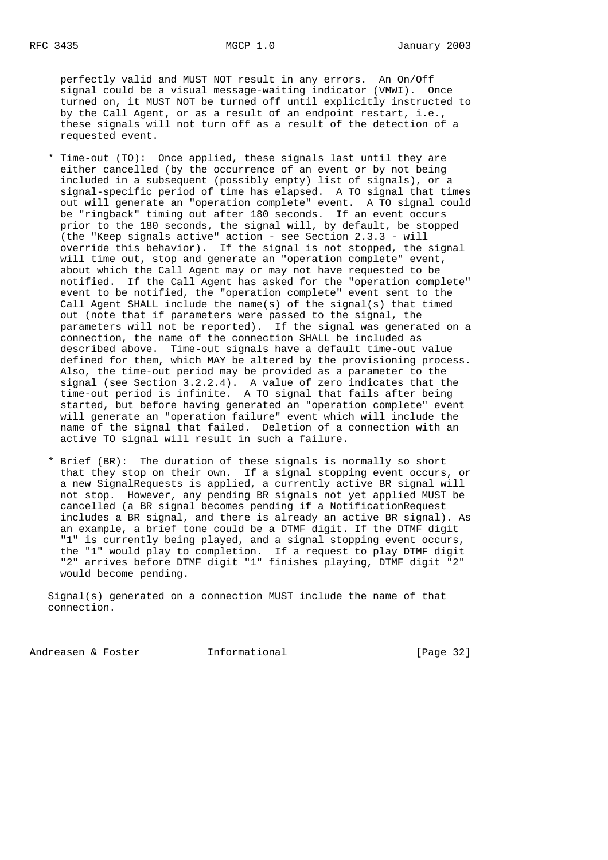perfectly valid and MUST NOT result in any errors. An On/Off signal could be a visual message-waiting indicator (VMWI). Once turned on, it MUST NOT be turned off until explicitly instructed to by the Call Agent, or as a result of an endpoint restart, i.e., these signals will not turn off as a result of the detection of a requested event.

- \* Time-out (TO): Once applied, these signals last until they are either cancelled (by the occurrence of an event or by not being included in a subsequent (possibly empty) list of signals), or a signal-specific period of time has elapsed. A TO signal that times out will generate an "operation complete" event. A TO signal could be "ringback" timing out after 180 seconds. If an event occurs prior to the 180 seconds, the signal will, by default, be stopped (the "Keep signals active" action - see Section 2.3.3 - will override this behavior). If the signal is not stopped, the signal will time out, stop and generate an "operation complete" event, about which the Call Agent may or may not have requested to be notified. If the Call Agent has asked for the "operation complete" event to be notified, the "operation complete" event sent to the Call Agent SHALL include the name(s) of the signal(s) that timed out (note that if parameters were passed to the signal, the parameters will not be reported). If the signal was generated on a connection, the name of the connection SHALL be included as described above. Time-out signals have a default time-out value defined for them, which MAY be altered by the provisioning process. Also, the time-out period may be provided as a parameter to the signal (see Section 3.2.2.4). A value of zero indicates that the time-out period is infinite. A TO signal that fails after being started, but before having generated an "operation complete" event will generate an "operation failure" event which will include the name of the signal that failed. Deletion of a connection with an active TO signal will result in such a failure.
	- \* Brief (BR): The duration of these signals is normally so short that they stop on their own. If a signal stopping event occurs, or a new SignalRequests is applied, a currently active BR signal will not stop. However, any pending BR signals not yet applied MUST be cancelled (a BR signal becomes pending if a NotificationRequest includes a BR signal, and there is already an active BR signal). As an example, a brief tone could be a DTMF digit. If the DTMF digit "1" is currently being played, and a signal stopping event occurs, the "1" would play to completion. If a request to play DTMF digit "2" arrives before DTMF digit "1" finishes playing, DTMF digit "2" would become pending.

 Signal(s) generated on a connection MUST include the name of that connection.

Andreasen & Foster **Informational** [Page 32]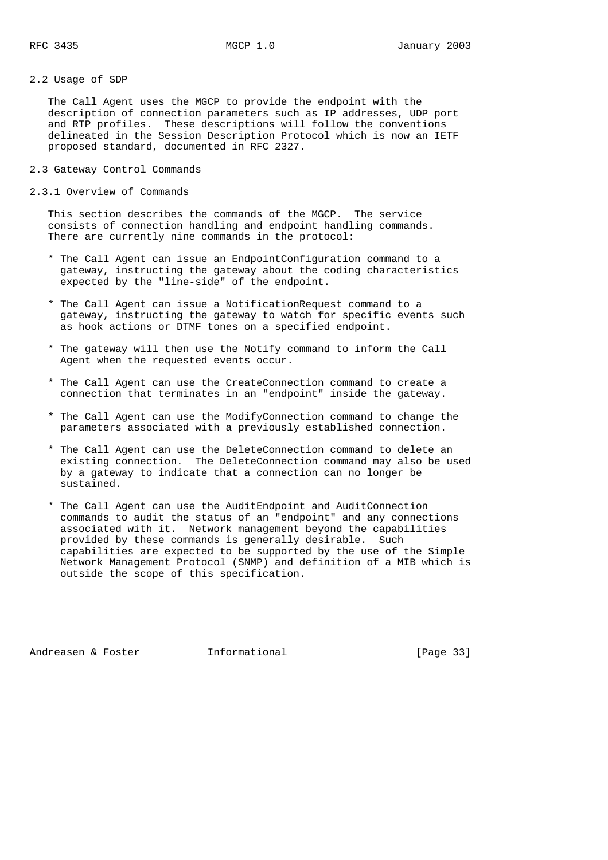2.2 Usage of SDP

 The Call Agent uses the MGCP to provide the endpoint with the description of connection parameters such as IP addresses, UDP port and RTP profiles. These descriptions will follow the conventions delineated in the Session Description Protocol which is now an IETF proposed standard, documented in RFC 2327.

- 2.3 Gateway Control Commands
- 2.3.1 Overview of Commands

 This section describes the commands of the MGCP. The service consists of connection handling and endpoint handling commands. There are currently nine commands in the protocol:

- \* The Call Agent can issue an EndpointConfiguration command to a gateway, instructing the gateway about the coding characteristics expected by the "line-side" of the endpoint.
- \* The Call Agent can issue a NotificationRequest command to a gateway, instructing the gateway to watch for specific events such as hook actions or DTMF tones on a specified endpoint.
- \* The gateway will then use the Notify command to inform the Call Agent when the requested events occur.
- \* The Call Agent can use the CreateConnection command to create a connection that terminates in an "endpoint" inside the gateway.
- \* The Call Agent can use the ModifyConnection command to change the parameters associated with a previously established connection.
- \* The Call Agent can use the DeleteConnection command to delete an existing connection. The DeleteConnection command may also be used by a gateway to indicate that a connection can no longer be sustained.
- \* The Call Agent can use the AuditEndpoint and AuditConnection commands to audit the status of an "endpoint" and any connections associated with it. Network management beyond the capabilities provided by these commands is generally desirable. Such capabilities are expected to be supported by the use of the Simple Network Management Protocol (SNMP) and definition of a MIB which is outside the scope of this specification.

Andreasen & Foster **Informational Informational** [Page 33]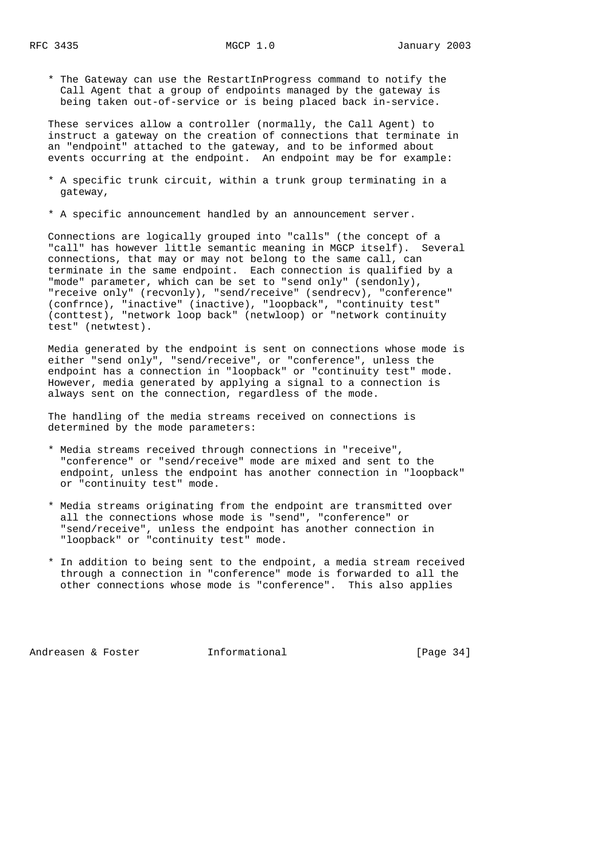\* The Gateway can use the RestartInProgress command to notify the Call Agent that a group of endpoints managed by the gateway is being taken out-of-service or is being placed back in-service.

 These services allow a controller (normally, the Call Agent) to instruct a gateway on the creation of connections that terminate in an "endpoint" attached to the gateway, and to be informed about events occurring at the endpoint. An endpoint may be for example:

- \* A specific trunk circuit, within a trunk group terminating in a gateway,
- \* A specific announcement handled by an announcement server.

 Connections are logically grouped into "calls" (the concept of a "call" has however little semantic meaning in MGCP itself). Several connections, that may or may not belong to the same call, can terminate in the same endpoint. Each connection is qualified by a "mode" parameter, which can be set to "send only" (sendonly), "receive only" (recvonly), "send/receive" (sendrecv), "conference" (confrnce), "inactive" (inactive), "loopback", "continuity test" (conttest), "network loop back" (netwloop) or "network continuity test" (netwtest).

 Media generated by the endpoint is sent on connections whose mode is either "send only", "send/receive", or "conference", unless the endpoint has a connection in "loopback" or "continuity test" mode. However, media generated by applying a signal to a connection is always sent on the connection, regardless of the mode.

 The handling of the media streams received on connections is determined by the mode parameters:

- \* Media streams received through connections in "receive", "conference" or "send/receive" mode are mixed and sent to the endpoint, unless the endpoint has another connection in "loopback" or "continuity test" mode.
- \* Media streams originating from the endpoint are transmitted over all the connections whose mode is "send", "conference" or "send/receive", unless the endpoint has another connection in "loopback" or "continuity test" mode.
- \* In addition to being sent to the endpoint, a media stream received through a connection in "conference" mode is forwarded to all the other connections whose mode is "conference". This also applies

Andreasen & Foster **Informational Informational** [Page 34]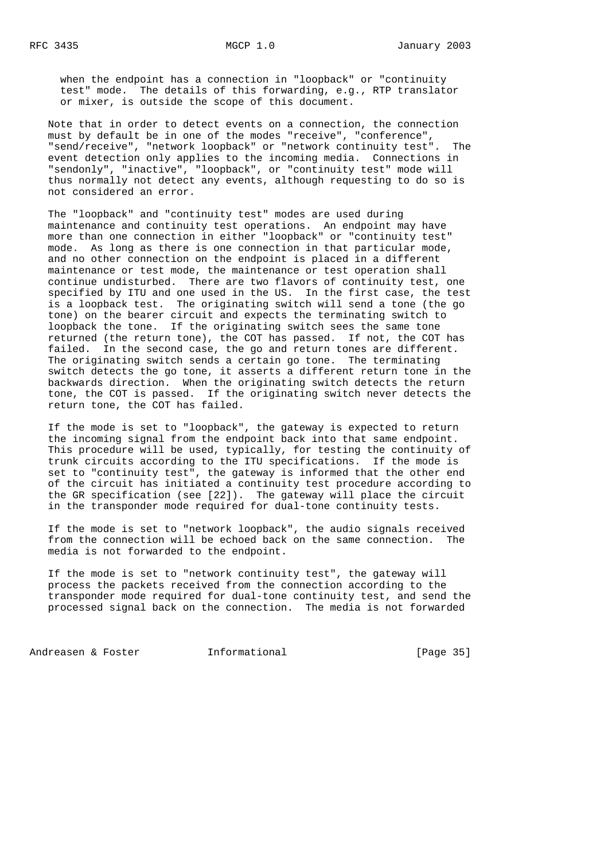when the endpoint has a connection in "loopback" or "continuity test" mode. The details of this forwarding, e.g., RTP translator or mixer, is outside the scope of this document.

 Note that in order to detect events on a connection, the connection must by default be in one of the modes "receive", "conference", "send/receive", "network loopback" or "network continuity test". The event detection only applies to the incoming media. Connections in "sendonly", "inactive", "loopback", or "continuity test" mode will thus normally not detect any events, although requesting to do so is not considered an error.

 The "loopback" and "continuity test" modes are used during maintenance and continuity test operations. An endpoint may have more than one connection in either "loopback" or "continuity test" mode. As long as there is one connection in that particular mode, and no other connection on the endpoint is placed in a different maintenance or test mode, the maintenance or test operation shall continue undisturbed. There are two flavors of continuity test, one specified by ITU and one used in the US. In the first case, the test is a loopback test. The originating switch will send a tone (the go tone) on the bearer circuit and expects the terminating switch to loopback the tone. If the originating switch sees the same tone returned (the return tone), the COT has passed. If not, the COT has failed. In the second case, the go and return tones are different. The originating switch sends a certain go tone. The terminating switch detects the go tone, it asserts a different return tone in the backwards direction. When the originating switch detects the return tone, the COT is passed. If the originating switch never detects the return tone, the COT has failed.

 If the mode is set to "loopback", the gateway is expected to return the incoming signal from the endpoint back into that same endpoint. This procedure will be used, typically, for testing the continuity of trunk circuits according to the ITU specifications. If the mode is set to "continuity test", the gateway is informed that the other end of the circuit has initiated a continuity test procedure according to the GR specification (see [22]). The gateway will place the circuit in the transponder mode required for dual-tone continuity tests.

 If the mode is set to "network loopback", the audio signals received from the connection will be echoed back on the same connection. The media is not forwarded to the endpoint.

 If the mode is set to "network continuity test", the gateway will process the packets received from the connection according to the transponder mode required for dual-tone continuity test, and send the processed signal back on the connection. The media is not forwarded

Andreasen & Foster **Informational** [Page 35]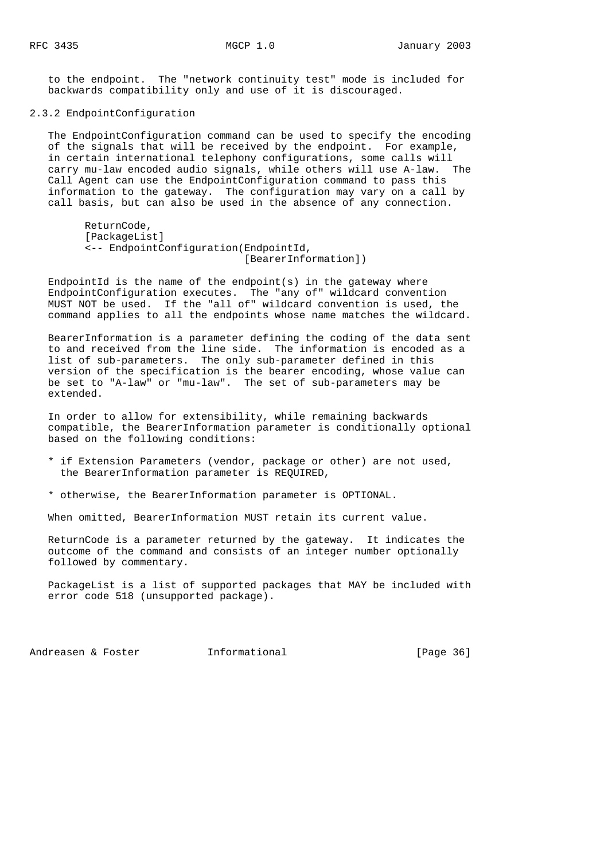to the endpoint. The "network continuity test" mode is included for backwards compatibility only and use of it is discouraged.

2.3.2 EndpointConfiguration

 The EndpointConfiguration command can be used to specify the encoding of the signals that will be received by the endpoint. For example, in certain international telephony configurations, some calls will carry mu-law encoded audio signals, while others will use A-law. The Call Agent can use the EndpointConfiguration command to pass this information to the gateway. The configuration may vary on a call by call basis, but can also be used in the absence of any connection.

```
 ReturnCode,
[PackageList]
<-- EndpointConfiguration(EndpointId,
                            [BearerInformation])
```
EndpointId is the name of the endpoint $(s)$  in the gateway where EndpointConfiguration executes. The "any of" wildcard convention MUST NOT be used. If the "all of" wildcard convention is used, the command applies to all the endpoints whose name matches the wildcard.

 BearerInformation is a parameter defining the coding of the data sent to and received from the line side. The information is encoded as a list of sub-parameters. The only sub-parameter defined in this version of the specification is the bearer encoding, whose value can be set to "A-law" or "mu-law". The set of sub-parameters may be extended.

 In order to allow for extensibility, while remaining backwards compatible, the BearerInformation parameter is conditionally optional based on the following conditions:

- \* if Extension Parameters (vendor, package or other) are not used, the BearerInformation parameter is REQUIRED,
- \* otherwise, the BearerInformation parameter is OPTIONAL.

When omitted, BearerInformation MUST retain its current value.

 ReturnCode is a parameter returned by the gateway. It indicates the outcome of the command and consists of an integer number optionally followed by commentary.

 PackageList is a list of supported packages that MAY be included with error code 518 (unsupported package).

Andreasen & Foster **Informational** [Page 36]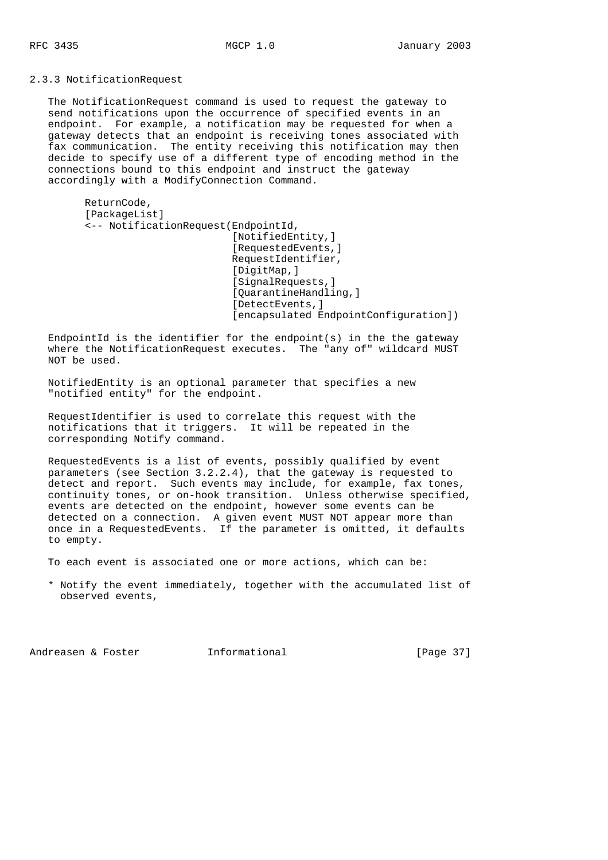2.3.3 NotificationRequest

 The NotificationRequest command is used to request the gateway to send notifications upon the occurrence of specified events in an endpoint. For example, a notification may be requested for when a gateway detects that an endpoint is receiving tones associated with fax communication. The entity receiving this notification may then decide to specify use of a different type of encoding method in the connections bound to this endpoint and instruct the gateway accordingly with a ModifyConnection Command.

 ReturnCode, [PackageList] <-- NotificationRequest(EndpointId, [NotifiedEntity,] [RequestedEvents,] RequestIdentifier, [DigitMap,] [SignalRequests,] [OuarantineHandling,] [DetectEvents, ] [encapsulated EndpointConfiguration])

 EndpointId is the identifier for the endpoint(s) in the the gateway where the NotificationRequest executes. The "any of" wildcard MUST NOT be used.

 NotifiedEntity is an optional parameter that specifies a new "notified entity" for the endpoint.

 RequestIdentifier is used to correlate this request with the notifications that it triggers. It will be repeated in the corresponding Notify command.

 RequestedEvents is a list of events, possibly qualified by event parameters (see Section 3.2.2.4), that the gateway is requested to detect and report. Such events may include, for example, fax tones, continuity tones, or on-hook transition. Unless otherwise specified, events are detected on the endpoint, however some events can be detected on a connection. A given event MUST NOT appear more than once in a RequestedEvents. If the parameter is omitted, it defaults to empty.

To each event is associated one or more actions, which can be:

 \* Notify the event immediately, together with the accumulated list of observed events,

Andreasen & Foster **Informational** [Page 37]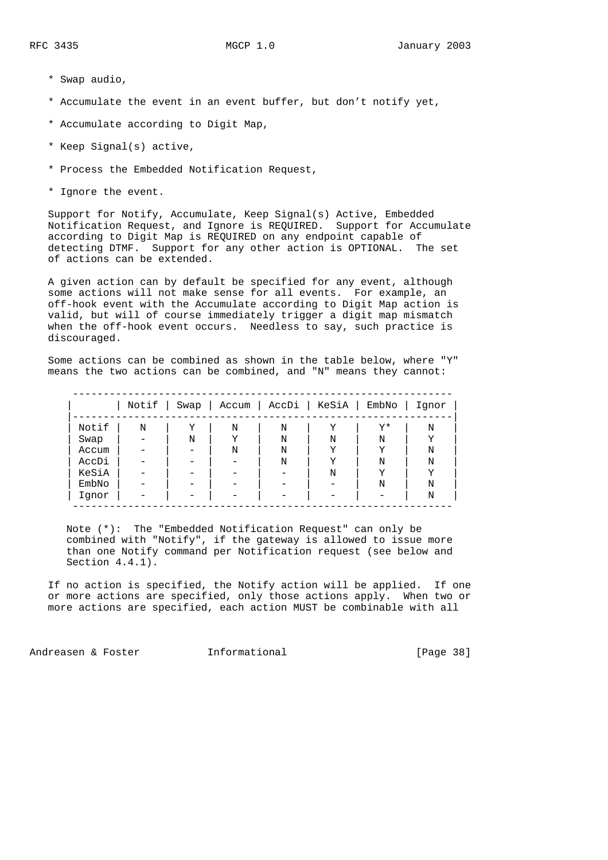- \* Swap audio,
- \* Accumulate the event in an event buffer, but don't notify yet,
- \* Accumulate according to Digit Map,
- \* Keep Signal(s) active,
- \* Process the Embedded Notification Request,
- \* Ignore the event.

 Support for Notify, Accumulate, Keep Signal(s) Active, Embedded Notification Request, and Ignore is REQUIRED. Support for Accumulate according to Digit Map is REQUIRED on any endpoint capable of detecting DTMF. Support for any other action is OPTIONAL. The set of actions can be extended.

 A given action can by default be specified for any event, although some actions will not make sense for all events. For example, an off-hook event with the Accumulate according to Digit Map action is valid, but will of course immediately trigger a digit map mismatch when the off-hook event occurs. Needless to say, such practice is discouraged.

 Some actions can be combined as shown in the table below, where "Y" means the two actions can be combined, and "N" means they cannot:

|       | Notif   Swap |   |   | Accum   AccDi | KeSiA | $EmbNo$ | Iqnor |
|-------|--------------|---|---|---------------|-------|---------|-------|
| Notif | N            | Υ | N | N             | Y     | Y*      | N     |
| Swap  |              | N | Y | N             | N     | N       | Υ     |
| Accum |              |   | N | N             | Y     | Y       | N     |
| AccDi |              |   |   | N             | Y     | N       | N     |
| KeSiA |              |   |   |               | N     | Y       | Υ     |
| EmbNo |              |   |   |               |       | N       | N     |
| Iqnor |              |   |   |               |       |         | N     |

 Note (\*): The "Embedded Notification Request" can only be combined with "Notify", if the gateway is allowed to issue more than one Notify command per Notification request (see below and Section 4.4.1).

 If no action is specified, the Notify action will be applied. If one or more actions are specified, only those actions apply. When two or more actions are specified, each action MUST be combinable with all

Andreasen & Foster **Informational** [Page 38]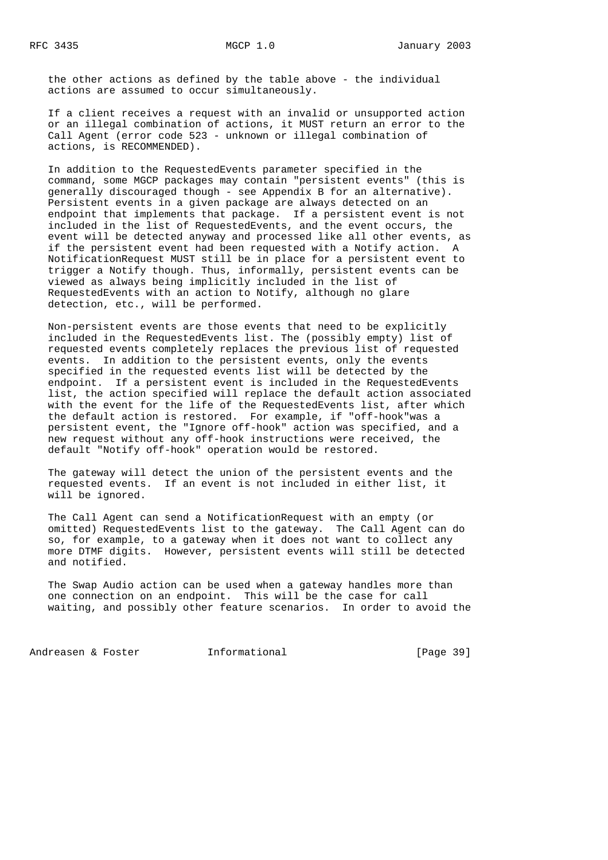the other actions as defined by the table above - the individual actions are assumed to occur simultaneously.

 If a client receives a request with an invalid or unsupported action or an illegal combination of actions, it MUST return an error to the Call Agent (error code 523 - unknown or illegal combination of actions, is RECOMMENDED).

 In addition to the RequestedEvents parameter specified in the command, some MGCP packages may contain "persistent events" (this is generally discouraged though - see Appendix B for an alternative). Persistent events in a given package are always detected on an endpoint that implements that package. If a persistent event is not included in the list of RequestedEvents, and the event occurs, the event will be detected anyway and processed like all other events, as if the persistent event had been requested with a Notify action. A NotificationRequest MUST still be in place for a persistent event to trigger a Notify though. Thus, informally, persistent events can be viewed as always being implicitly included in the list of RequestedEvents with an action to Notify, although no glare detection, etc., will be performed.

 Non-persistent events are those events that need to be explicitly included in the RequestedEvents list. The (possibly empty) list of requested events completely replaces the previous list of requested events. In addition to the persistent events, only the events specified in the requested events list will be detected by the endpoint. If a persistent event is included in the RequestedEvents list, the action specified will replace the default action associated with the event for the life of the RequestedEvents list, after which the default action is restored. For example, if "off-hook"was a persistent event, the "Ignore off-hook" action was specified, and a new request without any off-hook instructions were received, the default "Notify off-hook" operation would be restored.

 The gateway will detect the union of the persistent events and the requested events. If an event is not included in either list, it will be ignored.

 The Call Agent can send a NotificationRequest with an empty (or omitted) RequestedEvents list to the gateway. The Call Agent can do so, for example, to a gateway when it does not want to collect any more DTMF digits. However, persistent events will still be detected and notified.

 The Swap Audio action can be used when a gateway handles more than one connection on an endpoint. This will be the case for call waiting, and possibly other feature scenarios. In order to avoid the

Andreasen & Foster **Informational** [Page 39]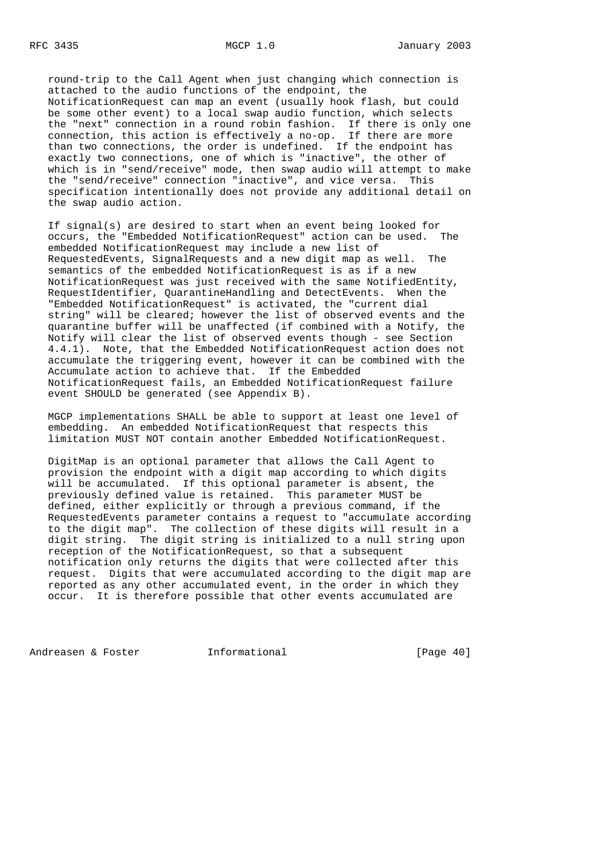round-trip to the Call Agent when just changing which connection is attached to the audio functions of the endpoint, the NotificationRequest can map an event (usually hook flash, but could be some other event) to a local swap audio function, which selects the "next" connection in a round robin fashion. If there is only one connection, this action is effectively a no-op. If there are more than two connections, the order is undefined. If the endpoint has exactly two connections, one of which is "inactive", the other of which is in "send/receive" mode, then swap audio will attempt to make the "send/receive" connection "inactive", and vice versa. This specification intentionally does not provide any additional detail on the swap audio action.

 If signal(s) are desired to start when an event being looked for occurs, the "Embedded NotificationRequest" action can be used. The embedded NotificationRequest may include a new list of RequestedEvents, SignalRequests and a new digit map as well. The semantics of the embedded NotificationRequest is as if a new NotificationRequest was just received with the same NotifiedEntity, RequestIdentifier, QuarantineHandling and DetectEvents. When the "Embedded NotificationRequest" is activated, the "current dial string" will be cleared; however the list of observed events and the quarantine buffer will be unaffected (if combined with a Notify, the Notify will clear the list of observed events though - see Section 4.4.1). Note, that the Embedded NotificationRequest action does not accumulate the triggering event, however it can be combined with the Accumulate action to achieve that. If the Embedded NotificationRequest fails, an Embedded NotificationRequest failure event SHOULD be generated (see Appendix B).

 MGCP implementations SHALL be able to support at least one level of embedding. An embedded NotificationRequest that respects this limitation MUST NOT contain another Embedded NotificationRequest.

 DigitMap is an optional parameter that allows the Call Agent to provision the endpoint with a digit map according to which digits will be accumulated. If this optional parameter is absent, the previously defined value is retained. This parameter MUST be defined, either explicitly or through a previous command, if the RequestedEvents parameter contains a request to "accumulate according to the digit map". The collection of these digits will result in a digit string. The digit string is initialized to a null string upon reception of the NotificationRequest, so that a subsequent notification only returns the digits that were collected after this request. Digits that were accumulated according to the digit map are reported as any other accumulated event, in the order in which they occur. It is therefore possible that other events accumulated are

Andreasen & Foster **Informational** [Page 40]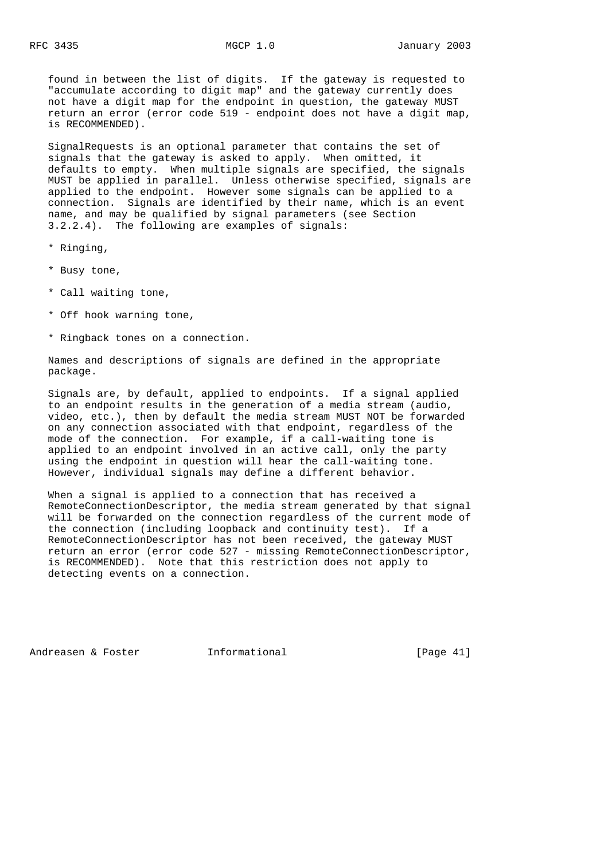found in between the list of digits. If the gateway is requested to "accumulate according to digit map" and the gateway currently does not have a digit map for the endpoint in question, the gateway MUST return an error (error code 519 - endpoint does not have a digit map, is RECOMMENDED).

 SignalRequests is an optional parameter that contains the set of signals that the gateway is asked to apply. When omitted, it defaults to empty. When multiple signals are specified, the signals MUST be applied in parallel. Unless otherwise specified, signals are applied to the endpoint. However some signals can be applied to a connection. Signals are identified by their name, which is an event name, and may be qualified by signal parameters (see Section 3.2.2.4). The following are examples of signals:

- \* Ringing,
- \* Busy tone,
- \* Call waiting tone,
- \* Off hook warning tone,
- \* Ringback tones on a connection.

 Names and descriptions of signals are defined in the appropriate package.

 Signals are, by default, applied to endpoints. If a signal applied to an endpoint results in the generation of a media stream (audio, video, etc.), then by default the media stream MUST NOT be forwarded on any connection associated with that endpoint, regardless of the mode of the connection. For example, if a call-waiting tone is applied to an endpoint involved in an active call, only the party using the endpoint in question will hear the call-waiting tone. However, individual signals may define a different behavior.

 When a signal is applied to a connection that has received a RemoteConnectionDescriptor, the media stream generated by that signal will be forwarded on the connection regardless of the current mode of the connection (including loopback and continuity test). If a RemoteConnectionDescriptor has not been received, the gateway MUST return an error (error code 527 - missing RemoteConnectionDescriptor, is RECOMMENDED). Note that this restriction does not apply to detecting events on a connection.

Andreasen & Foster **Informational Informational** [Page 41]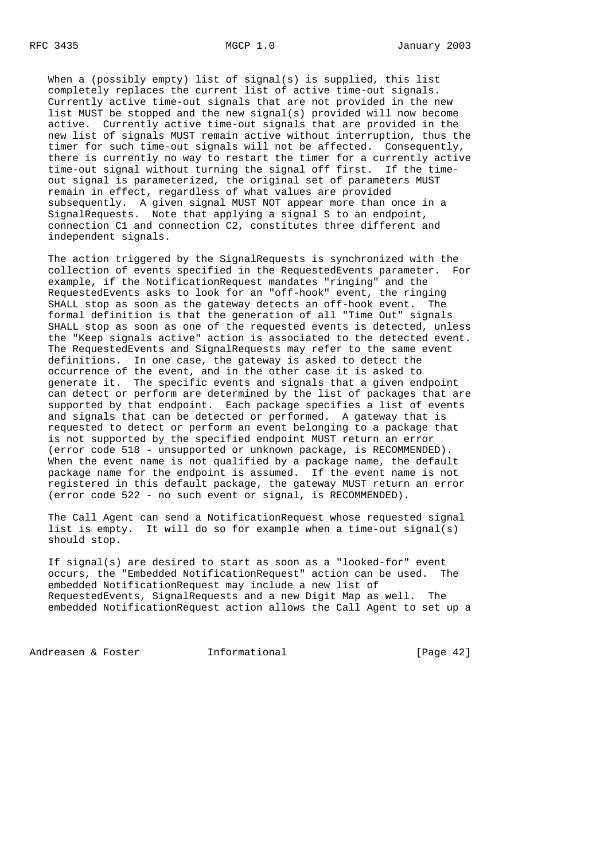When a (possibly empty) list of signal(s) is supplied, this list completely replaces the current list of active time-out signals. Currently active time-out signals that are not provided in the new list MUST be stopped and the new signal(s) provided will now become active. Currently active time-out signals that are provided in the new list of signals MUST remain active without interruption, thus the timer for such time-out signals will not be affected. Consequently, there is currently no way to restart the timer for a currently active time-out signal without turning the signal off first. If the time out signal is parameterized, the original set of parameters MUST remain in effect, regardless of what values are provided subsequently. A given signal MUST NOT appear more than once in a SignalRequests. Note that applying a signal S to an endpoint, connection C1 and connection C2, constitutes three different and independent signals.

 The action triggered by the SignalRequests is synchronized with the collection of events specified in the RequestedEvents parameter. For example, if the NotificationRequest mandates "ringing" and the RequestedEvents asks to look for an "off-hook" event, the ringing SHALL stop as soon as the gateway detects an off-hook event. The formal definition is that the generation of all "Time Out" signals SHALL stop as soon as one of the requested events is detected, unless the "Keep signals active" action is associated to the detected event. The RequestedEvents and SignalRequests may refer to the same event definitions. In one case, the gateway is asked to detect the occurrence of the event, and in the other case it is asked to generate it. The specific events and signals that a given endpoint can detect or perform are determined by the list of packages that are supported by that endpoint. Each package specifies a list of events and signals that can be detected or performed. A gateway that is requested to detect or perform an event belonging to a package that is not supported by the specified endpoint MUST return an error (error code 518 - unsupported or unknown package, is RECOMMENDED). When the event name is not qualified by a package name, the default package name for the endpoint is assumed. If the event name is not registered in this default package, the gateway MUST return an error (error code 522 - no such event or signal, is RECOMMENDED).

 The Call Agent can send a NotificationRequest whose requested signal list is empty. It will do so for example when a time-out signal(s) should stop.

 If signal(s) are desired to start as soon as a "looked-for" event occurs, the "Embedded NotificationRequest" action can be used. The embedded NotificationRequest may include a new list of RequestedEvents, SignalRequests and a new Digit Map as well. The embedded NotificationRequest action allows the Call Agent to set up a

Andreasen & Foster **Informational Informational** [Page 42]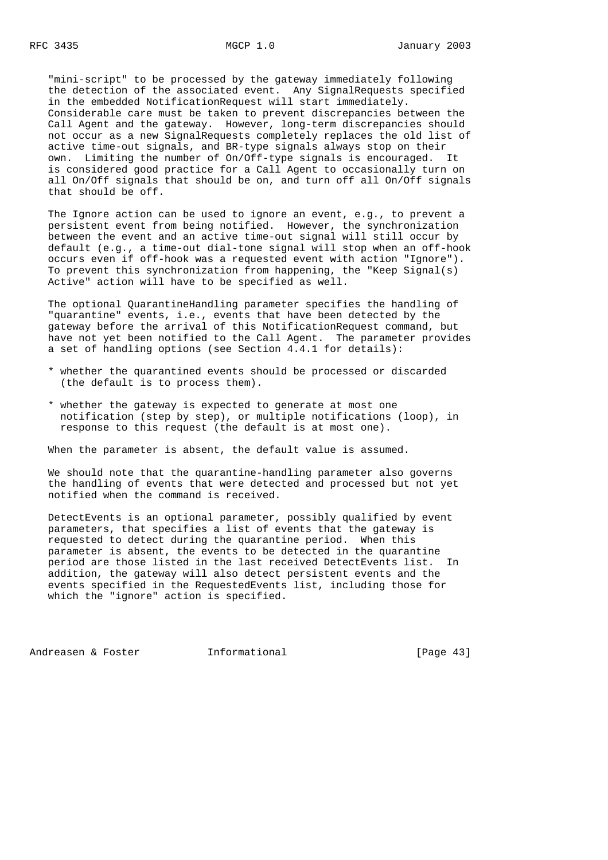"mini-script" to be processed by the gateway immediately following the detection of the associated event. Any SignalRequests specified in the embedded NotificationRequest will start immediately. Considerable care must be taken to prevent discrepancies between the Call Agent and the gateway. However, long-term discrepancies should not occur as a new SignalRequests completely replaces the old list of active time-out signals, and BR-type signals always stop on their own. Limiting the number of On/Off-type signals is encouraged. It is considered good practice for a Call Agent to occasionally turn on all On/Off signals that should be on, and turn off all On/Off signals that should be off.

 The Ignore action can be used to ignore an event, e.g., to prevent a persistent event from being notified. However, the synchronization between the event and an active time-out signal will still occur by default (e.g., a time-out dial-tone signal will stop when an off-hook occurs even if off-hook was a requested event with action "Ignore"). To prevent this synchronization from happening, the "Keep Signal(s) Active" action will have to be specified as well.

 The optional QuarantineHandling parameter specifies the handling of "quarantine" events, i.e., events that have been detected by the gateway before the arrival of this NotificationRequest command, but have not yet been notified to the Call Agent. The parameter provides a set of handling options (see Section 4.4.1 for details):

- \* whether the quarantined events should be processed or discarded (the default is to process them).
- \* whether the gateway is expected to generate at most one notification (step by step), or multiple notifications (loop), in response to this request (the default is at most one).

When the parameter is absent, the default value is assumed.

 We should note that the quarantine-handling parameter also governs the handling of events that were detected and processed but not yet notified when the command is received.

 DetectEvents is an optional parameter, possibly qualified by event parameters, that specifies a list of events that the gateway is requested to detect during the quarantine period. When this parameter is absent, the events to be detected in the quarantine period are those listed in the last received DetectEvents list. In addition, the gateway will also detect persistent events and the events specified in the RequestedEvents list, including those for which the "ignore" action is specified.

Andreasen & Foster **Informational** [Page 43]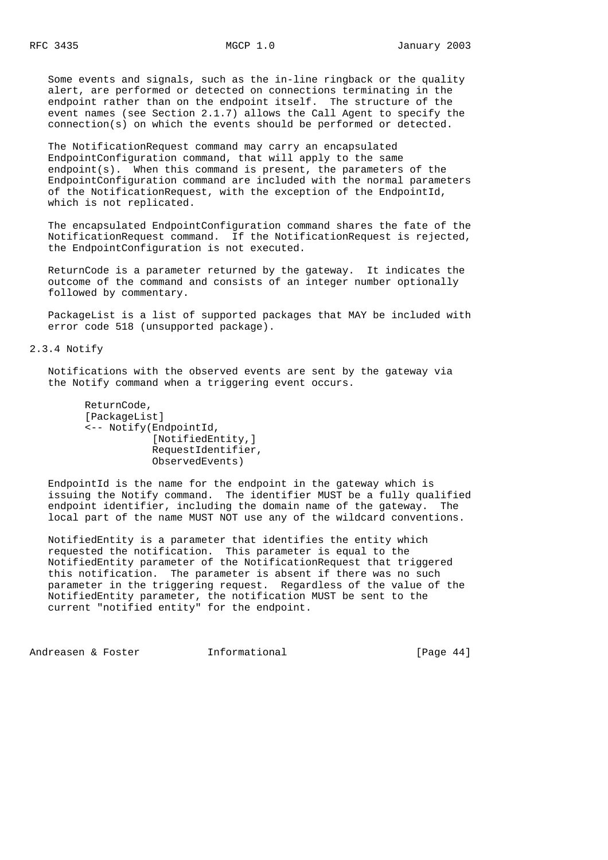Some events and signals, such as the in-line ringback or the quality alert, are performed or detected on connections terminating in the endpoint rather than on the endpoint itself. The structure of the event names (see Section 2.1.7) allows the Call Agent to specify the connection(s) on which the events should be performed or detected.

 The NotificationRequest command may carry an encapsulated EndpointConfiguration command, that will apply to the same endpoint(s). When this command is present, the parameters of the EndpointConfiguration command are included with the normal parameters of the NotificationRequest, with the exception of the EndpointId, which is not replicated.

 The encapsulated EndpointConfiguration command shares the fate of the NotificationRequest command. If the NotificationRequest is rejected, the EndpointConfiguration is not executed.

 ReturnCode is a parameter returned by the gateway. It indicates the outcome of the command and consists of an integer number optionally followed by commentary.

 PackageList is a list of supported packages that MAY be included with error code 518 (unsupported package).

2.3.4 Notify

 Notifications with the observed events are sent by the gateway via the Notify command when a triggering event occurs.

```
 ReturnCode,
 [PackageList]
 <-- Notify(EndpointId,
             [NotifiedEntity,]
             RequestIdentifier,
             ObservedEvents)
```
 EndpointId is the name for the endpoint in the gateway which is issuing the Notify command. The identifier MUST be a fully qualified endpoint identifier, including the domain name of the gateway. The local part of the name MUST NOT use any of the wildcard conventions.

 NotifiedEntity is a parameter that identifies the entity which requested the notification. This parameter is equal to the NotifiedEntity parameter of the NotificationRequest that triggered this notification. The parameter is absent if there was no such parameter in the triggering request. Regardless of the value of the NotifiedEntity parameter, the notification MUST be sent to the current "notified entity" for the endpoint.

Andreasen & Foster **Informational** [Page 44]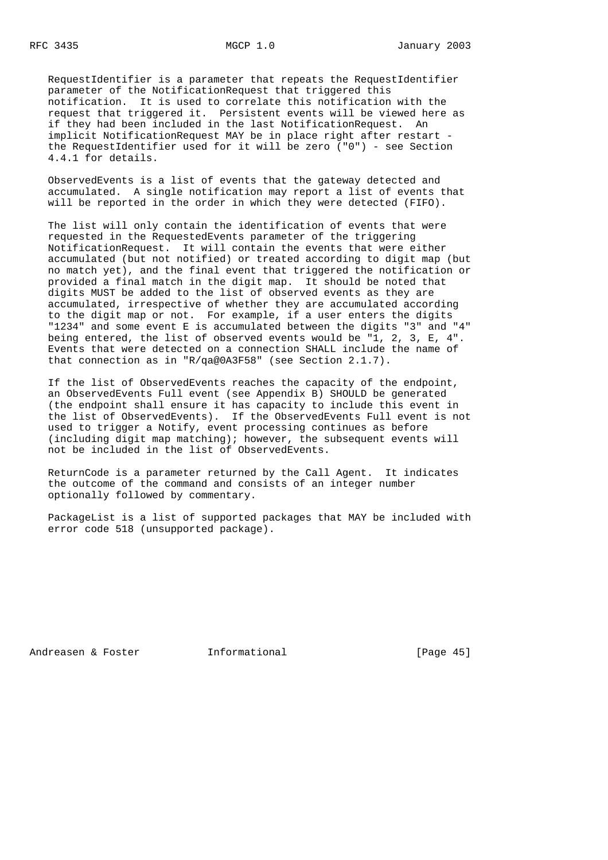RequestIdentifier is a parameter that repeats the RequestIdentifier parameter of the NotificationRequest that triggered this notification. It is used to correlate this notification with the request that triggered it. Persistent events will be viewed here as if they had been included in the last NotificationRequest. An implicit NotificationRequest MAY be in place right after restart the RequestIdentifier used for it will be zero ("0") - see Section 4.4.1 for details.

 ObservedEvents is a list of events that the gateway detected and accumulated. A single notification may report a list of events that will be reported in the order in which they were detected (FIFO).

 The list will only contain the identification of events that were requested in the RequestedEvents parameter of the triggering NotificationRequest. It will contain the events that were either accumulated (but not notified) or treated according to digit map (but no match yet), and the final event that triggered the notification or provided a final match in the digit map. It should be noted that digits MUST be added to the list of observed events as they are accumulated, irrespective of whether they are accumulated according to the digit map or not. For example, if a user enters the digits "1234" and some event E is accumulated between the digits "3" and "4" being entered, the list of observed events would be "1, 2, 3, E, 4". Events that were detected on a connection SHALL include the name of that connection as in "R/qa@0A3F58" (see Section 2.1.7).

 If the list of ObservedEvents reaches the capacity of the endpoint, an ObservedEvents Full event (see Appendix B) SHOULD be generated (the endpoint shall ensure it has capacity to include this event in the list of ObservedEvents). If the ObservedEvents Full event is not used to trigger a Notify, event processing continues as before (including digit map matching); however, the subsequent events will not be included in the list of ObservedEvents.

 ReturnCode is a parameter returned by the Call Agent. It indicates the outcome of the command and consists of an integer number optionally followed by commentary.

PackageList is a list of supported packages that MAY be included with error code 518 (unsupported package).

Andreasen & Foster **Informational** [Page 45]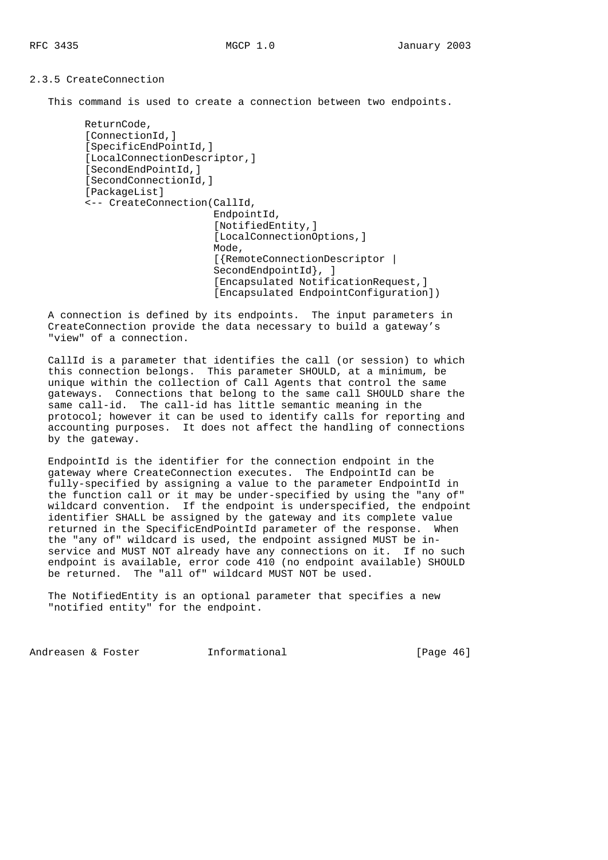2.3.5 CreateConnection

This command is used to create a connection between two endpoints.

```
 ReturnCode,
[ConnectionId, ]
 [SpecificEndPointId,]
[LocalConnectionDescriptor,]
[SecondEndPointId, ]
 [SecondConnectionId,]
 [PackageList]
 <-- CreateConnection(CallId,
                       EndpointId,
                       [NotifiedEntity,]
                       [LocalConnectionOptions,]
                       Mode,
                       [{RemoteConnectionDescriptor |
                      SecondEndpointId }, ]
                       [Encapsulated NotificationRequest,]
                       [Encapsulated EndpointConfiguration])
```
 A connection is defined by its endpoints. The input parameters in CreateConnection provide the data necessary to build a gateway's "view" of a connection.

 CallId is a parameter that identifies the call (or session) to which this connection belongs. This parameter SHOULD, at a minimum, be unique within the collection of Call Agents that control the same gateways. Connections that belong to the same call SHOULD share the same call-id. The call-id has little semantic meaning in the protocol; however it can be used to identify calls for reporting and accounting purposes. It does not affect the handling of connections by the gateway.

 EndpointId is the identifier for the connection endpoint in the gateway where CreateConnection executes. The EndpointId can be fully-specified by assigning a value to the parameter EndpointId in the function call or it may be under-specified by using the "any of" wildcard convention. If the endpoint is underspecified, the endpoint identifier SHALL be assigned by the gateway and its complete value returned in the SpecificEndPointId parameter of the response. When the "any of" wildcard is used, the endpoint assigned MUST be in service and MUST NOT already have any connections on it. If no such endpoint is available, error code 410 (no endpoint available) SHOULD be returned. The "all of" wildcard MUST NOT be used.

 The NotifiedEntity is an optional parameter that specifies a new "notified entity" for the endpoint.

Andreasen & Foster **Informational** [Page 46]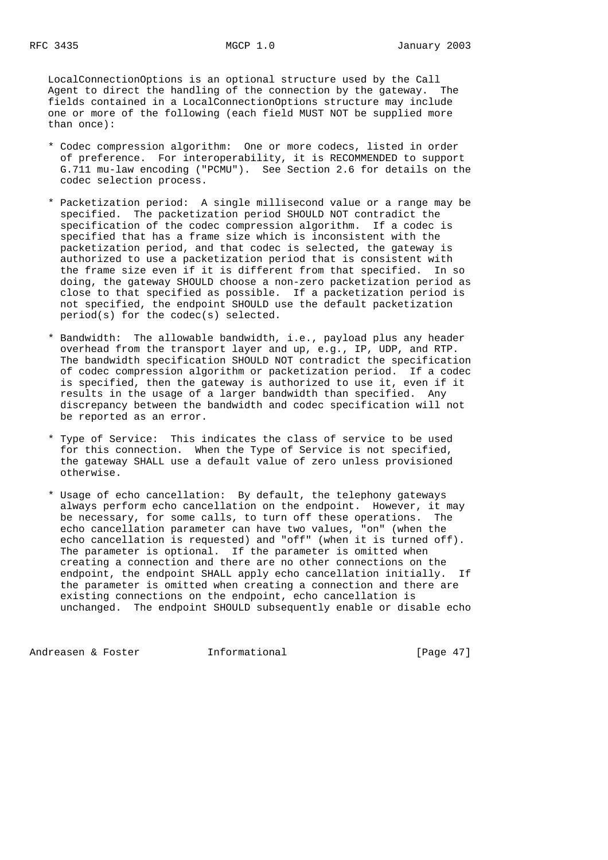LocalConnectionOptions is an optional structure used by the Call Agent to direct the handling of the connection by the gateway. The fields contained in a LocalConnectionOptions structure may include one or more of the following (each field MUST NOT be supplied more than once):

- \* Codec compression algorithm: One or more codecs, listed in order of preference. For interoperability, it is RECOMMENDED to support G.711 mu-law encoding ("PCMU"). See Section 2.6 for details on the codec selection process.
- \* Packetization period: A single millisecond value or a range may be specified. The packetization period SHOULD NOT contradict the specification of the codec compression algorithm. If a codec is specified that has a frame size which is inconsistent with the packetization period, and that codec is selected, the gateway is authorized to use a packetization period that is consistent with the frame size even if it is different from that specified. In so doing, the gateway SHOULD choose a non-zero packetization period as close to that specified as possible. If a packetization period is not specified, the endpoint SHOULD use the default packetization period(s) for the codec(s) selected.
- \* Bandwidth: The allowable bandwidth, i.e., payload plus any header overhead from the transport layer and up, e.g., IP, UDP, and RTP. The bandwidth specification SHOULD NOT contradict the specification of codec compression algorithm or packetization period. If a codec is specified, then the gateway is authorized to use it, even if it results in the usage of a larger bandwidth than specified. Any discrepancy between the bandwidth and codec specification will not be reported as an error.
- \* Type of Service: This indicates the class of service to be used for this connection. When the Type of Service is not specified, the gateway SHALL use a default value of zero unless provisioned otherwise.
- \* Usage of echo cancellation: By default, the telephony gateways always perform echo cancellation on the endpoint. However, it may be necessary, for some calls, to turn off these operations. The echo cancellation parameter can have two values, "on" (when the echo cancellation is requested) and "off" (when it is turned off). The parameter is optional. If the parameter is omitted when creating a connection and there are no other connections on the endpoint, the endpoint SHALL apply echo cancellation initially. If the parameter is omitted when creating a connection and there are existing connections on the endpoint, echo cancellation is unchanged. The endpoint SHOULD subsequently enable or disable echo

Andreasen & Foster **Informational** [Page 47]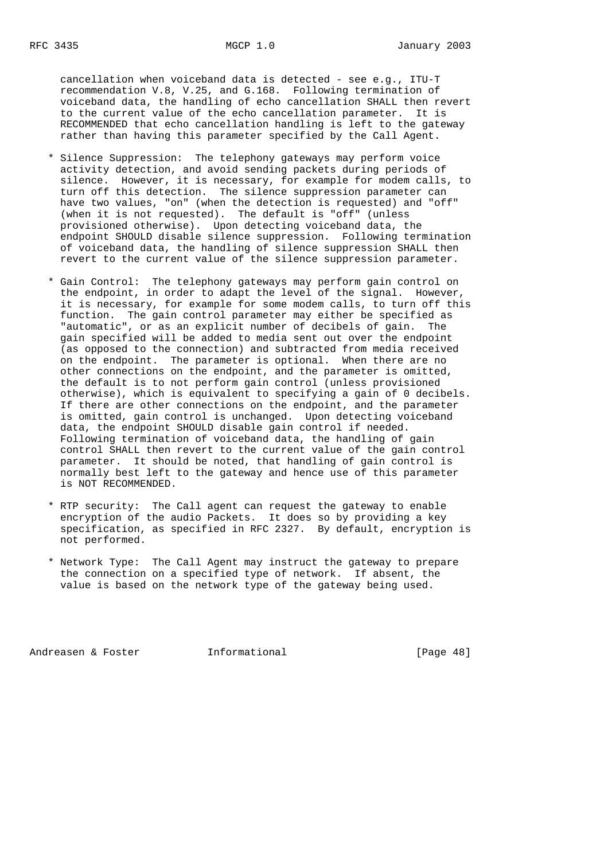cancellation when voiceband data is detected - see e.g., ITU-T recommendation V.8, V.25, and G.168. Following termination of voiceband data, the handling of echo cancellation SHALL then revert to the current value of the echo cancellation parameter. It is RECOMMENDED that echo cancellation handling is left to the gateway rather than having this parameter specified by the Call Agent.

- \* Silence Suppression: The telephony gateways may perform voice activity detection, and avoid sending packets during periods of silence. However, it is necessary, for example for modem calls, to turn off this detection. The silence suppression parameter can have two values, "on" (when the detection is requested) and "off" (when it is not requested). The default is "off" (unless provisioned otherwise). Upon detecting voiceband data, the endpoint SHOULD disable silence suppression. Following termination of voiceband data, the handling of silence suppression SHALL then revert to the current value of the silence suppression parameter.
- \* Gain Control: The telephony gateways may perform gain control on the endpoint, in order to adapt the level of the signal. However, it is necessary, for example for some modem calls, to turn off this function. The gain control parameter may either be specified as "automatic", or as an explicit number of decibels of gain. The gain specified will be added to media sent out over the endpoint (as opposed to the connection) and subtracted from media received on the endpoint. The parameter is optional. When there are no other connections on the endpoint, and the parameter is omitted, the default is to not perform gain control (unless provisioned otherwise), which is equivalent to specifying a gain of 0 decibels. If there are other connections on the endpoint, and the parameter is omitted, gain control is unchanged. Upon detecting voiceband data, the endpoint SHOULD disable gain control if needed. Following termination of voiceband data, the handling of gain control SHALL then revert to the current value of the gain control parameter. It should be noted, that handling of gain control is normally best left to the gateway and hence use of this parameter is NOT RECOMMENDED.
- \* RTP security: The Call agent can request the gateway to enable encryption of the audio Packets. It does so by providing a key specification, as specified in RFC 2327. By default, encryption is not performed.
- \* Network Type: The Call Agent may instruct the gateway to prepare the connection on a specified type of network. If absent, the value is based on the network type of the gateway being used.

Andreasen & Foster **Informational** [Page 48]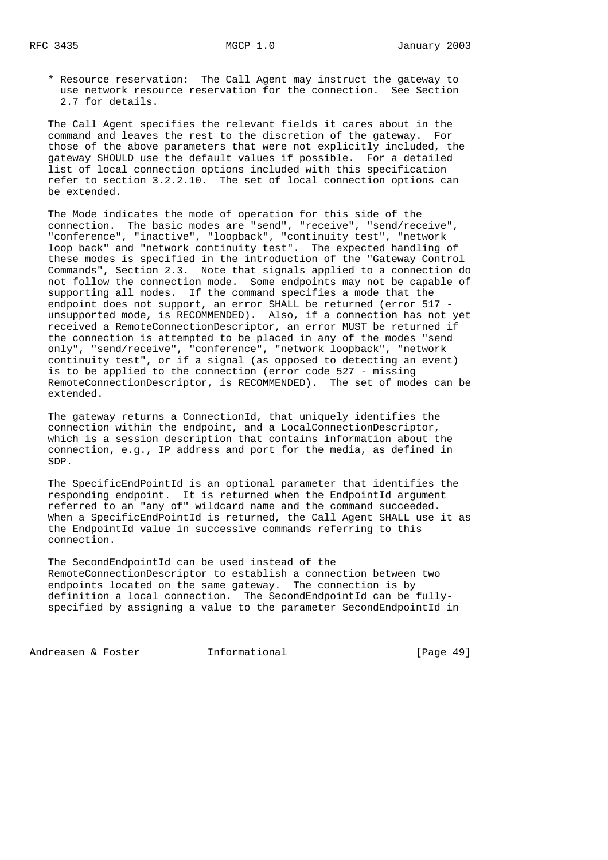\* Resource reservation: The Call Agent may instruct the gateway to use network resource reservation for the connection. See Section 2.7 for details.

 The Call Agent specifies the relevant fields it cares about in the command and leaves the rest to the discretion of the gateway. For those of the above parameters that were not explicitly included, the gateway SHOULD use the default values if possible. For a detailed list of local connection options included with this specification refer to section 3.2.2.10. The set of local connection options can be extended.

 The Mode indicates the mode of operation for this side of the connection. The basic modes are "send", "receive", "send/receive", "conference", "inactive", "loopback", "continuity test", "network loop back" and "network continuity test". The expected handling of these modes is specified in the introduction of the "Gateway Control Commands", Section 2.3. Note that signals applied to a connection do not follow the connection mode. Some endpoints may not be capable of supporting all modes. If the command specifies a mode that the endpoint does not support, an error SHALL be returned (error 517 unsupported mode, is RECOMMENDED). Also, if a connection has not yet received a RemoteConnectionDescriptor, an error MUST be returned if the connection is attempted to be placed in any of the modes "send only", "send/receive", "conference", "network loopback", "network continuity test", or if a signal (as opposed to detecting an event) is to be applied to the connection (error code 527 - missing RemoteConnectionDescriptor, is RECOMMENDED). The set of modes can be extended.

 The gateway returns a ConnectionId, that uniquely identifies the connection within the endpoint, and a LocalConnectionDescriptor, which is a session description that contains information about the connection, e.g., IP address and port for the media, as defined in SDP.

 The SpecificEndPointId is an optional parameter that identifies the responding endpoint. It is returned when the EndpointId argument referred to an "any of" wildcard name and the command succeeded. When a SpecificEndPointId is returned, the Call Agent SHALL use it as the EndpointId value in successive commands referring to this connection.

 The SecondEndpointId can be used instead of the RemoteConnectionDescriptor to establish a connection between two endpoints located on the same gateway. The connection is by definition a local connection. The SecondEndpointId can be fully specified by assigning a value to the parameter SecondEndpointId in

Andreasen & Foster **Informational Informational** [Page 49]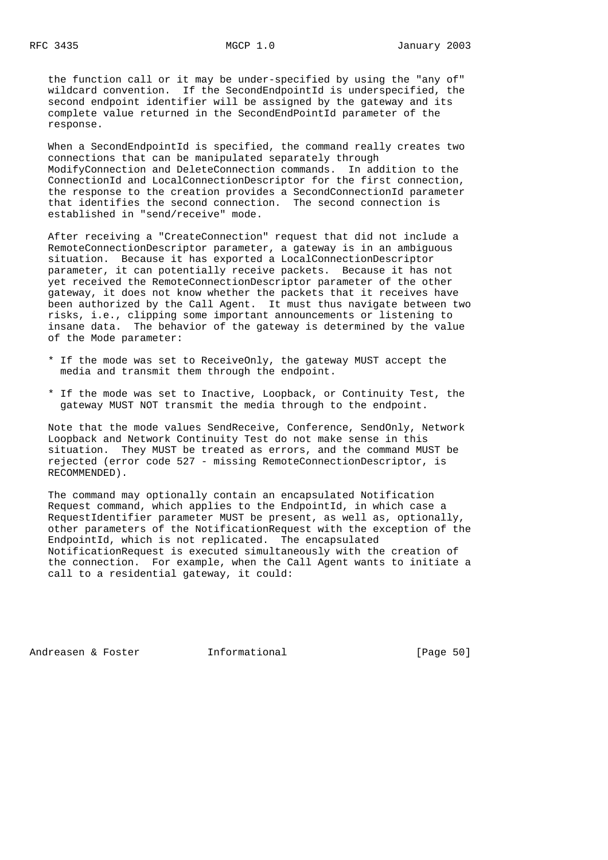the function call or it may be under-specified by using the "any of" wildcard convention. If the SecondEndpointId is underspecified, the second endpoint identifier will be assigned by the gateway and its complete value returned in the SecondEndPointId parameter of the response.

 When a SecondEndpointId is specified, the command really creates two connections that can be manipulated separately through ModifyConnection and DeleteConnection commands. In addition to the ConnectionId and LocalConnectionDescriptor for the first connection, the response to the creation provides a SecondConnectionId parameter that identifies the second connection. The second connection is established in "send/receive" mode.

 After receiving a "CreateConnection" request that did not include a RemoteConnectionDescriptor parameter, a gateway is in an ambiguous situation. Because it has exported a LocalConnectionDescriptor parameter, it can potentially receive packets. Because it has not yet received the RemoteConnectionDescriptor parameter of the other gateway, it does not know whether the packets that it receives have been authorized by the Call Agent. It must thus navigate between two risks, i.e., clipping some important announcements or listening to insane data. The behavior of the gateway is determined by the value of the Mode parameter:

- \* If the mode was set to ReceiveOnly, the gateway MUST accept the media and transmit them through the endpoint.
- \* If the mode was set to Inactive, Loopback, or Continuity Test, the gateway MUST NOT transmit the media through to the endpoint.

 Note that the mode values SendReceive, Conference, SendOnly, Network Loopback and Network Continuity Test do not make sense in this situation. They MUST be treated as errors, and the command MUST be rejected (error code 527 - missing RemoteConnectionDescriptor, is RECOMMENDED).

 The command may optionally contain an encapsulated Notification Request command, which applies to the EndpointId, in which case a RequestIdentifier parameter MUST be present, as well as, optionally, other parameters of the NotificationRequest with the exception of the EndpointId, which is not replicated. The encapsulated NotificationRequest is executed simultaneously with the creation of the connection. For example, when the Call Agent wants to initiate a call to a residential gateway, it could:

Andreasen & Foster **Informational** [Page 50]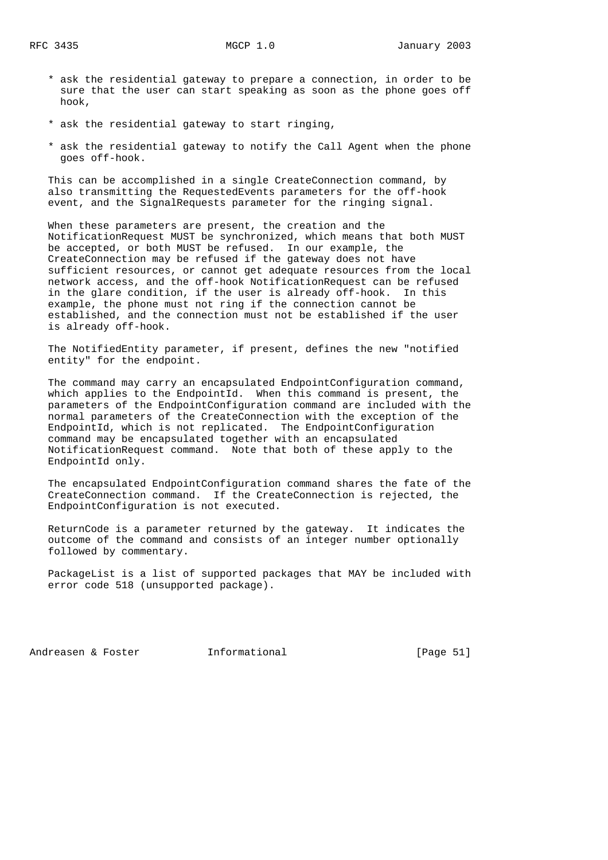- \* ask the residential gateway to prepare a connection, in order to be sure that the user can start speaking as soon as the phone goes off hook,
- \* ask the residential gateway to start ringing,
- \* ask the residential gateway to notify the Call Agent when the phone goes off-hook.

 This can be accomplished in a single CreateConnection command, by also transmitting the RequestedEvents parameters for the off-hook event, and the SignalRequests parameter for the ringing signal.

 When these parameters are present, the creation and the NotificationRequest MUST be synchronized, which means that both MUST be accepted, or both MUST be refused. In our example, the CreateConnection may be refused if the gateway does not have sufficient resources, or cannot get adequate resources from the local network access, and the off-hook NotificationRequest can be refused in the glare condition, if the user is already off-hook. In this example, the phone must not ring if the connection cannot be established, and the connection must not be established if the user is already off-hook.

 The NotifiedEntity parameter, if present, defines the new "notified entity" for the endpoint.

 The command may carry an encapsulated EndpointConfiguration command, which applies to the EndpointId. When this command is present, the parameters of the EndpointConfiguration command are included with the normal parameters of the CreateConnection with the exception of the EndpointId, which is not replicated. The EndpointConfiguration command may be encapsulated together with an encapsulated NotificationRequest command. Note that both of these apply to the EndpointId only.

 The encapsulated EndpointConfiguration command shares the fate of the CreateConnection command. If the CreateConnection is rejected, the EndpointConfiguration is not executed.

 ReturnCode is a parameter returned by the gateway. It indicates the outcome of the command and consists of an integer number optionally followed by commentary.

 PackageList is a list of supported packages that MAY be included with error code 518 (unsupported package).

Andreasen & Foster **Informational** [Page 51]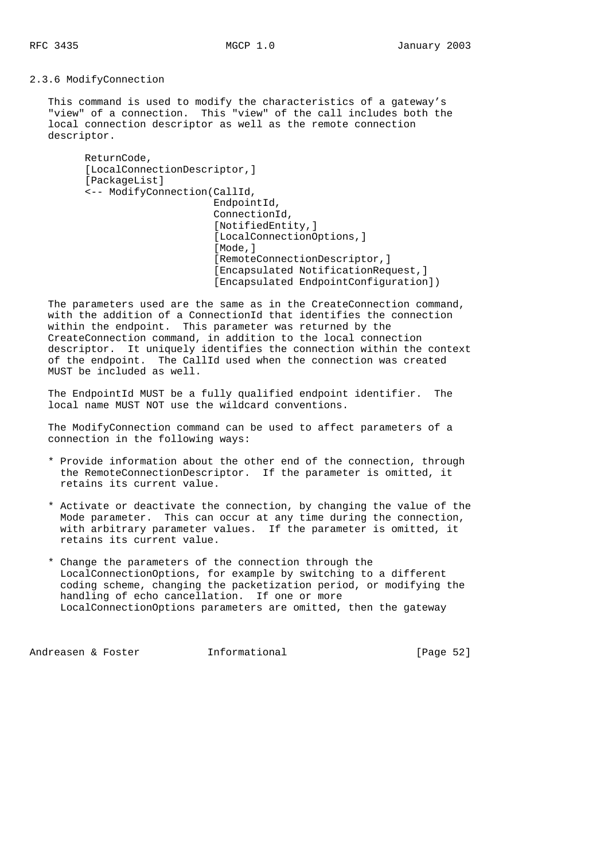2.3.6 ModifyConnection

 This command is used to modify the characteristics of a gateway's "view" of a connection. This "view" of the call includes both the local connection descriptor as well as the remote connection descriptor.

```
 ReturnCode,
[LocalConnectionDescriptor,]
 [PackageList]
 <-- ModifyConnection(CallId,
                       EndpointId,
                       ConnectionId,
                       [NotifiedEntity,]
                       [LocalConnectionOptions,]
                       [Mode,]
                       [RemoteConnectionDescriptor,]
                       [Encapsulated NotificationRequest,]
                       [Encapsulated EndpointConfiguration])
```
 The parameters used are the same as in the CreateConnection command, with the addition of a ConnectionId that identifies the connection within the endpoint. This parameter was returned by the CreateConnection command, in addition to the local connection descriptor. It uniquely identifies the connection within the context of the endpoint. The CallId used when the connection was created MUST be included as well.

 The EndpointId MUST be a fully qualified endpoint identifier. The local name MUST NOT use the wildcard conventions.

 The ModifyConnection command can be used to affect parameters of a connection in the following ways:

- \* Provide information about the other end of the connection, through the RemoteConnectionDescriptor. If the parameter is omitted, it retains its current value.
- \* Activate or deactivate the connection, by changing the value of the Mode parameter. This can occur at any time during the connection, with arbitrary parameter values. If the parameter is omitted, it retains its current value.
- \* Change the parameters of the connection through the LocalConnectionOptions, for example by switching to a different coding scheme, changing the packetization period, or modifying the handling of echo cancellation. If one or more LocalConnectionOptions parameters are omitted, then the gateway

Andreasen & Foster **Informational** (Page 52)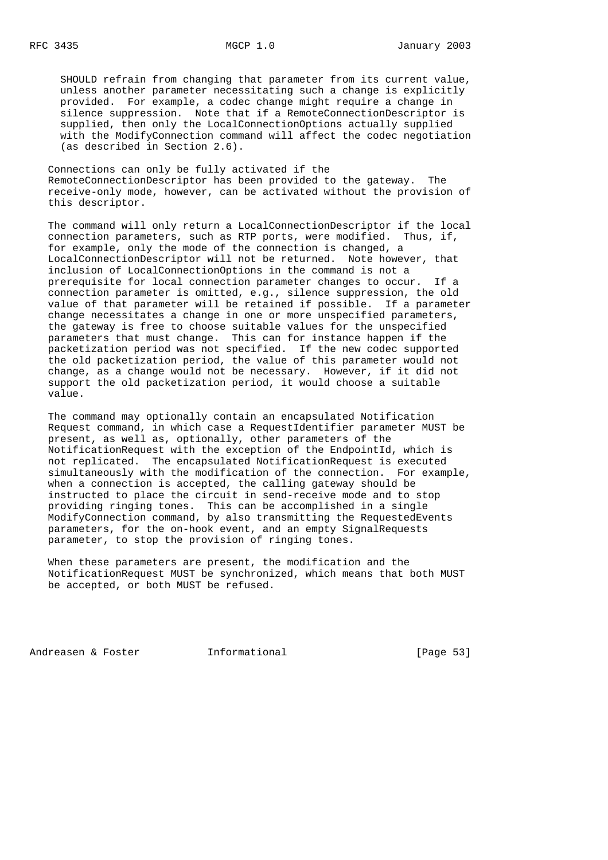SHOULD refrain from changing that parameter from its current value, unless another parameter necessitating such a change is explicitly provided. For example, a codec change might require a change in silence suppression. Note that if a RemoteConnectionDescriptor is supplied, then only the LocalConnectionOptions actually supplied with the ModifyConnection command will affect the codec negotiation (as described in Section 2.6).

 Connections can only be fully activated if the RemoteConnectionDescriptor has been provided to the gateway. The receive-only mode, however, can be activated without the provision of this descriptor.

 The command will only return a LocalConnectionDescriptor if the local connection parameters, such as RTP ports, were modified. Thus, if, for example, only the mode of the connection is changed, a LocalConnectionDescriptor will not be returned. Note however, that inclusion of LocalConnectionOptions in the command is not a prerequisite for local connection parameter changes to occur. If a connection parameter is omitted, e.g., silence suppression, the old value of that parameter will be retained if possible. If a parameter change necessitates a change in one or more unspecified parameters, the gateway is free to choose suitable values for the unspecified parameters that must change. This can for instance happen if the packetization period was not specified. If the new codec supported the old packetization period, the value of this parameter would not change, as a change would not be necessary. However, if it did not support the old packetization period, it would choose a suitable value.

 The command may optionally contain an encapsulated Notification Request command, in which case a RequestIdentifier parameter MUST be present, as well as, optionally, other parameters of the NotificationRequest with the exception of the EndpointId, which is not replicated. The encapsulated NotificationRequest is executed simultaneously with the modification of the connection. For example, when a connection is accepted, the calling gateway should be instructed to place the circuit in send-receive mode and to stop providing ringing tones. This can be accomplished in a single ModifyConnection command, by also transmitting the RequestedEvents parameters, for the on-hook event, and an empty SignalRequests parameter, to stop the provision of ringing tones.

 When these parameters are present, the modification and the NotificationRequest MUST be synchronized, which means that both MUST be accepted, or both MUST be refused.

Andreasen & Foster **Informational** [Page 53]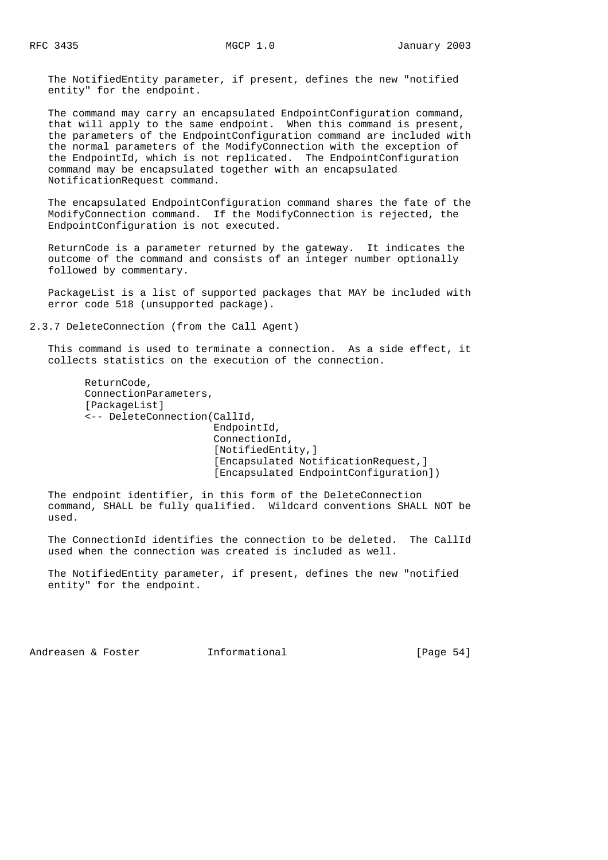The NotifiedEntity parameter, if present, defines the new "notified entity" for the endpoint.

 The command may carry an encapsulated EndpointConfiguration command, that will apply to the same endpoint. When this command is present, the parameters of the EndpointConfiguration command are included with the normal parameters of the ModifyConnection with the exception of the EndpointId, which is not replicated. The EndpointConfiguration command may be encapsulated together with an encapsulated NotificationRequest command.

 The encapsulated EndpointConfiguration command shares the fate of the ModifyConnection command. If the ModifyConnection is rejected, the EndpointConfiguration is not executed.

 ReturnCode is a parameter returned by the gateway. It indicates the outcome of the command and consists of an integer number optionally followed by commentary.

 PackageList is a list of supported packages that MAY be included with error code 518 (unsupported package).

2.3.7 DeleteConnection (from the Call Agent)

 This command is used to terminate a connection. As a side effect, it collects statistics on the execution of the connection.

 ReturnCode, ConnectionParameters, [PackageList] <-- DeleteConnection(CallId, EndpointId, ConnectionId, [NotifiedEntity,] [Encapsulated NotificationRequest,] [Encapsulated EndpointConfiguration])

 The endpoint identifier, in this form of the DeleteConnection command, SHALL be fully qualified. Wildcard conventions SHALL NOT be used.

 The ConnectionId identifies the connection to be deleted. The CallId used when the connection was created is included as well.

 The NotifiedEntity parameter, if present, defines the new "notified entity" for the endpoint.

Andreasen & Foster **Informational Informational** [Page 54]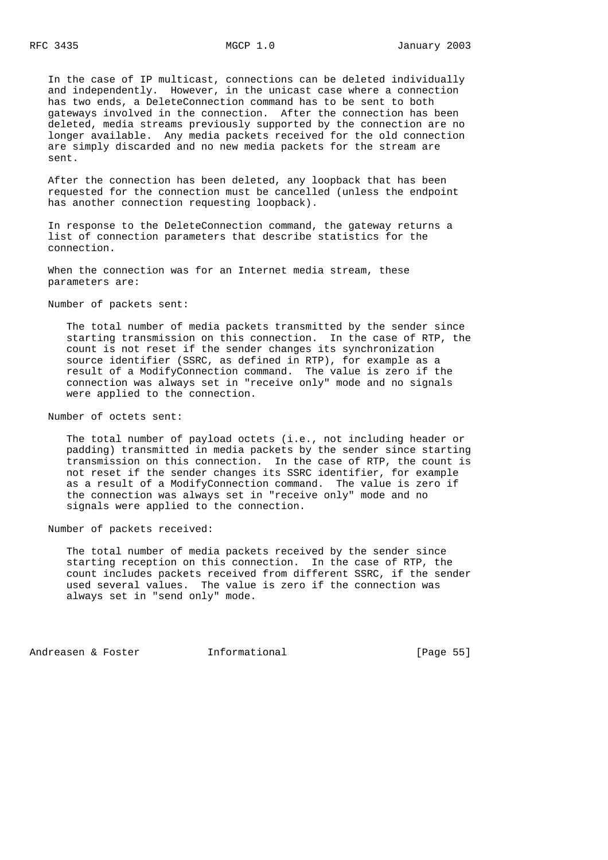In the case of IP multicast, connections can be deleted individually and independently. However, in the unicast case where a connection has two ends, a DeleteConnection command has to be sent to both gateways involved in the connection. After the connection has been deleted, media streams previously supported by the connection are no longer available. Any media packets received for the old connection are simply discarded and no new media packets for the stream are sent.

 After the connection has been deleted, any loopback that has been requested for the connection must be cancelled (unless the endpoint has another connection requesting loopback).

 In response to the DeleteConnection command, the gateway returns a list of connection parameters that describe statistics for the connection.

 When the connection was for an Internet media stream, these parameters are:

Number of packets sent:

 The total number of media packets transmitted by the sender since starting transmission on this connection. In the case of RTP, the count is not reset if the sender changes its synchronization source identifier (SSRC, as defined in RTP), for example as a result of a ModifyConnection command. The value is zero if the connection was always set in "receive only" mode and no signals were applied to the connection.

Number of octets sent:

 The total number of payload octets (i.e., not including header or padding) transmitted in media packets by the sender since starting transmission on this connection. In the case of RTP, the count is not reset if the sender changes its SSRC identifier, for example as a result of a ModifyConnection command. The value is zero if the connection was always set in "receive only" mode and no signals were applied to the connection.

Number of packets received:

 The total number of media packets received by the sender since starting reception on this connection. In the case of RTP, the count includes packets received from different SSRC, if the sender used several values. The value is zero if the connection was always set in "send only" mode.

Andreasen & Foster **Informational** [Page 55]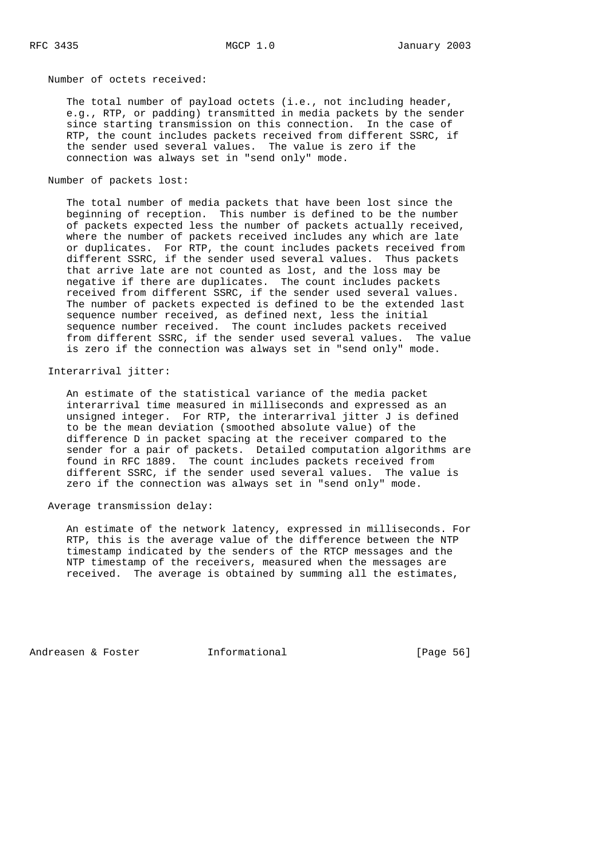Number of octets received:

 The total number of payload octets (i.e., not including header, e.g., RTP, or padding) transmitted in media packets by the sender since starting transmission on this connection. In the case of RTP, the count includes packets received from different SSRC, if the sender used several values. The value is zero if the connection was always set in "send only" mode.

Number of packets lost:

 The total number of media packets that have been lost since the beginning of reception. This number is defined to be the number of packets expected less the number of packets actually received, where the number of packets received includes any which are late or duplicates. For RTP, the count includes packets received from different SSRC, if the sender used several values. Thus packets that arrive late are not counted as lost, and the loss may be negative if there are duplicates. The count includes packets received from different SSRC, if the sender used several values. The number of packets expected is defined to be the extended last sequence number received, as defined next, less the initial sequence number received. The count includes packets received from different SSRC, if the sender used several values. The value is zero if the connection was always set in "send only" mode.

Interarrival jitter:

 An estimate of the statistical variance of the media packet interarrival time measured in milliseconds and expressed as an unsigned integer. For RTP, the interarrival jitter J is defined to be the mean deviation (smoothed absolute value) of the difference D in packet spacing at the receiver compared to the sender for a pair of packets. Detailed computation algorithms are found in RFC 1889. The count includes packets received from different SSRC, if the sender used several values. The value is zero if the connection was always set in "send only" mode.

Average transmission delay:

 An estimate of the network latency, expressed in milliseconds. For RTP, this is the average value of the difference between the NTP timestamp indicated by the senders of the RTCP messages and the NTP timestamp of the receivers, measured when the messages are received. The average is obtained by summing all the estimates,

Andreasen & Foster **Informational** [Page 56]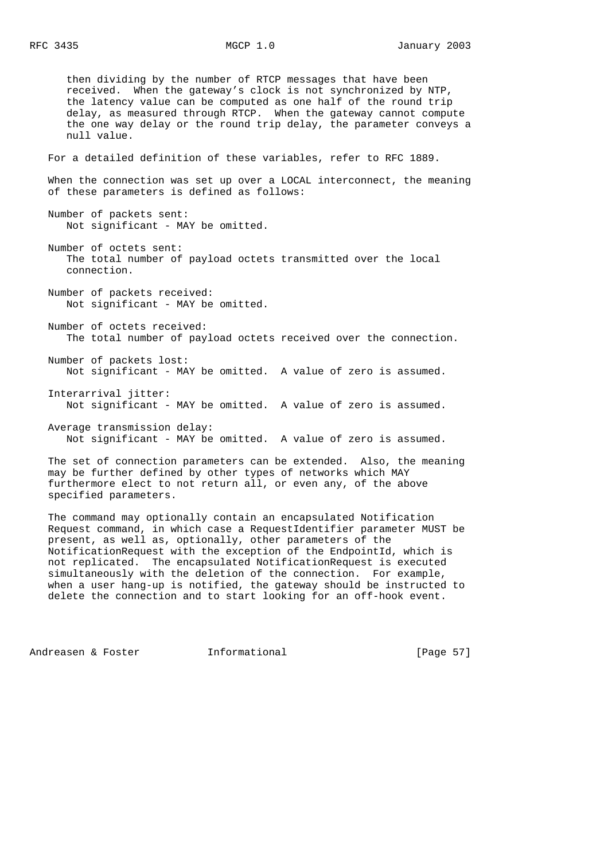then dividing by the number of RTCP messages that have been received. When the gateway's clock is not synchronized by NTP, the latency value can be computed as one half of the round trip delay, as measured through RTCP. When the gateway cannot compute the one way delay or the round trip delay, the parameter conveys a null value. For a detailed definition of these variables, refer to RFC 1889. When the connection was set up over a LOCAL interconnect, the meaning of these parameters is defined as follows: Number of packets sent: Not significant - MAY be omitted. Number of octets sent: The total number of payload octets transmitted over the local connection. Number of packets received: Not significant - MAY be omitted. Number of octets received: The total number of payload octets received over the connection. Number of packets lost: Not significant - MAY be omitted. A value of zero is assumed. Interarrival jitter: Not significant - MAY be omitted. A value of zero is assumed. Average transmission delay: Not significant - MAY be omitted. A value of zero is assumed. The set of connection parameters can be extended. Also, the meaning may be further defined by other types of networks which MAY furthermore elect to not return all, or even any, of the above

 The command may optionally contain an encapsulated Notification Request command, in which case a RequestIdentifier parameter MUST be present, as well as, optionally, other parameters of the NotificationRequest with the exception of the EndpointId, which is not replicated. The encapsulated NotificationRequest is executed simultaneously with the deletion of the connection. For example, when a user hang-up is notified, the gateway should be instructed to delete the connection and to start looking for an off-hook event.

Andreasen & Foster **Informational** (Page 57)

specified parameters.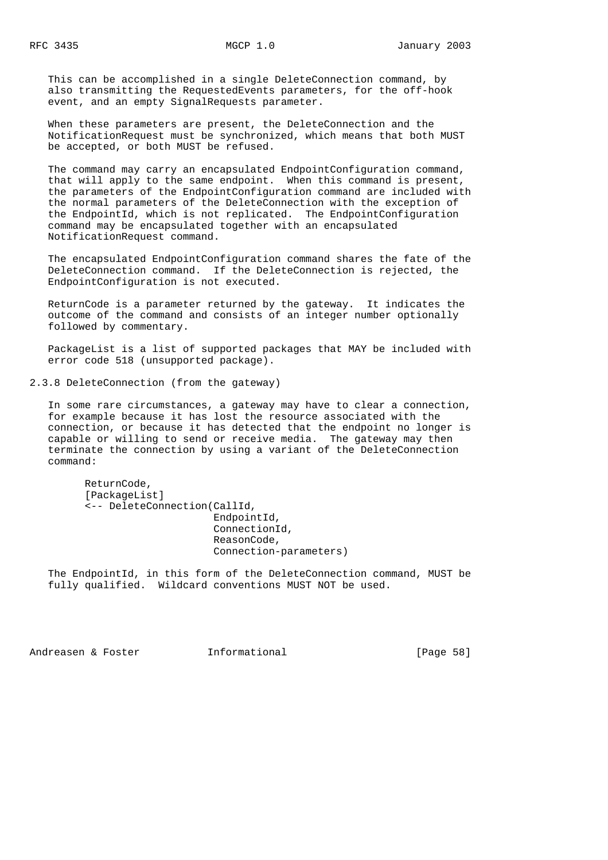This can be accomplished in a single DeleteConnection command, by also transmitting the RequestedEvents parameters, for the off-hook event, and an empty SignalRequests parameter.

 When these parameters are present, the DeleteConnection and the NotificationRequest must be synchronized, which means that both MUST be accepted, or both MUST be refused.

 The command may carry an encapsulated EndpointConfiguration command, that will apply to the same endpoint. When this command is present, the parameters of the EndpointConfiguration command are included with the normal parameters of the DeleteConnection with the exception of the EndpointId, which is not replicated. The EndpointConfiguration command may be encapsulated together with an encapsulated NotificationRequest command.

 The encapsulated EndpointConfiguration command shares the fate of the DeleteConnection command. If the DeleteConnection is rejected, the EndpointConfiguration is not executed.

 ReturnCode is a parameter returned by the gateway. It indicates the outcome of the command and consists of an integer number optionally followed by commentary.

 PackageList is a list of supported packages that MAY be included with error code 518 (unsupported package).

2.3.8 DeleteConnection (from the gateway)

 In some rare circumstances, a gateway may have to clear a connection, for example because it has lost the resource associated with the connection, or because it has detected that the endpoint no longer is capable or willing to send or receive media. The gateway may then terminate the connection by using a variant of the DeleteConnection command:

 ReturnCode, [PackageList] <-- DeleteConnection(CallId, EndpointId, ConnectionId, ReasonCode, Connection-parameters)

 The EndpointId, in this form of the DeleteConnection command, MUST be fully qualified. Wildcard conventions MUST NOT be used.

Andreasen & Foster **Informational Informational** [Page 58]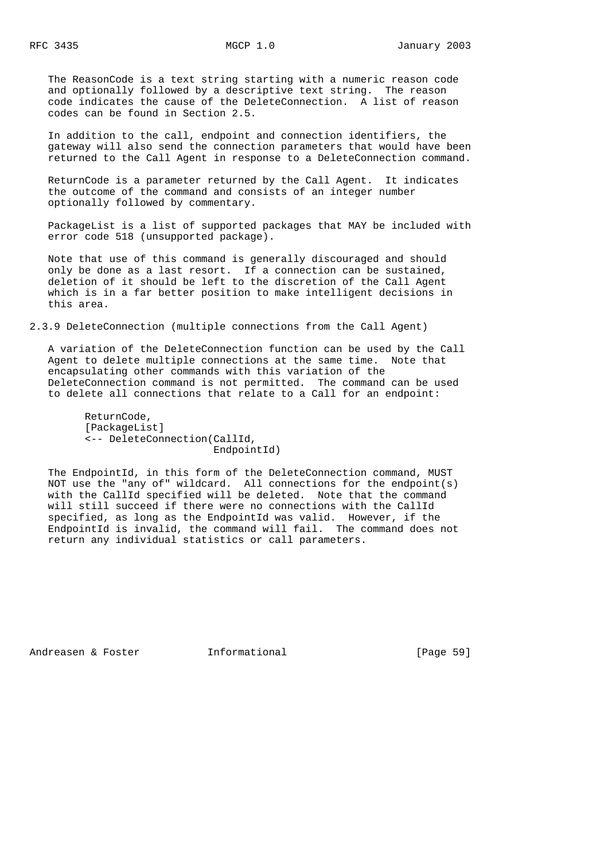The ReasonCode is a text string starting with a numeric reason code and optionally followed by a descriptive text string. The reason code indicates the cause of the DeleteConnection. A list of reason codes can be found in Section 2.5.

 In addition to the call, endpoint and connection identifiers, the gateway will also send the connection parameters that would have been returned to the Call Agent in response to a DeleteConnection command.

 ReturnCode is a parameter returned by the Call Agent. It indicates the outcome of the command and consists of an integer number optionally followed by commentary.

 PackageList is a list of supported packages that MAY be included with error code 518 (unsupported package).

 Note that use of this command is generally discouraged and should only be done as a last resort. If a connection can be sustained, deletion of it should be left to the discretion of the Call Agent which is in a far better position to make intelligent decisions in this area.

2.3.9 DeleteConnection (multiple connections from the Call Agent)

 A variation of the DeleteConnection function can be used by the Call Agent to delete multiple connections at the same time. Note that encapsulating other commands with this variation of the DeleteConnection command is not permitted. The command can be used to delete all connections that relate to a Call for an endpoint:

 ReturnCode, [PackageList] <-- DeleteConnection(CallId, EndpointId)

 The EndpointId, in this form of the DeleteConnection command, MUST NOT use the "any of" wildcard. All connections for the endpoint(s) with the CallId specified will be deleted. Note that the command will still succeed if there were no connections with the CallId specified, as long as the EndpointId was valid. However, if the EndpointId is invalid, the command will fail. The command does not return any individual statistics or call parameters.

Andreasen & Foster **Informational** [Page 59]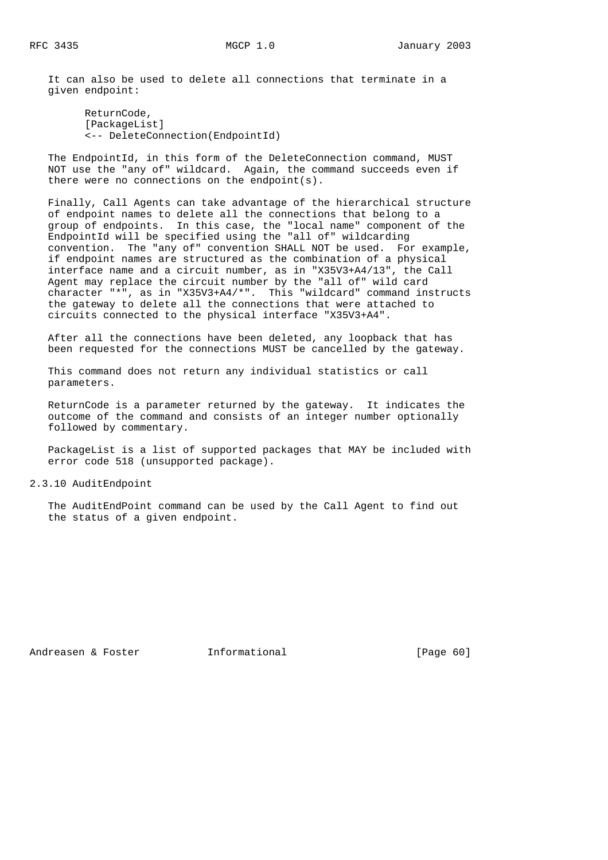It can also be used to delete all connections that terminate in a given endpoint:

 ReturnCode, [PackageList] <-- DeleteConnection(EndpointId)

 The EndpointId, in this form of the DeleteConnection command, MUST NOT use the "any of" wildcard. Again, the command succeeds even if there were no connections on the endpoint(s).

 Finally, Call Agents can take advantage of the hierarchical structure of endpoint names to delete all the connections that belong to a group of endpoints. In this case, the "local name" component of the EndpointId will be specified using the "all of" wildcarding convention. The "any of" convention SHALL NOT be used. For example, if endpoint names are structured as the combination of a physical interface name and a circuit number, as in "X35V3+A4/13", the Call Agent may replace the circuit number by the "all of" wild card character "\*", as in "X35V3+A4/\*". This "wildcard" command instructs the gateway to delete all the connections that were attached to circuits connected to the physical interface "X35V3+A4".

 After all the connections have been deleted, any loopback that has been requested for the connections MUST be cancelled by the gateway.

 This command does not return any individual statistics or call parameters.

 ReturnCode is a parameter returned by the gateway. It indicates the outcome of the command and consists of an integer number optionally followed by commentary.

 PackageList is a list of supported packages that MAY be included with error code 518 (unsupported package).

## 2.3.10 AuditEndpoint

 The AuditEndPoint command can be used by the Call Agent to find out the status of a given endpoint.

Andreasen & Foster **Informational** [Page 60]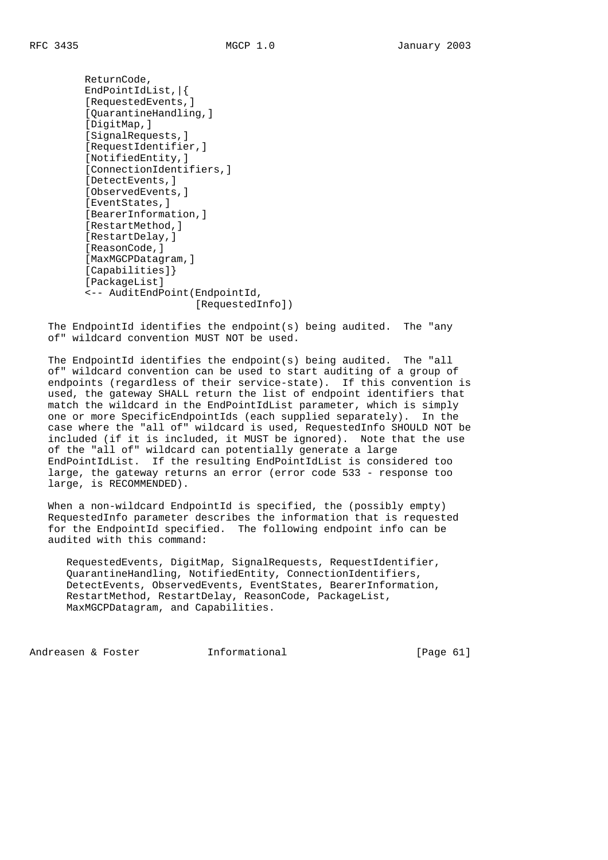ReturnCode, EndPointIdList,|{ [RequestedEvents,] [QuarantineHandling,] [DigitMap,] [SignalRequests,] [RequestIdentifier,] [NotifiedEntity,] [ConnectionIdentifiers,] [DetectEvents,] [ObservedEvents,] [EventStates,] [BearerInformation,] [RestartMethod,] [RestartDelay,] [ReasonCode,] [MaxMGCPDatagram,] [Capabilities]} [PackageList] <-- AuditEndPoint(EndpointId, [RequestedInfo])

 The EndpointId identifies the endpoint(s) being audited. The "any of" wildcard convention MUST NOT be used.

 The EndpointId identifies the endpoint(s) being audited. The "all of" wildcard convention can be used to start auditing of a group of endpoints (regardless of their service-state). If this convention is used, the gateway SHALL return the list of endpoint identifiers that match the wildcard in the EndPointIdList parameter, which is simply one or more SpecificEndpointIds (each supplied separately). In the case where the "all of" wildcard is used, RequestedInfo SHOULD NOT be included (if it is included, it MUST be ignored). Note that the use of the "all of" wildcard can potentially generate a large EndPointIdList. If the resulting EndPointIdList is considered too large, the gateway returns an error (error code 533 - response too large, is RECOMMENDED).

 When a non-wildcard EndpointId is specified, the (possibly empty) RequestedInfo parameter describes the information that is requested for the EndpointId specified. The following endpoint info can be audited with this command:

 RequestedEvents, DigitMap, SignalRequests, RequestIdentifier, QuarantineHandling, NotifiedEntity, ConnectionIdentifiers, DetectEvents, ObservedEvents, EventStates, BearerInformation, RestartMethod, RestartDelay, ReasonCode, PackageList, MaxMGCPDatagram, and Capabilities.

Andreasen & Foster **Informational** (Page 61)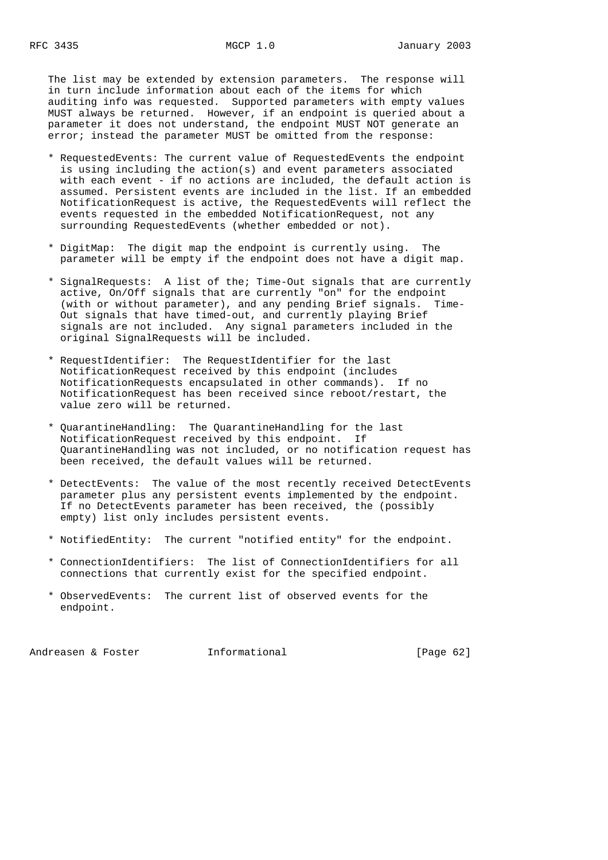The list may be extended by extension parameters. The response will in turn include information about each of the items for which auditing info was requested. Supported parameters with empty values MUST always be returned. However, if an endpoint is queried about a parameter it does not understand, the endpoint MUST NOT generate an error; instead the parameter MUST be omitted from the response:

- \* RequestedEvents: The current value of RequestedEvents the endpoint is using including the action(s) and event parameters associated with each event - if no actions are included, the default action is assumed. Persistent events are included in the list. If an embedded NotificationRequest is active, the RequestedEvents will reflect the events requested in the embedded NotificationRequest, not any surrounding RequestedEvents (whether embedded or not).
- \* DigitMap: The digit map the endpoint is currently using. The parameter will be empty if the endpoint does not have a digit map.
- \* SignalRequests: A list of the; Time-Out signals that are currently active, On/Off signals that are currently "on" for the endpoint (with or without parameter), and any pending Brief signals. Time- Out signals that have timed-out, and currently playing Brief signals are not included. Any signal parameters included in the original SignalRequests will be included.
- \* RequestIdentifier: The RequestIdentifier for the last NotificationRequest received by this endpoint (includes NotificationRequests encapsulated in other commands). If no NotificationRequest has been received since reboot/restart, the value zero will be returned.
- \* QuarantineHandling: The QuarantineHandling for the last NotificationRequest received by this endpoint. If QuarantineHandling was not included, or no notification request has been received, the default values will be returned.
- \* DetectEvents: The value of the most recently received DetectEvents parameter plus any persistent events implemented by the endpoint. If no DetectEvents parameter has been received, the (possibly empty) list only includes persistent events.
- \* NotifiedEntity: The current "notified entity" for the endpoint.
- \* ConnectionIdentifiers: The list of ConnectionIdentifiers for all connections that currently exist for the specified endpoint.
- \* ObservedEvents: The current list of observed events for the endpoint.

Andreasen & Foster **Informational** [Page 62]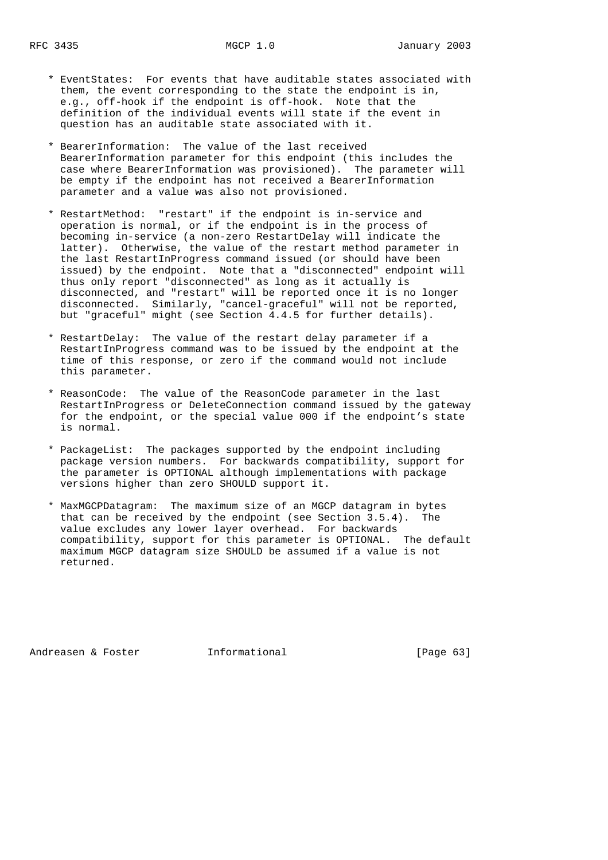- \* EventStates: For events that have auditable states associated with them, the event corresponding to the state the endpoint is in, e.g., off-hook if the endpoint is off-hook. Note that the definition of the individual events will state if the event in question has an auditable state associated with it.
- \* BearerInformation: The value of the last received BearerInformation parameter for this endpoint (this includes the case where BearerInformation was provisioned). The parameter will be empty if the endpoint has not received a BearerInformation parameter and a value was also not provisioned.
- \* RestartMethod: "restart" if the endpoint is in-service and operation is normal, or if the endpoint is in the process of becoming in-service (a non-zero RestartDelay will indicate the latter). Otherwise, the value of the restart method parameter in the last RestartInProgress command issued (or should have been issued) by the endpoint. Note that a "disconnected" endpoint will thus only report "disconnected" as long as it actually is disconnected, and "restart" will be reported once it is no longer disconnected. Similarly, "cancel-graceful" will not be reported, but "graceful" might (see Section 4.4.5 for further details).
	- \* RestartDelay: The value of the restart delay parameter if a RestartInProgress command was to be issued by the endpoint at the time of this response, or zero if the command would not include this parameter.
	- \* ReasonCode: The value of the ReasonCode parameter in the last RestartInProgress or DeleteConnection command issued by the gateway for the endpoint, or the special value 000 if the endpoint's state is normal.
	- \* PackageList: The packages supported by the endpoint including package version numbers. For backwards compatibility, support for the parameter is OPTIONAL although implementations with package versions higher than zero SHOULD support it.
	- \* MaxMGCPDatagram: The maximum size of an MGCP datagram in bytes that can be received by the endpoint (see Section 3.5.4). The value excludes any lower layer overhead. For backwards compatibility, support for this parameter is OPTIONAL. The default maximum MGCP datagram size SHOULD be assumed if a value is not returned.

Andreasen & Foster **Informational** [Page 63]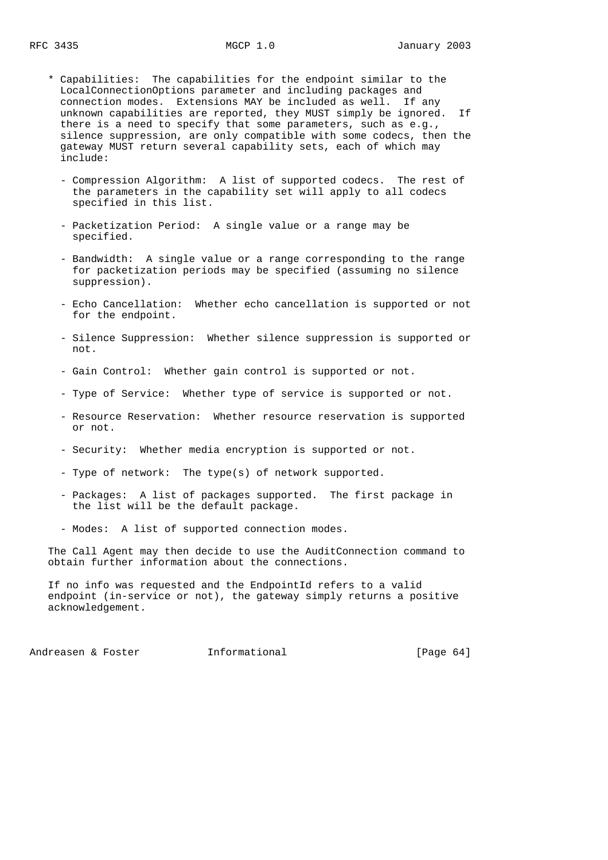- \* Capabilities: The capabilities for the endpoint similar to the LocalConnectionOptions parameter and including packages and connection modes. Extensions MAY be included as well. If any unknown capabilities are reported, they MUST simply be ignored. If there is a need to specify that some parameters, such as e.g., silence suppression, are only compatible with some codecs, then the gateway MUST return several capability sets, each of which may include:
	- Compression Algorithm: A list of supported codecs. The rest of the parameters in the capability set will apply to all codecs specified in this list.
	- Packetization Period: A single value or a range may be specified.
	- Bandwidth: A single value or a range corresponding to the range for packetization periods may be specified (assuming no silence suppression).
	- Echo Cancellation: Whether echo cancellation is supported or not for the endpoint.
	- Silence Suppression: Whether silence suppression is supported or not.
	- Gain Control: Whether gain control is supported or not.
	- Type of Service: Whether type of service is supported or not.
	- Resource Reservation: Whether resource reservation is supported or not.
	- Security: Whether media encryption is supported or not.
	- Type of network: The type(s) of network supported.
	- Packages: A list of packages supported. The first package in the list will be the default package.
	- Modes: A list of supported connection modes.

 The Call Agent may then decide to use the AuditConnection command to obtain further information about the connections.

 If no info was requested and the EndpointId refers to a valid endpoint (in-service or not), the gateway simply returns a positive acknowledgement.

Andreasen & Foster **Informational** [Page 64]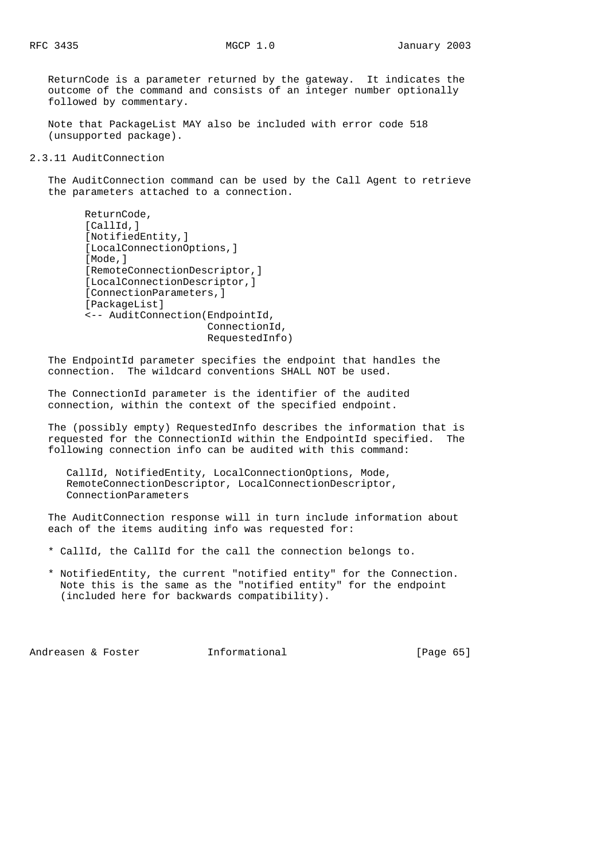ReturnCode is a parameter returned by the gateway. It indicates the outcome of the command and consists of an integer number optionally followed by commentary.

 Note that PackageList MAY also be included with error code 518 (unsupported package).

## 2.3.11 AuditConnection

 The AuditConnection command can be used by the Call Agent to retrieve the parameters attached to a connection.

```
 ReturnCode,
 [CallId,]
 [NotifiedEntity,]
 [LocalConnectionOptions,]
 [Mode,]
 [RemoteConnectionDescriptor,]
 [LocalConnectionDescriptor,]
 [ConnectionParameters,]
[PackageList]
 <-- AuditConnection(EndpointId,
                      ConnectionId,
                      RequestedInfo)
```
 The EndpointId parameter specifies the endpoint that handles the connection. The wildcard conventions SHALL NOT be used.

 The ConnectionId parameter is the identifier of the audited connection, within the context of the specified endpoint.

 The (possibly empty) RequestedInfo describes the information that is requested for the ConnectionId within the EndpointId specified. The following connection info can be audited with this command:

 CallId, NotifiedEntity, LocalConnectionOptions, Mode, RemoteConnectionDescriptor, LocalConnectionDescriptor, ConnectionParameters

 The AuditConnection response will in turn include information about each of the items auditing info was requested for:

- \* CallId, the CallId for the call the connection belongs to.
- \* NotifiedEntity, the current "notified entity" for the Connection. Note this is the same as the "notified entity" for the endpoint (included here for backwards compatibility).

Andreasen & Foster **Informational** (Page 65)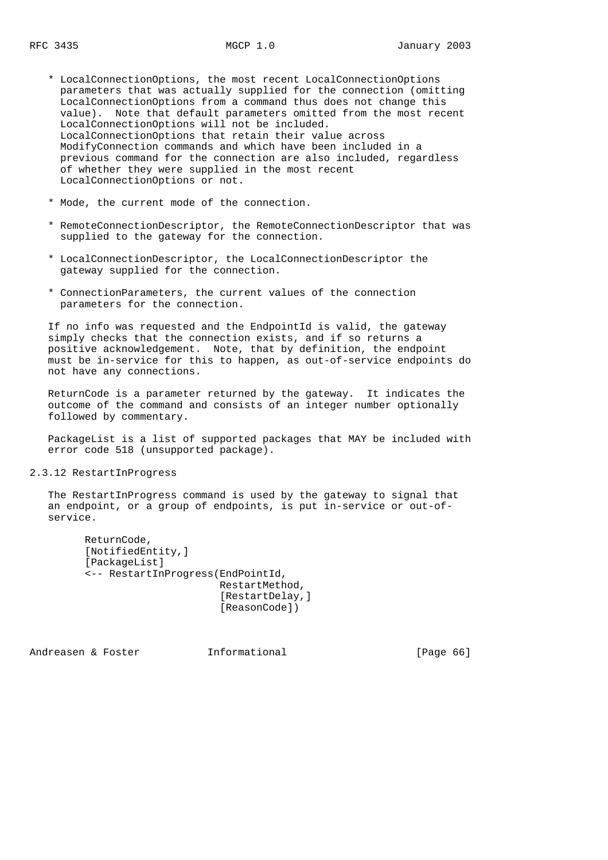- \* LocalConnectionOptions, the most recent LocalConnectionOptions parameters that was actually supplied for the connection (omitting LocalConnectionOptions from a command thus does not change this value). Note that default parameters omitted from the most recent LocalConnectionOptions will not be included. LocalConnectionOptions that retain their value across ModifyConnection commands and which have been included in a previous command for the connection are also included, regardless of whether they were supplied in the most recent LocalConnectionOptions or not.
- \* Mode, the current mode of the connection.
- \* RemoteConnectionDescriptor, the RemoteConnectionDescriptor that was supplied to the gateway for the connection.
- \* LocalConnectionDescriptor, the LocalConnectionDescriptor the gateway supplied for the connection.
- \* ConnectionParameters, the current values of the connection parameters for the connection.

 If no info was requested and the EndpointId is valid, the gateway simply checks that the connection exists, and if so returns a positive acknowledgement. Note, that by definition, the endpoint must be in-service for this to happen, as out-of-service endpoints do not have any connections.

 ReturnCode is a parameter returned by the gateway. It indicates the outcome of the command and consists of an integer number optionally followed by commentary.

PackageList is a list of supported packages that MAY be included with error code 518 (unsupported package).

## 2.3.12 RestartInProgress

 The RestartInProgress command is used by the gateway to signal that an endpoint, or a group of endpoints, is put in-service or out-of service.

```
 ReturnCode,
 [NotifiedEntity,]
 [PackageList]
 <-- RestartInProgress(EndPointId,
                        RestartMethod,
                         [RestartDelay,]
                         [ReasonCode])
```
Andreasen & Foster **Informational** [Page 66]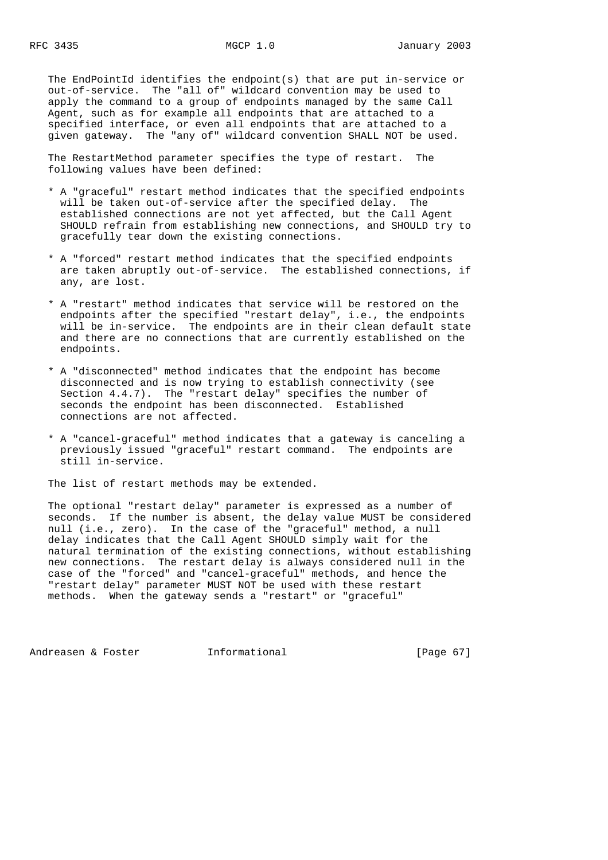The EndPointId identifies the endpoint(s) that are put in-service or out-of-service. The "all of" wildcard convention may be used to apply the command to a group of endpoints managed by the same Call Agent, such as for example all endpoints that are attached to a specified interface, or even all endpoints that are attached to a given gateway. The "any of" wildcard convention SHALL NOT be used.

 The RestartMethod parameter specifies the type of restart. The following values have been defined:

- \* A "graceful" restart method indicates that the specified endpoints will be taken out-of-service after the specified delay. The established connections are not yet affected, but the Call Agent SHOULD refrain from establishing new connections, and SHOULD try to gracefully tear down the existing connections.
- \* A "forced" restart method indicates that the specified endpoints are taken abruptly out-of-service. The established connections, if any, are lost.
- \* A "restart" method indicates that service will be restored on the endpoints after the specified "restart delay", i.e., the endpoints will be in-service. The endpoints are in their clean default state and there are no connections that are currently established on the endpoints.
- \* A "disconnected" method indicates that the endpoint has become disconnected and is now trying to establish connectivity (see Section 4.4.7). The "restart delay" specifies the number of seconds the endpoint has been disconnected. Established connections are not affected.
- \* A "cancel-graceful" method indicates that a gateway is canceling a previously issued "graceful" restart command. The endpoints are still in-service.

The list of restart methods may be extended.

 The optional "restart delay" parameter is expressed as a number of seconds. If the number is absent, the delay value MUST be considered null (i.e., zero). In the case of the "graceful" method, a null delay indicates that the Call Agent SHOULD simply wait for the natural termination of the existing connections, without establishing new connections. The restart delay is always considered null in the case of the "forced" and "cancel-graceful" methods, and hence the "restart delay" parameter MUST NOT be used with these restart methods. When the gateway sends a "restart" or "graceful"

Andreasen & Foster **Informational** [Page 67]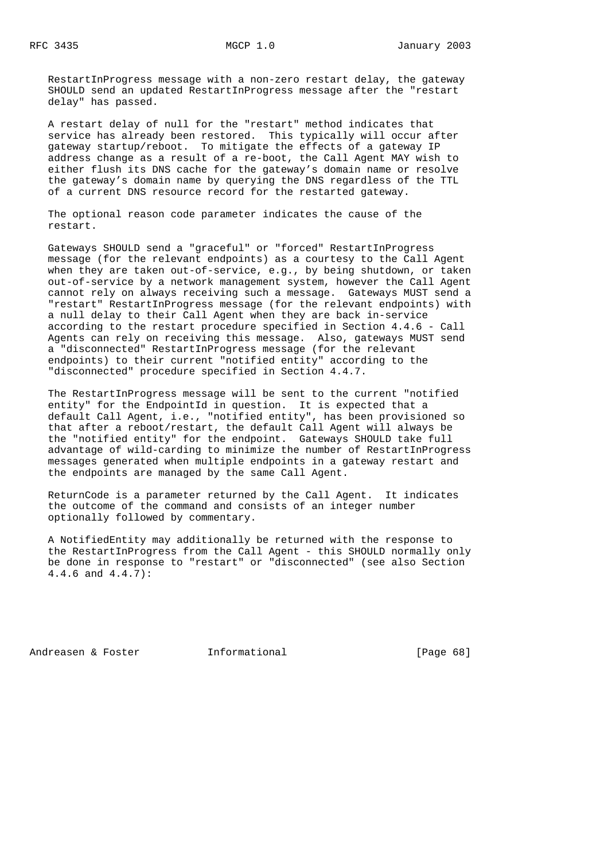RestartInProgress message with a non-zero restart delay, the gateway SHOULD send an updated RestartInProgress message after the "restart delay" has passed.

 A restart delay of null for the "restart" method indicates that service has already been restored. This typically will occur after gateway startup/reboot. To mitigate the effects of a gateway IP address change as a result of a re-boot, the Call Agent MAY wish to either flush its DNS cache for the gateway's domain name or resolve the gateway's domain name by querying the DNS regardless of the TTL of a current DNS resource record for the restarted gateway.

 The optional reason code parameter indicates the cause of the restart.

 Gateways SHOULD send a "graceful" or "forced" RestartInProgress message (for the relevant endpoints) as a courtesy to the Call Agent when they are taken out-of-service, e.g., by being shutdown, or taken out-of-service by a network management system, however the Call Agent cannot rely on always receiving such a message. Gateways MUST send a "restart" RestartInProgress message (for the relevant endpoints) with a null delay to their Call Agent when they are back in-service according to the restart procedure specified in Section 4.4.6 - Call Agents can rely on receiving this message. Also, gateways MUST send a "disconnected" RestartInProgress message (for the relevant endpoints) to their current "notified entity" according to the "disconnected" procedure specified in Section 4.4.7.

 The RestartInProgress message will be sent to the current "notified entity" for the EndpointId in question. It is expected that a default Call Agent, i.e., "notified entity", has been provisioned so that after a reboot/restart, the default Call Agent will always be the "notified entity" for the endpoint. Gateways SHOULD take full advantage of wild-carding to minimize the number of RestartInProgress messages generated when multiple endpoints in a gateway restart and the endpoints are managed by the same Call Agent.

 ReturnCode is a parameter returned by the Call Agent. It indicates the outcome of the command and consists of an integer number optionally followed by commentary.

 A NotifiedEntity may additionally be returned with the response to the RestartInProgress from the Call Agent - this SHOULD normally only be done in response to "restart" or "disconnected" (see also Section 4.4.6 and 4.4.7):

Andreasen & Foster **Informational** [Page 68]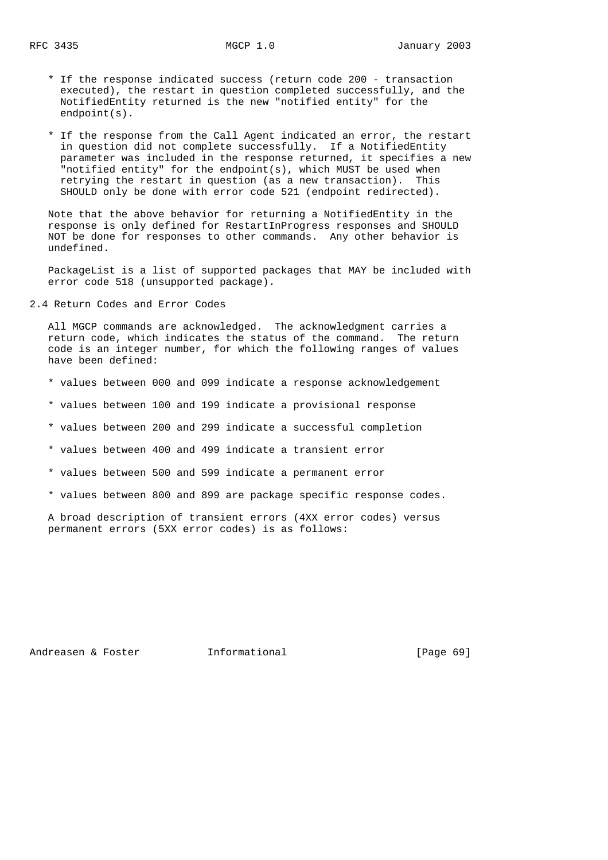- \* If the response indicated success (return code 200 transaction executed), the restart in question completed successfully, and the NotifiedEntity returned is the new "notified entity" for the endpoint(s).
- \* If the response from the Call Agent indicated an error, the restart in question did not complete successfully. If a NotifiedEntity parameter was included in the response returned, it specifies a new "notified entity" for the endpoint(s), which MUST be used when retrying the restart in question (as a new transaction). This SHOULD only be done with error code 521 (endpoint redirected).

 Note that the above behavior for returning a NotifiedEntity in the response is only defined for RestartInProgress responses and SHOULD NOT be done for responses to other commands. Any other behavior is undefined.

 PackageList is a list of supported packages that MAY be included with error code 518 (unsupported package).

2.4 Return Codes and Error Codes

 All MGCP commands are acknowledged. The acknowledgment carries a return code, which indicates the status of the command. The return code is an integer number, for which the following ranges of values have been defined:

- \* values between 000 and 099 indicate a response acknowledgement
- \* values between 100 and 199 indicate a provisional response
- \* values between 200 and 299 indicate a successful completion
- \* values between 400 and 499 indicate a transient error
- \* values between 500 and 599 indicate a permanent error
- \* values between 800 and 899 are package specific response codes.

 A broad description of transient errors (4XX error codes) versus permanent errors (5XX error codes) is as follows:

Andreasen & Foster **Informational** [Page 69]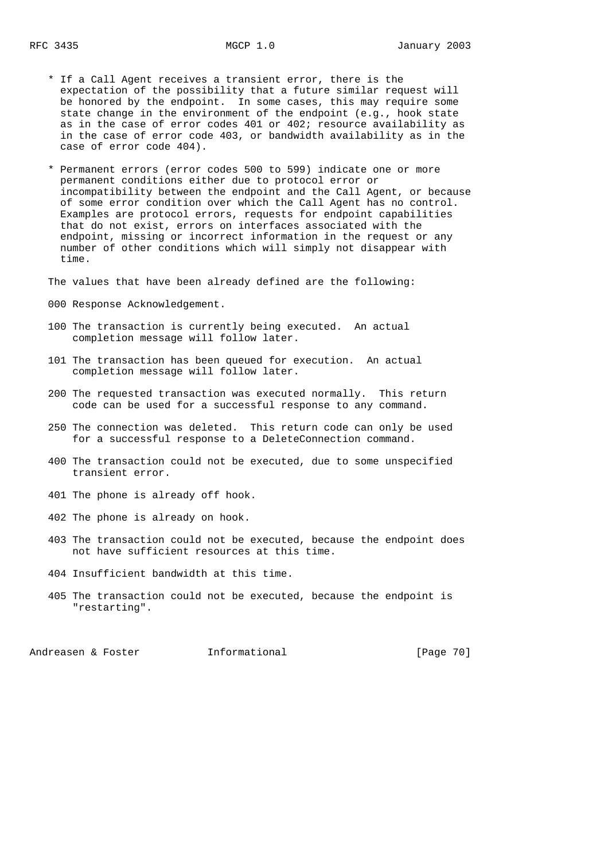- \* If a Call Agent receives a transient error, there is the expectation of the possibility that a future similar request will be honored by the endpoint. In some cases, this may require some state change in the environment of the endpoint (e.g., hook state as in the case of error codes 401 or 402; resource availability as in the case of error code 403, or bandwidth availability as in the case of error code 404).
- \* Permanent errors (error codes 500 to 599) indicate one or more permanent conditions either due to protocol error or incompatibility between the endpoint and the Call Agent, or because of some error condition over which the Call Agent has no control. Examples are protocol errors, requests for endpoint capabilities that do not exist, errors on interfaces associated with the endpoint, missing or incorrect information in the request or any number of other conditions which will simply not disappear with time.

The values that have been already defined are the following:

- 000 Response Acknowledgement.
- 100 The transaction is currently being executed. An actual completion message will follow later.
- 101 The transaction has been queued for execution. An actual completion message will follow later.
- 200 The requested transaction was executed normally. This return code can be used for a successful response to any command.
- 250 The connection was deleted. This return code can only be used for a successful response to a DeleteConnection command.
- 400 The transaction could not be executed, due to some unspecified transient error.
- 401 The phone is already off hook.
- 402 The phone is already on hook.
- 403 The transaction could not be executed, because the endpoint does not have sufficient resources at this time.
- 404 Insufficient bandwidth at this time.
- 405 The transaction could not be executed, because the endpoint is "restarting".

Andreasen & Foster **Informational Informational** [Page 70]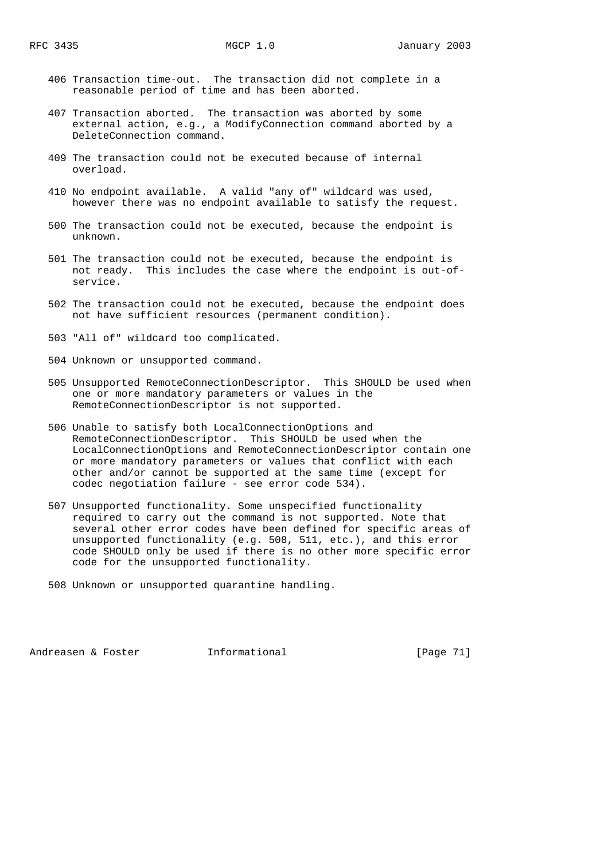- 406 Transaction time-out. The transaction did not complete in a reasonable period of time and has been aborted.
- 407 Transaction aborted. The transaction was aborted by some external action, e.g., a ModifyConnection command aborted by a DeleteConnection command.
	- 409 The transaction could not be executed because of internal overload.
	- 410 No endpoint available. A valid "any of" wildcard was used, however there was no endpoint available to satisfy the request.
	- 500 The transaction could not be executed, because the endpoint is unknown.
	- 501 The transaction could not be executed, because the endpoint is not ready. This includes the case where the endpoint is out-of service.
	- 502 The transaction could not be executed, because the endpoint does not have sufficient resources (permanent condition).
	- 503 "All of" wildcard too complicated.
	- 504 Unknown or unsupported command.
	- 505 Unsupported RemoteConnectionDescriptor. This SHOULD be used when one or more mandatory parameters or values in the RemoteConnectionDescriptor is not supported.
	- 506 Unable to satisfy both LocalConnectionOptions and RemoteConnectionDescriptor. This SHOULD be used when the LocalConnectionOptions and RemoteConnectionDescriptor contain one or more mandatory parameters or values that conflict with each other and/or cannot be supported at the same time (except for codec negotiation failure - see error code 534).
	- 507 Unsupported functionality. Some unspecified functionality required to carry out the command is not supported. Note that several other error codes have been defined for specific areas of unsupported functionality (e.g. 508, 511, etc.), and this error code SHOULD only be used if there is no other more specific error code for the unsupported functionality.
	- 508 Unknown or unsupported quarantine handling.

Andreasen & Foster **Informational Informational** [Page 71]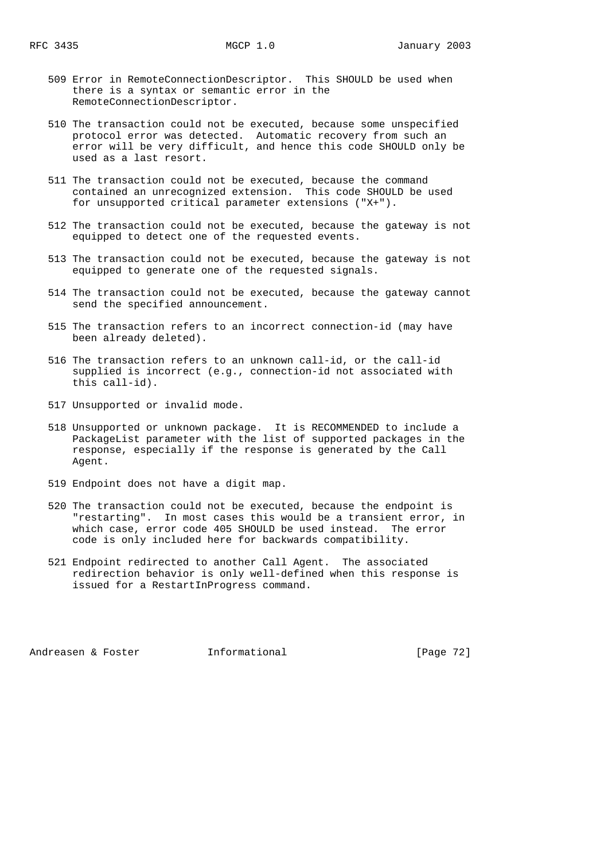- 509 Error in RemoteConnectionDescriptor. This SHOULD be used when there is a syntax or semantic error in the RemoteConnectionDescriptor.
- 510 The transaction could not be executed, because some unspecified protocol error was detected. Automatic recovery from such an error will be very difficult, and hence this code SHOULD only be used as a last resort.
- 511 The transaction could not be executed, because the command contained an unrecognized extension. This code SHOULD be used for unsupported critical parameter extensions ("X+").
- 512 The transaction could not be executed, because the gateway is not equipped to detect one of the requested events.
- 513 The transaction could not be executed, because the gateway is not equipped to generate one of the requested signals.
- 514 The transaction could not be executed, because the gateway cannot send the specified announcement.
- 515 The transaction refers to an incorrect connection-id (may have been already deleted).
- 516 The transaction refers to an unknown call-id, or the call-id supplied is incorrect (e.g., connection-id not associated with this call-id).
- 517 Unsupported or invalid mode.
- 518 Unsupported or unknown package. It is RECOMMENDED to include a PackageList parameter with the list of supported packages in the response, especially if the response is generated by the Call Agent.
- 519 Endpoint does not have a digit map.
- 520 The transaction could not be executed, because the endpoint is "restarting". In most cases this would be a transient error, in which case, error code 405 SHOULD be used instead. The error code is only included here for backwards compatibility.
- 521 Endpoint redirected to another Call Agent. The associated redirection behavior is only well-defined when this response is issued for a RestartInProgress command.

Andreasen & Foster **Informational Informational** [Page 72]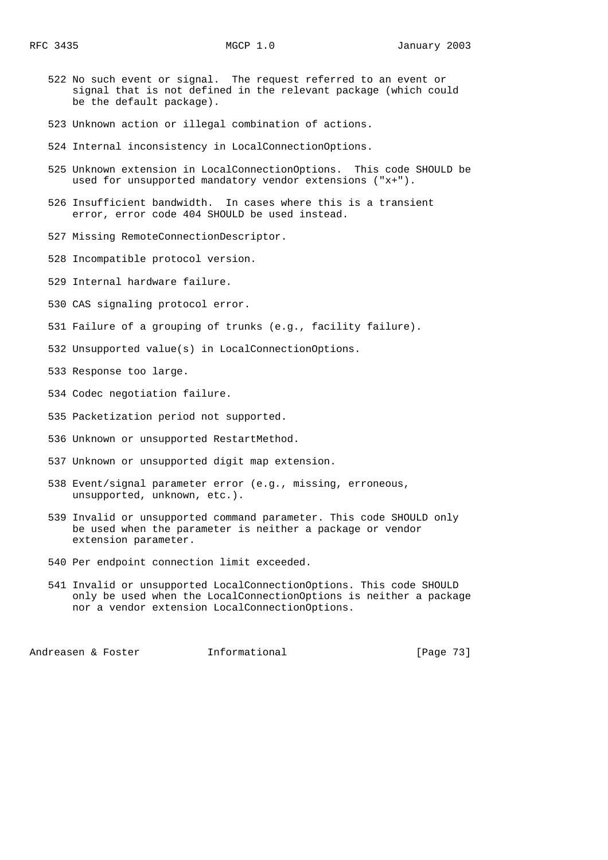- 522 No such event or signal. The request referred to an event or signal that is not defined in the relevant package (which could be the default package).
- 523 Unknown action or illegal combination of actions.
- 524 Internal inconsistency in LocalConnectionOptions.
- 525 Unknown extension in LocalConnectionOptions. This code SHOULD be used for unsupported mandatory vendor extensions ("x+").
- 526 Insufficient bandwidth. In cases where this is a transient error, error code 404 SHOULD be used instead.
- 527 Missing RemoteConnectionDescriptor.
- 528 Incompatible protocol version.
- 529 Internal hardware failure.
- 530 CAS signaling protocol error.
- 531 Failure of a grouping of trunks (e.g., facility failure).
- 532 Unsupported value(s) in LocalConnectionOptions.
- 533 Response too large.
- 534 Codec negotiation failure.
- 535 Packetization period not supported.
- 536 Unknown or unsupported RestartMethod.
- 537 Unknown or unsupported digit map extension.
- 538 Event/signal parameter error (e.g., missing, erroneous, unsupported, unknown, etc.).
- 539 Invalid or unsupported command parameter. This code SHOULD only be used when the parameter is neither a package or vendor extension parameter.
- 540 Per endpoint connection limit exceeded.
- 541 Invalid or unsupported LocalConnectionOptions. This code SHOULD only be used when the LocalConnectionOptions is neither a package nor a vendor extension LocalConnectionOptions.

Andreasen & Foster **Informational** [Page 73]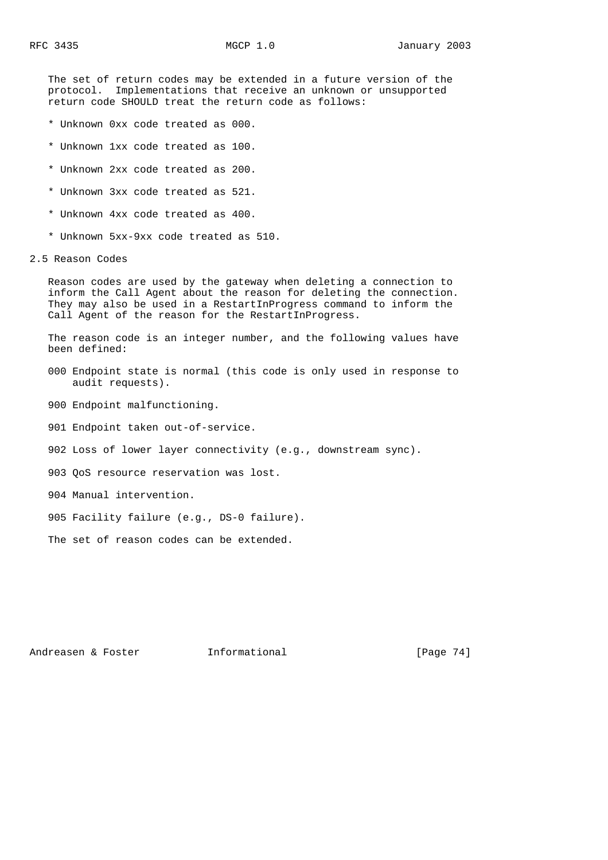The set of return codes may be extended in a future version of the protocol. Implementations that receive an unknown or unsupported return code SHOULD treat the return code as follows:

- \* Unknown 0xx code treated as 000.
- \* Unknown 1xx code treated as 100.
- \* Unknown 2xx code treated as 200.
- \* Unknown 3xx code treated as 521.
- \* Unknown 4xx code treated as 400.
- \* Unknown 5xx-9xx code treated as 510.
- 2.5 Reason Codes

 Reason codes are used by the gateway when deleting a connection to inform the Call Agent about the reason for deleting the connection. They may also be used in a RestartInProgress command to inform the Call Agent of the reason for the RestartInProgress.

 The reason code is an integer number, and the following values have been defined:

- 000 Endpoint state is normal (this code is only used in response to audit requests).
- 900 Endpoint malfunctioning.
- 901 Endpoint taken out-of-service.
- 902 Loss of lower layer connectivity (e.g., downstream sync).
- 903 QoS resource reservation was lost.
- 904 Manual intervention.
- 905 Facility failure (e.g., DS-0 failure).

The set of reason codes can be extended.

Andreasen & Foster **Informational Informational** [Page 74]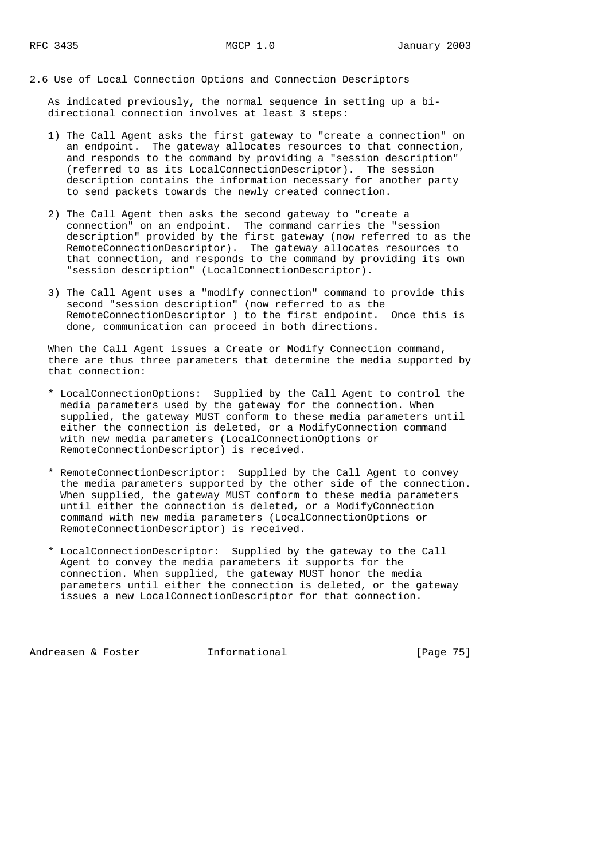2.6 Use of Local Connection Options and Connection Descriptors

 As indicated previously, the normal sequence in setting up a bi directional connection involves at least 3 steps:

- 1) The Call Agent asks the first gateway to "create a connection" on an endpoint. The gateway allocates resources to that connection, and responds to the command by providing a "session description" (referred to as its LocalConnectionDescriptor). The session description contains the information necessary for another party to send packets towards the newly created connection.
- 2) The Call Agent then asks the second gateway to "create a connection" on an endpoint. The command carries the "session description" provided by the first gateway (now referred to as the RemoteConnectionDescriptor). The gateway allocates resources to that connection, and responds to the command by providing its own "session description" (LocalConnectionDescriptor).
- 3) The Call Agent uses a "modify connection" command to provide this second "session description" (now referred to as the RemoteConnectionDescriptor ) to the first endpoint. Once this is done, communication can proceed in both directions.

 When the Call Agent issues a Create or Modify Connection command, there are thus three parameters that determine the media supported by that connection:

- \* LocalConnectionOptions: Supplied by the Call Agent to control the media parameters used by the gateway for the connection. When supplied, the gateway MUST conform to these media parameters until either the connection is deleted, or a ModifyConnection command with new media parameters (LocalConnectionOptions or RemoteConnectionDescriptor) is received.
- \* RemoteConnectionDescriptor: Supplied by the Call Agent to convey the media parameters supported by the other side of the connection. When supplied, the gateway MUST conform to these media parameters until either the connection is deleted, or a ModifyConnection command with new media parameters (LocalConnectionOptions or RemoteConnectionDescriptor) is received.
- \* LocalConnectionDescriptor: Supplied by the gateway to the Call Agent to convey the media parameters it supports for the connection. When supplied, the gateway MUST honor the media parameters until either the connection is deleted, or the gateway issues a new LocalConnectionDescriptor for that connection.

Andreasen & Foster **Informational** [Page 75]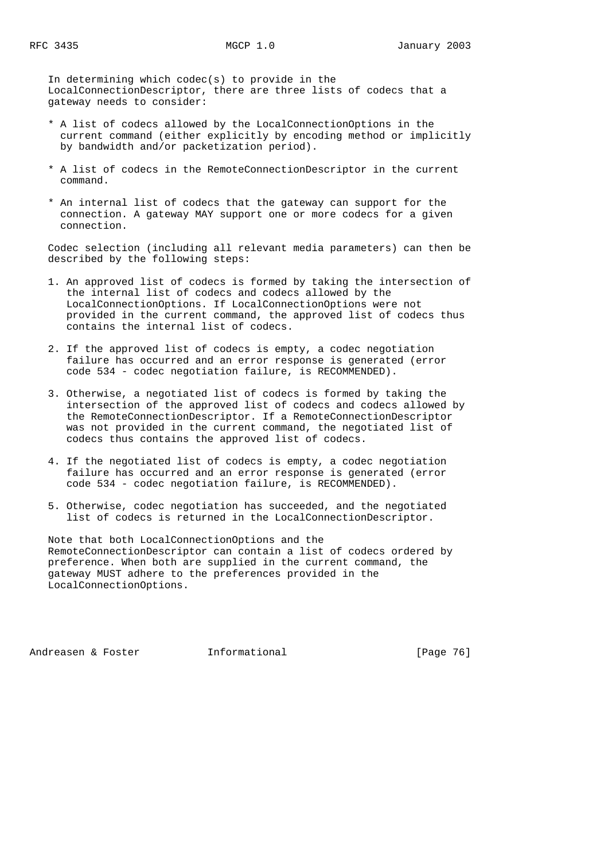In determining which codec(s) to provide in the LocalConnectionDescriptor, there are three lists of codecs that a gateway needs to consider:

- \* A list of codecs allowed by the LocalConnectionOptions in the current command (either explicitly by encoding method or implicitly by bandwidth and/or packetization period).
- \* A list of codecs in the RemoteConnectionDescriptor in the current command.
- \* An internal list of codecs that the gateway can support for the connection. A gateway MAY support one or more codecs for a given connection.

 Codec selection (including all relevant media parameters) can then be described by the following steps:

- 1. An approved list of codecs is formed by taking the intersection of the internal list of codecs and codecs allowed by the LocalConnectionOptions. If LocalConnectionOptions were not provided in the current command, the approved list of codecs thus contains the internal list of codecs.
- 2. If the approved list of codecs is empty, a codec negotiation failure has occurred and an error response is generated (error code 534 - codec negotiation failure, is RECOMMENDED).
- 3. Otherwise, a negotiated list of codecs is formed by taking the intersection of the approved list of codecs and codecs allowed by the RemoteConnectionDescriptor. If a RemoteConnectionDescriptor was not provided in the current command, the negotiated list of codecs thus contains the approved list of codecs.
- 4. If the negotiated list of codecs is empty, a codec negotiation failure has occurred and an error response is generated (error code 534 - codec negotiation failure, is RECOMMENDED).
- 5. Otherwise, codec negotiation has succeeded, and the negotiated list of codecs is returned in the LocalConnectionDescriptor.

 Note that both LocalConnectionOptions and the RemoteConnectionDescriptor can contain a list of codecs ordered by preference. When both are supplied in the current command, the gateway MUST adhere to the preferences provided in the LocalConnectionOptions.

Andreasen & Foster **Informational Informational** [Page 76]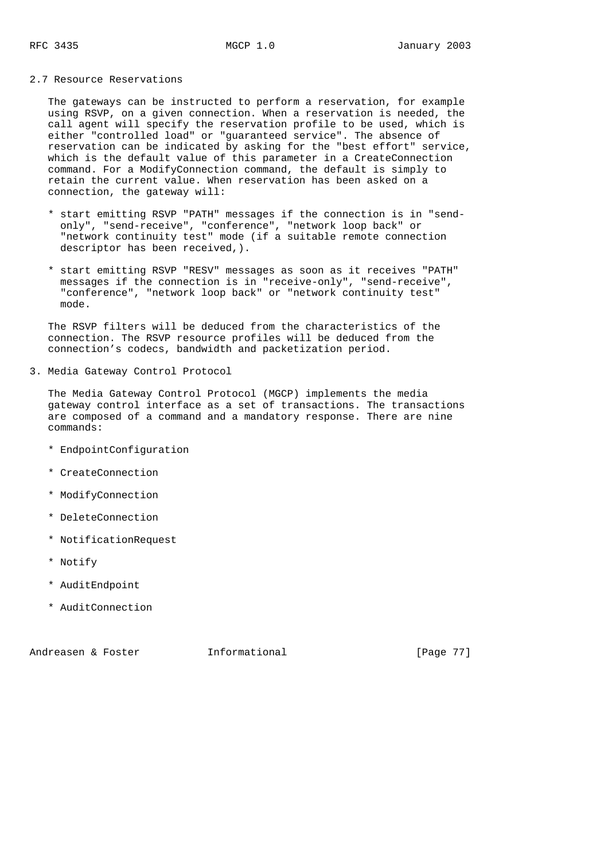## 2.7 Resource Reservations

 The gateways can be instructed to perform a reservation, for example using RSVP, on a given connection. When a reservation is needed, the call agent will specify the reservation profile to be used, which is either "controlled load" or "guaranteed service". The absence of reservation can be indicated by asking for the "best effort" service, which is the default value of this parameter in a CreateConnection command. For a ModifyConnection command, the default is simply to retain the current value. When reservation has been asked on a connection, the gateway will:

- \* start emitting RSVP "PATH" messages if the connection is in "send only", "send-receive", "conference", "network loop back" or "network continuity test" mode (if a suitable remote connection descriptor has been received,).
- \* start emitting RSVP "RESV" messages as soon as it receives "PATH" messages if the connection is in "receive-only", "send-receive", "conference", "network loop back" or "network continuity test" mode.

 The RSVP filters will be deduced from the characteristics of the connection. The RSVP resource profiles will be deduced from the connection's codecs, bandwidth and packetization period.

3. Media Gateway Control Protocol

 The Media Gateway Control Protocol (MGCP) implements the media gateway control interface as a set of transactions. The transactions are composed of a command and a mandatory response. There are nine commands:

- \* EndpointConfiguration
- \* CreateConnection
- \* ModifyConnection
- \* DeleteConnection
- \* NotificationRequest
- \* Notify
- \* AuditEndpoint
- \* AuditConnection

Andreasen & Foster **Informational** [Page 77]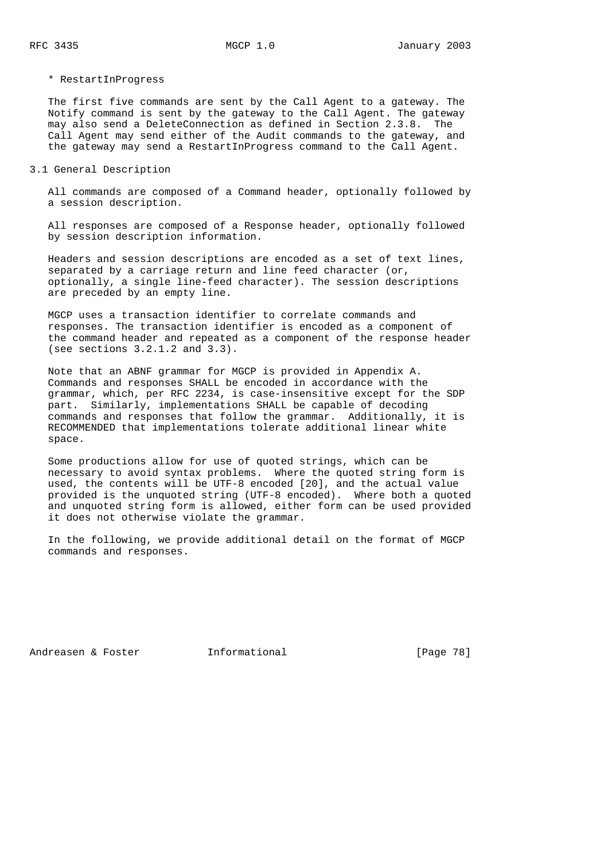\* RestartInProgress

 The first five commands are sent by the Call Agent to a gateway. The Notify command is sent by the gateway to the Call Agent. The gateway may also send a DeleteConnection as defined in Section 2.3.8. The Call Agent may send either of the Audit commands to the gateway, and the gateway may send a RestartInProgress command to the Call Agent.

### 3.1 General Description

 All commands are composed of a Command header, optionally followed by a session description.

 All responses are composed of a Response header, optionally followed by session description information.

 Headers and session descriptions are encoded as a set of text lines, separated by a carriage return and line feed character (or, optionally, a single line-feed character). The session descriptions are preceded by an empty line.

 MGCP uses a transaction identifier to correlate commands and responses. The transaction identifier is encoded as a component of the command header and repeated as a component of the response header (see sections 3.2.1.2 and 3.3).

 Note that an ABNF grammar for MGCP is provided in Appendix A. Commands and responses SHALL be encoded in accordance with the grammar, which, per RFC 2234, is case-insensitive except for the SDP part. Similarly, implementations SHALL be capable of decoding commands and responses that follow the grammar. Additionally, it is RECOMMENDED that implementations tolerate additional linear white space.

 Some productions allow for use of quoted strings, which can be necessary to avoid syntax problems. Where the quoted string form is used, the contents will be UTF-8 encoded [20], and the actual value provided is the unquoted string (UTF-8 encoded). Where both a quoted and unquoted string form is allowed, either form can be used provided it does not otherwise violate the grammar.

 In the following, we provide additional detail on the format of MGCP commands and responses.

Andreasen & Foster **Informational** [Page 78]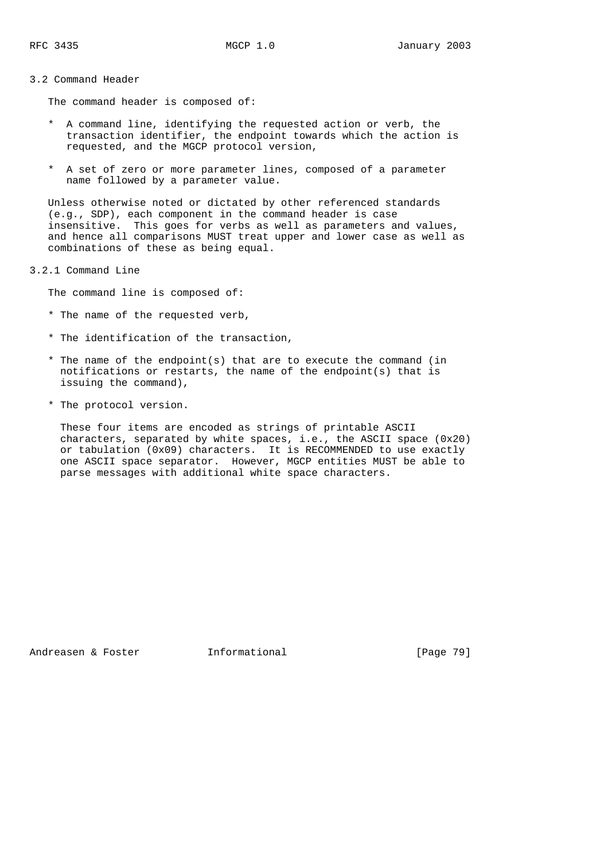### 3.2 Command Header

The command header is composed of:

- \* A command line, identifying the requested action or verb, the transaction identifier, the endpoint towards which the action is requested, and the MGCP protocol version,
- \* A set of zero or more parameter lines, composed of a parameter name followed by a parameter value.

 Unless otherwise noted or dictated by other referenced standards (e.g., SDP), each component in the command header is case insensitive. This goes for verbs as well as parameters and values, and hence all comparisons MUST treat upper and lower case as well as combinations of these as being equal.

3.2.1 Command Line

The command line is composed of:

- \* The name of the requested verb,
- \* The identification of the transaction,
- \* The name of the endpoint(s) that are to execute the command (in notifications or restarts, the name of the endpoint(s) that is issuing the command),
- \* The protocol version.

 These four items are encoded as strings of printable ASCII characters, separated by white spaces, i.e., the ASCII space (0x20) or tabulation (0x09) characters. It is RECOMMENDED to use exactly one ASCII space separator. However, MGCP entities MUST be able to parse messages with additional white space characters.

Andreasen & Foster **Informational** [Page 79]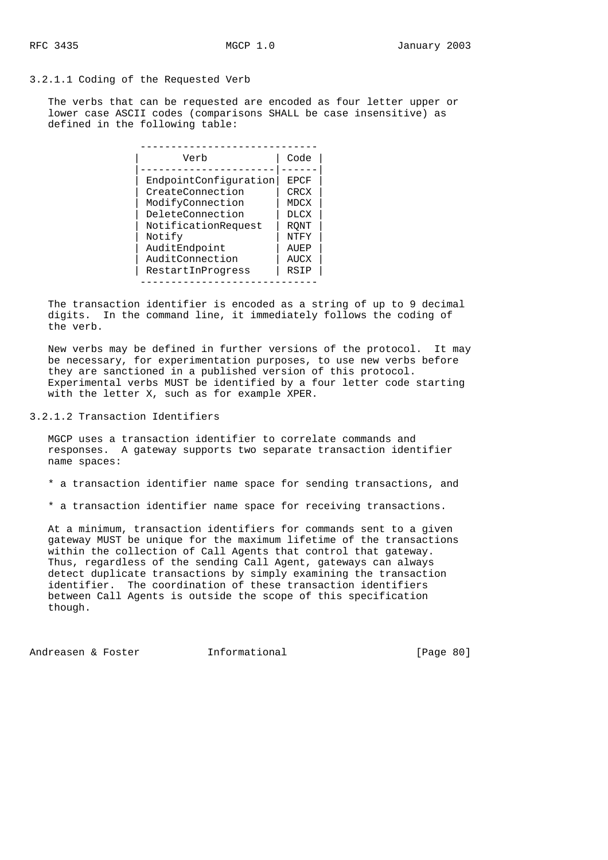3.2.1.1 Coding of the Requested Verb

 The verbs that can be requested are encoded as four letter upper or lower case ASCII codes (comparisons SHALL be case insensitive) as defined in the following table:

| Verb                  | Code        |
|-----------------------|-------------|
|                       |             |
| EndpointConfiguration | <b>EPCF</b> |
| CreateConnection      | CRCX        |
| ModifyConnection      | MDCX        |
| DeleteConnection      | <b>DLCX</b> |
| NotificationRequest   | <b>RONT</b> |
| Notify                | NTFY        |
| AuditEndpoint         | AUEP        |
| AuditConnection       | AUCX        |
| RestartInProgress     | RSIP        |

 The transaction identifier is encoded as a string of up to 9 decimal digits. In the command line, it immediately follows the coding of the verb.

 New verbs may be defined in further versions of the protocol. It may be necessary, for experimentation purposes, to use new verbs before they are sanctioned in a published version of this protocol. Experimental verbs MUST be identified by a four letter code starting with the letter X, such as for example XPER.

3.2.1.2 Transaction Identifiers

 MGCP uses a transaction identifier to correlate commands and responses. A gateway supports two separate transaction identifier name spaces:

- \* a transaction identifier name space for sending transactions, and
- \* a transaction identifier name space for receiving transactions.

 At a minimum, transaction identifiers for commands sent to a given gateway MUST be unique for the maximum lifetime of the transactions within the collection of Call Agents that control that gateway. Thus, regardless of the sending Call Agent, gateways can always detect duplicate transactions by simply examining the transaction identifier. The coordination of these transaction identifiers between Call Agents is outside the scope of this specification though.

Andreasen & Foster **Informational** [Page 80]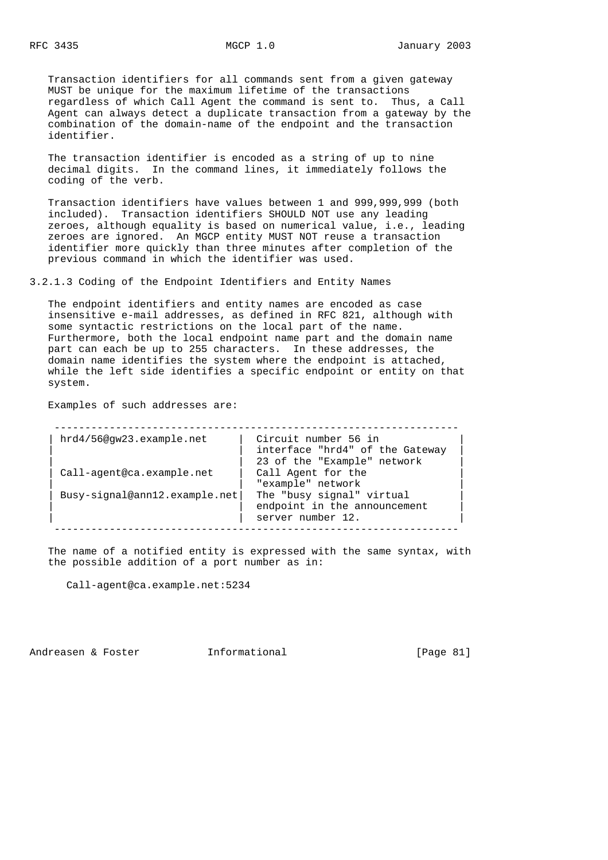Transaction identifiers for all commands sent from a given gateway MUST be unique for the maximum lifetime of the transactions regardless of which Call Agent the command is sent to. Thus, a Call Agent can always detect a duplicate transaction from a gateway by the combination of the domain-name of the endpoint and the transaction identifier.

 The transaction identifier is encoded as a string of up to nine decimal digits. In the command lines, it immediately follows the coding of the verb.

 Transaction identifiers have values between 1 and 999,999,999 (both included). Transaction identifiers SHOULD NOT use any leading zeroes, although equality is based on numerical value, i.e., leading zeroes are ignored. An MGCP entity MUST NOT reuse a transaction identifier more quickly than three minutes after completion of the previous command in which the identifier was used.

3.2.1.3 Coding of the Endpoint Identifiers and Entity Names

 The endpoint identifiers and entity names are encoded as case insensitive e-mail addresses, as defined in RFC 821, although with some syntactic restrictions on the local part of the name. Furthermore, both the local endpoint name part and the domain name part can each be up to 255 characters. In these addresses, the domain name identifies the system where the endpoint is attached, while the left side identifies a specific endpoint or entity on that system.

Examples of such addresses are:

| hrd4/56@gw23.example.net      | Circuit number 56 in            |
|-------------------------------|---------------------------------|
|                               | interface "hrd4" of the Gateway |
|                               | 23 of the "Example" network     |
| Call-agent@ca.example.net     | Call Agent for the              |
|                               | "example" network               |
| Busy-signal@ann12.example.net | The "busy signal" virtual       |
|                               | endpoint in the announcement    |
|                               | server number 12.               |

 The name of a notified entity is expressed with the same syntax, with the possible addition of a port number as in:

Call-agent@ca.example.net:5234

Andreasen & Foster **Informational** [Page 81]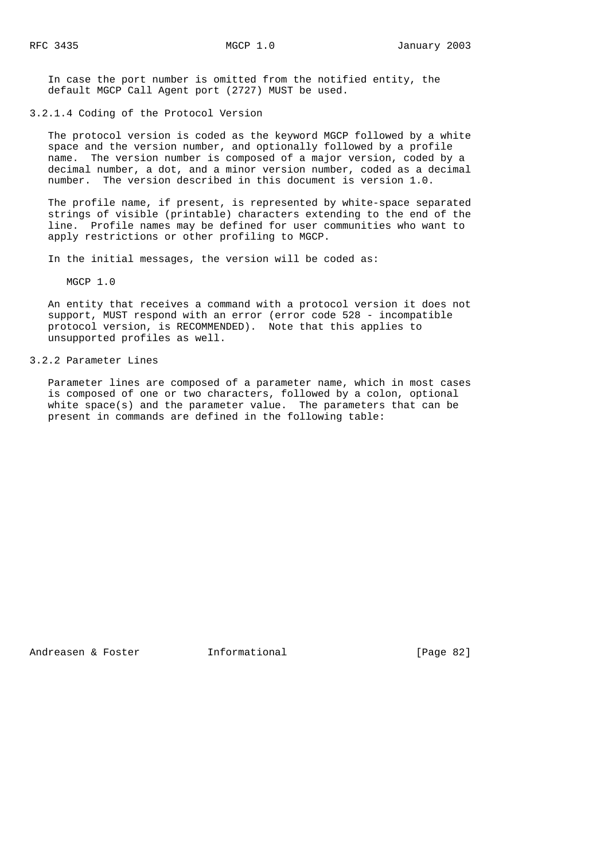In case the port number is omitted from the notified entity, the default MGCP Call Agent port (2727) MUST be used.

3.2.1.4 Coding of the Protocol Version

 The protocol version is coded as the keyword MGCP followed by a white space and the version number, and optionally followed by a profile name. The version number is composed of a major version, coded by a decimal number, a dot, and a minor version number, coded as a decimal number. The version described in this document is version 1.0.

 The profile name, if present, is represented by white-space separated strings of visible (printable) characters extending to the end of the line. Profile names may be defined for user communities who want to apply restrictions or other profiling to MGCP.

In the initial messages, the version will be coded as:

MGCP 1.0

 An entity that receives a command with a protocol version it does not support, MUST respond with an error (error code 528 - incompatible protocol version, is RECOMMENDED). Note that this applies to unsupported profiles as well.

### 3.2.2 Parameter Lines

 Parameter lines are composed of a parameter name, which in most cases is composed of one or two characters, followed by a colon, optional white space(s) and the parameter value. The parameters that can be present in commands are defined in the following table:

Andreasen & Foster **Informational** [Page 82]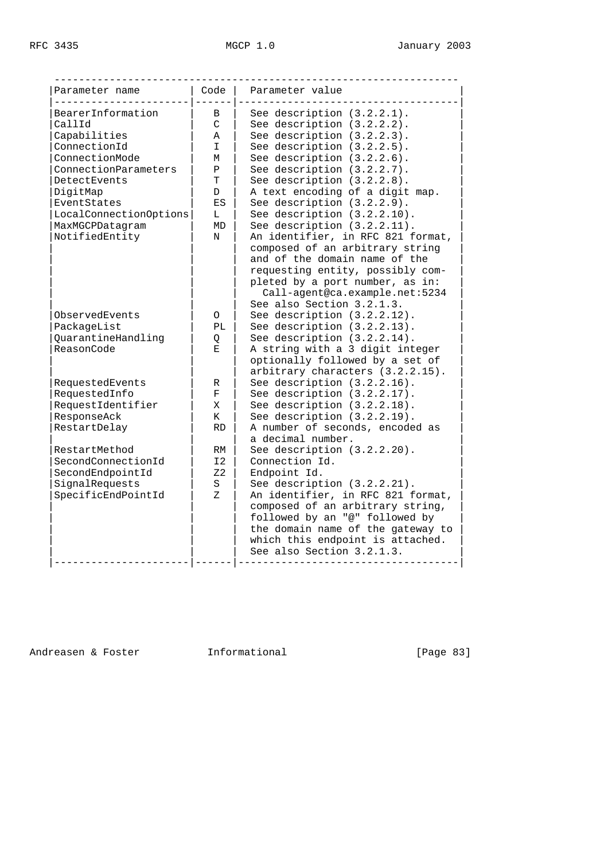| Parameter name         | Code            | Parameter value                   |
|------------------------|-----------------|-----------------------------------|
| BearerInformation      | B               | See description $(3.2.2.1)$ .     |
| CallId                 | $\mathcal{C}$   | See description (3.2.2.2).        |
| Capabilities           | A               | See description $(3.2.2.3)$ .     |
| ConnectionId           | T.              | See description $(3.2.2.5)$ .     |
| ConnectionMode         | М               | See description (3.2.2.6).        |
| ConnectionParameters   | P               | See description (3.2.2.7).        |
| DetectEvents           | T.              | See description (3.2.2.8).        |
| DigitMap               | D               | A text encoding of a digit map.   |
| EventStates            | ES              | See description (3.2.2.9).        |
| LocalConnectionOptions | L               | See description (3.2.2.10).       |
| MaxMGCPDatagram        | MD              | See description $(3.2.2.11)$ .    |
| NotifiedEntity         | N               | An identifier, in RFC 821 format, |
|                        |                 | composed of an arbitrary string   |
|                        |                 | and of the domain name of the     |
|                        |                 | requesting entity, possibly com-  |
|                        |                 |                                   |
|                        |                 | pleted by a port number, as in:   |
|                        |                 | Call-agent@ca.example.net:5234    |
|                        |                 | See also Section 3.2.1.3.         |
| ObservedEvents         | O               | See description (3.2.2.12).       |
| PackageList            | PT <sub>1</sub> | See description (3.2.2.13).       |
| QuarantineHandling     | Q               | See description (3.2.2.14).       |
| ReasonCode             | E.              | A string with a 3 digit integer   |
|                        |                 | optionally followed by a set of   |
|                        |                 | arbitrary characters (3.2.2.15).  |
| RequestedEvents        | R               | See description (3.2.2.16).       |
| RequestedInfo          | $\mathbf F$     | See description (3.2.2.17).       |
| RequestIdentifier      | Χ               | See description $(3.2.2.18)$ .    |
| ResponseAck            | K               | See description (3.2.2.19).       |
| RestartDelay           | <b>RD</b>       | A number of seconds, encoded as   |
|                        |                 | a decimal number.                 |
| RestartMethod          | RM              | See description (3.2.2.20).       |
| SecondConnectionId     | I2              | Connection Id.                    |
| SecondEndpointId       | Z <sub>2</sub>  | Endpoint Id.                      |
| SignalRequests         | S               | See description (3.2.2.21).       |
| SpecificEndPointId     | Z.              | An identifier, in RFC 821 format, |
|                        |                 | composed of an arbitrary string,  |
|                        |                 | followed by an "@" followed by    |
|                        |                 | the domain name of the gateway to |
|                        |                 | which this endpoint is attached.  |
|                        |                 | See also Section 3.2.1.3.         |

Andreasen & Foster **Informational** 111 (Page 83)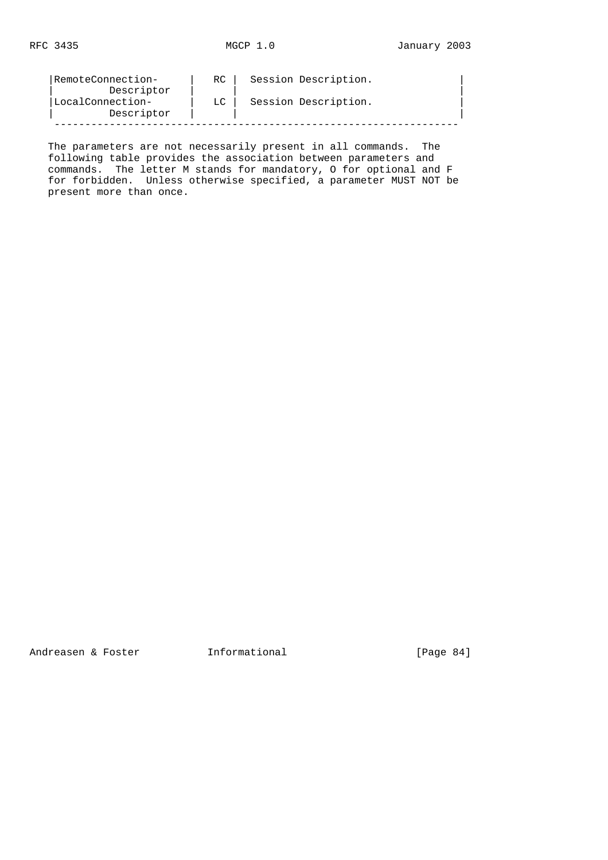| RemoteConnection- | RC. | Session Description. |
|-------------------|-----|----------------------|
| Descriptor        |     |                      |
| LocalConnection-  | LC. | Session Description. |
| Descriptor        |     |                      |
|                   |     |                      |

 The parameters are not necessarily present in all commands. The following table provides the association between parameters and commands. The letter M stands for mandatory, O for optional and F for forbidden. Unless otherwise specified, a parameter MUST NOT be present more than once.

Andreasen & Foster **Informational** [Page 84]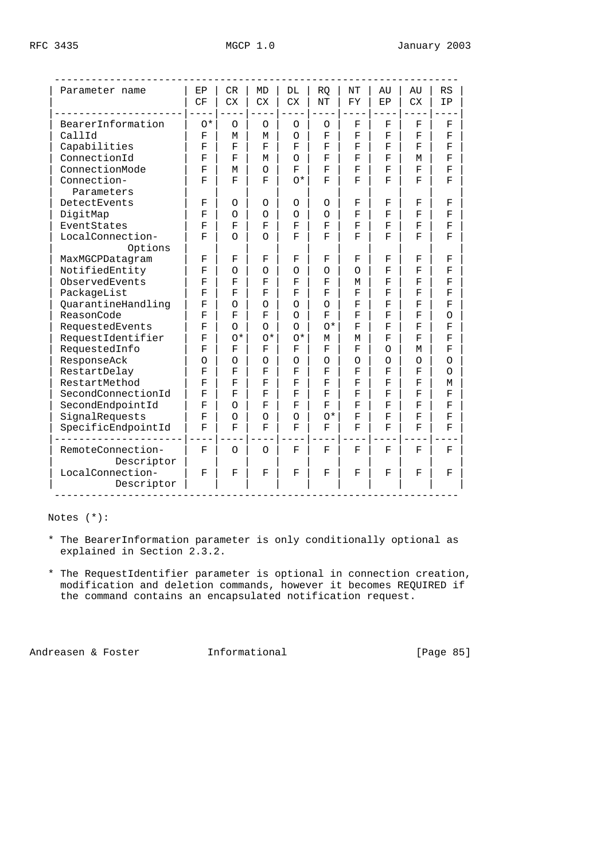| Parameter name                  | EP                 | CR        | <b>MD</b>            | DL          | <b>RO</b>          | NT | AU                 | AU        | RS                 |
|---------------------------------|--------------------|-----------|----------------------|-------------|--------------------|----|--------------------|-----------|--------------------|
|                                 | CF                 | <b>CX</b> | <b>CX</b>            | <b>CX</b>   | NΤ                 | FY | EP                 | <b>CX</b> | ΙP                 |
| BearerInformation               | $0*$               | $\circ$   | $\circ$              | O           | $\circ$            | F  | F                  | F         | F                  |
| CallId                          | F                  | М         | М                    | $\Omega$    | F                  | F  | F                  | F         | F                  |
| Capabilities                    | F                  | F         | F                    | F           | F                  | F  | F                  | F         | F                  |
| ConnectionId                    | F                  | F         | М                    | $\Omega$    | F                  | F  | F                  | М         | F                  |
| ConnectionMode                  | F                  | М         | $\Omega$             | F           | F                  | F  | F                  | F         | F                  |
| Connection-<br>Parameters       | F                  | F         | F                    | $^{\wedge}$ | F                  | F  | F                  | F         | F                  |
| DetectEvents                    | F                  | $\Omega$  | O                    | $\Omega$    | $\Omega$           | F  | F                  | F         | F                  |
| DigitMap                        | F                  | $\Omega$  | $\circ$              | $\Omega$    | $\Omega$           | F  | F                  | F         | F                  |
| EventStates                     | F                  | F         | F                    | F           | F                  | F  | F                  | F         | F                  |
| LocalConnection-<br>Options     | F                  | $\Omega$  | $\Omega$             | F           | F                  | F  | F                  | F         | F                  |
| MaxMGCPDatagram                 | F                  | F         | $\mathbf F$          | F           | F                  | F  | F                  | F         | F                  |
| NotifiedEntity                  | F                  | $\Omega$  | $\Omega$             | O           | $\Omega$           | Ο  | F                  | F         | F                  |
| ObservedEvents                  | F                  | F         | F                    | F           | $\mathbf{F}% _{0}$ | М  | F                  | F         | F                  |
| PackageList                     | F                  | F         | F                    | F           | F                  | F  | F                  | F         | F                  |
| QuarantineHandling              | F                  | $\Omega$  | $\Omega$             | O           | $\Omega$           | F  | F                  | F         | $\mathbf{F}% _{0}$ |
| ReasonCode                      | F                  | F         | F                    | $\Omega$    | F                  | F  | F                  | F         | $\Omega$           |
| RequestedEvents                 | $\mathbf F$        | $\Omega$  | $\Omega$             | O           | $O^*$              | F  | F                  | F         | F                  |
| RequestIdentifier               | F                  | $0*$      | $\circlearrowleft^*$ | $0*$        | М                  | М  | F                  | F         | $\mathbf F$        |
| RequestedInfo                   | $\mathbf{F}% _{0}$ | F         | F                    | F           | $\mathbf F$        | F  | $\Omega$           | М         | F                  |
| ResponseAck                     | $\circ$            | $\Omega$  | O                    | O           | $\Omega$           | O  | Ο                  | O         | O                  |
| RestartDelay                    | F                  | F         | $\mathbf F$          | F           | F                  | F  | F                  | F         | O                  |
| RestartMethod                   | F                  | F         | F                    | F           | F                  | F  | $\mathbf{F}% _{0}$ | F         | M                  |
| SecondConnectionId              | F                  | F         | $\mathbf F$          | F           | F                  | F  | $\mathbf F$        | F         | F                  |
| SecondEndpointId                | F                  | $\Omega$  | F                    | F           | F                  | F  | F                  | F         | F                  |
| SignalRequests                  | F                  | $\Omega$  | $\Omega$             | $\Omega$    | $0*$               | F  | F                  | F         | $\mathbf{F}% _{0}$ |
| SpecificEndpointId              | F                  | F         | F                    | F           | F                  | F  | F                  | F         | $\mathbf F$        |
| RemoteConnection-<br>Descriptor | F                  | $\Omega$  | $\Omega$             | F           | F                  | F  | F                  | F         | F                  |
| LocalConnection-<br>Descriptor  | F                  | F         | F                    | F           | F                  | F  | F                  | F         | F                  |

Notes (\*):

- \* The BearerInformation parameter is only conditionally optional as explained in Section 2.3.2.
- \* The RequestIdentifier parameter is optional in connection creation, modification and deletion commands, however it becomes REQUIRED if the command contains an encapsulated notification request.

Andreasen & Foster **Informational** [Page 85]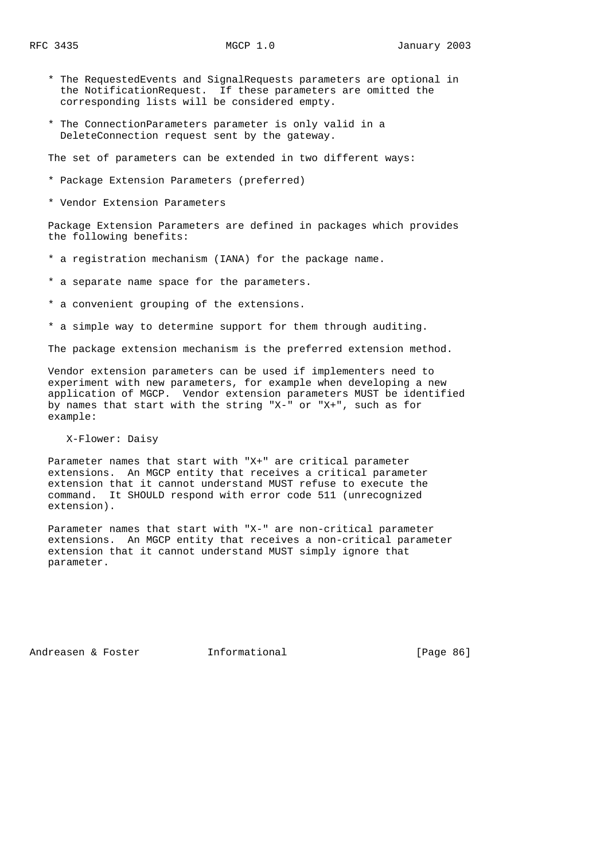- \* The RequestedEvents and SignalRequests parameters are optional in the NotificationRequest. If these parameters are omitted the corresponding lists will be considered empty.
- \* The ConnectionParameters parameter is only valid in a DeleteConnection request sent by the gateway.

The set of parameters can be extended in two different ways:

- \* Package Extension Parameters (preferred)
- \* Vendor Extension Parameters

 Package Extension Parameters are defined in packages which provides the following benefits:

- \* a registration mechanism (IANA) for the package name.
- \* a separate name space for the parameters.
- \* a convenient grouping of the extensions.
- \* a simple way to determine support for them through auditing.

The package extension mechanism is the preferred extension method.

 Vendor extension parameters can be used if implementers need to experiment with new parameters, for example when developing a new application of MGCP. Vendor extension parameters MUST be identified by names that start with the string "X-" or "X+", such as for example:

X-Flower: Daisy

 Parameter names that start with "X+" are critical parameter extensions. An MGCP entity that receives a critical parameter extension that it cannot understand MUST refuse to execute the command. It SHOULD respond with error code 511 (unrecognized extension).

 Parameter names that start with "X-" are non-critical parameter extensions. An MGCP entity that receives a non-critical parameter extension that it cannot understand MUST simply ignore that parameter.

Andreasen & Foster **Informational Informational** [Page 86]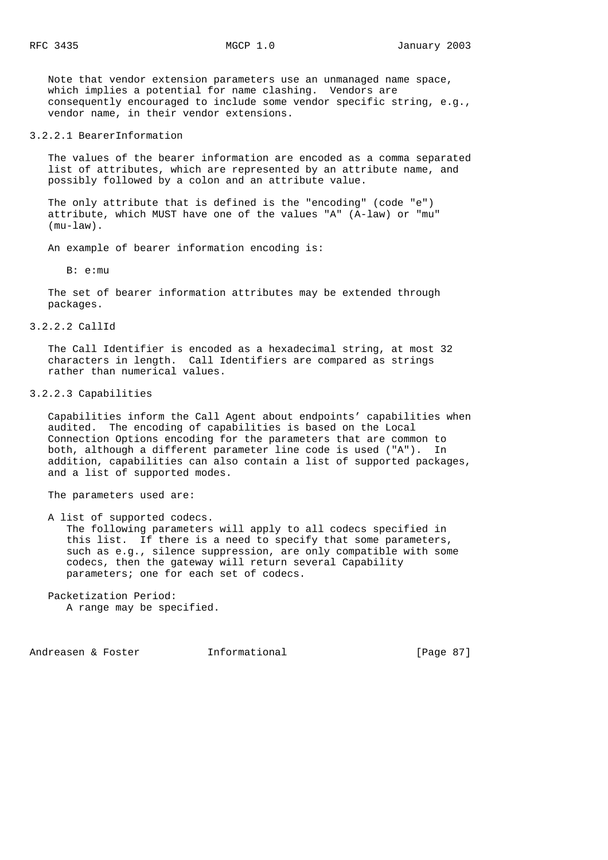Note that vendor extension parameters use an unmanaged name space, which implies a potential for name clashing. Vendors are consequently encouraged to include some vendor specific string, e.g., vendor name, in their vendor extensions.

### 3.2.2.1 BearerInformation

 The values of the bearer information are encoded as a comma separated list of attributes, which are represented by an attribute name, and possibly followed by a colon and an attribute value.

 The only attribute that is defined is the "encoding" (code "e") attribute, which MUST have one of the values "A" (A-law) or "mu" (mu-law).

An example of bearer information encoding is:

 $B: e:mm$ 

 The set of bearer information attributes may be extended through packages.

### 3.2.2.2 CallId

 The Call Identifier is encoded as a hexadecimal string, at most 32 characters in length. Call Identifiers are compared as strings rather than numerical values.

### 3.2.2.3 Capabilities

 Capabilities inform the Call Agent about endpoints' capabilities when audited. The encoding of capabilities is based on the Local Connection Options encoding for the parameters that are common to both, although a different parameter line code is used ("A"). In addition, capabilities can also contain a list of supported packages, and a list of supported modes.

The parameters used are:

A list of supported codecs.

 The following parameters will apply to all codecs specified in this list. If there is a need to specify that some parameters, such as e.g., silence suppression, are only compatible with some codecs, then the gateway will return several Capability parameters; one for each set of codecs.

 Packetization Period: A range may be specified.

Andreasen & Foster **Informational** [Page 87]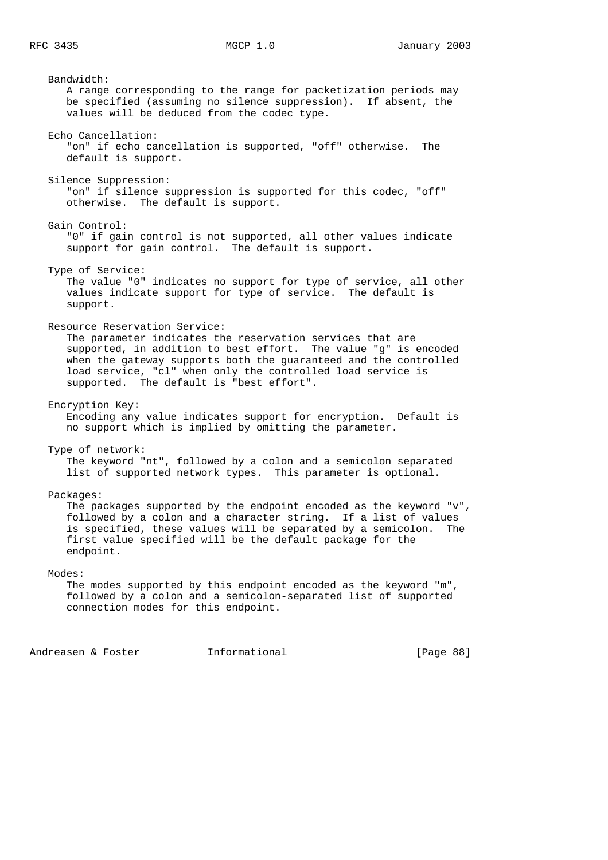Bandwidth: A range corresponding to the range for packetization periods may be specified (assuming no silence suppression). If absent, the values will be deduced from the codec type. Echo Cancellation: "on" if echo cancellation is supported, "off" otherwise. The default is support. Silence Suppression: "on" if silence suppression is supported for this codec, "off" otherwise. The default is support. Gain Control: "0" if gain control is not supported, all other values indicate support for gain control. The default is support. Type of Service: The value "0" indicates no support for type of service, all other values indicate support for type of service. The default is support. Resource Reservation Service: The parameter indicates the reservation services that are supported, in addition to best effort. The value "g" is encoded when the gateway supports both the guaranteed and the controlled load service, "cl" when only the controlled load service is supported. The default is "best effort". Encryption Key: Encoding any value indicates support for encryption. Default is no support which is implied by omitting the parameter. Type of network: The keyword "nt", followed by a colon and a semicolon separated list of supported network types. This parameter is optional. Packages: The packages supported by the endpoint encoded as the keyword "v", followed by a colon and a character string. If a list of values is specified, these values will be separated by a semicolon. The first value specified will be the default package for the endpoint. Modes: The modes supported by this endpoint encoded as the keyword "m", followed by a colon and a semicolon-separated list of supported connection modes for this endpoint.

Andreasen & Foster **Informational Informational** [Page 88]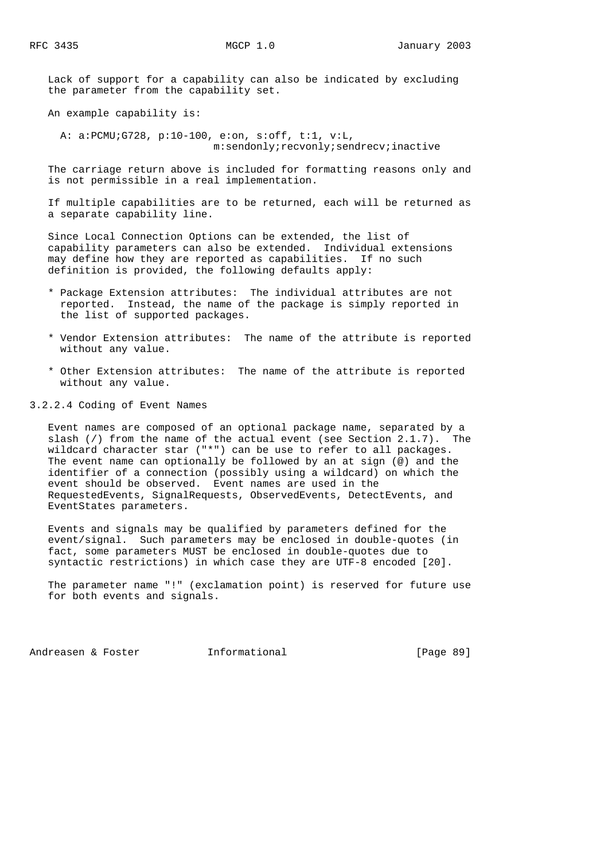Lack of support for a capability can also be indicated by excluding the parameter from the capability set.

An example capability is:

 A: a:PCMU;G728, p:10-100, e:on, s:off, t:1, v:L, m:sendonly;recvonly;sendrecv;inactive

 The carriage return above is included for formatting reasons only and is not permissible in a real implementation.

 If multiple capabilities are to be returned, each will be returned as a separate capability line.

 Since Local Connection Options can be extended, the list of capability parameters can also be extended. Individual extensions may define how they are reported as capabilities. If no such definition is provided, the following defaults apply:

- \* Package Extension attributes: The individual attributes are not reported. Instead, the name of the package is simply reported in the list of supported packages.
- \* Vendor Extension attributes: The name of the attribute is reported without any value.
- \* Other Extension attributes: The name of the attribute is reported without any value.

3.2.2.4 Coding of Event Names

 Event names are composed of an optional package name, separated by a slash (/) from the name of the actual event (see Section 2.1.7). The wildcard character star ("\*") can be use to refer to all packages. The event name can optionally be followed by an at sign (@) and the identifier of a connection (possibly using a wildcard) on which the event should be observed. Event names are used in the RequestedEvents, SignalRequests, ObservedEvents, DetectEvents, and EventStates parameters.

 Events and signals may be qualified by parameters defined for the event/signal. Such parameters may be enclosed in double-quotes (in fact, some parameters MUST be enclosed in double-quotes due to syntactic restrictions) in which case they are UTF-8 encoded [20].

 The parameter name "!" (exclamation point) is reserved for future use for both events and signals.

Andreasen & Foster **Informational** [Page 89]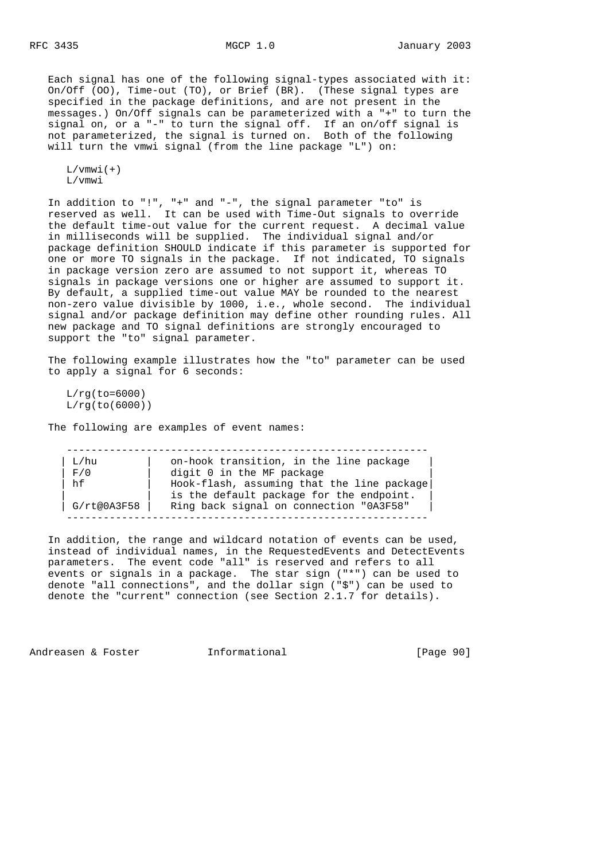Each signal has one of the following signal-types associated with it: On/Off (OO), Time-out (TO), or Brief (BR). (These signal types are specified in the package definitions, and are not present in the messages.) On/Off signals can be parameterized with a "+" to turn the signal on, or a "-" to turn the signal off. If an on/off signal is not parameterized, the signal is turned on. Both of the following will turn the vmwi signal (from the line package "L") on:

 $L/\text{vmw}i(+)$ L/vmwi

 In addition to "!", "+" and "-", the signal parameter "to" is reserved as well. It can be used with Time-Out signals to override the default time-out value for the current request. A decimal value in milliseconds will be supplied. The individual signal and/or package definition SHOULD indicate if this parameter is supported for one or more TO signals in the package. If not indicated, TO signals in package version zero are assumed to not support it, whereas TO signals in package versions one or higher are assumed to support it. By default, a supplied time-out value MAY be rounded to the nearest non-zero value divisible by 1000, i.e., whole second. The individual signal and/or package definition may define other rounding rules. All new package and TO signal definitions are strongly encouraged to support the "to" signal parameter.

 The following example illustrates how the "to" parameter can be used to apply a signal for 6 seconds:

 $L/rg(to=6000)$  $L/rq(to(6000))$ 

The following are examples of event names:

| L/hu        | on-hook transition, in the line package    |
|-------------|--------------------------------------------|
| F/0         | digit 0 in the MF package                  |
| hf          | Hook-flash, assuming that the line package |
|             | is the default package for the endpoint.   |
| G/rt@0A3F58 | Ring back signal on connection "0A3F58"    |

 In addition, the range and wildcard notation of events can be used, instead of individual names, in the RequestedEvents and DetectEvents parameters. The event code "all" is reserved and refers to all events or signals in a package. The star sign ("\*") can be used to denote "all connections", and the dollar sign ("\$") can be used to denote the "current" connection (see Section 2.1.7 for details).

Andreasen & Foster **Informational** [Page 90]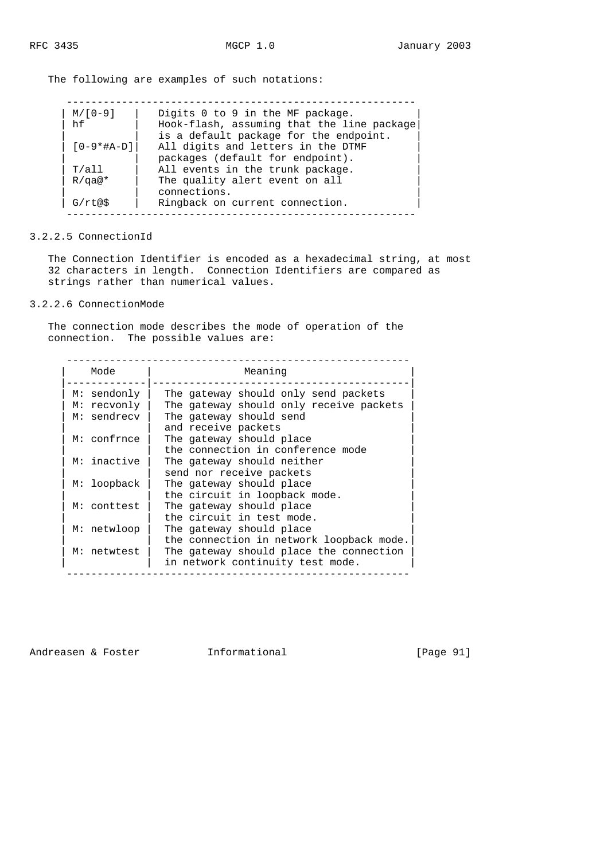The following are examples of such notations:

| $M/[0-9]$    | Digits 0 to 9 in the MF package.           |
|--------------|--------------------------------------------|
| hf           | Hook-flash, assuming that the line package |
|              | is a default package for the endpoint.     |
| $[0-9*#A-D]$ | All digits and letters in the DTMF         |
|              | packages (default for endpoint).           |
| T/a11        | All events in the trunk package.           |
| $R/qa@*$     | The quality alert event on all             |
|              | connections.                               |
| G/rt@\$      | Ringback on current connection.            |

3.2.2.5 ConnectionId

 The Connection Identifier is encoded as a hexadecimal string, at most 32 characters in length. Connection Identifiers are compared as strings rather than numerical values.

## 3.2.2.6 ConnectionMode

 The connection mode describes the mode of operation of the connection. The possible values are:

| Mode        | Meaning                                  |
|-------------|------------------------------------------|
| M: sendonly | The gateway should only send packets     |
| M: recvonly | The gateway should only receive packets  |
| M: sendrecv | The gateway should send                  |
|             | and receive packets                      |
| M: confrnce | The gateway should place                 |
|             | the connection in conference mode        |
| M: inactive | The gateway should neither               |
|             | send nor receive packets                 |
| M: loopback | The gateway should place                 |
|             | the circuit in loopback mode.            |
| M: conttest | The gateway should place                 |
|             | the circuit in test mode.                |
| M: netwloop | The gateway should place                 |
|             | the connection in network loopback mode. |
| M: netwtest | The gateway should place the connection  |
|             | in network continuity test mode.         |

Andreasen & Foster **Informational** [Page 91]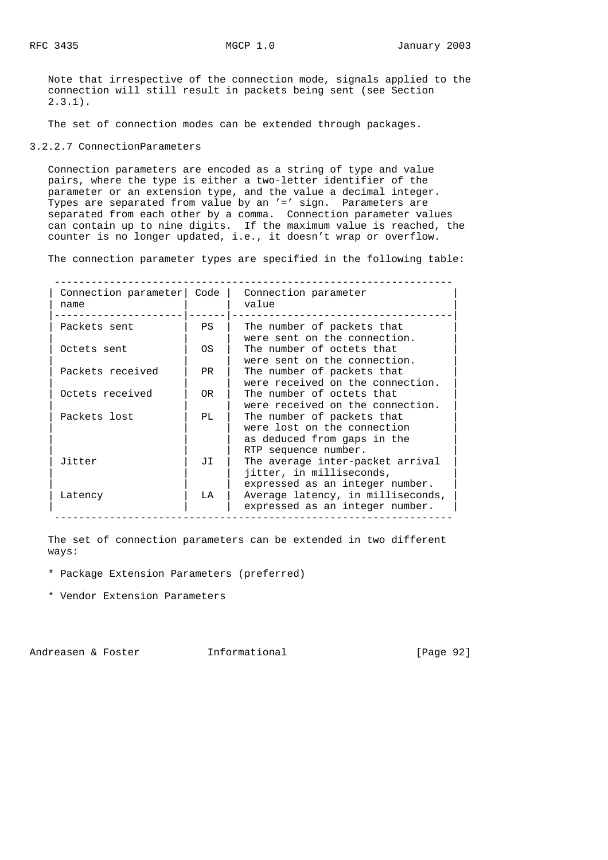Note that irrespective of the connection mode, signals applied to the connection will still result in packets being sent (see Section  $2.3.1$ .

The set of connection modes can be extended through packages.

### 3.2.2.7 ConnectionParameters

 Connection parameters are encoded as a string of type and value pairs, where the type is either a two-letter identifier of the parameter or an extension type, and the value a decimal integer. Types are separated from value by an '=' sign. Parameters are separated from each other by a comma. Connection parameter values can contain up to nine digits. If the maximum value is reached, the counter is no longer updated, i.e., it doesn't wrap or overflow.

The connection parameter types are specified in the following table:

-----------------------------------------------------------------

| Connection parameter<br>name | Code | Connection parameter<br>value                                                                                    |
|------------------------------|------|------------------------------------------------------------------------------------------------------------------|
| Packets sent                 | PS.  | The number of packets that<br>were sent on the connection.                                                       |
| Octets sent                  | OS.  | The number of octets that<br>were sent on the connection.                                                        |
| Packets received             | PR.  | The number of packets that<br>were received on the connection.                                                   |
| Octets received              | OR.  | The number of octets that<br>were received on the connection.                                                    |
| Packets lost                 | PL   | The number of packets that<br>were lost on the connection<br>as deduced from gaps in the<br>RTP sequence number. |
| Jitter                       | JI   | The average inter-packet arrival<br>jitter, in milliseconds,<br>expressed as an integer number.                  |
| Latency                      | LA   | Average latency, in milliseconds,<br>expressed as an integer number.                                             |

 The set of connection parameters can be extended in two different ways:

- \* Package Extension Parameters (preferred)
- \* Vendor Extension Parameters

Andreasen & Foster **Informational** [Page 92]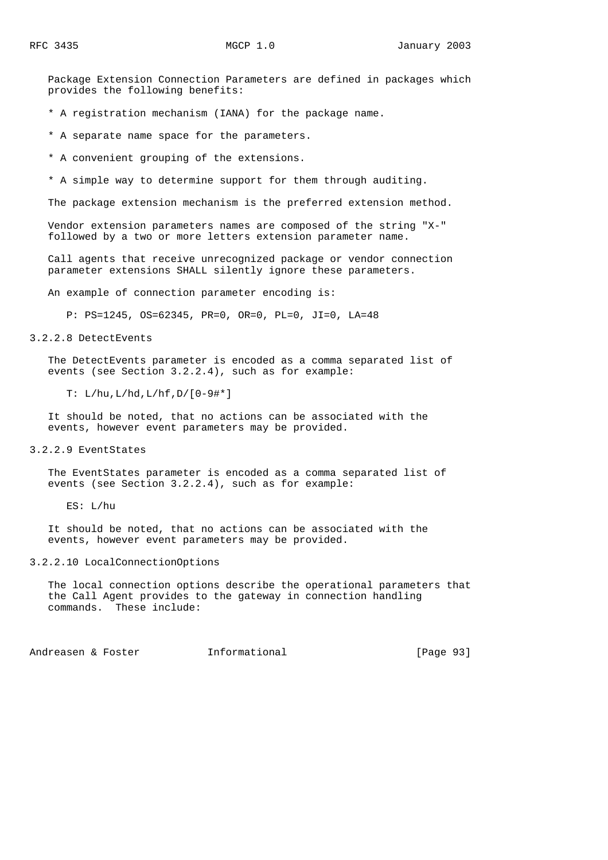Package Extension Connection Parameters are defined in packages which provides the following benefits:

\* A registration mechanism (IANA) for the package name.

\* A separate name space for the parameters.

\* A convenient grouping of the extensions.

\* A simple way to determine support for them through auditing.

The package extension mechanism is the preferred extension method.

 Vendor extension parameters names are composed of the string "X-" followed by a two or more letters extension parameter name.

 Call agents that receive unrecognized package or vendor connection parameter extensions SHALL silently ignore these parameters.

An example of connection parameter encoding is:

P: PS=1245, OS=62345, PR=0, OR=0, PL=0, JI=0, LA=48

3.2.2.8 DetectEvents

 The DetectEvents parameter is encoded as a comma separated list of events (see Section 3.2.2.4), such as for example:

T: L/hu,L/hd,L/hf,D/[0-9#\*]

 It should be noted, that no actions can be associated with the events, however event parameters may be provided.

3.2.2.9 EventStates

 The EventStates parameter is encoded as a comma separated list of events (see Section 3.2.2.4), such as for example:

ES: L/hu

 It should be noted, that no actions can be associated with the events, however event parameters may be provided.

### 3.2.2.10 LocalConnectionOptions

 The local connection options describe the operational parameters that the Call Agent provides to the gateway in connection handling commands. These include:

Andreasen & Foster **Informational** (Page 93)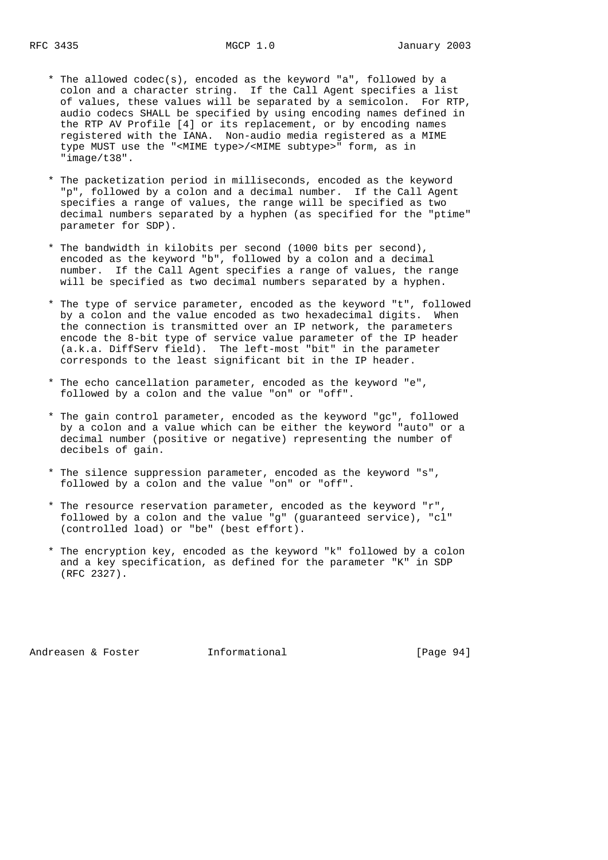- \* The allowed codec(s), encoded as the keyword "a", followed by a colon and a character string. If the Call Agent specifies a list of values, these values will be separated by a semicolon. For RTP, audio codecs SHALL be specified by using encoding names defined in the RTP AV Profile [4] or its replacement, or by encoding names registered with the IANA. Non-audio media registered as a MIME type MUST use the "<MIME type>/<MIME subtype>" form, as in "image/t38".
- \* The packetization period in milliseconds, encoded as the keyword "p", followed by a colon and a decimal number. If the Call Agent specifies a range of values, the range will be specified as two decimal numbers separated by a hyphen (as specified for the "ptime" parameter for SDP).
- \* The bandwidth in kilobits per second (1000 bits per second), encoded as the keyword "b", followed by a colon and a decimal number. If the Call Agent specifies a range of values, the range will be specified as two decimal numbers separated by a hyphen.
	- \* The type of service parameter, encoded as the keyword "t", followed by a colon and the value encoded as two hexadecimal digits. When the connection is transmitted over an IP network, the parameters encode the 8-bit type of service value parameter of the IP header (a.k.a. DiffServ field). The left-most "bit" in the parameter corresponds to the least significant bit in the IP header.
	- \* The echo cancellation parameter, encoded as the keyword "e", followed by a colon and the value "on" or "off".
	- \* The gain control parameter, encoded as the keyword "gc", followed by a colon and a value which can be either the keyword "auto" or a decimal number (positive or negative) representing the number of decibels of gain.
	- \* The silence suppression parameter, encoded as the keyword "s", followed by a colon and the value "on" or "off".
	- \* The resource reservation parameter, encoded as the keyword "r", followed by a colon and the value "g" (guaranteed service), "cl" (controlled load) or "be" (best effort).
	- \* The encryption key, encoded as the keyword "k" followed by a colon and a key specification, as defined for the parameter "K" in SDP (RFC 2327).

Andreasen & Foster **Informational** [Page 94]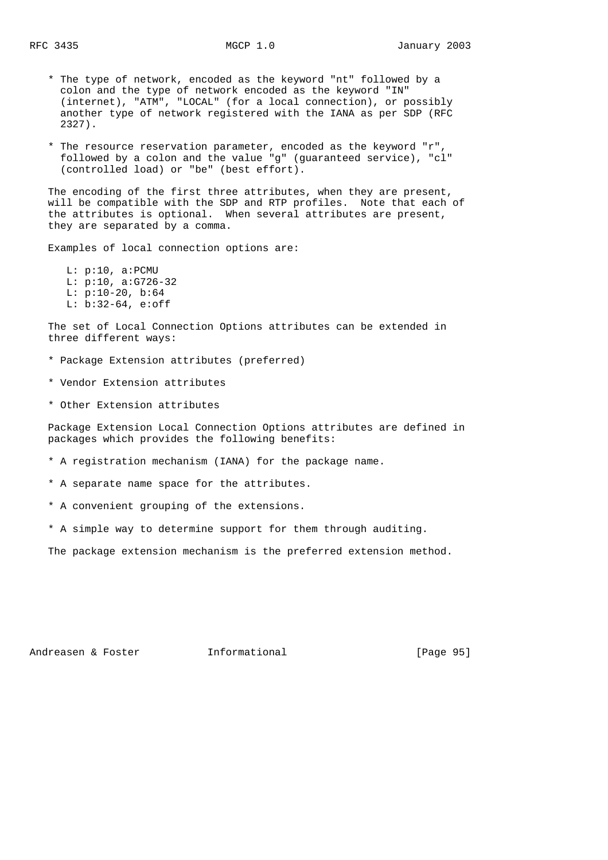- \* The type of network, encoded as the keyword "nt" followed by a colon and the type of network encoded as the keyword "IN" (internet), "ATM", "LOCAL" (for a local connection), or possibly another type of network registered with the IANA as per SDP (RFC 2327).
- \* The resource reservation parameter, encoded as the keyword "r", followed by a colon and the value "g" (guaranteed service), "cl" (controlled load) or "be" (best effort).

 The encoding of the first three attributes, when they are present, will be compatible with the SDP and RTP profiles. Note that each of the attributes is optional. When several attributes are present, they are separated by a comma.

Examples of local connection options are:

 L: p:10, a:PCMU L: p:10, a:G726-32 L: p:10-20, b:64 L: b:32-64, e:off

 The set of Local Connection Options attributes can be extended in three different ways:

- \* Package Extension attributes (preferred)
- \* Vendor Extension attributes
- \* Other Extension attributes

 Package Extension Local Connection Options attributes are defined in packages which provides the following benefits:

- \* A registration mechanism (IANA) for the package name.
- \* A separate name space for the attributes.
- \* A convenient grouping of the extensions.
- \* A simple way to determine support for them through auditing.

The package extension mechanism is the preferred extension method.

Andreasen & Foster **Informational** [Page 95]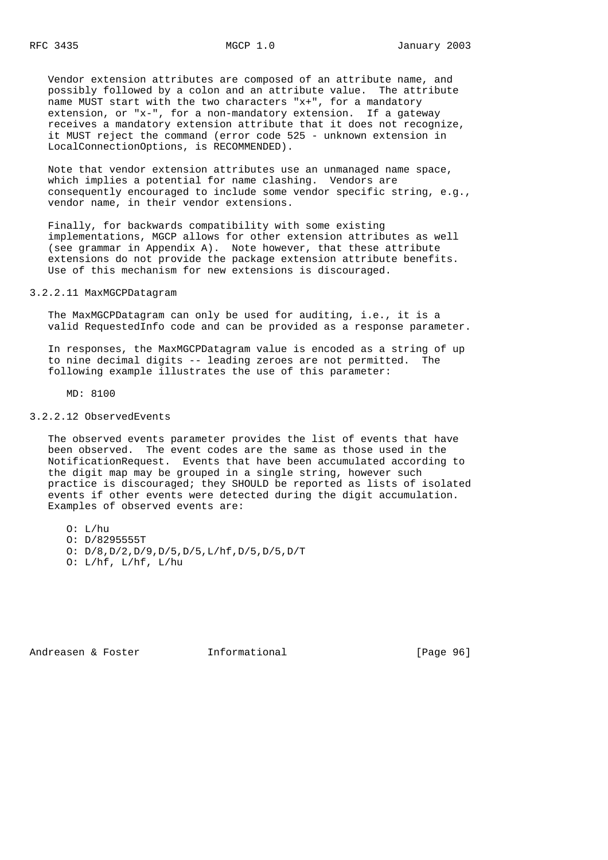Vendor extension attributes are composed of an attribute name, and possibly followed by a colon and an attribute value. The attribute name MUST start with the two characters "x+", for a mandatory extension, or "x-", for a non-mandatory extension. If a gateway receives a mandatory extension attribute that it does not recognize, it MUST reject the command (error code 525 - unknown extension in LocalConnectionOptions, is RECOMMENDED).

 Note that vendor extension attributes use an unmanaged name space, which implies a potential for name clashing. Vendors are consequently encouraged to include some vendor specific string, e.g., vendor name, in their vendor extensions.

 Finally, for backwards compatibility with some existing implementations, MGCP allows for other extension attributes as well (see grammar in Appendix A). Note however, that these attribute extensions do not provide the package extension attribute benefits. Use of this mechanism for new extensions is discouraged.

## 3.2.2.11 MaxMGCPDatagram

 The MaxMGCPDatagram can only be used for auditing, i.e., it is a valid RequestedInfo code and can be provided as a response parameter.

 In responses, the MaxMGCPDatagram value is encoded as a string of up to nine decimal digits -- leading zeroes are not permitted. The following example illustrates the use of this parameter:

MD: 8100

### 3.2.2.12 ObservedEvents

 The observed events parameter provides the list of events that have been observed. The event codes are the same as those used in the NotificationRequest. Events that have been accumulated according to the digit map may be grouped in a single string, however such practice is discouraged; they SHOULD be reported as lists of isolated events if other events were detected during the digit accumulation. Examples of observed events are:

 O: L/hu O: D/8295555T

 O: D/8,D/2,D/9,D/5,D/5,L/hf,D/5,D/5,D/T O:  $L/hf$ ,  $L/hf$ ,  $L/hu$ 

Andreasen & Foster **Informational** [Page 96]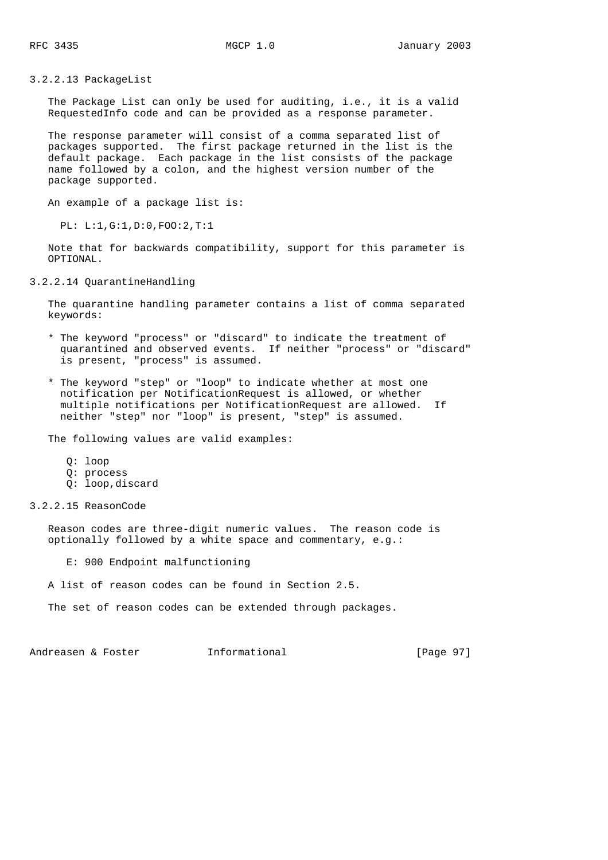3.2.2.13 PackageList

 The Package List can only be used for auditing, i.e., it is a valid RequestedInfo code and can be provided as a response parameter.

 The response parameter will consist of a comma separated list of packages supported. The first package returned in the list is the default package. Each package in the list consists of the package name followed by a colon, and the highest version number of the package supported.

An example of a package list is:

PL: L:1,G:1,D:0,FOO:2,T:1

 Note that for backwards compatibility, support for this parameter is OPTIONAL.

3.2.2.14 QuarantineHandling

 The quarantine handling parameter contains a list of comma separated keywords:

- \* The keyword "process" or "discard" to indicate the treatment of quarantined and observed events. If neither "process" or "discard" is present, "process" is assumed.
- \* The keyword "step" or "loop" to indicate whether at most one notification per NotificationRequest is allowed, or whether multiple notifications per NotificationRequest are allowed. If neither "step" nor "loop" is present, "step" is assumed.

The following values are valid examples:

- Q: loop
- Q: process
- Q: loop,discard
- 3.2.2.15 ReasonCode

 Reason codes are three-digit numeric values. The reason code is optionally followed by a white space and commentary, e.g.:

E: 900 Endpoint malfunctioning

A list of reason codes can be found in Section 2.5.

The set of reason codes can be extended through packages.

Andreasen & Foster **Informational** (Page 97)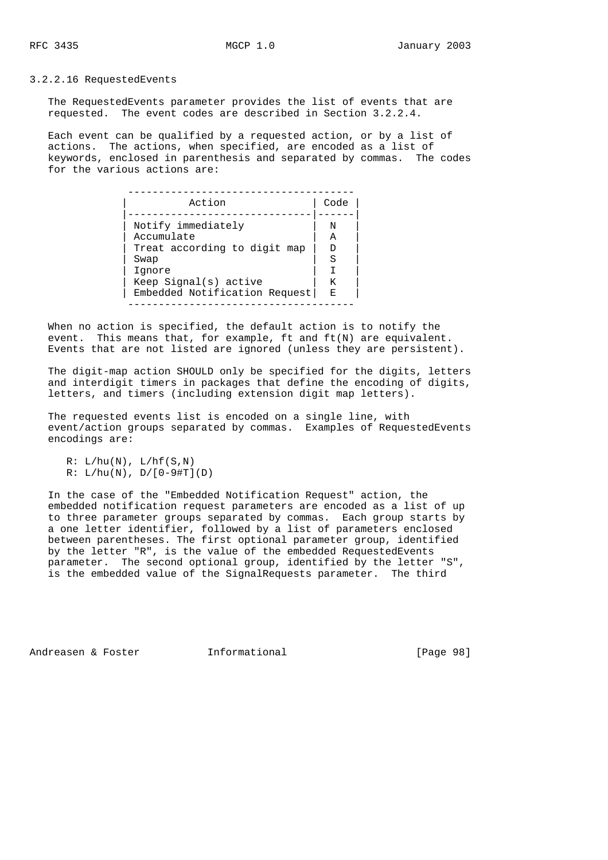### 3.2.2.16 RequestedEvents

 The RequestedEvents parameter provides the list of events that are requested. The event codes are described in Section 3.2.2.4.

 Each event can be qualified by a requested action, or by a list of actions. The actions, when specified, are encoded as a list of keywords, enclosed in parenthesis and separated by commas. The codes for the various actions are:

| Action                        | Code |  |
|-------------------------------|------|--|
| Notify immediately            | N    |  |
| Accumulate                    | Α    |  |
| Treat according to digit map  | Ð    |  |
| Swap                          | S    |  |
| Ignore                        |      |  |
| Keep Signal(s) active         | K    |  |
| Embedded Notification Request | Е    |  |
|                               |      |  |

 When no action is specified, the default action is to notify the event. This means that, for example, ft and ft(N) are equivalent. Events that are not listed are ignored (unless they are persistent).

 The digit-map action SHOULD only be specified for the digits, letters and interdigit timers in packages that define the encoding of digits, letters, and timers (including extension digit map letters).

 The requested events list is encoded on a single line, with event/action groups separated by commas. Examples of RequestedEvents encodings are:

 $R: L/hu(N), L/hf(S,N)$  $R: L/hu(N), D/[0-9#T](D)$ 

 In the case of the "Embedded Notification Request" action, the embedded notification request parameters are encoded as a list of up to three parameter groups separated by commas. Each group starts by a one letter identifier, followed by a list of parameters enclosed between parentheses. The first optional parameter group, identified by the letter "R", is the value of the embedded RequestedEvents parameter. The second optional group, identified by the letter "S", is the embedded value of the SignalRequests parameter. The third

Andreasen & Foster **Informational** [Page 98]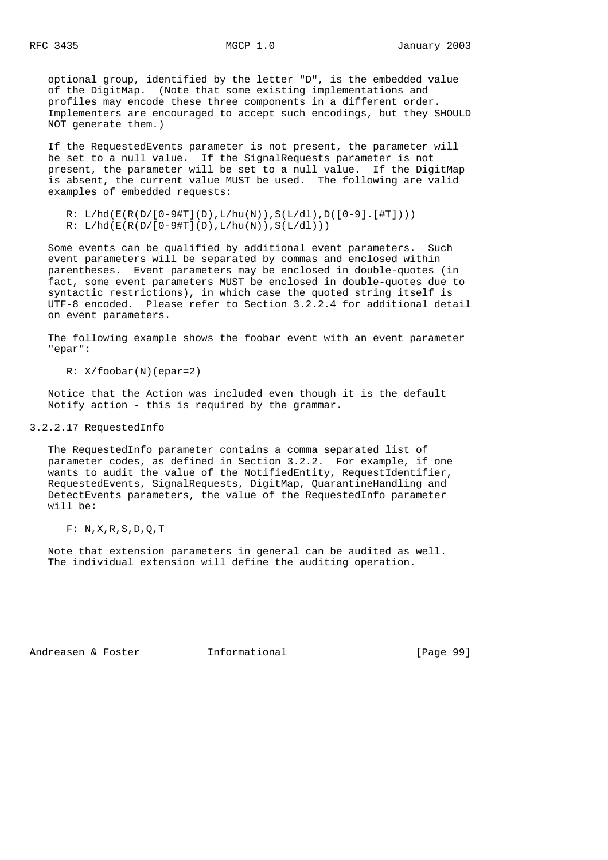optional group, identified by the letter "D", is the embedded value of the DigitMap. (Note that some existing implementations and profiles may encode these three components in a different order. Implementers are encouraged to accept such encodings, but they SHOULD NOT generate them.)

 If the RequestedEvents parameter is not present, the parameter will be set to a null value. If the SignalRequests parameter is not present, the parameter will be set to a null value. If the DigitMap is absent, the current value MUST be used. The following are valid examples of embedded requests:

R:  $L/hd(E(R(D/[0-9#T](D), L/hu(N)), S(L/dl), D([0-9], [#T]))))$  $R: L/hd(E(R(D/[0-9#T](D), L/hu(N)), S(L/dl)))$ 

 Some events can be qualified by additional event parameters. Such event parameters will be separated by commas and enclosed within parentheses. Event parameters may be enclosed in double-quotes (in fact, some event parameters MUST be enclosed in double-quotes due to syntactic restrictions), in which case the quoted string itself is UTF-8 encoded. Please refer to Section 3.2.2.4 for additional detail on event parameters.

 The following example shows the foobar event with an event parameter "epar":

R: X/foobar(N)(epar=2)

 Notice that the Action was included even though it is the default Notify action - this is required by the grammar.

3.2.2.17 RequestedInfo

 The RequestedInfo parameter contains a comma separated list of parameter codes, as defined in Section 3.2.2. For example, if one wants to audit the value of the NotifiedEntity, RequestIdentifier, RequestedEvents, SignalRequests, DigitMap, QuarantineHandling and DetectEvents parameters, the value of the RequestedInfo parameter will be:

F: N,X,R,S,D,Q,T

 Note that extension parameters in general can be audited as well. The individual extension will define the auditing operation.

Andreasen & Foster **Informational** [Page 99]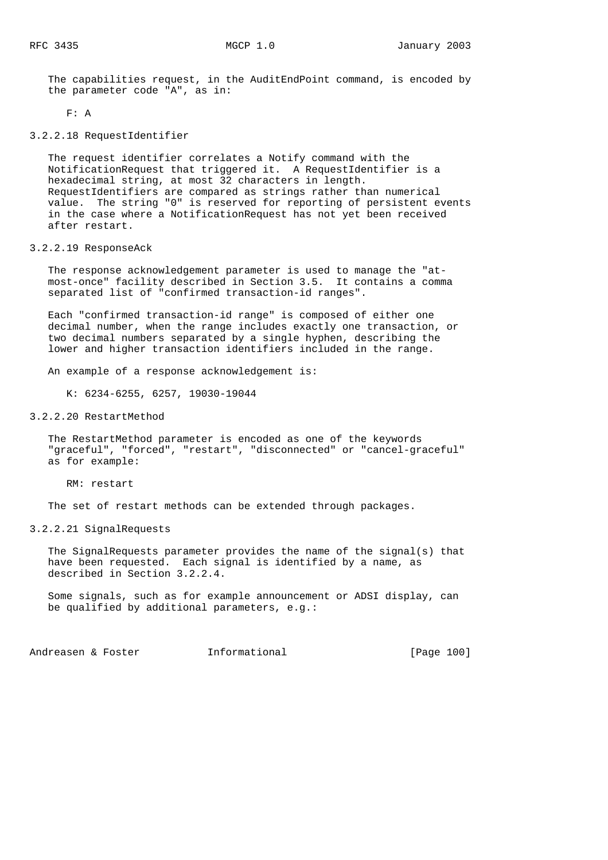The capabilities request, in the AuditEndPoint command, is encoded by the parameter code "A", as in:

F: A

3.2.2.18 RequestIdentifier

 The request identifier correlates a Notify command with the NotificationRequest that triggered it. A RequestIdentifier is a hexadecimal string, at most 32 characters in length. RequestIdentifiers are compared as strings rather than numerical value. The string "0" is reserved for reporting of persistent events in the case where a NotificationRequest has not yet been received after restart.

## 3.2.2.19 ResponseAck

 The response acknowledgement parameter is used to manage the "at most-once" facility described in Section 3.5. It contains a comma separated list of "confirmed transaction-id ranges".

 Each "confirmed transaction-id range" is composed of either one decimal number, when the range includes exactly one transaction, or two decimal numbers separated by a single hyphen, describing the lower and higher transaction identifiers included in the range.

An example of a response acknowledgement is:

K: 6234-6255, 6257, 19030-19044

### 3.2.2.20 RestartMethod

 The RestartMethod parameter is encoded as one of the keywords "graceful", "forced", "restart", "disconnected" or "cancel-graceful" as for example:

RM: restart

The set of restart methods can be extended through packages.

3.2.2.21 SignalRequests

 The SignalRequests parameter provides the name of the signal(s) that have been requested. Each signal is identified by a name, as described in Section 3.2.2.4.

 Some signals, such as for example announcement or ADSI display, can be qualified by additional parameters, e.g.:

Andreasen & Foster **Informational** [Page 100]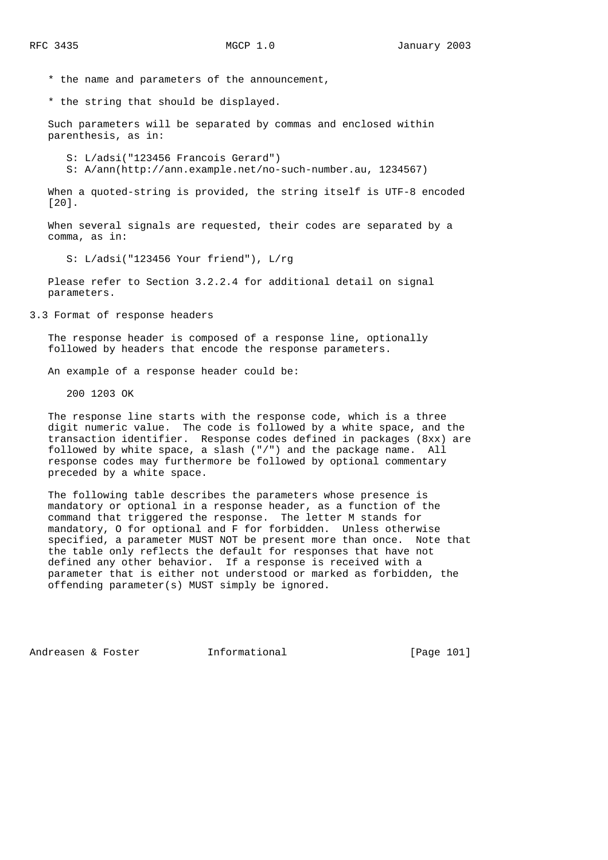\* the name and parameters of the announcement,

\* the string that should be displayed.

 Such parameters will be separated by commas and enclosed within parenthesis, as in:

S: L/adsi("123456 Francois Gerard")

S: A/ann(http://ann.example.net/no-such-number.au, 1234567)

When a quoted-string is provided, the string itself is UTF-8 encoded [20].

 When several signals are requested, their codes are separated by a comma, as in:

S: L/adsi("123456 Your friend"), L/rg

 Please refer to Section 3.2.2.4 for additional detail on signal parameters.

3.3 Format of response headers

 The response header is composed of a response line, optionally followed by headers that encode the response parameters.

An example of a response header could be:

200 1203 OK

 The response line starts with the response code, which is a three digit numeric value. The code is followed by a white space, and the transaction identifier. Response codes defined in packages (8xx) are followed by white space, a slash ("/") and the package name. All response codes may furthermore be followed by optional commentary preceded by a white space.

 The following table describes the parameters whose presence is mandatory or optional in a response header, as a function of the command that triggered the response. The letter M stands for mandatory, O for optional and F for forbidden. Unless otherwise specified, a parameter MUST NOT be present more than once. Note that the table only reflects the default for responses that have not defined any other behavior. If a response is received with a parameter that is either not understood or marked as forbidden, the offending parameter(s) MUST simply be ignored.

Andreasen & Foster **Informational** [Page 101]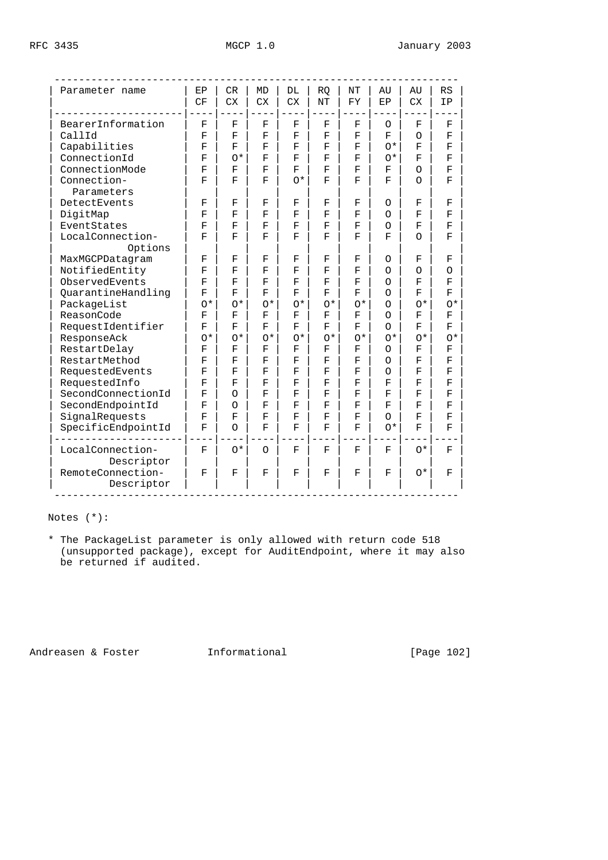| Parameter name                  | EP                 | CR        | <b>MD</b>   | DL          | <b>RO</b>   | NT                 | AU                         | AU          | RS                 |
|---------------------------------|--------------------|-----------|-------------|-------------|-------------|--------------------|----------------------------|-------------|--------------------|
|                                 | CF                 | <b>CX</b> | ${\rm CX}$  | <b>CX</b>   | NT          | FY                 | EP                         | <b>CX</b>   | ΙP                 |
| BearerInformation               | F                  | F         | $\mathbf F$ | $\mathbf F$ | $\mathbf F$ | F                  | O                          | F           | $\mathbf F$        |
| CallId                          | F                  | F         | F           | F           | F           | F                  | F                          | Ο           | F                  |
| Capabilities                    | F                  | F         | F           | F           | F           | F                  | $^{\wedge}$                | F           | F                  |
| ConnectionId                    | F                  | $0*$      | F           | F           | F           | F                  | $0*$                       | F           | F                  |
| ConnectionMode                  | F                  | F         | F           | F           | F           | F                  | F                          | O           | F                  |
| Connection-<br>Parameters       | F                  | F         | F           | $0*$        | F           | F                  | F                          | $\Omega$    | F                  |
| DetectEvents                    | F                  | F         | F           | F           | F           | F                  | O                          | F           | F                  |
| DigitMap                        | F                  | F         | F           | F           | F           | F                  | $\Omega$                   | F           | F                  |
| EventStates                     | F                  | F         | F           | F           | F           | F                  | $\Omega$                   | F           | F                  |
| LocalConnection-                | F                  | F         | F           | F           | F           | F                  | F                          | Ω           | F                  |
| Options                         |                    |           |             |             |             |                    |                            |             |                    |
| MaxMGCPDatagram                 | F                  | F         | $\mathbf F$ | F           | F           | F                  | O                          | F           | F                  |
| NotifiedEntity                  | F                  | F         | F           | F           | F           | F                  | $\Omega$                   | $\Omega$    | $\Omega$           |
| ObservedEvents                  | $\mathbf{F}% _{0}$ | F         | F           | F           | $\mathbf F$ | F                  | $\Omega$                   | F           | F                  |
| QuarantineHandling              | F                  | F         | F           | F           | F           | F                  | Ο                          | F           | F                  |
| PackageList                     | $0*$               | $0*$      | $0*$        | $0*$        | $0*$        | $0*$               | $\Omega$                   | $O^*$       | $0*$               |
| ReasonCode                      | F                  | F         | F           | F           | F           | F                  | $\Omega$                   | F           | F                  |
| RequestIdentifier               | F                  | F         | F           | F           | F           | F                  | Ο                          | F           | F                  |
| ResponseAck                     | $0*$               | $0*$      | $0*$        | $0*$        | $0*$        | $0*$               | $0*$                       | $0*$        | $0*$               |
| RestartDelay                    | $\mathbf{F}% _{0}$ | F         | F           | F           | F           | F                  | O                          | F           | F                  |
| RestartMethod                   | $\mathbf{F}% _{0}$ | F         | $\mathbf F$ | F           | $\mathbf F$ | F                  | Ο                          | F           | $\mathbf F$        |
| RequestedEvents                 | $\mathbf{F}% _{0}$ | F         | $\mathbf F$ | F           | F           | F                  | O                          | F           | $\mathbf F$        |
| RequestedInfo                   | F                  | F         | F           | F           | F           | F                  | F                          | F           | $\mathbf{F}% _{0}$ |
| SecondConnectionId              | F                  | $\Omega$  | $\mathbf F$ | F           | F           | F                  | $\mathbf{F}% _{0}$         | F           | F                  |
| SecondEndpointId                | F                  | $\Omega$  | $\mathbf F$ | F           | F           | F                  | F                          | $\mathbf F$ | F                  |
| SignalRequests                  | F                  | F         | F           | F           | F           | F                  | 0                          | F           | $\mathbf{F}% _{0}$ |
| SpecificEndpointId              | F                  | $\Omega$  | F           | F           | F           | F                  | $\circlearrowleft^{\star}$ | F           | $\mathbf{F}% _{0}$ |
| LocalConnection-<br>Descriptor  | F                  | $0*$      | $\Omega$    | F           | F           | $\mathbf{F}% _{0}$ | F                          | $0*$        | F                  |
| RemoteConnection-<br>Descriptor | F                  | F         | F           | F           | F           | F                  | F                          | $0*$        | F                  |

Notes (\*):

 \* The PackageList parameter is only allowed with return code 518 (unsupported package), except for AuditEndpoint, where it may also be returned if audited.

Andreasen & Foster **Informational** [Page 102]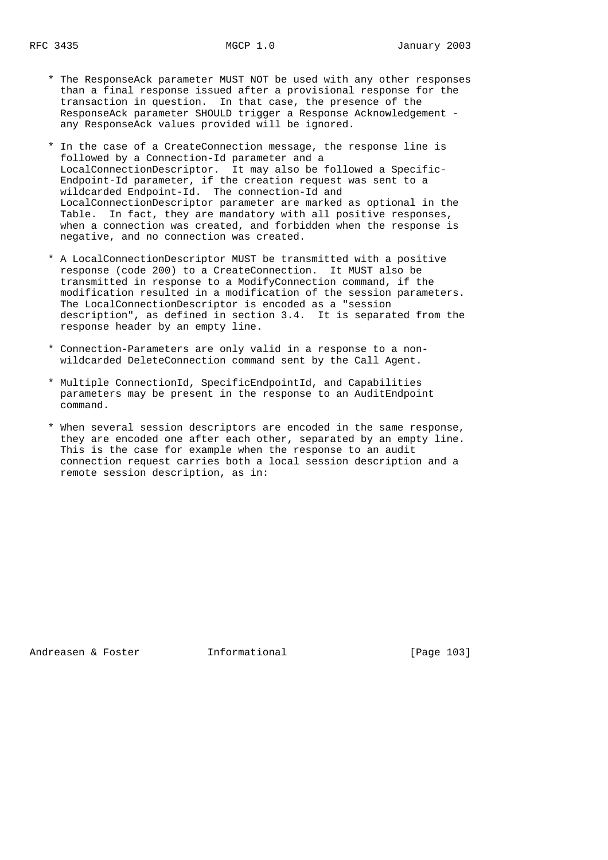- \* The ResponseAck parameter MUST NOT be used with any other responses than a final response issued after a provisional response for the transaction in question. In that case, the presence of the ResponseAck parameter SHOULD trigger a Response Acknowledgement any ResponseAck values provided will be ignored.
- \* In the case of a CreateConnection message, the response line is followed by a Connection-Id parameter and a LocalConnectionDescriptor. It may also be followed a Specific- Endpoint-Id parameter, if the creation request was sent to a wildcarded Endpoint-Id. The connection-Id and LocalConnectionDescriptor parameter are marked as optional in the Table. In fact, they are mandatory with all positive responses, when a connection was created, and forbidden when the response is negative, and no connection was created.
- \* A LocalConnectionDescriptor MUST be transmitted with a positive response (code 200) to a CreateConnection. It MUST also be transmitted in response to a ModifyConnection command, if the modification resulted in a modification of the session parameters. The LocalConnectionDescriptor is encoded as a "session description", as defined in section 3.4. It is separated from the response header by an empty line.
- \* Connection-Parameters are only valid in a response to a non wildcarded DeleteConnection command sent by the Call Agent.
- \* Multiple ConnectionId, SpecificEndpointId, and Capabilities parameters may be present in the response to an AuditEndpoint command.
- \* When several session descriptors are encoded in the same response, they are encoded one after each other, separated by an empty line. This is the case for example when the response to an audit connection request carries both a local session description and a remote session description, as in:

Andreasen & Foster **Informational** [Page 103]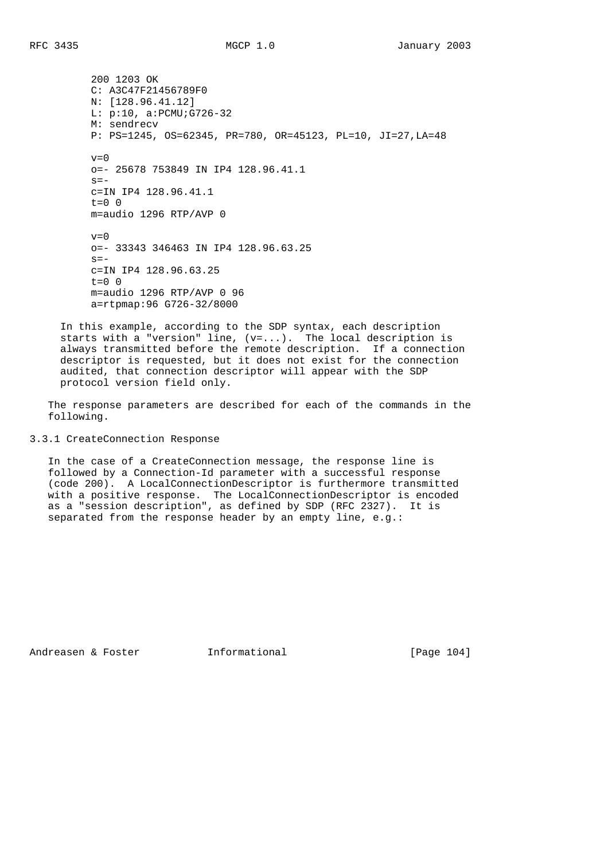200 1203 OK C: A3C47F21456789F0 N: [128.96.41.12] L: p:10, a:PCMU;G726-32 M: sendrecv P: PS=1245, OS=62345, PR=780, OR=45123, PL=10, JI=27,LA=48  $v=0$  o=- 25678 753849 IN IP4 128.96.41.1  $s=$  c=IN IP4 128.96.41.1  $t=0$  0 m=audio 1296 RTP/AVP 0  $v=0$  o=- 33343 346463 IN IP4 128.96.63.25  $s=$  c=IN IP4 128.96.63.25  $t=0$  0 m=audio 1296 RTP/AVP 0 96 a=rtpmap:96 G726-32/8000

 In this example, according to the SDP syntax, each description starts with a "version" line, (v=...). The local description is always transmitted before the remote description. If a connection descriptor is requested, but it does not exist for the connection audited, that connection descriptor will appear with the SDP protocol version field only.

 The response parameters are described for each of the commands in the following.

# 3.3.1 CreateConnection Response

 In the case of a CreateConnection message, the response line is followed by a Connection-Id parameter with a successful response (code 200). A LocalConnectionDescriptor is furthermore transmitted with a positive response. The LocalConnectionDescriptor is encoded as a "session description", as defined by SDP (RFC 2327). It is separated from the response header by an empty line, e.g.:

Andreasen & Foster **Informational** [Page 104]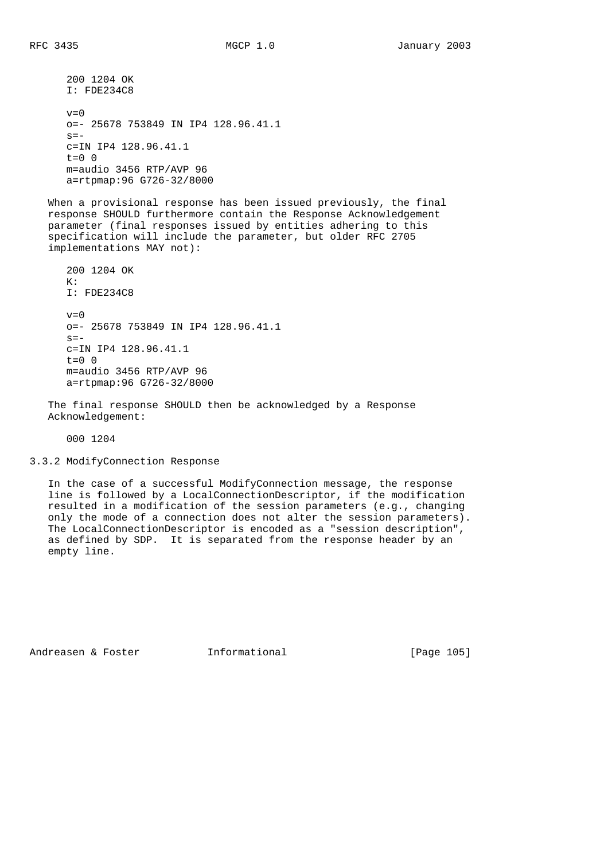```
 200 1204 OK
 I: FDE234C8
v=0 o=- 25678 753849 IN IP4 128.96.41.1
s=- c=IN IP4 128.96.41.1
t=0 0
 m=audio 3456 RTP/AVP 96
 a=rtpmap:96 G726-32/8000
```
 When a provisional response has been issued previously, the final response SHOULD furthermore contain the Response Acknowledgement parameter (final responses issued by entities adhering to this specification will include the parameter, but older RFC 2705 implementations MAY not):

 200 1204 OK K: I: FDE234C8  $v=0$  o=- 25678 753849 IN IP4 128.96.41.1  $s=$  c=IN IP4 128.96.41.1 t=0 0 m=audio 3456 RTP/AVP 96 a=rtpmap:96 G726-32/8000

 The final response SHOULD then be acknowledged by a Response Acknowledgement:

000 1204

## 3.3.2 ModifyConnection Response

 In the case of a successful ModifyConnection message, the response line is followed by a LocalConnectionDescriptor, if the modification resulted in a modification of the session parameters (e.g., changing only the mode of a connection does not alter the session parameters). The LocalConnectionDescriptor is encoded as a "session description", as defined by SDP. It is separated from the response header by an empty line.

Andreasen & Foster **Informational** [Page 105]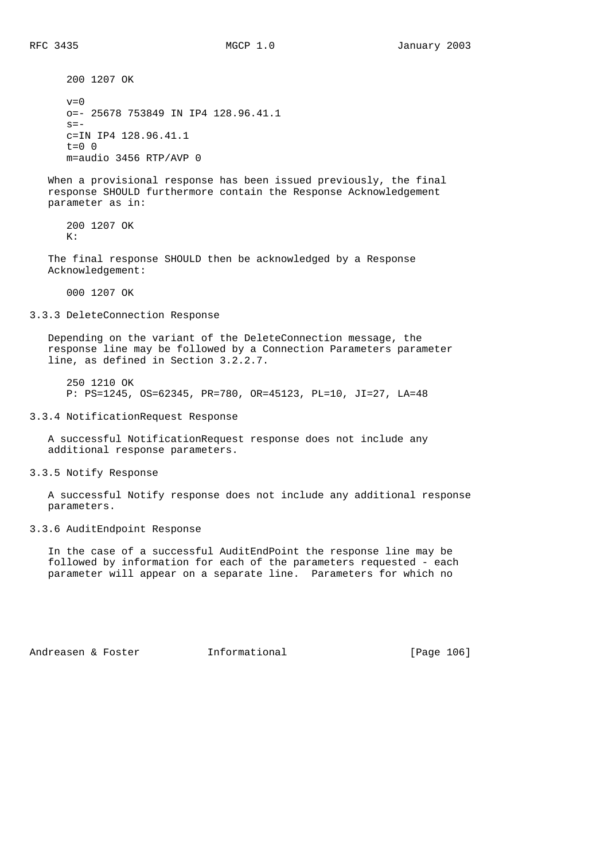200 1207 OK  $v=0$  o=- 25678 753849 IN IP4 128.96.41.1  $s=$  c=IN IP4 128.96.41.1  $t=0$  0 m=audio 3456 RTP/AVP 0 When a provisional response has been issued previously, the final response SHOULD furthermore contain the Response Acknowledgement parameter as in: 200 1207 OK  $K:$  The final response SHOULD then be acknowledged by a Response Acknowledgement: 000 1207 OK 3.3.3 DeleteConnection Response Depending on the variant of the DeleteConnection message, the response line may be followed by a Connection Parameters parameter line, as defined in Section 3.2.2.7. 250 1210 OK P: PS=1245, OS=62345, PR=780, OR=45123, PL=10, JI=27, LA=48 3.3.4 NotificationRequest Response

 A successful NotificationRequest response does not include any additional response parameters.

3.3.5 Notify Response

 A successful Notify response does not include any additional response parameters.

### 3.3.6 AuditEndpoint Response

 In the case of a successful AuditEndPoint the response line may be followed by information for each of the parameters requested - each parameter will appear on a separate line. Parameters for which no

Andreasen & Foster **Informational** [Page 106]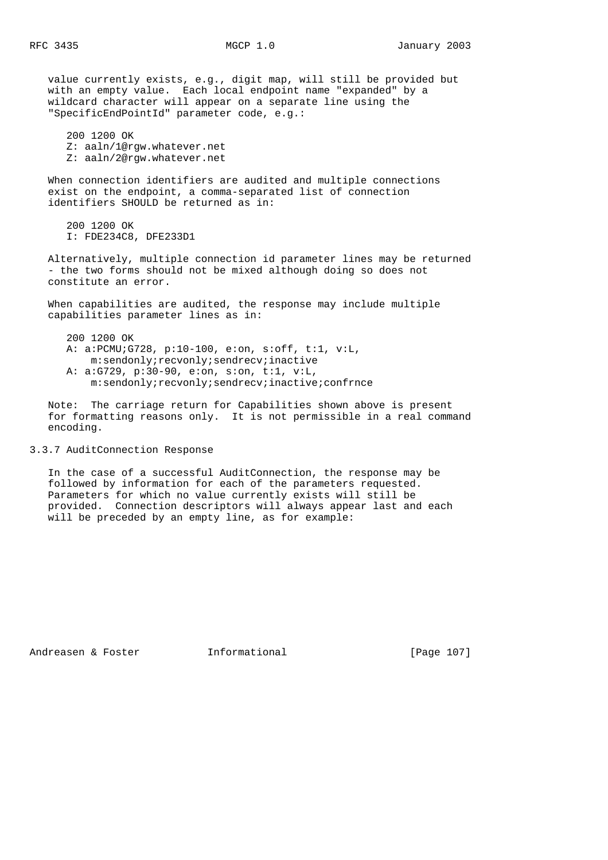value currently exists, e.g., digit map, will still be provided but with an empty value. Each local endpoint name "expanded" by a wildcard character will appear on a separate line using the "SpecificEndPointId" parameter code, e.g.: 200 1200 OK Z: aaln/1@rgw.whatever.net Z: aaln/2@rgw.whatever.net When connection identifiers are audited and multiple connections exist on the endpoint, a comma-separated list of connection identifiers SHOULD be returned as in: 200 1200 OK I: FDE234C8, DFE233D1

 Alternatively, multiple connection id parameter lines may be returned - the two forms should not be mixed although doing so does not constitute an error.

 When capabilities are audited, the response may include multiple capabilities parameter lines as in:

 200 1200 OK A: a:PCMU;G728, p:10-100, e:on, s:off, t:1, v:L, m:sendonly;recvonly;sendrecv;inactive A: a:G729, p:30-90, e:on, s:on, t:1, v:L, m:sendonly;recvonly;sendrecv;inactive;confrnce

 Note: The carriage return for Capabilities shown above is present for formatting reasons only. It is not permissible in a real command encoding.

## 3.3.7 AuditConnection Response

 In the case of a successful AuditConnection, the response may be followed by information for each of the parameters requested. Parameters for which no value currently exists will still be provided. Connection descriptors will always appear last and each will be preceded by an empty line, as for example:

Andreasen & Foster Theormational [Page 107]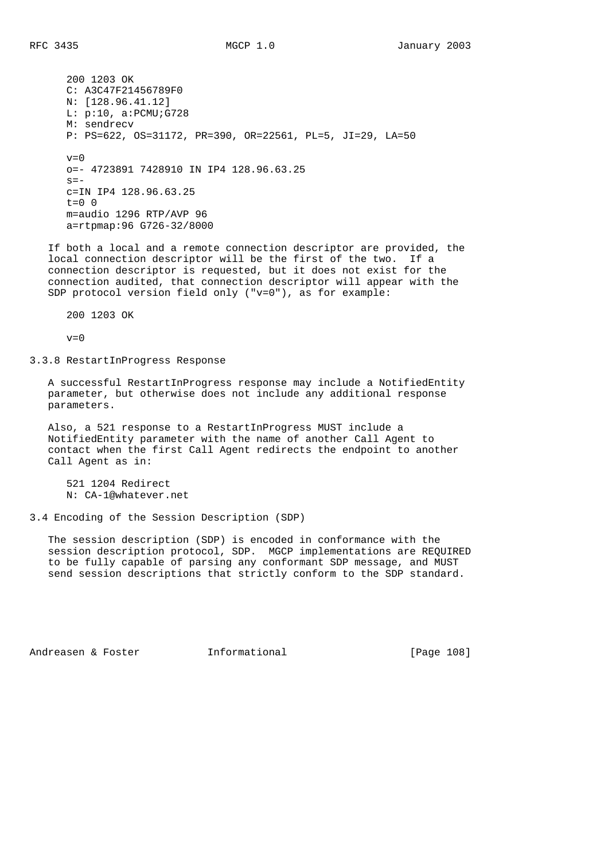200 1203 OK C: A3C47F21456789F0 N: [128.96.41.12] L: p:10, a:PCMU;G728 M: sendrecv P: PS=622, OS=31172, PR=390, OR=22561, PL=5, JI=29, LA=50  $v=0$  o=- 4723891 7428910 IN IP4 128.96.63.25  $s=$  c=IN IP4 128.96.63.25  $t=0$  0 m=audio 1296 RTP/AVP 96 a=rtpmap:96 G726-32/8000

 If both a local and a remote connection descriptor are provided, the local connection descriptor will be the first of the two. If a connection descriptor is requested, but it does not exist for the connection audited, that connection descriptor will appear with the SDP protocol version field only ("v=0"), as for example:

200 1203 OK

 $v=0$ 

3.3.8 RestartInProgress Response

 A successful RestartInProgress response may include a NotifiedEntity parameter, but otherwise does not include any additional response parameters.

 Also, a 521 response to a RestartInProgress MUST include a NotifiedEntity parameter with the name of another Call Agent to contact when the first Call Agent redirects the endpoint to another Call Agent as in:

 521 1204 Redirect N: CA-1@whatever.net

3.4 Encoding of the Session Description (SDP)

 The session description (SDP) is encoded in conformance with the session description protocol, SDP. MGCP implementations are REQUIRED to be fully capable of parsing any conformant SDP message, and MUST send session descriptions that strictly conform to the SDP standard.

Andreasen & Foster **Informational** [Page 108]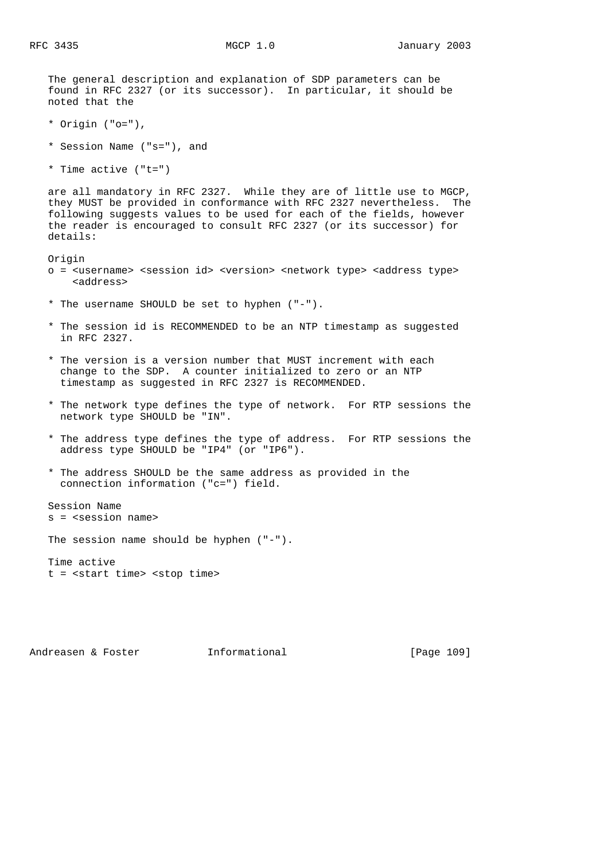The general description and explanation of SDP parameters can be found in RFC 2327 (or its successor). In particular, it should be noted that the

- \* Origin ("o="),
- \* Session Name ("s="), and
- \* Time active ("t=")

 are all mandatory in RFC 2327. While they are of little use to MGCP, they MUST be provided in conformance with RFC 2327 nevertheless. The following suggests values to be used for each of the fields, however the reader is encouraged to consult RFC 2327 (or its successor) for details:

Origin

- o = <username> <session id> <version> <network type> <address type> <address>
- \* The username SHOULD be set to hyphen ("-").
- \* The session id is RECOMMENDED to be an NTP timestamp as suggested in RFC 2327.
- \* The version is a version number that MUST increment with each change to the SDP. A counter initialized to zero or an NTP timestamp as suggested in RFC 2327 is RECOMMENDED.
- \* The network type defines the type of network. For RTP sessions the network type SHOULD be "IN".
- \* The address type defines the type of address. For RTP sessions the address type SHOULD be "IP4" (or "IP6").
- \* The address SHOULD be the same address as provided in the connection information ("c=") field.

 Session Name s = <session name>

The session name should be hyphen ("-").

 Time active t = <start time> <stop time>

Andreasen & Foster **Informational** [Page 109]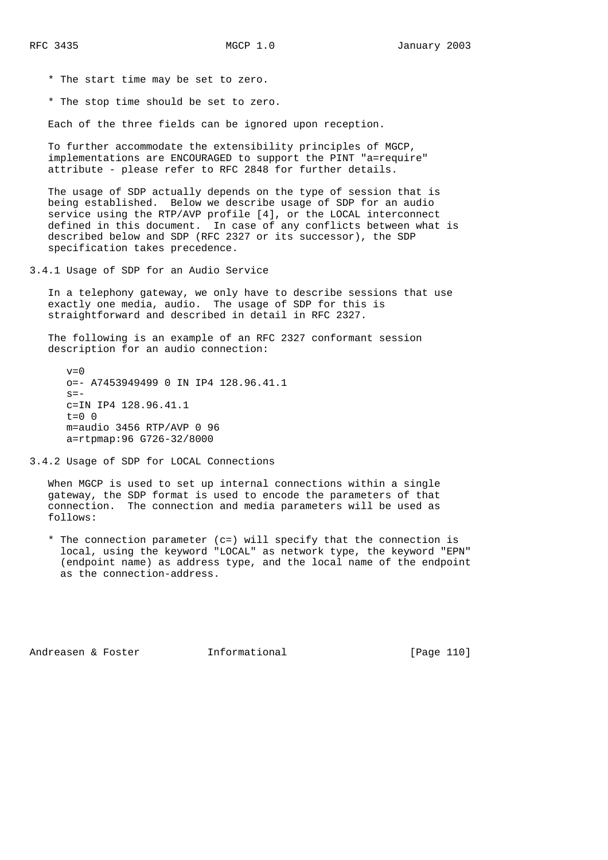- \* The start time may be set to zero.
- \* The stop time should be set to zero.

Each of the three fields can be ignored upon reception.

 To further accommodate the extensibility principles of MGCP, implementations are ENCOURAGED to support the PINT "a=require" attribute - please refer to RFC 2848 for further details.

 The usage of SDP actually depends on the type of session that is being established. Below we describe usage of SDP for an audio service using the RTP/AVP profile [4], or the LOCAL interconnect defined in this document. In case of any conflicts between what is described below and SDP (RFC 2327 or its successor), the SDP specification takes precedence.

3.4.1 Usage of SDP for an Audio Service

 In a telephony gateway, we only have to describe sessions that use exactly one media, audio. The usage of SDP for this is straightforward and described in detail in RFC 2327.

 The following is an example of an RFC 2327 conformant session description for an audio connection:

 $v=0$  o=- A7453949499 0 IN IP4 128.96.41.1  $s=$  c=IN IP4 128.96.41.1  $t=0$  0 m=audio 3456 RTP/AVP 0 96 a=rtpmap:96 G726-32/8000

3.4.2 Usage of SDP for LOCAL Connections

 When MGCP is used to set up internal connections within a single gateway, the SDP format is used to encode the parameters of that connection. The connection and media parameters will be used as follows:

 \* The connection parameter (c=) will specify that the connection is local, using the keyword "LOCAL" as network type, the keyword "EPN" (endpoint name) as address type, and the local name of the endpoint as the connection-address.

Andreasen & Foster **Informational** [Page 110]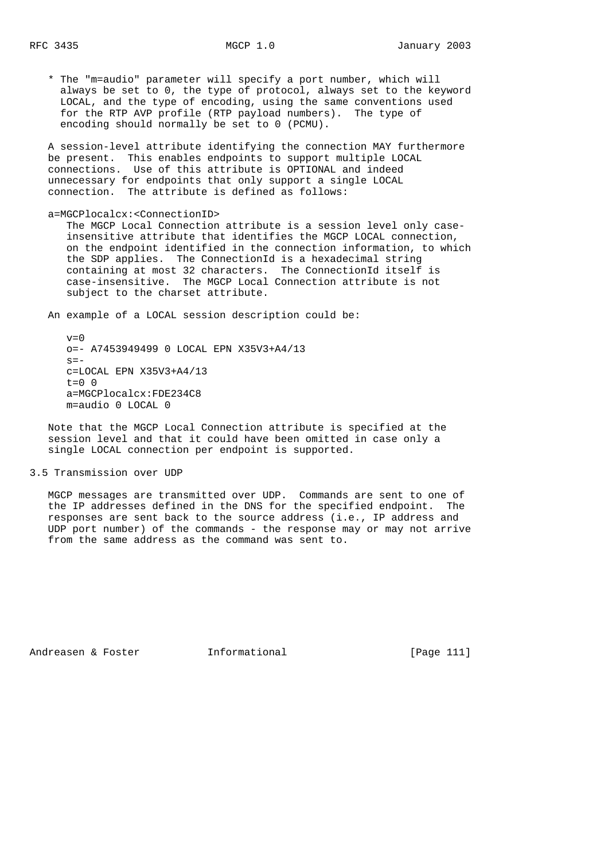\* The "m=audio" parameter will specify a port number, which will always be set to 0, the type of protocol, always set to the keyword LOCAL, and the type of encoding, using the same conventions used for the RTP AVP profile (RTP payload numbers). The type of encoding should normally be set to 0 (PCMU).

 A session-level attribute identifying the connection MAY furthermore be present. This enables endpoints to support multiple LOCAL connections. Use of this attribute is OPTIONAL and indeed unnecessary for endpoints that only support a single LOCAL connection. The attribute is defined as follows:

a=MGCPlocalcx:<ConnectionID>

 The MGCP Local Connection attribute is a session level only case insensitive attribute that identifies the MGCP LOCAL connection, on the endpoint identified in the connection information, to which the SDP applies. The ConnectionId is a hexadecimal string containing at most 32 characters. The ConnectionId itself is case-insensitive. The MGCP Local Connection attribute is not subject to the charset attribute.

An example of a LOCAL session description could be:

 $v=0$  o=- A7453949499 0 LOCAL EPN X35V3+A4/13  $s=$  c=LOCAL EPN X35V3+A4/13  $t=0$  0 a=MGCPlocalcx:FDE234C8 m=audio 0 LOCAL 0

 Note that the MGCP Local Connection attribute is specified at the session level and that it could have been omitted in case only a single LOCAL connection per endpoint is supported.

#### 3.5 Transmission over UDP

 MGCP messages are transmitted over UDP. Commands are sent to one of the IP addresses defined in the DNS for the specified endpoint. The responses are sent back to the source address (i.e., IP address and UDP port number) of the commands - the response may or may not arrive from the same address as the command was sent to.

Andreasen & Foster **Informational** [Page 111]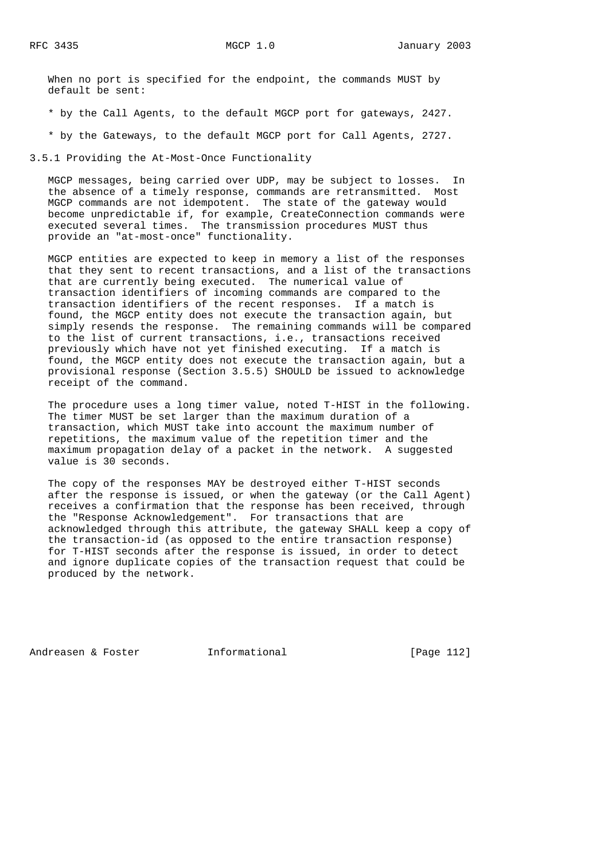When no port is specified for the endpoint, the commands MUST by default be sent:

\* by the Call Agents, to the default MGCP port for gateways, 2427.

\* by the Gateways, to the default MGCP port for Call Agents, 2727.

3.5.1 Providing the At-Most-Once Functionality

 MGCP messages, being carried over UDP, may be subject to losses. In the absence of a timely response, commands are retransmitted. Most MGCP commands are not idempotent. The state of the gateway would become unpredictable if, for example, CreateConnection commands were executed several times. The transmission procedures MUST thus provide an "at-most-once" functionality.

 MGCP entities are expected to keep in memory a list of the responses that they sent to recent transactions, and a list of the transactions that are currently being executed. The numerical value of transaction identifiers of incoming commands are compared to the transaction identifiers of the recent responses. If a match is found, the MGCP entity does not execute the transaction again, but simply resends the response. The remaining commands will be compared to the list of current transactions, i.e., transactions received previously which have not yet finished executing. If a match is found, the MGCP entity does not execute the transaction again, but a provisional response (Section 3.5.5) SHOULD be issued to acknowledge receipt of the command.

 The procedure uses a long timer value, noted T-HIST in the following. The timer MUST be set larger than the maximum duration of a transaction, which MUST take into account the maximum number of repetitions, the maximum value of the repetition timer and the maximum propagation delay of a packet in the network. A suggested value is 30 seconds.

 The copy of the responses MAY be destroyed either T-HIST seconds after the response is issued, or when the gateway (or the Call Agent) receives a confirmation that the response has been received, through the "Response Acknowledgement". For transactions that are acknowledged through this attribute, the gateway SHALL keep a copy of the transaction-id (as opposed to the entire transaction response) for T-HIST seconds after the response is issued, in order to detect and ignore duplicate copies of the transaction request that could be produced by the network.

Andreasen & Foster **Informational** [Page 112]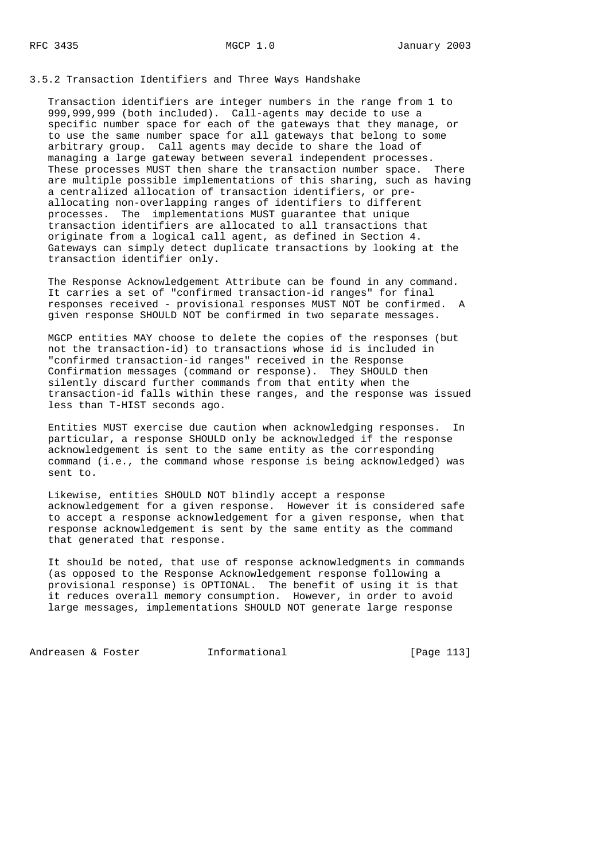3.5.2 Transaction Identifiers and Three Ways Handshake

 Transaction identifiers are integer numbers in the range from 1 to 999,999,999 (both included). Call-agents may decide to use a specific number space for each of the gateways that they manage, or to use the same number space for all gateways that belong to some arbitrary group. Call agents may decide to share the load of managing a large gateway between several independent processes. These processes MUST then share the transaction number space. There are multiple possible implementations of this sharing, such as having a centralized allocation of transaction identifiers, or pre allocating non-overlapping ranges of identifiers to different processes. The implementations MUST guarantee that unique transaction identifiers are allocated to all transactions that originate from a logical call agent, as defined in Section 4. Gateways can simply detect duplicate transactions by looking at the transaction identifier only.

 The Response Acknowledgement Attribute can be found in any command. It carries a set of "confirmed transaction-id ranges" for final responses received - provisional responses MUST NOT be confirmed. A given response SHOULD NOT be confirmed in two separate messages.

 MGCP entities MAY choose to delete the copies of the responses (but not the transaction-id) to transactions whose id is included in "confirmed transaction-id ranges" received in the Response Confirmation messages (command or response). They SHOULD then silently discard further commands from that entity when the transaction-id falls within these ranges, and the response was issued less than T-HIST seconds ago.

 Entities MUST exercise due caution when acknowledging responses. In particular, a response SHOULD only be acknowledged if the response acknowledgement is sent to the same entity as the corresponding command (i.e., the command whose response is being acknowledged) was sent to.

 Likewise, entities SHOULD NOT blindly accept a response acknowledgement for a given response. However it is considered safe to accept a response acknowledgement for a given response, when that response acknowledgement is sent by the same entity as the command that generated that response.

 It should be noted, that use of response acknowledgments in commands (as opposed to the Response Acknowledgement response following a provisional response) is OPTIONAL. The benefit of using it is that it reduces overall memory consumption. However, in order to avoid large messages, implementations SHOULD NOT generate large response

Andreasen & Foster [Page 113]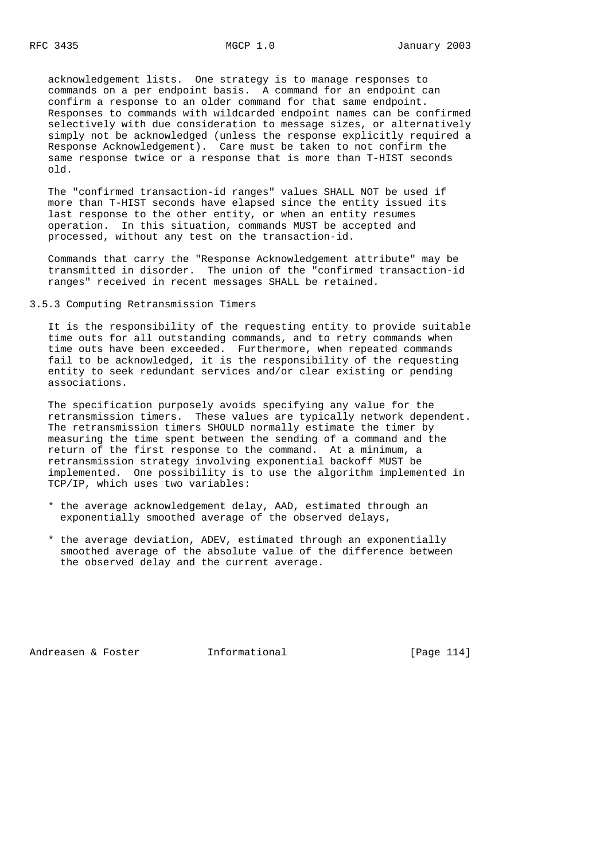acknowledgement lists. One strategy is to manage responses to commands on a per endpoint basis. A command for an endpoint can confirm a response to an older command for that same endpoint. Responses to commands with wildcarded endpoint names can be confirmed selectively with due consideration to message sizes, or alternatively simply not be acknowledged (unless the response explicitly required a Response Acknowledgement). Care must be taken to not confirm the same response twice or a response that is more than T-HIST seconds old.

 The "confirmed transaction-id ranges" values SHALL NOT be used if more than T-HIST seconds have elapsed since the entity issued its last response to the other entity, or when an entity resumes operation. In this situation, commands MUST be accepted and processed, without any test on the transaction-id.

 Commands that carry the "Response Acknowledgement attribute" may be transmitted in disorder. The union of the "confirmed transaction-id ranges" received in recent messages SHALL be retained.

#### 3.5.3 Computing Retransmission Timers

 It is the responsibility of the requesting entity to provide suitable time outs for all outstanding commands, and to retry commands when time outs have been exceeded. Furthermore, when repeated commands fail to be acknowledged, it is the responsibility of the requesting entity to seek redundant services and/or clear existing or pending associations.

 The specification purposely avoids specifying any value for the retransmission timers. These values are typically network dependent. The retransmission timers SHOULD normally estimate the timer by measuring the time spent between the sending of a command and the return of the first response to the command. At a minimum, a retransmission strategy involving exponential backoff MUST be implemented. One possibility is to use the algorithm implemented in TCP/IP, which uses two variables:

- \* the average acknowledgement delay, AAD, estimated through an exponentially smoothed average of the observed delays,
- \* the average deviation, ADEV, estimated through an exponentially smoothed average of the absolute value of the difference between the observed delay and the current average.

Andreasen & Foster **Informational** [Page 114]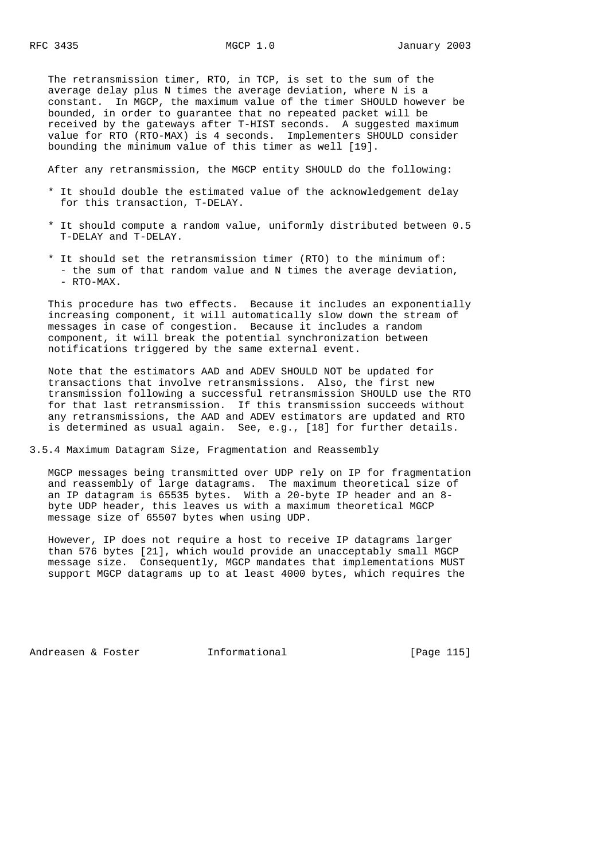The retransmission timer, RTO, in TCP, is set to the sum of the average delay plus N times the average deviation, where N is a constant. In MGCP, the maximum value of the timer SHOULD however be bounded, in order to guarantee that no repeated packet will be received by the gateways after T-HIST seconds. A suggested maximum value for RTO (RTO-MAX) is 4 seconds. Implementers SHOULD consider bounding the minimum value of this timer as well [19].

After any retransmission, the MGCP entity SHOULD do the following:

- \* It should double the estimated value of the acknowledgement delay for this transaction, T-DELAY.
- \* It should compute a random value, uniformly distributed between 0.5 T-DELAY and T-DELAY.
- \* It should set the retransmission timer (RTO) to the minimum of: - the sum of that random value and N times the average deviation, - RTO-MAX.

 This procedure has two effects. Because it includes an exponentially increasing component, it will automatically slow down the stream of messages in case of congestion. Because it includes a random component, it will break the potential synchronization between notifications triggered by the same external event.

 Note that the estimators AAD and ADEV SHOULD NOT be updated for transactions that involve retransmissions. Also, the first new transmission following a successful retransmission SHOULD use the RTO for that last retransmission. If this transmission succeeds without any retransmissions, the AAD and ADEV estimators are updated and RTO is determined as usual again. See, e.g., [18] for further details.

3.5.4 Maximum Datagram Size, Fragmentation and Reassembly

 MGCP messages being transmitted over UDP rely on IP for fragmentation and reassembly of large datagrams. The maximum theoretical size of an IP datagram is 65535 bytes. With a 20-byte IP header and an 8 byte UDP header, this leaves us with a maximum theoretical MGCP message size of 65507 bytes when using UDP.

 However, IP does not require a host to receive IP datagrams larger than 576 bytes [21], which would provide an unacceptably small MGCP message size. Consequently, MGCP mandates that implementations MUST support MGCP datagrams up to at least 4000 bytes, which requires the

Andreasen & Foster **Informational** [Page 115]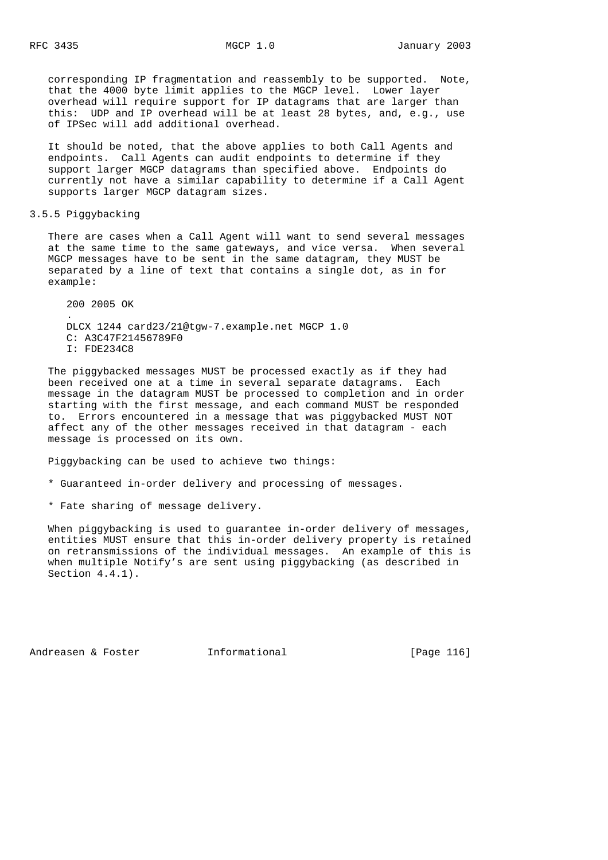corresponding IP fragmentation and reassembly to be supported. Note, that the 4000 byte limit applies to the MGCP level. Lower layer overhead will require support for IP datagrams that are larger than this: UDP and IP overhead will be at least 28 bytes, and, e.g., use of IPSec will add additional overhead.

 It should be noted, that the above applies to both Call Agents and endpoints. Call Agents can audit endpoints to determine if they support larger MGCP datagrams than specified above. Endpoints do currently not have a similar capability to determine if a Call Agent supports larger MGCP datagram sizes.

3.5.5 Piggybacking

 There are cases when a Call Agent will want to send several messages at the same time to the same gateways, and vice versa. When several MGCP messages have to be sent in the same datagram, they MUST be separated by a line of text that contains a single dot, as in for example:

 200 2005 OK . DLCX 1244 card23/21@tgw-7.example.net MGCP 1.0 C: A3C47F21456789F0 I: FDE234C8

 The piggybacked messages MUST be processed exactly as if they had been received one at a time in several separate datagrams. Each message in the datagram MUST be processed to completion and in order starting with the first message, and each command MUST be responded to. Errors encountered in a message that was piggybacked MUST NOT affect any of the other messages received in that datagram - each message is processed on its own.

Piggybacking can be used to achieve two things:

- \* Guaranteed in-order delivery and processing of messages.
- \* Fate sharing of message delivery.

 When piggybacking is used to guarantee in-order delivery of messages, entities MUST ensure that this in-order delivery property is retained on retransmissions of the individual messages. An example of this is when multiple Notify's are sent using piggybacking (as described in Section 4.4.1).

Andreasen & Foster **Informational** [Page 116]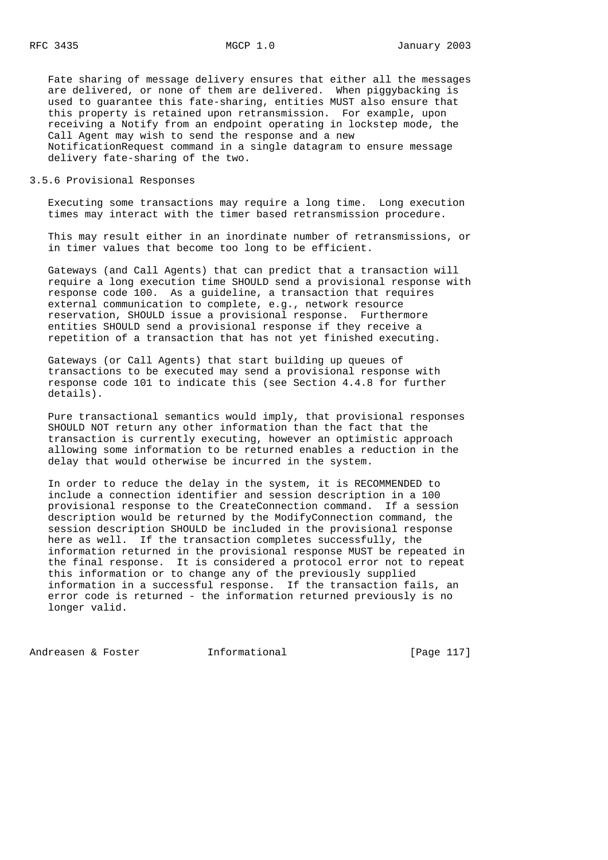Fate sharing of message delivery ensures that either all the messages are delivered, or none of them are delivered. When piggybacking is used to guarantee this fate-sharing, entities MUST also ensure that this property is retained upon retransmission. For example, upon receiving a Notify from an endpoint operating in lockstep mode, the Call Agent may wish to send the response and a new NotificationRequest command in a single datagram to ensure message delivery fate-sharing of the two.

3.5.6 Provisional Responses

 Executing some transactions may require a long time. Long execution times may interact with the timer based retransmission procedure.

 This may result either in an inordinate number of retransmissions, or in timer values that become too long to be efficient.

 Gateways (and Call Agents) that can predict that a transaction will require a long execution time SHOULD send a provisional response with response code 100. As a guideline, a transaction that requires external communication to complete, e.g., network resource reservation, SHOULD issue a provisional response. Furthermore entities SHOULD send a provisional response if they receive a repetition of a transaction that has not yet finished executing.

 Gateways (or Call Agents) that start building up queues of transactions to be executed may send a provisional response with response code 101 to indicate this (see Section 4.4.8 for further details).

 Pure transactional semantics would imply, that provisional responses SHOULD NOT return any other information than the fact that the transaction is currently executing, however an optimistic approach allowing some information to be returned enables a reduction in the delay that would otherwise be incurred in the system.

 In order to reduce the delay in the system, it is RECOMMENDED to include a connection identifier and session description in a 100 provisional response to the CreateConnection command. If a session description would be returned by the ModifyConnection command, the session description SHOULD be included in the provisional response here as well. If the transaction completes successfully, the information returned in the provisional response MUST be repeated in the final response. It is considered a protocol error not to repeat this information or to change any of the previously supplied information in a successful response. If the transaction fails, an error code is returned - the information returned previously is no longer valid.

Andreasen & Foster **Informational** [Page 117]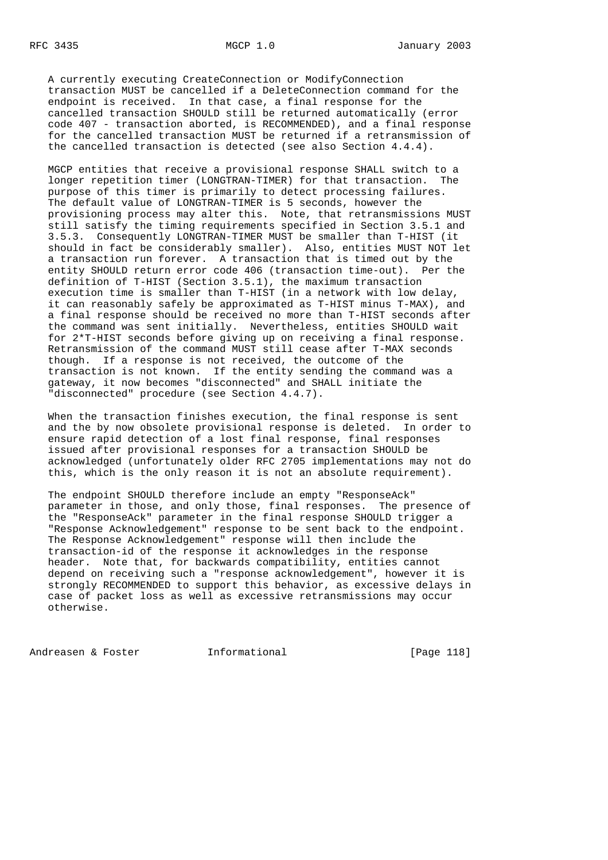A currently executing CreateConnection or ModifyConnection transaction MUST be cancelled if a DeleteConnection command for the endpoint is received. In that case, a final response for the cancelled transaction SHOULD still be returned automatically (error code 407 - transaction aborted, is RECOMMENDED), and a final response for the cancelled transaction MUST be returned if a retransmission of the cancelled transaction is detected (see also Section 4.4.4).

 MGCP entities that receive a provisional response SHALL switch to a longer repetition timer (LONGTRAN-TIMER) for that transaction. The purpose of this timer is primarily to detect processing failures. The default value of LONGTRAN-TIMER is 5 seconds, however the provisioning process may alter this. Note, that retransmissions MUST still satisfy the timing requirements specified in Section 3.5.1 and 3.5.3. Consequently LONGTRAN-TIMER MUST be smaller than T-HIST (it should in fact be considerably smaller). Also, entities MUST NOT let a transaction run forever. A transaction that is timed out by the entity SHOULD return error code 406 (transaction time-out). Per the definition of T-HIST (Section 3.5.1), the maximum transaction execution time is smaller than T-HIST (in a network with low delay, it can reasonably safely be approximated as T-HIST minus T-MAX), and a final response should be received no more than T-HIST seconds after the command was sent initially. Nevertheless, entities SHOULD wait for 2\*T-HIST seconds before giving up on receiving a final response. Retransmission of the command MUST still cease after T-MAX seconds though. If a response is not received, the outcome of the transaction is not known. If the entity sending the command was a gateway, it now becomes "disconnected" and SHALL initiate the "disconnected" procedure (see Section 4.4.7).

 When the transaction finishes execution, the final response is sent and the by now obsolete provisional response is deleted. In order to ensure rapid detection of a lost final response, final responses issued after provisional responses for a transaction SHOULD be acknowledged (unfortunately older RFC 2705 implementations may not do this, which is the only reason it is not an absolute requirement).

 The endpoint SHOULD therefore include an empty "ResponseAck" parameter in those, and only those, final responses. The presence of the "ResponseAck" parameter in the final response SHOULD trigger a "Response Acknowledgement" response to be sent back to the endpoint. The Response Acknowledgement" response will then include the transaction-id of the response it acknowledges in the response header. Note that, for backwards compatibility, entities cannot depend on receiving such a "response acknowledgement", however it is strongly RECOMMENDED to support this behavior, as excessive delays in case of packet loss as well as excessive retransmissions may occur otherwise.

Andreasen & Foster **Informational** [Page 118]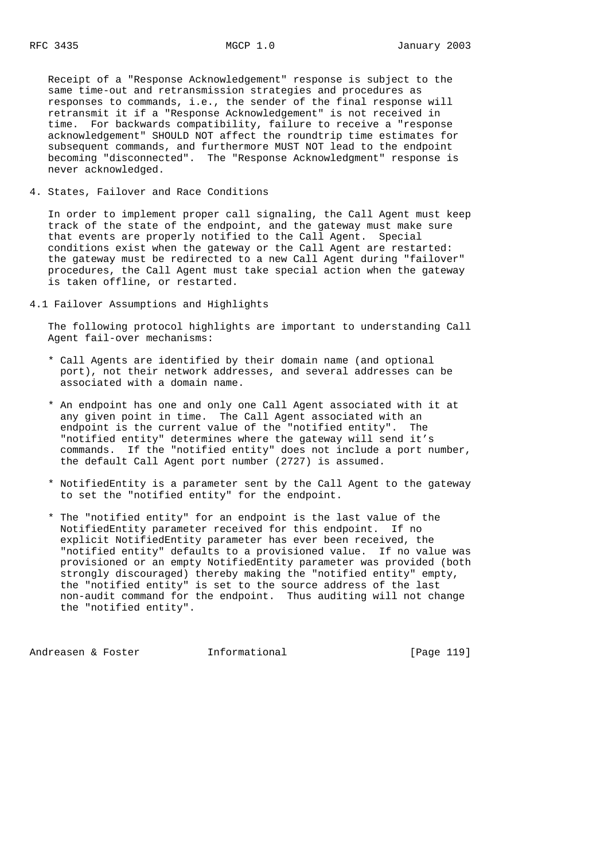Receipt of a "Response Acknowledgement" response is subject to the same time-out and retransmission strategies and procedures as responses to commands, i.e., the sender of the final response will retransmit it if a "Response Acknowledgement" is not received in time. For backwards compatibility, failure to receive a "response acknowledgement" SHOULD NOT affect the roundtrip time estimates for subsequent commands, and furthermore MUST NOT lead to the endpoint becoming "disconnected". The "Response Acknowledgment" response is never acknowledged.

4. States, Failover and Race Conditions

 In order to implement proper call signaling, the Call Agent must keep track of the state of the endpoint, and the gateway must make sure that events are properly notified to the Call Agent. Special conditions exist when the gateway or the Call Agent are restarted: the gateway must be redirected to a new Call Agent during "failover" procedures, the Call Agent must take special action when the gateway is taken offline, or restarted.

4.1 Failover Assumptions and Highlights

 The following protocol highlights are important to understanding Call Agent fail-over mechanisms:

- \* Call Agents are identified by their domain name (and optional port), not their network addresses, and several addresses can be associated with a domain name.
- \* An endpoint has one and only one Call Agent associated with it at any given point in time. The Call Agent associated with an endpoint is the current value of the "notified entity". The "notified entity" determines where the gateway will send it's commands. If the "notified entity" does not include a port number, the default Call Agent port number (2727) is assumed.
- \* NotifiedEntity is a parameter sent by the Call Agent to the gateway to set the "notified entity" for the endpoint.
- \* The "notified entity" for an endpoint is the last value of the NotifiedEntity parameter received for this endpoint. If no explicit NotifiedEntity parameter has ever been received, the "notified entity" defaults to a provisioned value. If no value was provisioned or an empty NotifiedEntity parameter was provided (both strongly discouraged) thereby making the "notified entity" empty, the "notified entity" is set to the source address of the last non-audit command for the endpoint. Thus auditing will not change the "notified entity".

Andreasen & Foster **Informational** [Page 119]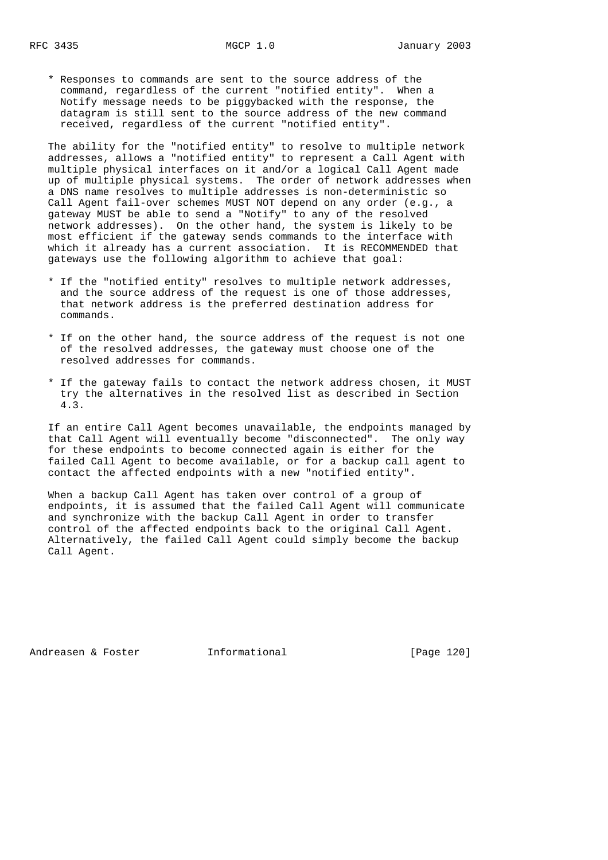\* Responses to commands are sent to the source address of the command, regardless of the current "notified entity". When a Notify message needs to be piggybacked with the response, the datagram is still sent to the source address of the new command received, regardless of the current "notified entity".

 The ability for the "notified entity" to resolve to multiple network addresses, allows a "notified entity" to represent a Call Agent with multiple physical interfaces on it and/or a logical Call Agent made up of multiple physical systems. The order of network addresses when a DNS name resolves to multiple addresses is non-deterministic so Call Agent fail-over schemes MUST NOT depend on any order (e.g., a gateway MUST be able to send a "Notify" to any of the resolved network addresses). On the other hand, the system is likely to be most efficient if the gateway sends commands to the interface with which it already has a current association. It is RECOMMENDED that gateways use the following algorithm to achieve that goal:

- \* If the "notified entity" resolves to multiple network addresses, and the source address of the request is one of those addresses, that network address is the preferred destination address for commands.
- \* If on the other hand, the source address of the request is not one of the resolved addresses, the gateway must choose one of the resolved addresses for commands.
- \* If the gateway fails to contact the network address chosen, it MUST try the alternatives in the resolved list as described in Section 4.3.

 If an entire Call Agent becomes unavailable, the endpoints managed by that Call Agent will eventually become "disconnected". The only way for these endpoints to become connected again is either for the failed Call Agent to become available, or for a backup call agent to contact the affected endpoints with a new "notified entity".

 When a backup Call Agent has taken over control of a group of endpoints, it is assumed that the failed Call Agent will communicate and synchronize with the backup Call Agent in order to transfer control of the affected endpoints back to the original Call Agent. Alternatively, the failed Call Agent could simply become the backup Call Agent.

Andreasen & Foster **Informational** [Page 120]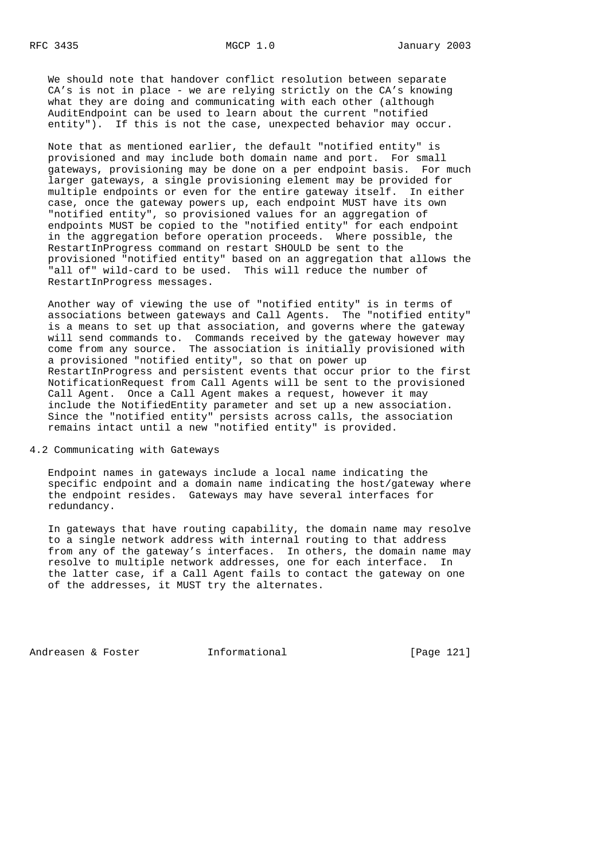We should note that handover conflict resolution between separate CA's is not in place - we are relying strictly on the CA's knowing what they are doing and communicating with each other (although AuditEndpoint can be used to learn about the current "notified entity"). If this is not the case, unexpected behavior may occur.

 Note that as mentioned earlier, the default "notified entity" is provisioned and may include both domain name and port. For small gateways, provisioning may be done on a per endpoint basis. For much larger gateways, a single provisioning element may be provided for multiple endpoints or even for the entire gateway itself. In either case, once the gateway powers up, each endpoint MUST have its own "notified entity", so provisioned values for an aggregation of endpoints MUST be copied to the "notified entity" for each endpoint in the aggregation before operation proceeds. Where possible, the RestartInProgress command on restart SHOULD be sent to the provisioned "notified entity" based on an aggregation that allows the "all of" wild-card to be used. This will reduce the number of RestartInProgress messages.

 Another way of viewing the use of "notified entity" is in terms of associations between gateways and Call Agents. The "notified entity" is a means to set up that association, and governs where the gateway will send commands to. Commands received by the gateway however may come from any source. The association is initially provisioned with a provisioned "notified entity", so that on power up RestartInProgress and persistent events that occur prior to the first NotificationRequest from Call Agents will be sent to the provisioned Call Agent. Once a Call Agent makes a request, however it may include the NotifiedEntity parameter and set up a new association. Since the "notified entity" persists across calls, the association remains intact until a new "notified entity" is provided.

# 4.2 Communicating with Gateways

 Endpoint names in gateways include a local name indicating the specific endpoint and a domain name indicating the host/gateway where the endpoint resides. Gateways may have several interfaces for redundancy.

 In gateways that have routing capability, the domain name may resolve to a single network address with internal routing to that address from any of the gateway's interfaces. In others, the domain name may resolve to multiple network addresses, one for each interface. In the latter case, if a Call Agent fails to contact the gateway on one of the addresses, it MUST try the alternates.

Andreasen & Foster **Informational** [Page 121]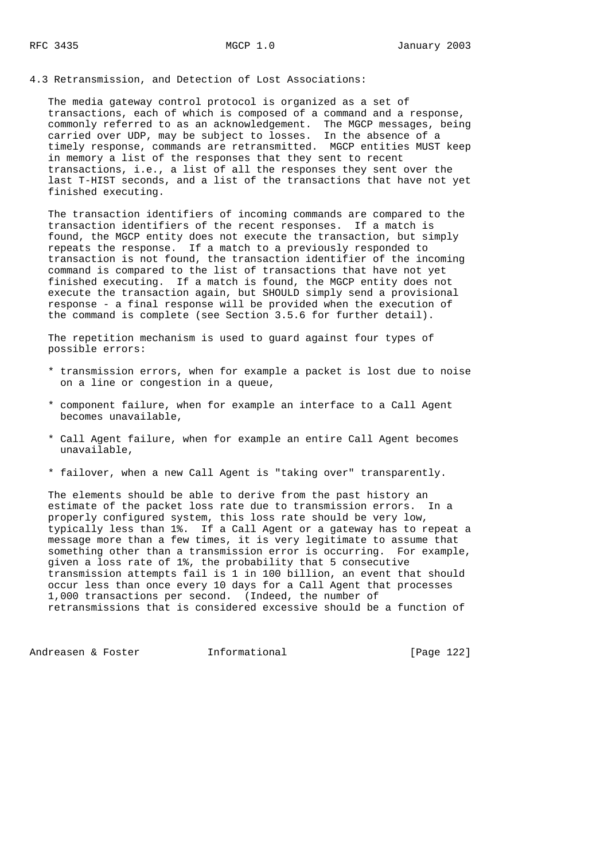The media gateway control protocol is organized as a set of transactions, each of which is composed of a command and a response, commonly referred to as an acknowledgement. The MGCP messages, being carried over UDP, may be subject to losses. In the absence of a timely response, commands are retransmitted. MGCP entities MUST keep in memory a list of the responses that they sent to recent transactions, i.e., a list of all the responses they sent over the last T-HIST seconds, and a list of the transactions that have not yet finished executing.

 The transaction identifiers of incoming commands are compared to the transaction identifiers of the recent responses. If a match is found, the MGCP entity does not execute the transaction, but simply repeats the response. If a match to a previously responded to transaction is not found, the transaction identifier of the incoming command is compared to the list of transactions that have not yet finished executing. If a match is found, the MGCP entity does not execute the transaction again, but SHOULD simply send a provisional response - a final response will be provided when the execution of the command is complete (see Section 3.5.6 for further detail).

 The repetition mechanism is used to guard against four types of possible errors:

- \* transmission errors, when for example a packet is lost due to noise on a line or congestion in a queue,
- \* component failure, when for example an interface to a Call Agent becomes unavailable,
- \* Call Agent failure, when for example an entire Call Agent becomes unavailable,
- \* failover, when a new Call Agent is "taking over" transparently.

 The elements should be able to derive from the past history an estimate of the packet loss rate due to transmission errors. In a properly configured system, this loss rate should be very low, typically less than 1%. If a Call Agent or a gateway has to repeat a message more than a few times, it is very legitimate to assume that something other than a transmission error is occurring. For example, given a loss rate of 1%, the probability that 5 consecutive transmission attempts fail is 1 in 100 billion, an event that should occur less than once every 10 days for a Call Agent that processes 1,000 transactions per second. (Indeed, the number of retransmissions that is considered excessive should be a function of

Andreasen & Foster **Informational** [Page 122]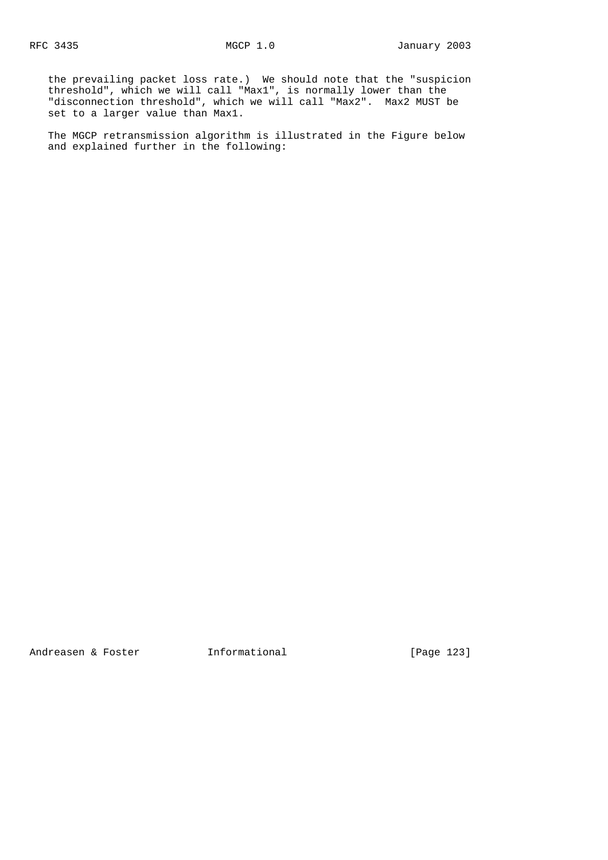the prevailing packet loss rate.) We should note that the "suspicion threshold", which we will call "Max1", is normally lower than the "disconnection threshold", which we will call "Max2". Max2 MUST be set to a larger value than Max1.

 The MGCP retransmission algorithm is illustrated in the Figure below and explained further in the following:

Andreasen & Foster **Informational** [Page 123]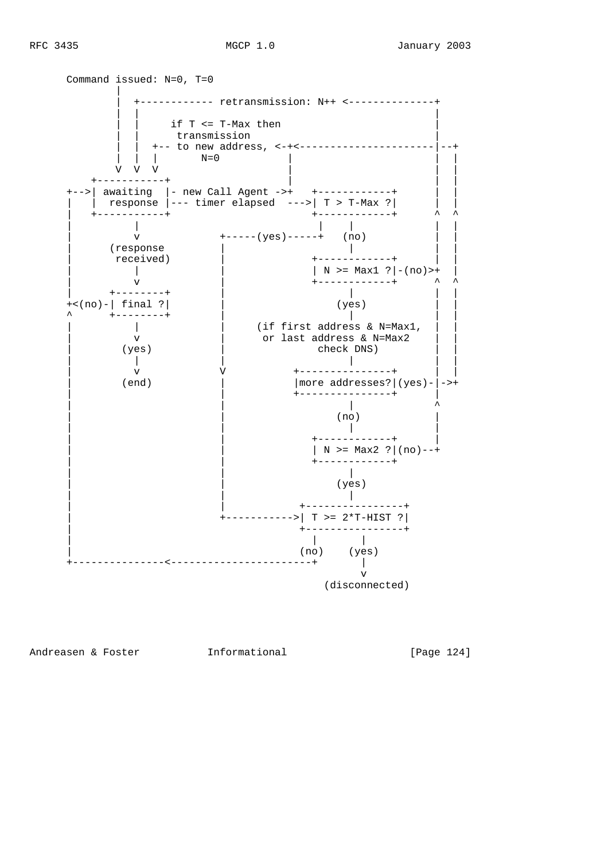

(disconnected)

Andreasen & Foster **Informational** [Page 124]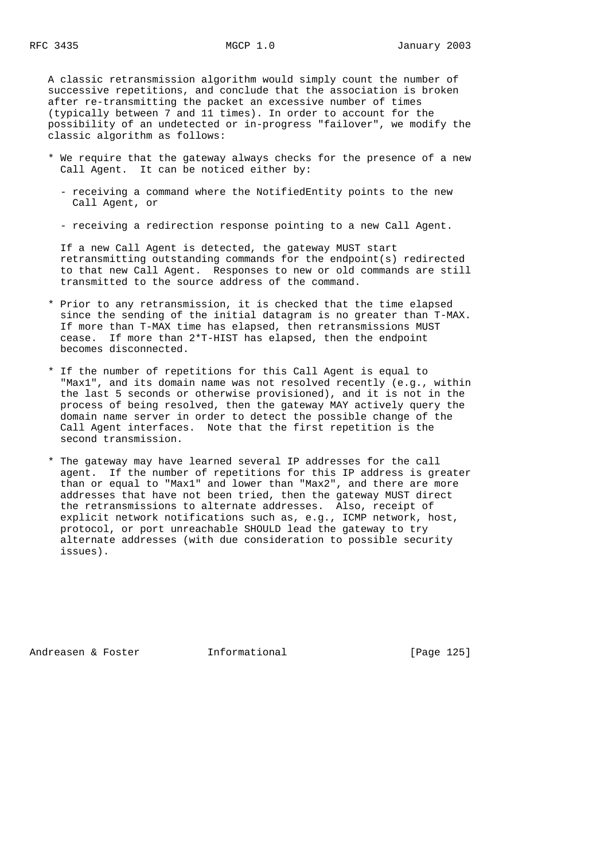A classic retransmission algorithm would simply count the number of successive repetitions, and conclude that the association is broken after re-transmitting the packet an excessive number of times (typically between 7 and 11 times). In order to account for the possibility of an undetected or in-progress "failover", we modify the classic algorithm as follows:

- \* We require that the gateway always checks for the presence of a new Call Agent. It can be noticed either by:
	- receiving a command where the NotifiedEntity points to the new Call Agent, or
	- receiving a redirection response pointing to a new Call Agent.

 If a new Call Agent is detected, the gateway MUST start retransmitting outstanding commands for the endpoint(s) redirected to that new Call Agent. Responses to new or old commands are still transmitted to the source address of the command.

- \* Prior to any retransmission, it is checked that the time elapsed since the sending of the initial datagram is no greater than T-MAX. If more than T-MAX time has elapsed, then retransmissions MUST cease. If more than 2\*T-HIST has elapsed, then the endpoint becomes disconnected.
- \* If the number of repetitions for this Call Agent is equal to "Max1", and its domain name was not resolved recently (e.g., within the last 5 seconds or otherwise provisioned), and it is not in the process of being resolved, then the gateway MAY actively query the domain name server in order to detect the possible change of the Call Agent interfaces. Note that the first repetition is the second transmission.
- \* The gateway may have learned several IP addresses for the call agent. If the number of repetitions for this IP address is greater than or equal to "Max1" and lower than "Max2", and there are more addresses that have not been tried, then the gateway MUST direct the retransmissions to alternate addresses. Also, receipt of explicit network notifications such as, e.g., ICMP network, host, protocol, or port unreachable SHOULD lead the gateway to try alternate addresses (with due consideration to possible security issues).

Andreasen & Foster **Informational** [Page 125]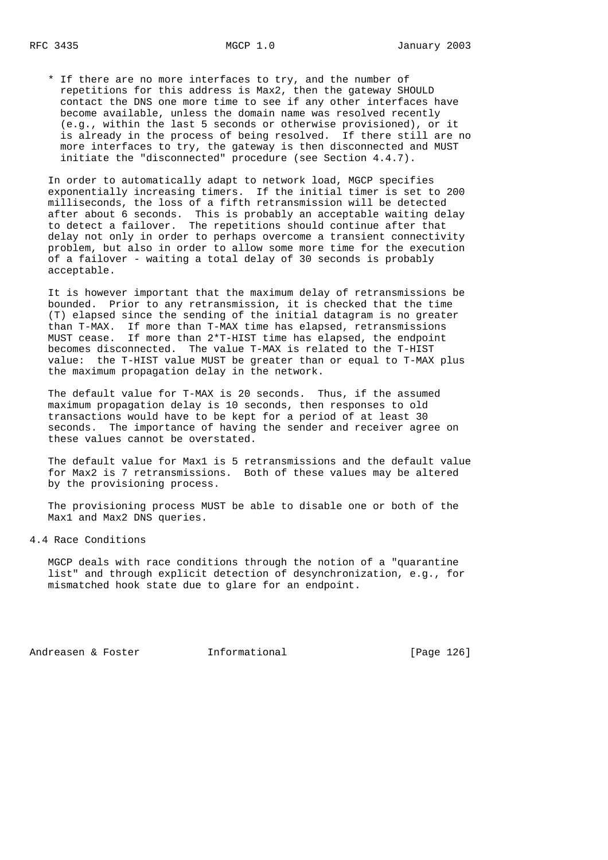\* If there are no more interfaces to try, and the number of repetitions for this address is Max2, then the gateway SHOULD contact the DNS one more time to see if any other interfaces have become available, unless the domain name was resolved recently (e.g., within the last 5 seconds or otherwise provisioned), or it is already in the process of being resolved. If there still are no more interfaces to try, the gateway is then disconnected and MUST initiate the "disconnected" procedure (see Section 4.4.7).

 In order to automatically adapt to network load, MGCP specifies exponentially increasing timers. If the initial timer is set to 200 milliseconds, the loss of a fifth retransmission will be detected after about 6 seconds. This is probably an acceptable waiting delay to detect a failover. The repetitions should continue after that delay not only in order to perhaps overcome a transient connectivity problem, but also in order to allow some more time for the execution of a failover - waiting a total delay of 30 seconds is probably acceptable.

 It is however important that the maximum delay of retransmissions be bounded. Prior to any retransmission, it is checked that the time (T) elapsed since the sending of the initial datagram is no greater than T-MAX. If more than T-MAX time has elapsed, retransmissions MUST cease. If more than 2\*T-HIST time has elapsed, the endpoint becomes disconnected. The value T-MAX is related to the T-HIST value: the T-HIST value MUST be greater than or equal to T-MAX plus the maximum propagation delay in the network.

 The default value for T-MAX is 20 seconds. Thus, if the assumed maximum propagation delay is 10 seconds, then responses to old transactions would have to be kept for a period of at least 30 seconds. The importance of having the sender and receiver agree on these values cannot be overstated.

 The default value for Max1 is 5 retransmissions and the default value for Max2 is 7 retransmissions. Both of these values may be altered by the provisioning process.

 The provisioning process MUST be able to disable one or both of the Max1 and Max2 DNS queries.

4.4 Race Conditions

 MGCP deals with race conditions through the notion of a "quarantine list" and through explicit detection of desynchronization, e.g., for mismatched hook state due to glare for an endpoint.

Andreasen & Foster **Informational** [Page 126]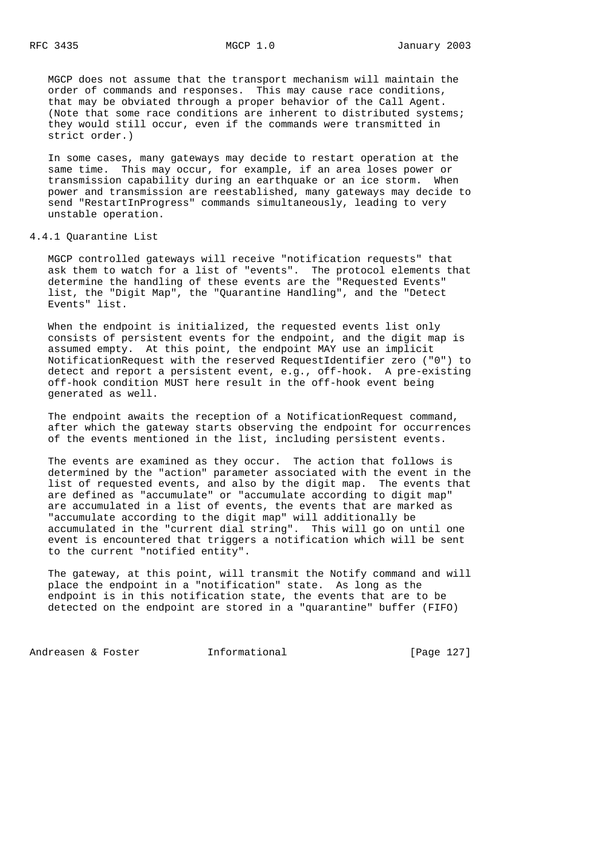MGCP does not assume that the transport mechanism will maintain the order of commands and responses. This may cause race conditions, that may be obviated through a proper behavior of the Call Agent. (Note that some race conditions are inherent to distributed systems; they would still occur, even if the commands were transmitted in strict order.)

 In some cases, many gateways may decide to restart operation at the same time. This may occur, for example, if an area loses power or transmission capability during an earthquake or an ice storm. When power and transmission are reestablished, many gateways may decide to send "RestartInProgress" commands simultaneously, leading to very unstable operation.

## 4.4.1 Quarantine List

 MGCP controlled gateways will receive "notification requests" that ask them to watch for a list of "events". The protocol elements that determine the handling of these events are the "Requested Events" list, the "Digit Map", the "Quarantine Handling", and the "Detect Events" list.

 When the endpoint is initialized, the requested events list only consists of persistent events for the endpoint, and the digit map is assumed empty. At this point, the endpoint MAY use an implicit NotificationRequest with the reserved RequestIdentifier zero ("0") to detect and report a persistent event, e.g., off-hook. A pre-existing off-hook condition MUST here result in the off-hook event being generated as well.

 The endpoint awaits the reception of a NotificationRequest command, after which the gateway starts observing the endpoint for occurrences of the events mentioned in the list, including persistent events.

 The events are examined as they occur. The action that follows is determined by the "action" parameter associated with the event in the list of requested events, and also by the digit map. The events that are defined as "accumulate" or "accumulate according to digit map" are accumulated in a list of events, the events that are marked as "accumulate according to the digit map" will additionally be accumulated in the "current dial string". This will go on until one event is encountered that triggers a notification which will be sent to the current "notified entity".

 The gateway, at this point, will transmit the Notify command and will place the endpoint in a "notification" state. As long as the endpoint is in this notification state, the events that are to be detected on the endpoint are stored in a "quarantine" buffer (FIFO)

Andreasen & Foster **Informational Informational** [Page 127]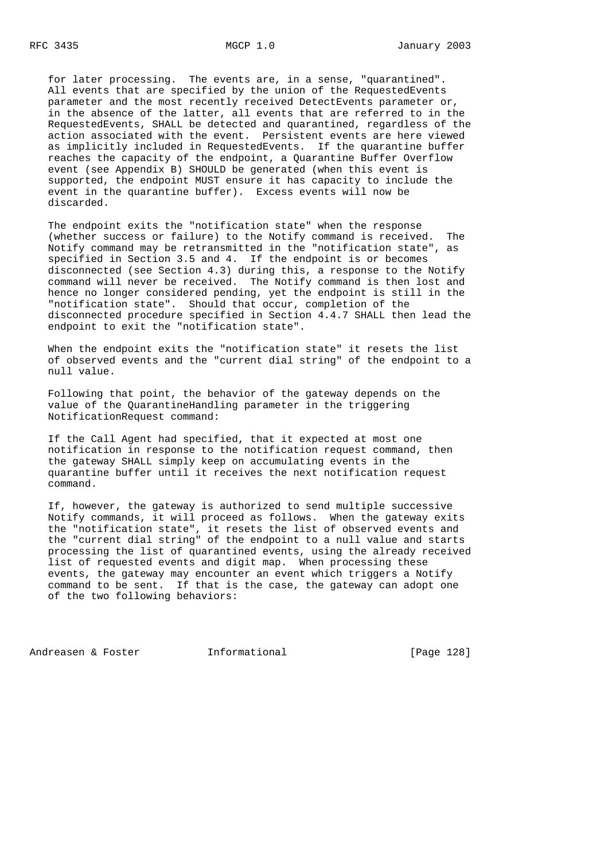for later processing. The events are, in a sense, "quarantined". All events that are specified by the union of the RequestedEvents parameter and the most recently received DetectEvents parameter or, in the absence of the latter, all events that are referred to in the RequestedEvents, SHALL be detected and quarantined, regardless of the action associated with the event. Persistent events are here viewed as implicitly included in RequestedEvents. If the quarantine buffer reaches the capacity of the endpoint, a Quarantine Buffer Overflow event (see Appendix B) SHOULD be generated (when this event is supported, the endpoint MUST ensure it has capacity to include the event in the quarantine buffer). Excess events will now be discarded.

 The endpoint exits the "notification state" when the response (whether success or failure) to the Notify command is received. The Notify command may be retransmitted in the "notification state", as specified in Section 3.5 and 4. If the endpoint is or becomes disconnected (see Section 4.3) during this, a response to the Notify command will never be received. The Notify command is then lost and hence no longer considered pending, yet the endpoint is still in the "notification state". Should that occur, completion of the disconnected procedure specified in Section 4.4.7 SHALL then lead the endpoint to exit the "notification state".

 When the endpoint exits the "notification state" it resets the list of observed events and the "current dial string" of the endpoint to a null value.

 Following that point, the behavior of the gateway depends on the value of the QuarantineHandling parameter in the triggering NotificationRequest command:

 If the Call Agent had specified, that it expected at most one notification in response to the notification request command, then the gateway SHALL simply keep on accumulating events in the quarantine buffer until it receives the next notification request command.

 If, however, the gateway is authorized to send multiple successive Notify commands, it will proceed as follows. When the gateway exits the "notification state", it resets the list of observed events and the "current dial string" of the endpoint to a null value and starts processing the list of quarantined events, using the already received list of requested events and digit map. When processing these events, the gateway may encounter an event which triggers a Notify command to be sent. If that is the case, the gateway can adopt one of the two following behaviors:

Andreasen & Foster **Informational** [Page 128]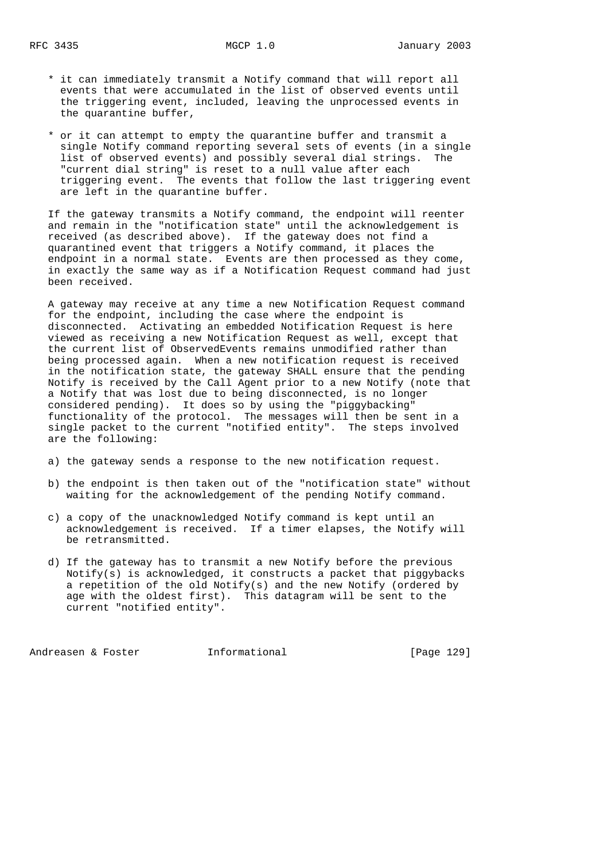- \* it can immediately transmit a Notify command that will report all events that were accumulated in the list of observed events until the triggering event, included, leaving the unprocessed events in the quarantine buffer,
- \* or it can attempt to empty the quarantine buffer and transmit a single Notify command reporting several sets of events (in a single list of observed events) and possibly several dial strings. The "current dial string" is reset to a null value after each triggering event. The events that follow the last triggering event are left in the quarantine buffer.

 If the gateway transmits a Notify command, the endpoint will reenter and remain in the "notification state" until the acknowledgement is received (as described above). If the gateway does not find a quarantined event that triggers a Notify command, it places the endpoint in a normal state. Events are then processed as they come, in exactly the same way as if a Notification Request command had just been received.

 A gateway may receive at any time a new Notification Request command for the endpoint, including the case where the endpoint is disconnected. Activating an embedded Notification Request is here viewed as receiving a new Notification Request as well, except that the current list of ObservedEvents remains unmodified rather than being processed again. When a new notification request is received in the notification state, the gateway SHALL ensure that the pending Notify is received by the Call Agent prior to a new Notify (note that a Notify that was lost due to being disconnected, is no longer considered pending). It does so by using the "piggybacking" functionality of the protocol. The messages will then be sent in a single packet to the current "notified entity". The steps involved are the following:

a) the gateway sends a response to the new notification request.

- b) the endpoint is then taken out of the "notification state" without waiting for the acknowledgement of the pending Notify command.
- c) a copy of the unacknowledged Notify command is kept until an acknowledgement is received. If a timer elapses, the Notify will be retransmitted.
- d) If the gateway has to transmit a new Notify before the previous Notify(s) is acknowledged, it constructs a packet that piggybacks a repetition of the old Notify(s) and the new Notify (ordered by age with the oldest first). This datagram will be sent to the current "notified entity".

Andreasen & Foster **Informational** [Page 129]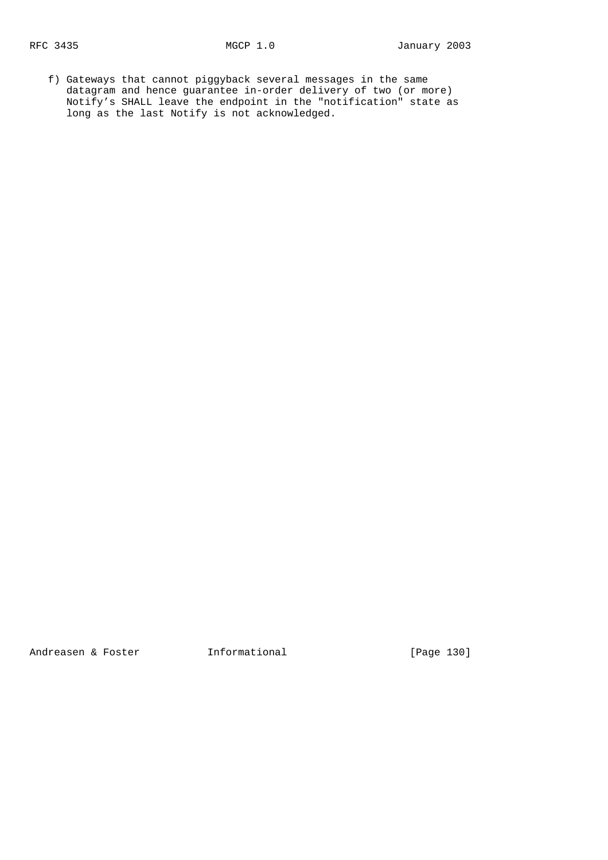f) Gateways that cannot piggyback several messages in the same datagram and hence guarantee in-order delivery of two (or more) Notify's SHALL leave the endpoint in the "notification" state as long as the last Notify is not acknowledged.

Andreasen & Foster **Informational** [Page 130]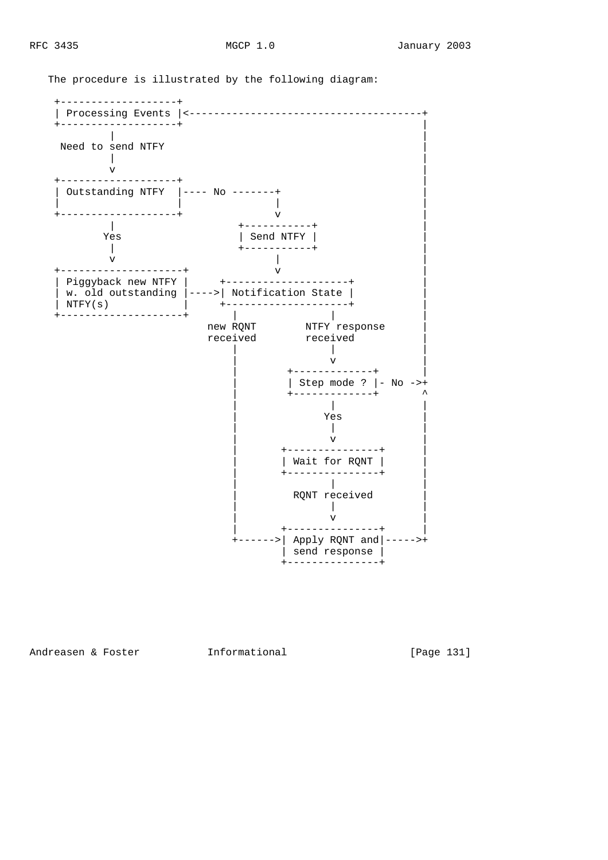The procedure is illustrated by the following diagram:



Andreasen & Foster **Informational** [Page 131]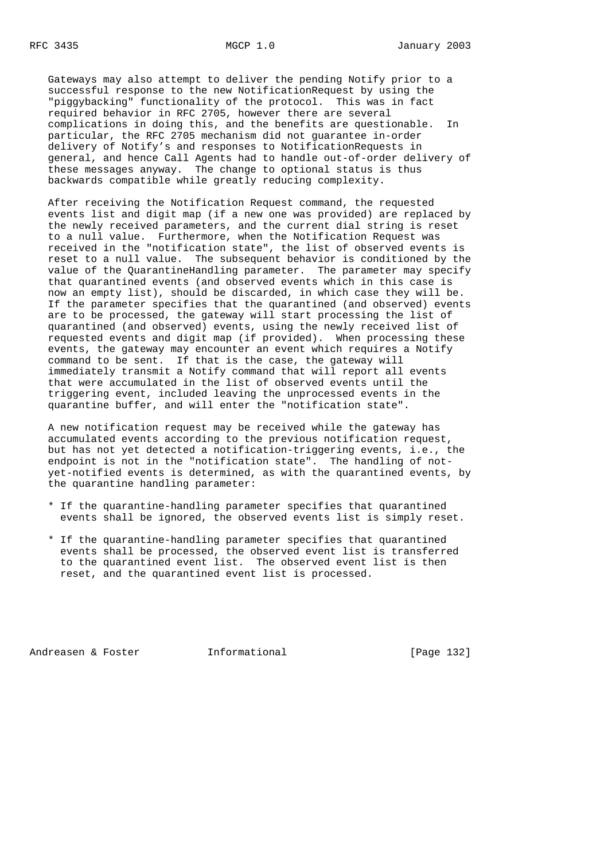Gateways may also attempt to deliver the pending Notify prior to a successful response to the new NotificationRequest by using the "piggybacking" functionality of the protocol. This was in fact required behavior in RFC 2705, however there are several complications in doing this, and the benefits are questionable. In particular, the RFC 2705 mechanism did not guarantee in-order delivery of Notify's and responses to NotificationRequests in general, and hence Call Agents had to handle out-of-order delivery of these messages anyway. The change to optional status is thus backwards compatible while greatly reducing complexity.

 After receiving the Notification Request command, the requested events list and digit map (if a new one was provided) are replaced by the newly received parameters, and the current dial string is reset to a null value. Furthermore, when the Notification Request was received in the "notification state", the list of observed events is reset to a null value. The subsequent behavior is conditioned by the value of the QuarantineHandling parameter. The parameter may specify that quarantined events (and observed events which in this case is now an empty list), should be discarded, in which case they will be. If the parameter specifies that the quarantined (and observed) events are to be processed, the gateway will start processing the list of quarantined (and observed) events, using the newly received list of requested events and digit map (if provided). When processing these events, the gateway may encounter an event which requires a Notify command to be sent. If that is the case, the gateway will immediately transmit a Notify command that will report all events that were accumulated in the list of observed events until the triggering event, included leaving the unprocessed events in the quarantine buffer, and will enter the "notification state".

 A new notification request may be received while the gateway has accumulated events according to the previous notification request, but has not yet detected a notification-triggering events, i.e., the endpoint is not in the "notification state". The handling of not yet-notified events is determined, as with the quarantined events, by the quarantine handling parameter:

- \* If the quarantine-handling parameter specifies that quarantined events shall be ignored, the observed events list is simply reset.
- \* If the quarantine-handling parameter specifies that quarantined events shall be processed, the observed event list is transferred to the quarantined event list. The observed event list is then reset, and the quarantined event list is processed.

Andreasen & Foster **Informational** [Page 132]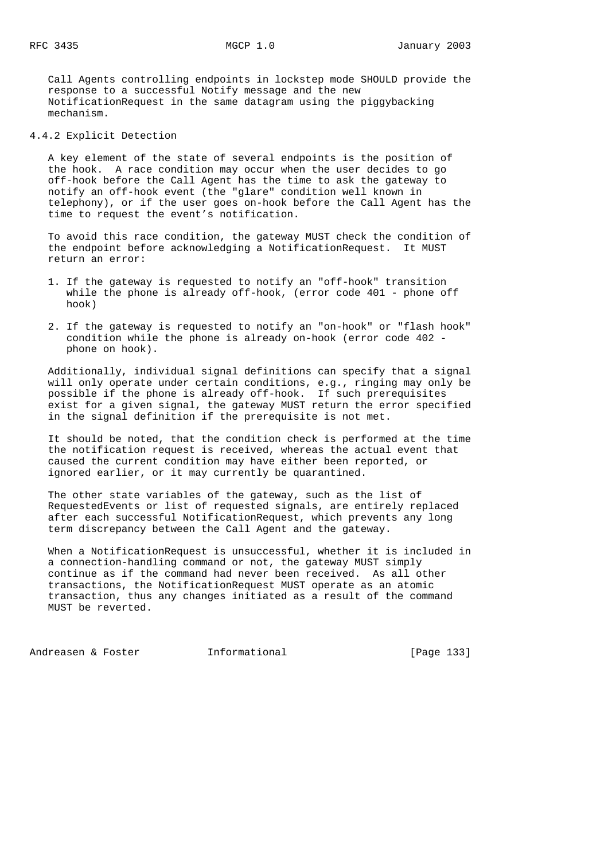Call Agents controlling endpoints in lockstep mode SHOULD provide the response to a successful Notify message and the new NotificationRequest in the same datagram using the piggybacking mechanism.

4.4.2 Explicit Detection

 A key element of the state of several endpoints is the position of the hook. A race condition may occur when the user decides to go off-hook before the Call Agent has the time to ask the gateway to notify an off-hook event (the "glare" condition well known in telephony), or if the user goes on-hook before the Call Agent has the time to request the event's notification.

 To avoid this race condition, the gateway MUST check the condition of the endpoint before acknowledging a NotificationRequest. It MUST return an error:

- 1. If the gateway is requested to notify an "off-hook" transition while the phone is already off-hook, (error code 401 - phone off hook)
- 2. If the gateway is requested to notify an "on-hook" or "flash hook" condition while the phone is already on-hook (error code 402 phone on hook).

 Additionally, individual signal definitions can specify that a signal will only operate under certain conditions, e.g., ringing may only be possible if the phone is already off-hook. If such prerequisites exist for a given signal, the gateway MUST return the error specified in the signal definition if the prerequisite is not met.

 It should be noted, that the condition check is performed at the time the notification request is received, whereas the actual event that caused the current condition may have either been reported, or ignored earlier, or it may currently be quarantined.

 The other state variables of the gateway, such as the list of RequestedEvents or list of requested signals, are entirely replaced after each successful NotificationRequest, which prevents any long term discrepancy between the Call Agent and the gateway.

 When a NotificationRequest is unsuccessful, whether it is included in a connection-handling command or not, the gateway MUST simply continue as if the command had never been received. As all other transactions, the NotificationRequest MUST operate as an atomic transaction, thus any changes initiated as a result of the command MUST be reverted.

Andreasen & Foster **Informational** [Page 133]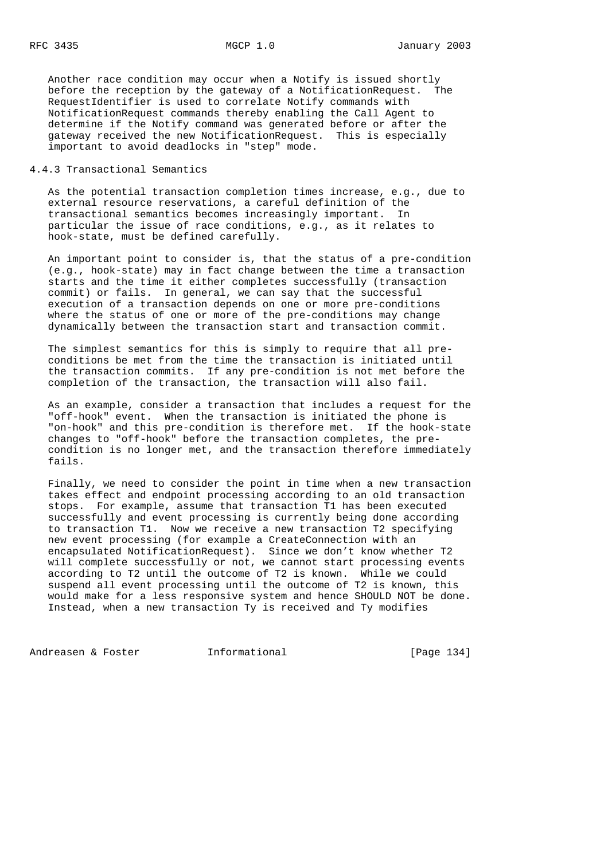Another race condition may occur when a Notify is issued shortly before the reception by the gateway of a NotificationRequest. The RequestIdentifier is used to correlate Notify commands with NotificationRequest commands thereby enabling the Call Agent to determine if the Notify command was generated before or after the gateway received the new NotificationRequest. This is especially important to avoid deadlocks in "step" mode.

## 4.4.3 Transactional Semantics

 As the potential transaction completion times increase, e.g., due to external resource reservations, a careful definition of the transactional semantics becomes increasingly important. In particular the issue of race conditions, e.g., as it relates to hook-state, must be defined carefully.

 An important point to consider is, that the status of a pre-condition (e.g., hook-state) may in fact change between the time a transaction starts and the time it either completes successfully (transaction commit) or fails. In general, we can say that the successful execution of a transaction depends on one or more pre-conditions where the status of one or more of the pre-conditions may change dynamically between the transaction start and transaction commit.

 The simplest semantics for this is simply to require that all pre conditions be met from the time the transaction is initiated until the transaction commits. If any pre-condition is not met before the completion of the transaction, the transaction will also fail.

 As an example, consider a transaction that includes a request for the "off-hook" event. When the transaction is initiated the phone is "on-hook" and this pre-condition is therefore met. If the hook-state changes to "off-hook" before the transaction completes, the pre condition is no longer met, and the transaction therefore immediately fails.

 Finally, we need to consider the point in time when a new transaction takes effect and endpoint processing according to an old transaction stops. For example, assume that transaction T1 has been executed successfully and event processing is currently being done according to transaction T1. Now we receive a new transaction T2 specifying new event processing (for example a CreateConnection with an encapsulated NotificationRequest). Since we don't know whether T2 will complete successfully or not, we cannot start processing events according to T2 until the outcome of T2 is known. While we could suspend all event processing until the outcome of T2 is known, this would make for a less responsive system and hence SHOULD NOT be done. Instead, when a new transaction Ty is received and Ty modifies

Andreasen & Foster **Informational** [Page 134]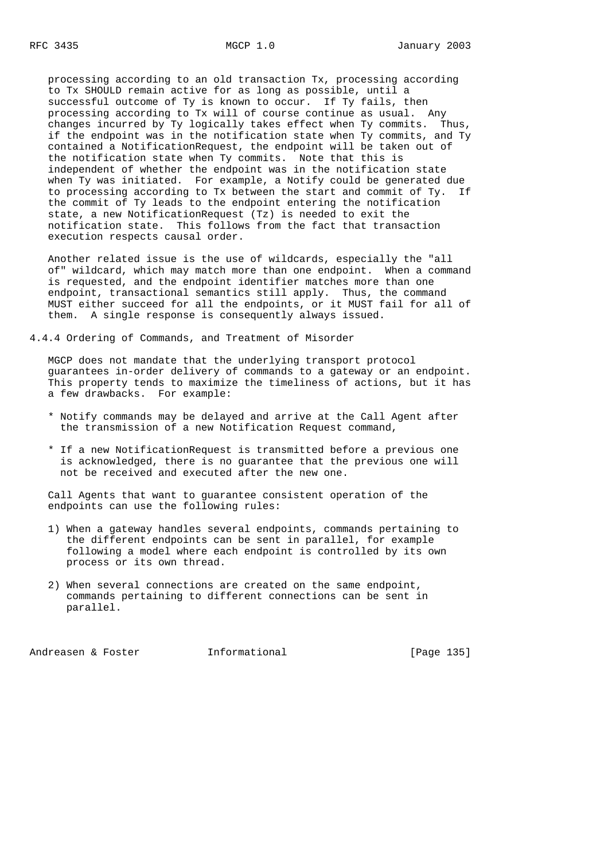processing according to an old transaction Tx, processing according to Tx SHOULD remain active for as long as possible, until a successful outcome of Ty is known to occur. If Ty fails, then processing according to Tx will of course continue as usual. Any changes incurred by Ty logically takes effect when Ty commits. Thus, if the endpoint was in the notification state when Ty commits, and Ty contained a NotificationRequest, the endpoint will be taken out of the notification state when Ty commits. Note that this is independent of whether the endpoint was in the notification state when Ty was initiated. For example, a Notify could be generated due to processing according to Tx between the start and commit of Ty. If the commit of Ty leads to the endpoint entering the notification state, a new NotificationRequest (Tz) is needed to exit the notification state. This follows from the fact that transaction execution respects causal order.

 Another related issue is the use of wildcards, especially the "all of" wildcard, which may match more than one endpoint. When a command is requested, and the endpoint identifier matches more than one endpoint, transactional semantics still apply. Thus, the command MUST either succeed for all the endpoints, or it MUST fail for all of them. A single response is consequently always issued.

4.4.4 Ordering of Commands, and Treatment of Misorder

 MGCP does not mandate that the underlying transport protocol guarantees in-order delivery of commands to a gateway or an endpoint. This property tends to maximize the timeliness of actions, but it has a few drawbacks. For example:

- \* Notify commands may be delayed and arrive at the Call Agent after the transmission of a new Notification Request command,
- \* If a new NotificationRequest is transmitted before a previous one is acknowledged, there is no guarantee that the previous one will not be received and executed after the new one.

 Call Agents that want to guarantee consistent operation of the endpoints can use the following rules:

- 1) When a gateway handles several endpoints, commands pertaining to the different endpoints can be sent in parallel, for example following a model where each endpoint is controlled by its own process or its own thread.
- 2) When several connections are created on the same endpoint, commands pertaining to different connections can be sent in parallel.

Andreasen & Foster **Informational** [Page 135]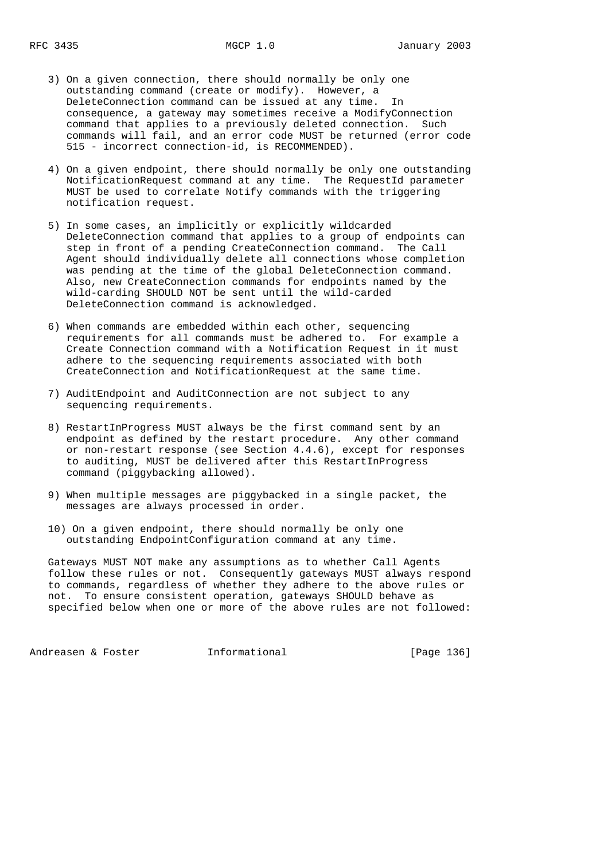- 3) On a given connection, there should normally be only one outstanding command (create or modify). However, a DeleteConnection command can be issued at any time. In consequence, a gateway may sometimes receive a ModifyConnection command that applies to a previously deleted connection. Such commands will fail, and an error code MUST be returned (error code 515 - incorrect connection-id, is RECOMMENDED).
- 4) On a given endpoint, there should normally be only one outstanding NotificationRequest command at any time. The RequestId parameter MUST be used to correlate Notify commands with the triggering notification request.
- 5) In some cases, an implicitly or explicitly wildcarded DeleteConnection command that applies to a group of endpoints can step in front of a pending CreateConnection command. The Call Agent should individually delete all connections whose completion was pending at the time of the global DeleteConnection command. Also, new CreateConnection commands for endpoints named by the wild-carding SHOULD NOT be sent until the wild-carded DeleteConnection command is acknowledged.
- 6) When commands are embedded within each other, sequencing requirements for all commands must be adhered to. For example a Create Connection command with a Notification Request in it must adhere to the sequencing requirements associated with both CreateConnection and NotificationRequest at the same time.
- 7) AuditEndpoint and AuditConnection are not subject to any sequencing requirements.
- 8) RestartInProgress MUST always be the first command sent by an endpoint as defined by the restart procedure. Any other command or non-restart response (see Section 4.4.6), except for responses to auditing, MUST be delivered after this RestartInProgress command (piggybacking allowed).
- 9) When multiple messages are piggybacked in a single packet, the messages are always processed in order.
- 10) On a given endpoint, there should normally be only one outstanding EndpointConfiguration command at any time.

 Gateways MUST NOT make any assumptions as to whether Call Agents follow these rules or not. Consequently gateways MUST always respond to commands, regardless of whether they adhere to the above rules or not. To ensure consistent operation, gateways SHOULD behave as specified below when one or more of the above rules are not followed:

Andreasen & Foster **Informational** [Page 136]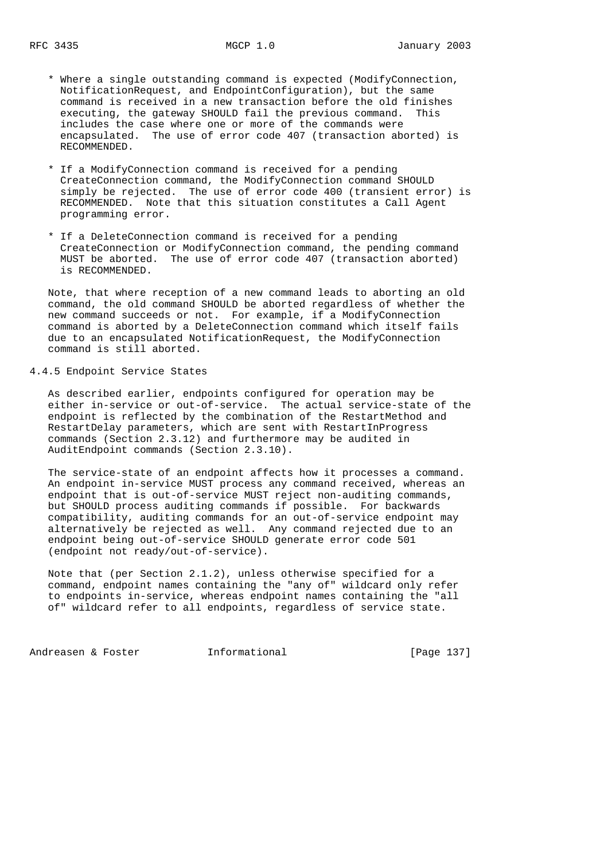- \* Where a single outstanding command is expected (ModifyConnection, NotificationRequest, and EndpointConfiguration), but the same command is received in a new transaction before the old finishes executing, the gateway SHOULD fail the previous command. This includes the case where one or more of the commands were encapsulated. The use of error code 407 (transaction aborted) is RECOMMENDED.
- \* If a ModifyConnection command is received for a pending CreateConnection command, the ModifyConnection command SHOULD simply be rejected. The use of error code 400 (transient error) is RECOMMENDED. Note that this situation constitutes a Call Agent programming error.
- \* If a DeleteConnection command is received for a pending CreateConnection or ModifyConnection command, the pending command MUST be aborted. The use of error code 407 (transaction aborted) is RECOMMENDED.

 Note, that where reception of a new command leads to aborting an old command, the old command SHOULD be aborted regardless of whether the new command succeeds or not. For example, if a ModifyConnection command is aborted by a DeleteConnection command which itself fails due to an encapsulated NotificationRequest, the ModifyConnection command is still aborted.

### 4.4.5 Endpoint Service States

 As described earlier, endpoints configured for operation may be either in-service or out-of-service. The actual service-state of the endpoint is reflected by the combination of the RestartMethod and RestartDelay parameters, which are sent with RestartInProgress commands (Section 2.3.12) and furthermore may be audited in AuditEndpoint commands (Section 2.3.10).

 The service-state of an endpoint affects how it processes a command. An endpoint in-service MUST process any command received, whereas an endpoint that is out-of-service MUST reject non-auditing commands, but SHOULD process auditing commands if possible. For backwards compatibility, auditing commands for an out-of-service endpoint may alternatively be rejected as well. Any command rejected due to an endpoint being out-of-service SHOULD generate error code 501 (endpoint not ready/out-of-service).

 Note that (per Section 2.1.2), unless otherwise specified for a command, endpoint names containing the "any of" wildcard only refer to endpoints in-service, whereas endpoint names containing the "all of" wildcard refer to all endpoints, regardless of service state.

Andreasen & Foster **Informational** [Page 137]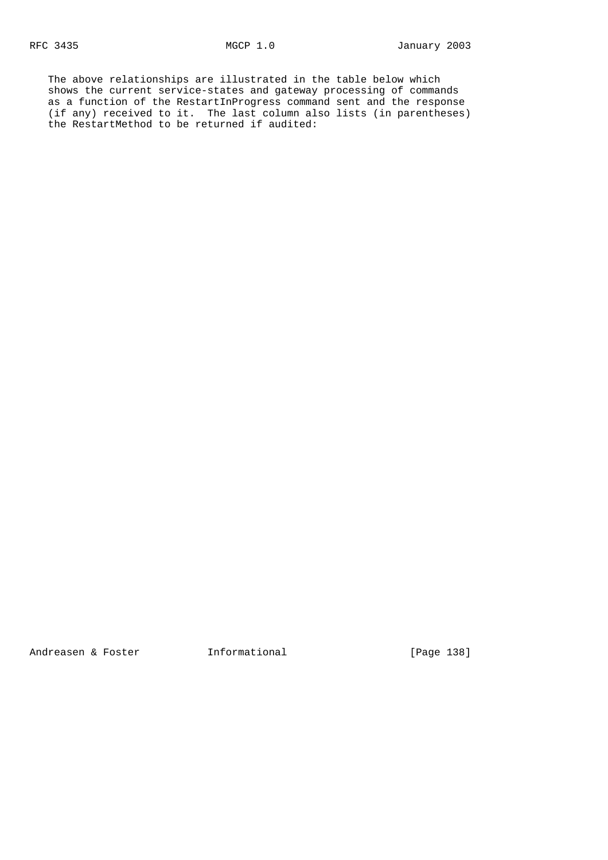The above relationships are illustrated in the table below which shows the current service-states and gateway processing of commands as a function of the RestartInProgress command sent and the response (if any) received to it. The last column also lists (in parentheses) the RestartMethod to be returned if audited:

Andreasen & Foster **Informational** [Page 138]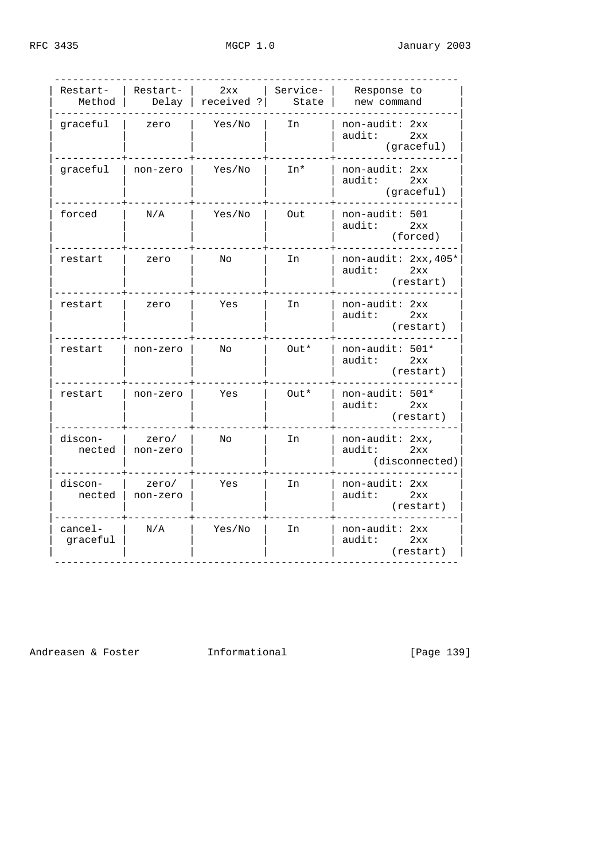| Restart-<br>Method  | Restart-          | 2xx<br>Delay   received ? | Service-<br>State | Response to<br>new command                         |
|---------------------|-------------------|---------------------------|-------------------|----------------------------------------------------|
| qraceful            | zero              | Yes/No                    | In                | non-audit: 2xx<br>audit:<br>2xx<br>(graceful)      |
| graceful            | non-zero          | Yes/No                    | In*               | non-audit: 2xx<br>audit:<br>2xx<br>(graceful)      |
| forced              | N/A               | Yes/No                    | Out               | $non-audit: 501$<br>audit:<br>2xx<br>(forced)      |
| restart             | zero              | No                        | In                | non-audit: 2xx, 405*<br>audit:<br>2xx<br>(restart) |
| restart             | zero              | Yes                       | In                | $non-audit: 2xx$<br>audit:<br>2xx<br>(restart)     |
| restart             | non-zero          | No                        | Out*              | non-audit: 501*<br>audit:<br>2xx<br>(restart)      |
| restart             | non-zero          | Yes                       | Out*              | non-audit: 501*<br>2xx<br>audit:<br>(restart)      |
| discon-<br>nected   | zero/<br>non-zero | No                        | In                | non-audit: 2xx,<br>audit:<br>2xx<br>(disconnected) |
| discon-<br>nected   | zero/<br>non-zero | Yes                       | In                | non-audit: 2xx<br>audit:<br>2xx<br>(restart)       |
| cancel-<br>graceful | N/A               | Yes/No                    | In                | non-audit: 2xx<br>2xx<br>audit:<br>(restart)       |

Andreasen & Foster **Informational** [Page 139]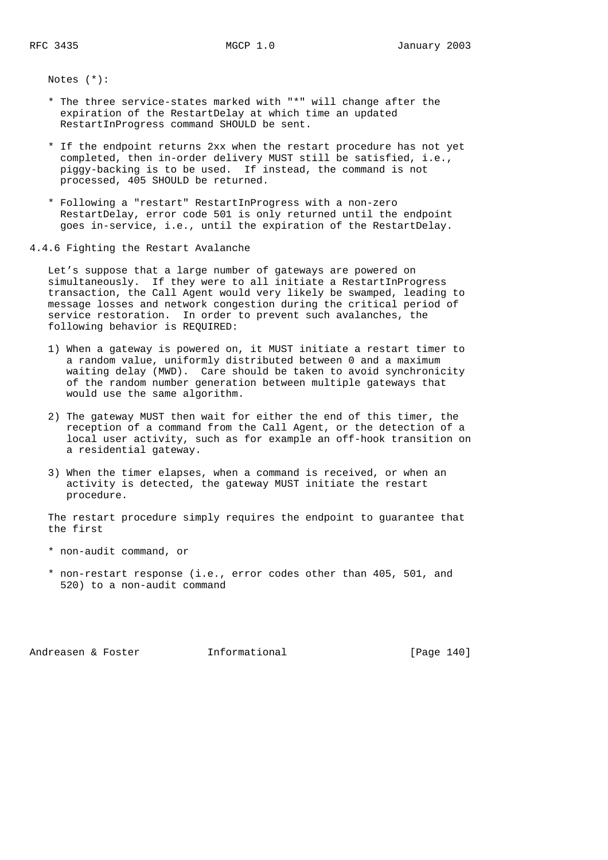Notes (\*):

- \* The three service-states marked with "\*" will change after the expiration of the RestartDelay at which time an updated RestartInProgress command SHOULD be sent.
- \* If the endpoint returns 2xx when the restart procedure has not yet completed, then in-order delivery MUST still be satisfied, i.e., piggy-backing is to be used. If instead, the command is not processed, 405 SHOULD be returned.
- \* Following a "restart" RestartInProgress with a non-zero RestartDelay, error code 501 is only returned until the endpoint goes in-service, i.e., until the expiration of the RestartDelay.

4.4.6 Fighting the Restart Avalanche

 Let's suppose that a large number of gateways are powered on simultaneously. If they were to all initiate a RestartInProgress transaction, the Call Agent would very likely be swamped, leading to message losses and network congestion during the critical period of service restoration. In order to prevent such avalanches, the following behavior is REQUIRED:

- 1) When a gateway is powered on, it MUST initiate a restart timer to a random value, uniformly distributed between 0 and a maximum waiting delay (MWD). Care should be taken to avoid synchronicity of the random number generation between multiple gateways that would use the same algorithm.
- 2) The gateway MUST then wait for either the end of this timer, the reception of a command from the Call Agent, or the detection of a local user activity, such as for example an off-hook transition on a residential gateway.
- 3) When the timer elapses, when a command is received, or when an activity is detected, the gateway MUST initiate the restart procedure.

 The restart procedure simply requires the endpoint to guarantee that the first

- \* non-audit command, or
- \* non-restart response (i.e., error codes other than 405, 501, and 520) to a non-audit command

Andreasen & Foster **Informational** [Page 140]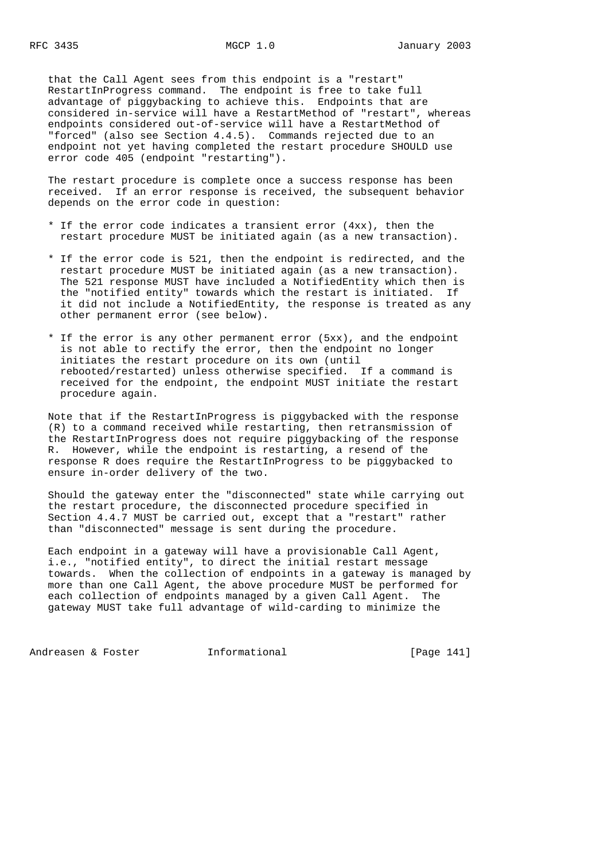that the Call Agent sees from this endpoint is a "restart" RestartInProgress command. The endpoint is free to take full advantage of piggybacking to achieve this. Endpoints that are considered in-service will have a RestartMethod of "restart", whereas endpoints considered out-of-service will have a RestartMethod of "forced" (also see Section 4.4.5). Commands rejected due to an endpoint not yet having completed the restart procedure SHOULD use error code 405 (endpoint "restarting").

 The restart procedure is complete once a success response has been received. If an error response is received, the subsequent behavior depends on the error code in question:

- \* If the error code indicates a transient error (4xx), then the restart procedure MUST be initiated again (as a new transaction).
- \* If the error code is 521, then the endpoint is redirected, and the restart procedure MUST be initiated again (as a new transaction). The 521 response MUST have included a NotifiedEntity which then is the "notified entity" towards which the restart is initiated. If it did not include a NotifiedEntity, the response is treated as any other permanent error (see below).
- \* If the error is any other permanent error (5xx), and the endpoint is not able to rectify the error, then the endpoint no longer initiates the restart procedure on its own (until rebooted/restarted) unless otherwise specified. If a command is received for the endpoint, the endpoint MUST initiate the restart procedure again.

 Note that if the RestartInProgress is piggybacked with the response (R) to a command received while restarting, then retransmission of the RestartInProgress does not require piggybacking of the response R. However, while the endpoint is restarting, a resend of the response R does require the RestartInProgress to be piggybacked to ensure in-order delivery of the two.

 Should the gateway enter the "disconnected" state while carrying out the restart procedure, the disconnected procedure specified in Section 4.4.7 MUST be carried out, except that a "restart" rather than "disconnected" message is sent during the procedure.

 Each endpoint in a gateway will have a provisionable Call Agent, i.e., "notified entity", to direct the initial restart message towards. When the collection of endpoints in a gateway is managed by more than one Call Agent, the above procedure MUST be performed for each collection of endpoints managed by a given Call Agent. The gateway MUST take full advantage of wild-carding to minimize the

Andreasen & Foster **Informational** [Page 141]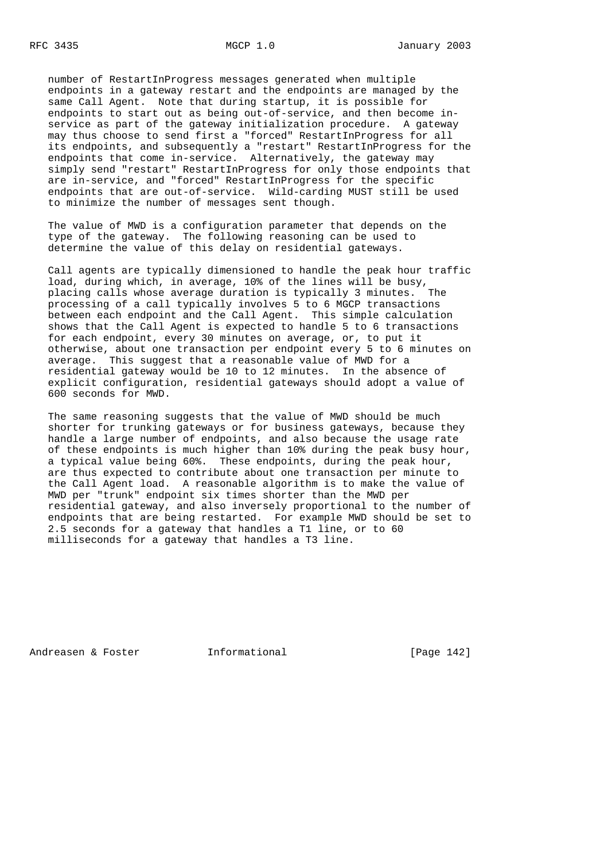number of RestartInProgress messages generated when multiple endpoints in a gateway restart and the endpoints are managed by the same Call Agent. Note that during startup, it is possible for endpoints to start out as being out-of-service, and then become in service as part of the gateway initialization procedure. A gateway may thus choose to send first a "forced" RestartInProgress for all its endpoints, and subsequently a "restart" RestartInProgress for the endpoints that come in-service. Alternatively, the gateway may simply send "restart" RestartInProgress for only those endpoints that are in-service, and "forced" RestartInProgress for the specific endpoints that are out-of-service. Wild-carding MUST still be used to minimize the number of messages sent though.

 The value of MWD is a configuration parameter that depends on the type of the gateway. The following reasoning can be used to determine the value of this delay on residential gateways.

 Call agents are typically dimensioned to handle the peak hour traffic load, during which, in average, 10% of the lines will be busy, placing calls whose average duration is typically 3 minutes. The processing of a call typically involves 5 to 6 MGCP transactions between each endpoint and the Call Agent. This simple calculation shows that the Call Agent is expected to handle 5 to 6 transactions for each endpoint, every 30 minutes on average, or, to put it otherwise, about one transaction per endpoint every 5 to 6 minutes on average. This suggest that a reasonable value of MWD for a residential gateway would be 10 to 12 minutes. In the absence of explicit configuration, residential gateways should adopt a value of 600 seconds for MWD.

 The same reasoning suggests that the value of MWD should be much shorter for trunking gateways or for business gateways, because they handle a large number of endpoints, and also because the usage rate of these endpoints is much higher than 10% during the peak busy hour, a typical value being 60%. These endpoints, during the peak hour, are thus expected to contribute about one transaction per minute to the Call Agent load. A reasonable algorithm is to make the value of MWD per "trunk" endpoint six times shorter than the MWD per residential gateway, and also inversely proportional to the number of endpoints that are being restarted. For example MWD should be set to 2.5 seconds for a gateway that handles a T1 line, or to 60 milliseconds for a gateway that handles a T3 line.

Andreasen & Foster **Informational** [Page 142]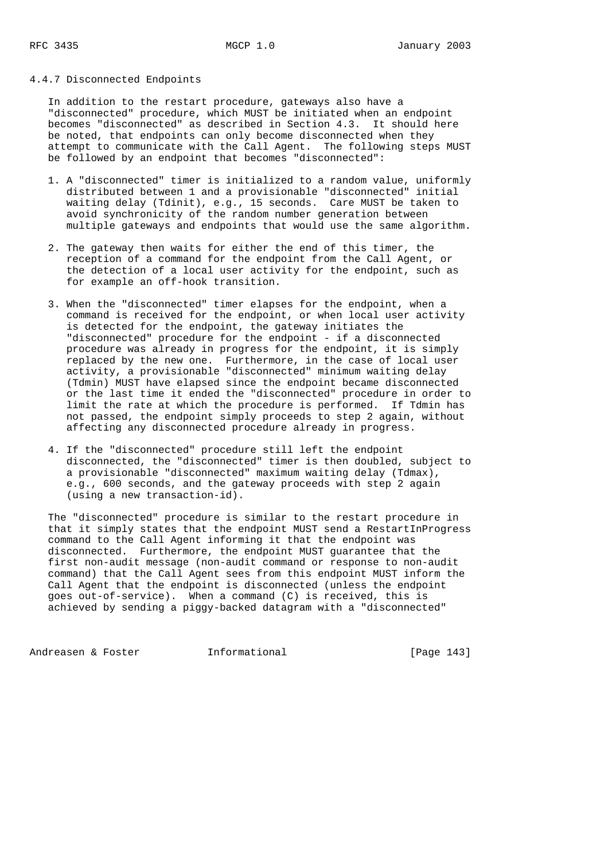#### 4.4.7 Disconnected Endpoints

 In addition to the restart procedure, gateways also have a "disconnected" procedure, which MUST be initiated when an endpoint becomes "disconnected" as described in Section 4.3. It should here be noted, that endpoints can only become disconnected when they attempt to communicate with the Call Agent. The following steps MUST be followed by an endpoint that becomes "disconnected":

- 1. A "disconnected" timer is initialized to a random value, uniformly distributed between 1 and a provisionable "disconnected" initial waiting delay (Tdinit), e.g., 15 seconds. Care MUST be taken to avoid synchronicity of the random number generation between multiple gateways and endpoints that would use the same algorithm.
- 2. The gateway then waits for either the end of this timer, the reception of a command for the endpoint from the Call Agent, or the detection of a local user activity for the endpoint, such as for example an off-hook transition.
- 3. When the "disconnected" timer elapses for the endpoint, when a command is received for the endpoint, or when local user activity is detected for the endpoint, the gateway initiates the "disconnected" procedure for the endpoint - if a disconnected procedure was already in progress for the endpoint, it is simply replaced by the new one. Furthermore, in the case of local user activity, a provisionable "disconnected" minimum waiting delay (Tdmin) MUST have elapsed since the endpoint became disconnected or the last time it ended the "disconnected" procedure in order to limit the rate at which the procedure is performed. If Tdmin has not passed, the endpoint simply proceeds to step 2 again, without affecting any disconnected procedure already in progress.
	- 4. If the "disconnected" procedure still left the endpoint disconnected, the "disconnected" timer is then doubled, subject to a provisionable "disconnected" maximum waiting delay (Tdmax), e.g., 600 seconds, and the gateway proceeds with step 2 again (using a new transaction-id).

 The "disconnected" procedure is similar to the restart procedure in that it simply states that the endpoint MUST send a RestartInProgress command to the Call Agent informing it that the endpoint was disconnected. Furthermore, the endpoint MUST guarantee that the first non-audit message (non-audit command or response to non-audit command) that the Call Agent sees from this endpoint MUST inform the Call Agent that the endpoint is disconnected (unless the endpoint goes out-of-service). When a command (C) is received, this is achieved by sending a piggy-backed datagram with a "disconnected"

Andreasen & Foster **Informational** [Page 143]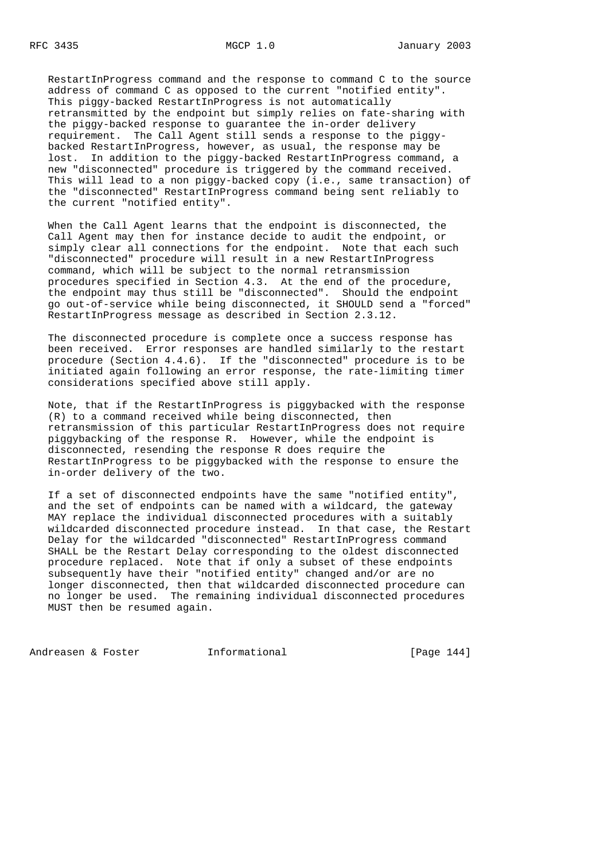RestartInProgress command and the response to command C to the source address of command C as opposed to the current "notified entity". This piggy-backed RestartInProgress is not automatically retransmitted by the endpoint but simply relies on fate-sharing with the piggy-backed response to guarantee the in-order delivery requirement. The Call Agent still sends a response to the piggy backed RestartInProgress, however, as usual, the response may be lost. In addition to the piggy-backed RestartInProgress command, a new "disconnected" procedure is triggered by the command received. This will lead to a non piggy-backed copy (i.e., same transaction) of the "disconnected" RestartInProgress command being sent reliably to the current "notified entity".

 When the Call Agent learns that the endpoint is disconnected, the Call Agent may then for instance decide to audit the endpoint, or simply clear all connections for the endpoint. Note that each such "disconnected" procedure will result in a new RestartInProgress command, which will be subject to the normal retransmission procedures specified in Section 4.3. At the end of the procedure, the endpoint may thus still be "disconnected". Should the endpoint go out-of-service while being disconnected, it SHOULD send a "forced" RestartInProgress message as described in Section 2.3.12.

 The disconnected procedure is complete once a success response has been received. Error responses are handled similarly to the restart procedure (Section 4.4.6). If the "disconnected" procedure is to be initiated again following an error response, the rate-limiting timer considerations specified above still apply.

 Note, that if the RestartInProgress is piggybacked with the response (R) to a command received while being disconnected, then retransmission of this particular RestartInProgress does not require piggybacking of the response R. However, while the endpoint is disconnected, resending the response R does require the RestartInProgress to be piggybacked with the response to ensure the in-order delivery of the two.

 If a set of disconnected endpoints have the same "notified entity", and the set of endpoints can be named with a wildcard, the gateway MAY replace the individual disconnected procedures with a suitably wildcarded disconnected procedure instead. In that case, the Restart Delay for the wildcarded "disconnected" RestartInProgress command SHALL be the Restart Delay corresponding to the oldest disconnected procedure replaced. Note that if only a subset of these endpoints subsequently have their "notified entity" changed and/or are no longer disconnected, then that wildcarded disconnected procedure can no longer be used. The remaining individual disconnected procedures MUST then be resumed again.

Andreasen & Foster **Informational** [Page 144]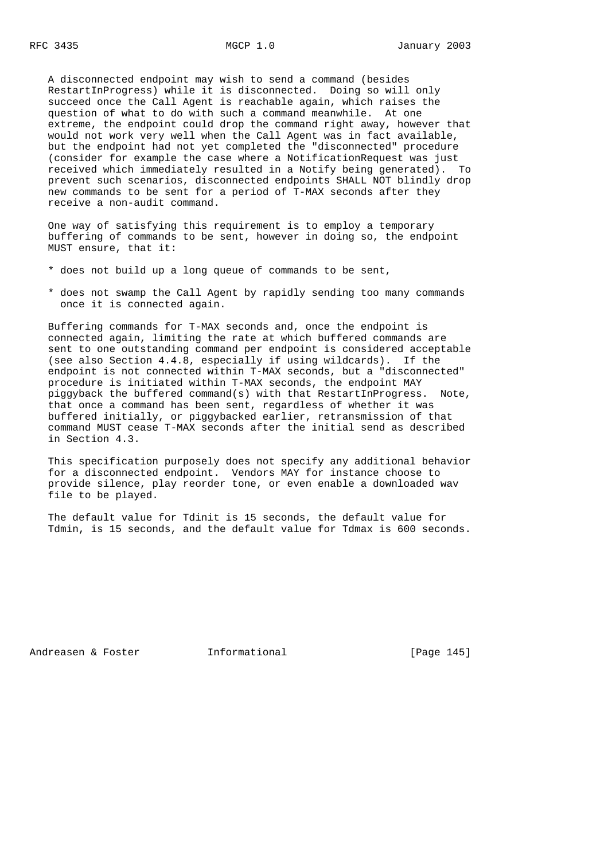A disconnected endpoint may wish to send a command (besides RestartInProgress) while it is disconnected. Doing so will only succeed once the Call Agent is reachable again, which raises the question of what to do with such a command meanwhile. At one extreme, the endpoint could drop the command right away, however that would not work very well when the Call Agent was in fact available, but the endpoint had not yet completed the "disconnected" procedure (consider for example the case where a NotificationRequest was just received which immediately resulted in a Notify being generated). To prevent such scenarios, disconnected endpoints SHALL NOT blindly drop new commands to be sent for a period of T-MAX seconds after they receive a non-audit command.

 One way of satisfying this requirement is to employ a temporary buffering of commands to be sent, however in doing so, the endpoint MUST ensure, that it:

- \* does not build up a long queue of commands to be sent,
- \* does not swamp the Call Agent by rapidly sending too many commands once it is connected again.

 Buffering commands for T-MAX seconds and, once the endpoint is connected again, limiting the rate at which buffered commands are sent to one outstanding command per endpoint is considered acceptable (see also Section 4.4.8, especially if using wildcards). If the endpoint is not connected within T-MAX seconds, but a "disconnected" procedure is initiated within T-MAX seconds, the endpoint MAY piggyback the buffered command(s) with that RestartInProgress. Note, that once a command has been sent, regardless of whether it was buffered initially, or piggybacked earlier, retransmission of that command MUST cease T-MAX seconds after the initial send as described in Section 4.3.

 This specification purposely does not specify any additional behavior for a disconnected endpoint. Vendors MAY for instance choose to provide silence, play reorder tone, or even enable a downloaded wav file to be played.

 The default value for Tdinit is 15 seconds, the default value for Tdmin, is 15 seconds, and the default value for Tdmax is 600 seconds.

Andreasen & Foster **Informational** [Page 145]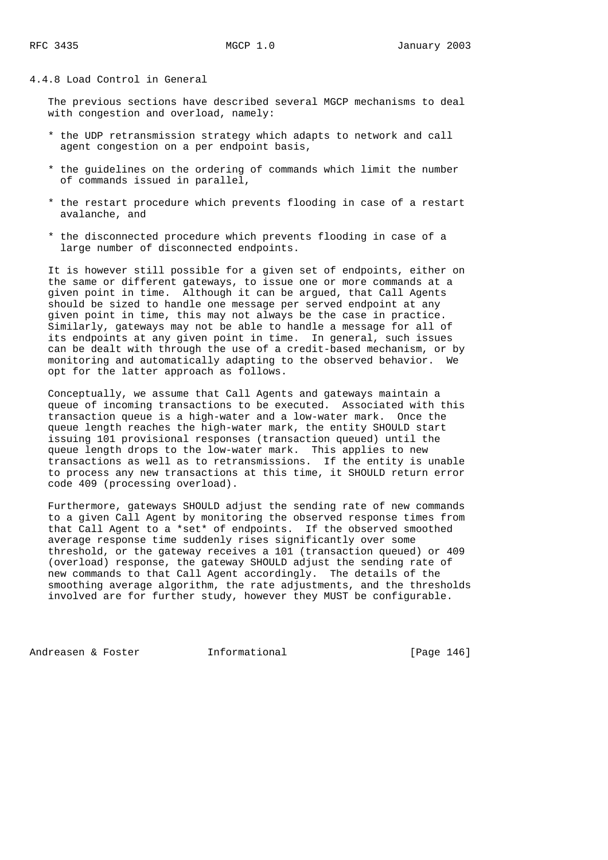# 4.4.8 Load Control in General

 The previous sections have described several MGCP mechanisms to deal with congestion and overload, namely:

- \* the UDP retransmission strategy which adapts to network and call agent congestion on a per endpoint basis,
- \* the guidelines on the ordering of commands which limit the number of commands issued in parallel,
- \* the restart procedure which prevents flooding in case of a restart avalanche, and
- \* the disconnected procedure which prevents flooding in case of a large number of disconnected endpoints.

 It is however still possible for a given set of endpoints, either on the same or different gateways, to issue one or more commands at a given point in time. Although it can be argued, that Call Agents should be sized to handle one message per served endpoint at any given point in time, this may not always be the case in practice. Similarly, gateways may not be able to handle a message for all of its endpoints at any given point in time. In general, such issues can be dealt with through the use of a credit-based mechanism, or by monitoring and automatically adapting to the observed behavior. We opt for the latter approach as follows.

 Conceptually, we assume that Call Agents and gateways maintain a queue of incoming transactions to be executed. Associated with this transaction queue is a high-water and a low-water mark. Once the queue length reaches the high-water mark, the entity SHOULD start issuing 101 provisional responses (transaction queued) until the queue length drops to the low-water mark. This applies to new transactions as well as to retransmissions. If the entity is unable to process any new transactions at this time, it SHOULD return error code 409 (processing overload).

 Furthermore, gateways SHOULD adjust the sending rate of new commands to a given Call Agent by monitoring the observed response times from that Call Agent to a \*set\* of endpoints. If the observed smoothed average response time suddenly rises significantly over some threshold, or the gateway receives a 101 (transaction queued) or 409 (overload) response, the gateway SHOULD adjust the sending rate of new commands to that Call Agent accordingly. The details of the smoothing average algorithm, the rate adjustments, and the thresholds involved are for further study, however they MUST be configurable.

Andreasen & Foster **Informational** [Page 146]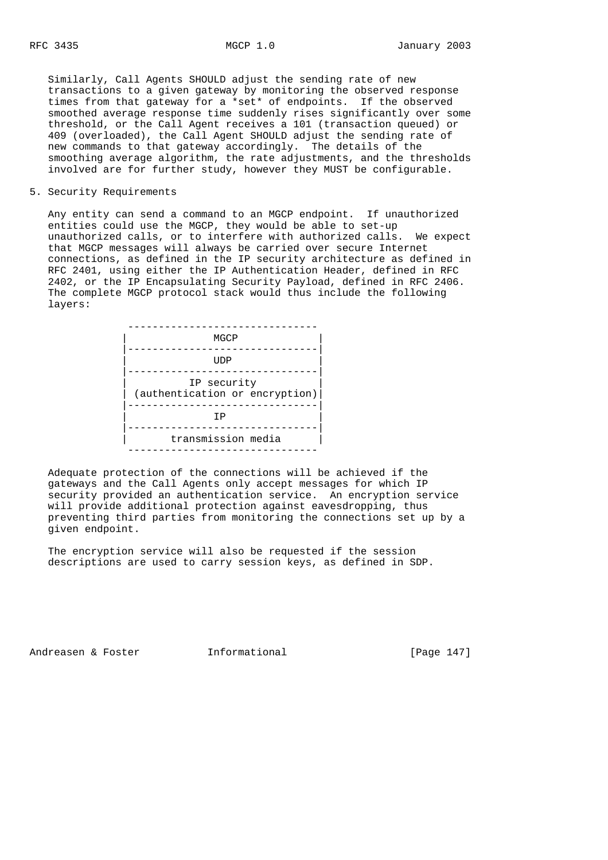Similarly, Call Agents SHOULD adjust the sending rate of new transactions to a given gateway by monitoring the observed response times from that gateway for a \*set\* of endpoints. If the observed smoothed average response time suddenly rises significantly over some threshold, or the Call Agent receives a 101 (transaction queued) or 409 (overloaded), the Call Agent SHOULD adjust the sending rate of new commands to that gateway accordingly. The details of the smoothing average algorithm, the rate adjustments, and the thresholds involved are for further study, however they MUST be configurable.

5. Security Requirements

 Any entity can send a command to an MGCP endpoint. If unauthorized entities could use the MGCP, they would be able to set-up unauthorized calls, or to interfere with authorized calls. We expect that MGCP messages will always be carried over secure Internet connections, as defined in the IP security architecture as defined in RFC 2401, using either the IP Authentication Header, defined in RFC 2402, or the IP Encapsulating Security Payload, defined in RFC 2406. The complete MGCP protocol stack would thus include the following layers:

| MGCP                                          |
|-----------------------------------------------|
| UDP                                           |
| IP security<br>(authentication or encryption) |
| ΤP                                            |
| transmission media                            |

 Adequate protection of the connections will be achieved if the gateways and the Call Agents only accept messages for which IP security provided an authentication service. An encryption service will provide additional protection against eavesdropping, thus preventing third parties from monitoring the connections set up by a given endpoint.

 The encryption service will also be requested if the session descriptions are used to carry session keys, as defined in SDP.

Andreasen & Foster **Informational** [Page 147]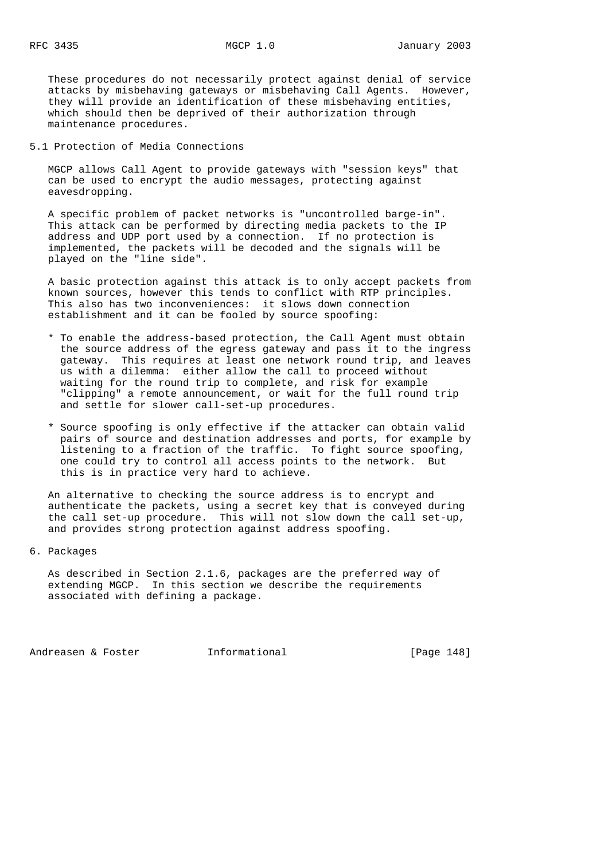These procedures do not necessarily protect against denial of service attacks by misbehaving gateways or misbehaving Call Agents. However, they will provide an identification of these misbehaving entities, which should then be deprived of their authorization through maintenance procedures.

5.1 Protection of Media Connections

 MGCP allows Call Agent to provide gateways with "session keys" that can be used to encrypt the audio messages, protecting against eavesdropping.

 A specific problem of packet networks is "uncontrolled barge-in". This attack can be performed by directing media packets to the IP address and UDP port used by a connection. If no protection is implemented, the packets will be decoded and the signals will be played on the "line side".

 A basic protection against this attack is to only accept packets from known sources, however this tends to conflict with RTP principles. This also has two inconveniences: it slows down connection establishment and it can be fooled by source spoofing:

- \* To enable the address-based protection, the Call Agent must obtain the source address of the egress gateway and pass it to the ingress gateway. This requires at least one network round trip, and leaves us with a dilemma: either allow the call to proceed without waiting for the round trip to complete, and risk for example "clipping" a remote announcement, or wait for the full round trip and settle for slower call-set-up procedures.
- \* Source spoofing is only effective if the attacker can obtain valid pairs of source and destination addresses and ports, for example by listening to a fraction of the traffic. To fight source spoofing, one could try to control all access points to the network. But this is in practice very hard to achieve.

 An alternative to checking the source address is to encrypt and authenticate the packets, using a secret key that is conveyed during the call set-up procedure. This will not slow down the call set-up, and provides strong protection against address spoofing.

6. Packages

 As described in Section 2.1.6, packages are the preferred way of extending MGCP. In this section we describe the requirements associated with defining a package.

Andreasen & Foster **Informational** [Page 148]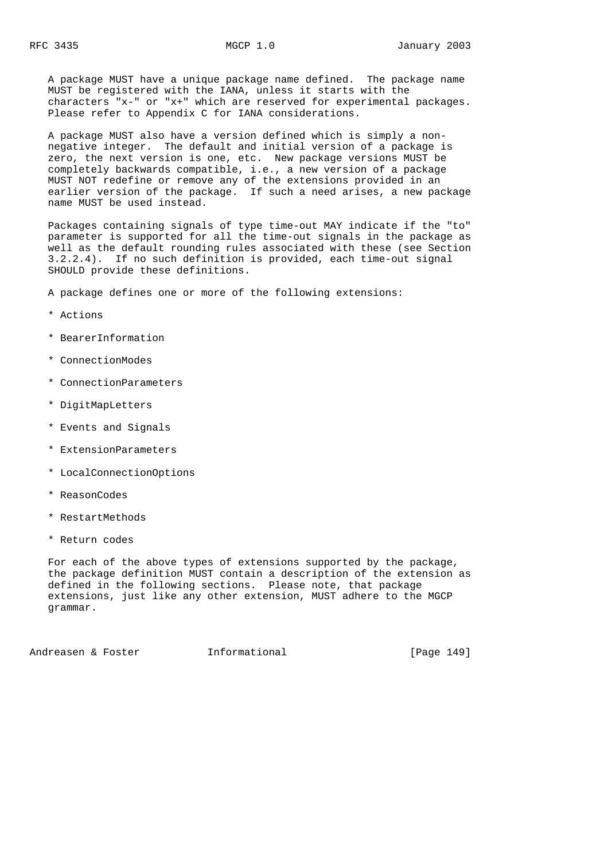A package MUST have a unique package name defined. The package name MUST be registered with the IANA, unless it starts with the characters "x-" or "x+" which are reserved for experimental packages. Please refer to Appendix C for IANA considerations.

 A package MUST also have a version defined which is simply a non negative integer. The default and initial version of a package is zero, the next version is one, etc. New package versions MUST be completely backwards compatible, i.e., a new version of a package MUST NOT redefine or remove any of the extensions provided in an earlier version of the package. If such a need arises, a new package name MUST be used instead.

 Packages containing signals of type time-out MAY indicate if the "to" parameter is supported for all the time-out signals in the package as well as the default rounding rules associated with these (see Section 3.2.2.4). If no such definition is provided, each time-out signal SHOULD provide these definitions.

A package defines one or more of the following extensions:

- \* Actions
- \* BearerInformation
- \* ConnectionModes
- \* ConnectionParameters
- \* DigitMapLetters
- \* Events and Signals
- \* ExtensionParameters
- \* LocalConnectionOptions
- \* ReasonCodes
- \* RestartMethods
- \* Return codes

 For each of the above types of extensions supported by the package, the package definition MUST contain a description of the extension as defined in the following sections. Please note, that package extensions, just like any other extension, MUST adhere to the MGCP grammar.

Andreasen & Foster **Informational** [Page 149]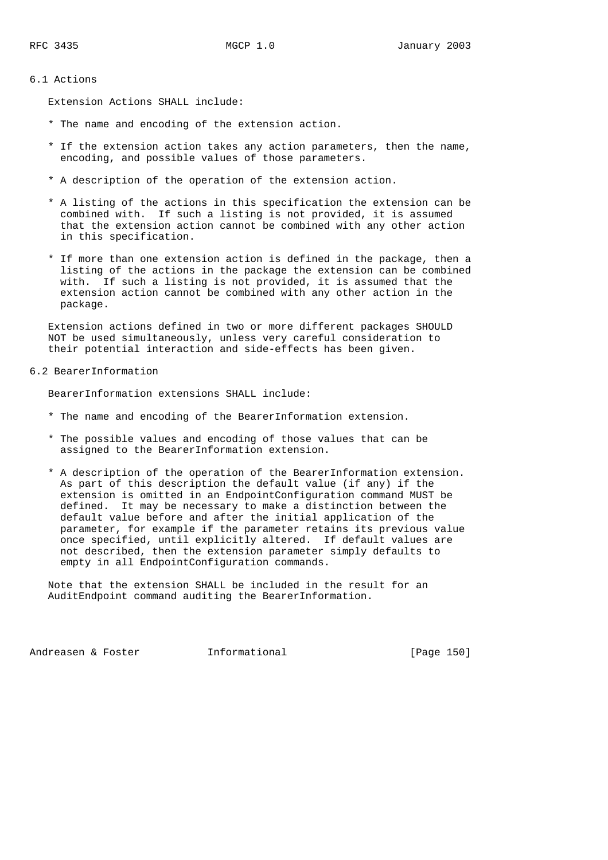# 6.1 Actions

Extension Actions SHALL include:

- \* The name and encoding of the extension action.
- \* If the extension action takes any action parameters, then the name, encoding, and possible values of those parameters.
- \* A description of the operation of the extension action.
- \* A listing of the actions in this specification the extension can be combined with. If such a listing is not provided, it is assumed that the extension action cannot be combined with any other action in this specification.
- \* If more than one extension action is defined in the package, then a listing of the actions in the package the extension can be combined with. If such a listing is not provided, it is assumed that the extension action cannot be combined with any other action in the package.

 Extension actions defined in two or more different packages SHOULD NOT be used simultaneously, unless very careful consideration to their potential interaction and side-effects has been given.

### 6.2 BearerInformation

BearerInformation extensions SHALL include:

- \* The name and encoding of the BearerInformation extension.
- \* The possible values and encoding of those values that can be assigned to the BearerInformation extension.
- \* A description of the operation of the BearerInformation extension. As part of this description the default value (if any) if the extension is omitted in an EndpointConfiguration command MUST be defined. It may be necessary to make a distinction between the default value before and after the initial application of the parameter, for example if the parameter retains its previous value once specified, until explicitly altered. If default values are not described, then the extension parameter simply defaults to empty in all EndpointConfiguration commands.

 Note that the extension SHALL be included in the result for an AuditEndpoint command auditing the BearerInformation.

Andreasen & Foster **Informational** [Page 150]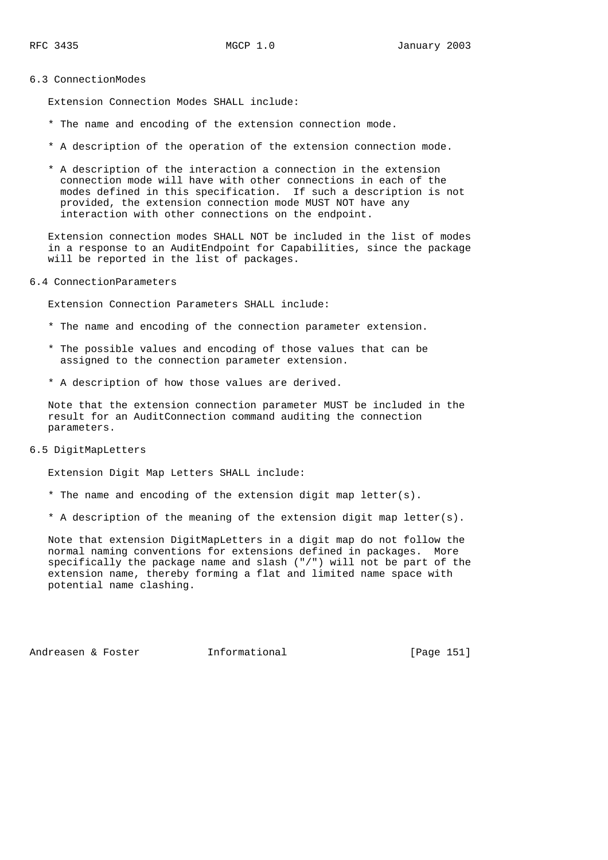#### 6.3 ConnectionModes

Extension Connection Modes SHALL include:

- \* The name and encoding of the extension connection mode.
- \* A description of the operation of the extension connection mode.
- \* A description of the interaction a connection in the extension connection mode will have with other connections in each of the modes defined in this specification. If such a description is not provided, the extension connection mode MUST NOT have any interaction with other connections on the endpoint.

 Extension connection modes SHALL NOT be included in the list of modes in a response to an AuditEndpoint for Capabilities, since the package will be reported in the list of packages.

6.4 ConnectionParameters

Extension Connection Parameters SHALL include:

- \* The name and encoding of the connection parameter extension.
- \* The possible values and encoding of those values that can be assigned to the connection parameter extension.
- \* A description of how those values are derived.

 Note that the extension connection parameter MUST be included in the result for an AuditConnection command auditing the connection parameters.

6.5 DigitMapLetters

Extension Digit Map Letters SHALL include:

- \* The name and encoding of the extension digit map letter(s).
- \* A description of the meaning of the extension digit map letter(s).

 Note that extension DigitMapLetters in a digit map do not follow the normal naming conventions for extensions defined in packages. More specifically the package name and slash ("/") will not be part of the extension name, thereby forming a flat and limited name space with potential name clashing.

Andreasen & Foster Theormational Theorem [Page 151]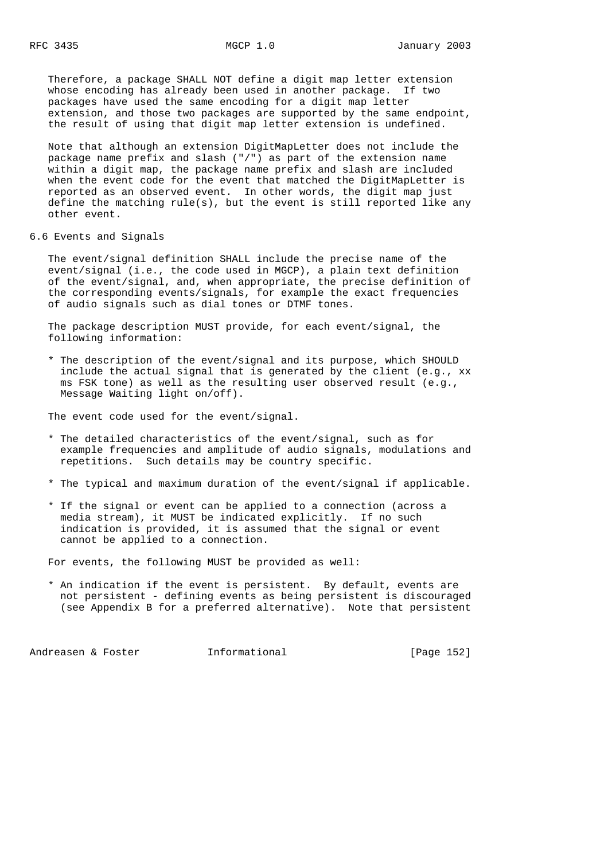Therefore, a package SHALL NOT define a digit map letter extension whose encoding has already been used in another package. If two packages have used the same encoding for a digit map letter extension, and those two packages are supported by the same endpoint, the result of using that digit map letter extension is undefined.

 Note that although an extension DigitMapLetter does not include the package name prefix and slash ("/") as part of the extension name within a digit map, the package name prefix and slash are included when the event code for the event that matched the DigitMapLetter is reported as an observed event. In other words, the digit map just define the matching  $rule(s)$ , but the event is still reported like any other event.

6.6 Events and Signals

 The event/signal definition SHALL include the precise name of the event/signal (i.e., the code used in MGCP), a plain text definition of the event/signal, and, when appropriate, the precise definition of the corresponding events/signals, for example the exact frequencies of audio signals such as dial tones or DTMF tones.

 The package description MUST provide, for each event/signal, the following information:

 \* The description of the event/signal and its purpose, which SHOULD include the actual signal that is generated by the client (e.g., xx ms FSK tone) as well as the resulting user observed result (e.g., Message Waiting light on/off).

The event code used for the event/signal.

- \* The detailed characteristics of the event/signal, such as for example frequencies and amplitude of audio signals, modulations and repetitions. Such details may be country specific.
- \* The typical and maximum duration of the event/signal if applicable.
- \* If the signal or event can be applied to a connection (across a media stream), it MUST be indicated explicitly. If no such indication is provided, it is assumed that the signal or event cannot be applied to a connection.

For events, the following MUST be provided as well:

 \* An indication if the event is persistent. By default, events are not persistent - defining events as being persistent is discouraged (see Appendix B for a preferred alternative). Note that persistent

Andreasen & Foster **Informational** [Page 152]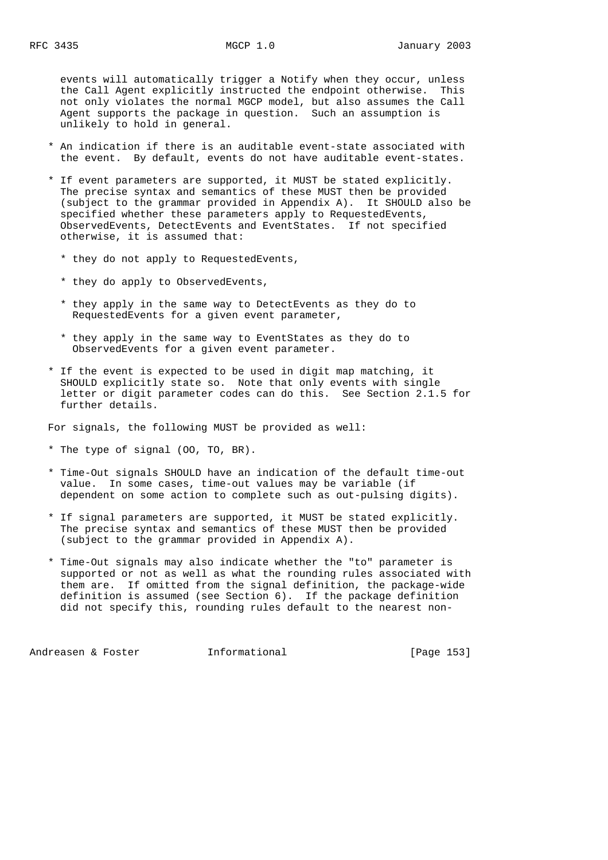events will automatically trigger a Notify when they occur, unless the Call Agent explicitly instructed the endpoint otherwise. This not only violates the normal MGCP model, but also assumes the Call Agent supports the package in question. Such an assumption is unlikely to hold in general.

- \* An indication if there is an auditable event-state associated with the event. By default, events do not have auditable event-states.
- \* If event parameters are supported, it MUST be stated explicitly. The precise syntax and semantics of these MUST then be provided (subject to the grammar provided in Appendix A). It SHOULD also be specified whether these parameters apply to RequestedEvents, ObservedEvents, DetectEvents and EventStates. If not specified otherwise, it is assumed that:
	- \* they do not apply to RequestedEvents,
	- \* they do apply to ObservedEvents,
	- \* they apply in the same way to DetectEvents as they do to RequestedEvents for a given event parameter,
	- \* they apply in the same way to EventStates as they do to ObservedEvents for a given event parameter.
- \* If the event is expected to be used in digit map matching, it SHOULD explicitly state so. Note that only events with single letter or digit parameter codes can do this. See Section 2.1.5 for further details.

For signals, the following MUST be provided as well:

- \* The type of signal (OO, TO, BR).
- \* Time-Out signals SHOULD have an indication of the default time-out value. In some cases, time-out values may be variable (if dependent on some action to complete such as out-pulsing digits).
- \* If signal parameters are supported, it MUST be stated explicitly. The precise syntax and semantics of these MUST then be provided (subject to the grammar provided in Appendix A).
- \* Time-Out signals may also indicate whether the "to" parameter is supported or not as well as what the rounding rules associated with them are. If omitted from the signal definition, the package-wide definition is assumed (see Section 6). If the package definition did not specify this, rounding rules default to the nearest non-

Andreasen & Foster **Informational** [Page 153]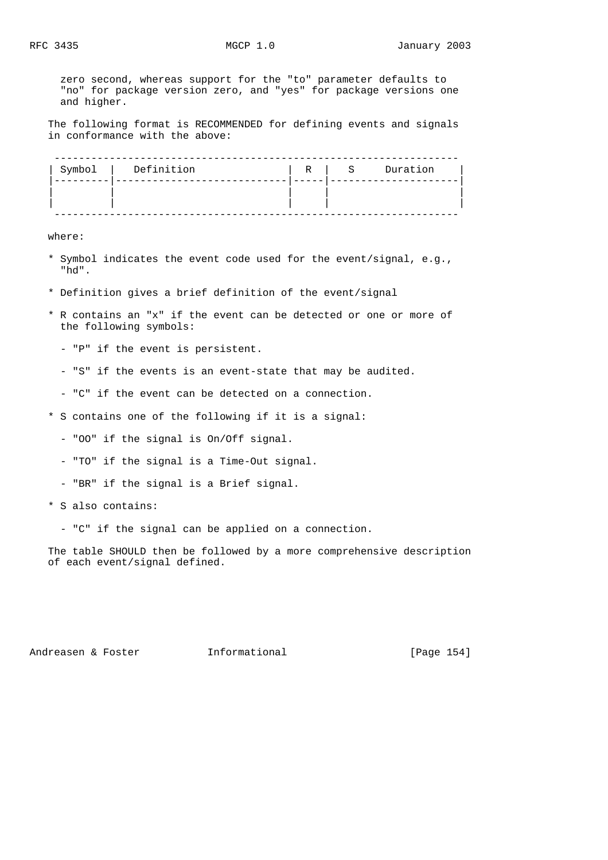zero second, whereas support for the "to" parameter defaults to "no" for package version zero, and "yes" for package versions one and higher.

 The following format is RECOMMENDED for defining events and signals in conformance with the above:

| Symbol | Definition | R | S | Duration |
|--------|------------|---|---|----------|
|        |            |   |   |          |
|        |            |   |   |          |
|        |            |   |   |          |

where:

- \* Symbol indicates the event code used for the event/signal, e.g., "hd".
- \* Definition gives a brief definition of the event/signal
- \* R contains an "x" if the event can be detected or one or more of the following symbols:
	- "P" if the event is persistent.
	- "S" if the events is an event-state that may be audited.
	- "C" if the event can be detected on a connection.
- \* S contains one of the following if it is a signal:
	- "OO" if the signal is On/Off signal.
	- "TO" if the signal is a Time-Out signal.
	- "BR" if the signal is a Brief signal.
- \* S also contains:
	- "C" if the signal can be applied on a connection.

 The table SHOULD then be followed by a more comprehensive description of each event/signal defined.

Andreasen & Foster **Informational** [Page 154]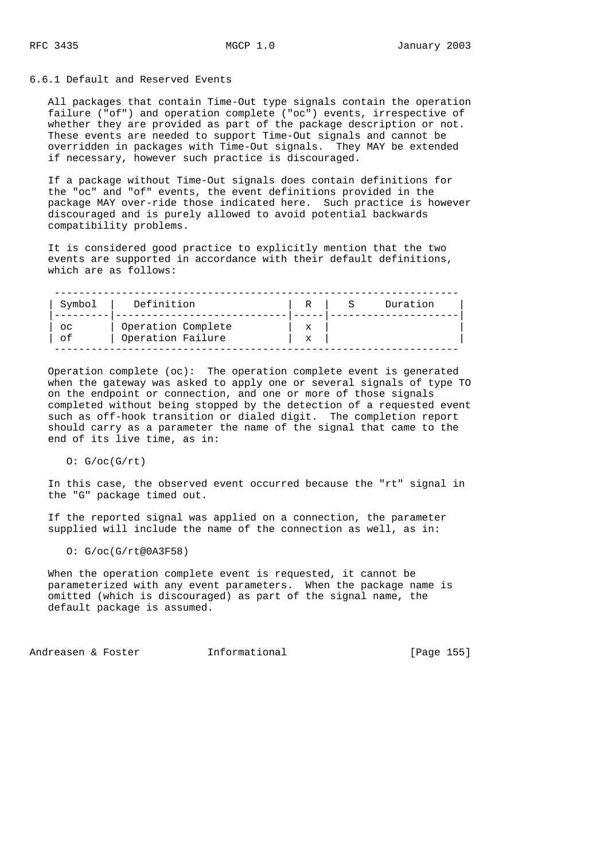### 6.6.1 Default and Reserved Events

 All packages that contain Time-Out type signals contain the operation failure ("of") and operation complete ("oc") events, irrespective of whether they are provided as part of the package description or not. These events are needed to support Time-Out signals and cannot be overridden in packages with Time-Out signals. They MAY be extended if necessary, however such practice is discouraged.

 If a package without Time-Out signals does contain definitions for the "oc" and "of" events, the event definitions provided in the package MAY over-ride those indicated here. Such practice is however discouraged and is purely allowed to avoid potential backwards compatibility problems.

 It is considered good practice to explicitly mention that the two events are supported in accordance with their default definitions, which are as follows:

| Symbol      | Definition         | R | Duration |
|-------------|--------------------|---|----------|
|             |                    |   |          |
| $_{\rm OC}$ | Operation Complete | x |          |
| of          | Operation Failure  | x |          |

 Operation complete (oc): The operation complete event is generated when the gateway was asked to apply one or several signals of type TO on the endpoint or connection, and one or more of those signals completed without being stopped by the detection of a requested event such as off-hook transition or dialed digit. The completion report should carry as a parameter the name of the signal that came to the end of its live time, as in:

 $O: G/oc(G/rt)$ 

 In this case, the observed event occurred because the "rt" signal in the "G" package timed out.

 If the reported signal was applied on a connection, the parameter supplied will include the name of the connection as well, as in:

O: G/oc(G/rt@0A3F58)

 When the operation complete event is requested, it cannot be parameterized with any event parameters. When the package name is omitted (which is discouraged) as part of the signal name, the default package is assumed.

Andreasen & Foster **Informational Informational** [Page 155]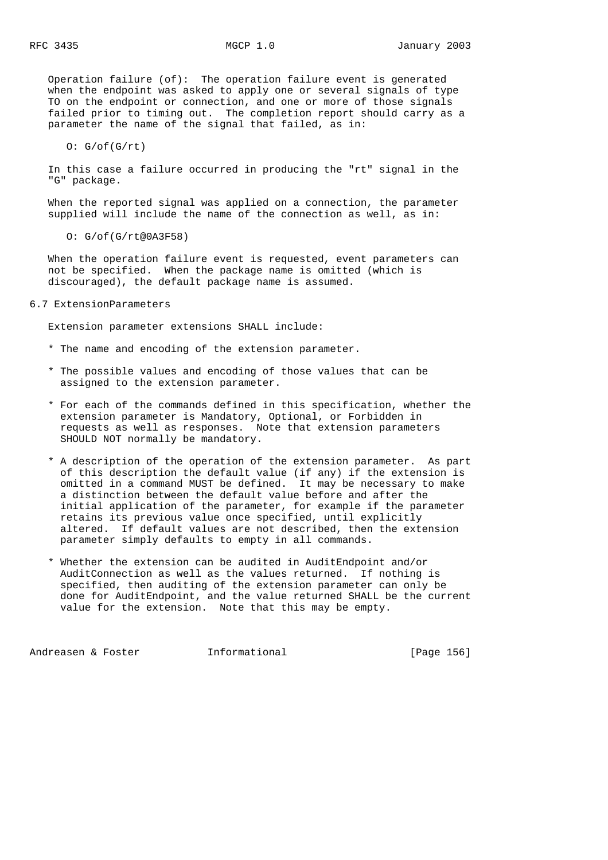Operation failure (of): The operation failure event is generated when the endpoint was asked to apply one or several signals of type TO on the endpoint or connection, and one or more of those signals failed prior to timing out. The completion report should carry as a parameter the name of the signal that failed, as in:

 $0: G/of(G/rt)$ 

 In this case a failure occurred in producing the "rt" signal in the "G" package.

 When the reported signal was applied on a connection, the parameter supplied will include the name of the connection as well, as in:

O: G/of(G/rt@0A3F58)

 When the operation failure event is requested, event parameters can not be specified. When the package name is omitted (which is discouraged), the default package name is assumed.

6.7 ExtensionParameters

Extension parameter extensions SHALL include:

- \* The name and encoding of the extension parameter.
- \* The possible values and encoding of those values that can be assigned to the extension parameter.
- \* For each of the commands defined in this specification, whether the extension parameter is Mandatory, Optional, or Forbidden in requests as well as responses. Note that extension parameters SHOULD NOT normally be mandatory.
- \* A description of the operation of the extension parameter. As part of this description the default value (if any) if the extension is omitted in a command MUST be defined. It may be necessary to make a distinction between the default value before and after the initial application of the parameter, for example if the parameter retains its previous value once specified, until explicitly altered. If default values are not described, then the extension parameter simply defaults to empty in all commands.
- \* Whether the extension can be audited in AuditEndpoint and/or AuditConnection as well as the values returned. If nothing is specified, then auditing of the extension parameter can only be done for AuditEndpoint, and the value returned SHALL be the current value for the extension. Note that this may be empty.

Andreasen & Foster Theormational (Page 156]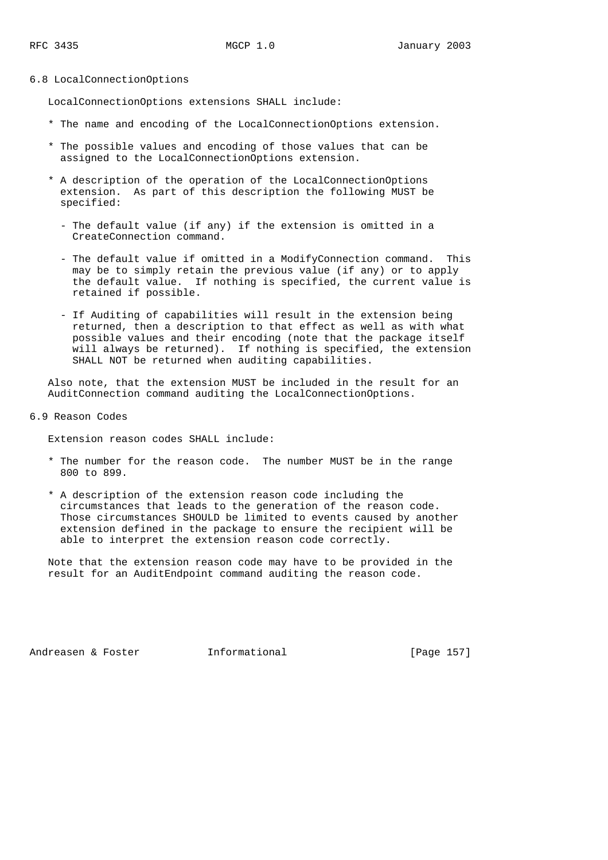#### 6.8 LocalConnectionOptions

LocalConnectionOptions extensions SHALL include:

- \* The name and encoding of the LocalConnectionOptions extension.
- \* The possible values and encoding of those values that can be assigned to the LocalConnectionOptions extension.
- \* A description of the operation of the LocalConnectionOptions extension. As part of this description the following MUST be specified:
	- The default value (if any) if the extension is omitted in a CreateConnection command.
	- The default value if omitted in a ModifyConnection command. This may be to simply retain the previous value (if any) or to apply the default value. If nothing is specified, the current value is retained if possible.
	- If Auditing of capabilities will result in the extension being returned, then a description to that effect as well as with what possible values and their encoding (note that the package itself will always be returned). If nothing is specified, the extension SHALL NOT be returned when auditing capabilities.

 Also note, that the extension MUST be included in the result for an AuditConnection command auditing the LocalConnectionOptions.

6.9 Reason Codes

Extension reason codes SHALL include:

- \* The number for the reason code. The number MUST be in the range 800 to 899.
- \* A description of the extension reason code including the circumstances that leads to the generation of the reason code. Those circumstances SHOULD be limited to events caused by another extension defined in the package to ensure the recipient will be able to interpret the extension reason code correctly.

 Note that the extension reason code may have to be provided in the result for an AuditEndpoint command auditing the reason code.

Andreasen & Foster **Informational** [Page 157]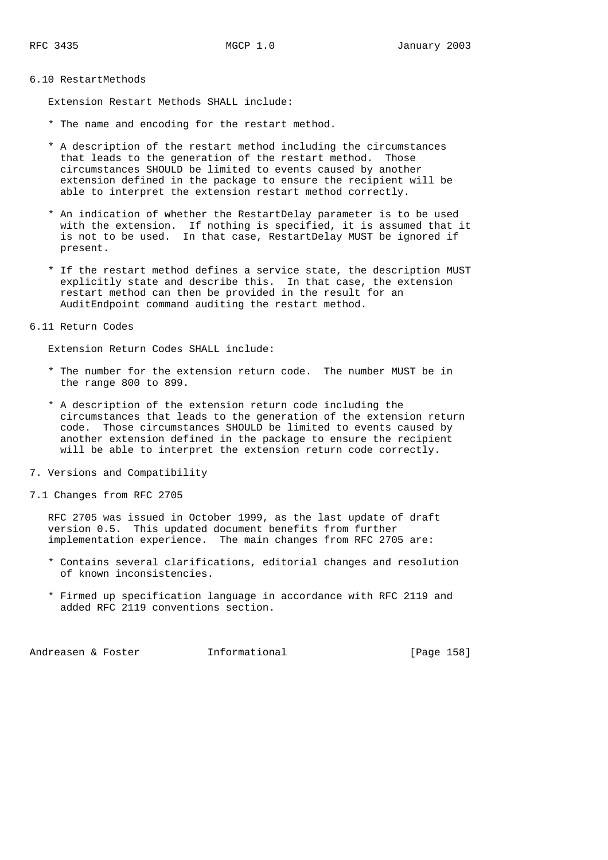### 6.10 RestartMethods

Extension Restart Methods SHALL include:

- \* The name and encoding for the restart method.
- \* A description of the restart method including the circumstances that leads to the generation of the restart method. Those circumstances SHOULD be limited to events caused by another extension defined in the package to ensure the recipient will be able to interpret the extension restart method correctly.
- \* An indication of whether the RestartDelay parameter is to be used with the extension. If nothing is specified, it is assumed that it is not to be used. In that case, RestartDelay MUST be ignored if present.
- \* If the restart method defines a service state, the description MUST explicitly state and describe this. In that case, the extension restart method can then be provided in the result for an AuditEndpoint command auditing the restart method.

# 6.11 Return Codes

Extension Return Codes SHALL include:

- \* The number for the extension return code. The number MUST be in the range 800 to 899.
- \* A description of the extension return code including the circumstances that leads to the generation of the extension return code. Those circumstances SHOULD be limited to events caused by another extension defined in the package to ensure the recipient will be able to interpret the extension return code correctly.
- 7. Versions and Compatibility
- 7.1 Changes from RFC 2705

 RFC 2705 was issued in October 1999, as the last update of draft version 0.5. This updated document benefits from further implementation experience. The main changes from RFC 2705 are:

- \* Contains several clarifications, editorial changes and resolution of known inconsistencies.
- \* Firmed up specification language in accordance with RFC 2119 and added RFC 2119 conventions section.

Andreasen & Foster Theormational (Page 158)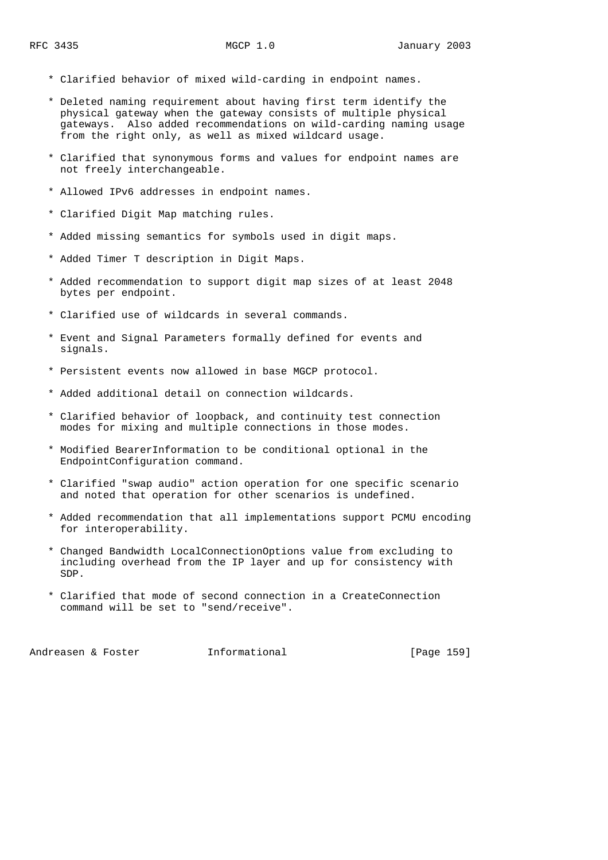- \* Clarified behavior of mixed wild-carding in endpoint names.
- \* Deleted naming requirement about having first term identify the physical gateway when the gateway consists of multiple physical gateways. Also added recommendations on wild-carding naming usage from the right only, as well as mixed wildcard usage.
- \* Clarified that synonymous forms and values for endpoint names are not freely interchangeable.
- \* Allowed IPv6 addresses in endpoint names.
- \* Clarified Digit Map matching rules.
- \* Added missing semantics for symbols used in digit maps.
- \* Added Timer T description in Digit Maps.
- \* Added recommendation to support digit map sizes of at least 2048 bytes per endpoint.
- \* Clarified use of wildcards in several commands.
- \* Event and Signal Parameters formally defined for events and signals.
- \* Persistent events now allowed in base MGCP protocol.
- \* Added additional detail on connection wildcards.
- \* Clarified behavior of loopback, and continuity test connection modes for mixing and multiple connections in those modes.
- \* Modified BearerInformation to be conditional optional in the EndpointConfiguration command.
- \* Clarified "swap audio" action operation for one specific scenario and noted that operation for other scenarios is undefined.
- \* Added recommendation that all implementations support PCMU encoding for interoperability.
- \* Changed Bandwidth LocalConnectionOptions value from excluding to including overhead from the IP layer and up for consistency with SDP.
- \* Clarified that mode of second connection in a CreateConnection command will be set to "send/receive".

Andreasen & Foster **Informational** [Page 159]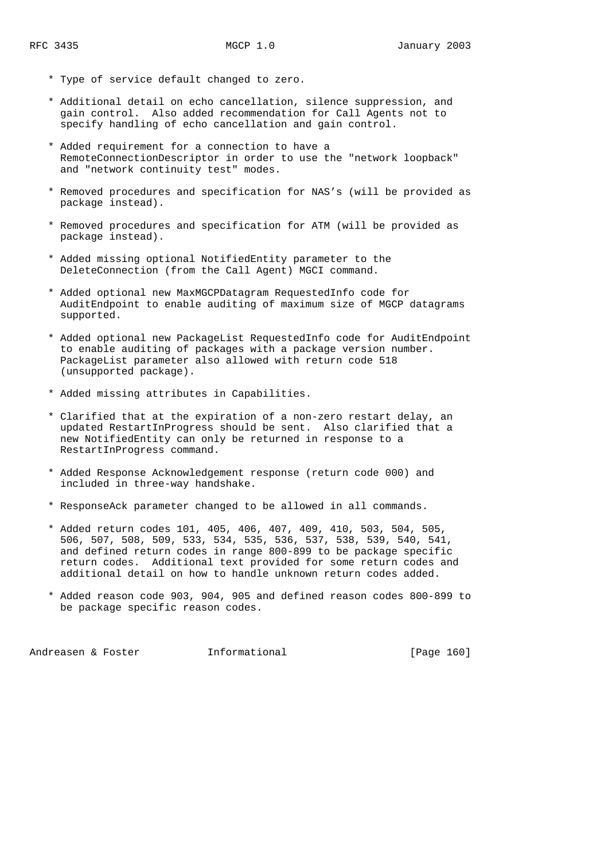- \* Type of service default changed to zero.
- \* Additional detail on echo cancellation, silence suppression, and gain control. Also added recommendation for Call Agents not to specify handling of echo cancellation and gain control.
- \* Added requirement for a connection to have a RemoteConnectionDescriptor in order to use the "network loopback" and "network continuity test" modes.
- \* Removed procedures and specification for NAS's (will be provided as package instead).
- \* Removed procedures and specification for ATM (will be provided as package instead).
- \* Added missing optional NotifiedEntity parameter to the DeleteConnection (from the Call Agent) MGCI command.
- \* Added optional new MaxMGCPDatagram RequestedInfo code for AuditEndpoint to enable auditing of maximum size of MGCP datagrams supported.
- \* Added optional new PackageList RequestedInfo code for AuditEndpoint to enable auditing of packages with a package version number. PackageList parameter also allowed with return code 518 (unsupported package).
- \* Added missing attributes in Capabilities.
- \* Clarified that at the expiration of a non-zero restart delay, an updated RestartInProgress should be sent. Also clarified that a new NotifiedEntity can only be returned in response to a RestartInProgress command.
- \* Added Response Acknowledgement response (return code 000) and included in three-way handshake.
- \* ResponseAck parameter changed to be allowed in all commands.
- \* Added return codes 101, 405, 406, 407, 409, 410, 503, 504, 505, 506, 507, 508, 509, 533, 534, 535, 536, 537, 538, 539, 540, 541, and defined return codes in range 800-899 to be package specific return codes. Additional text provided for some return codes and additional detail on how to handle unknown return codes added.
- \* Added reason code 903, 904, 905 and defined reason codes 800-899 to be package specific reason codes.

Andreasen & Foster **Informational** [Page 160]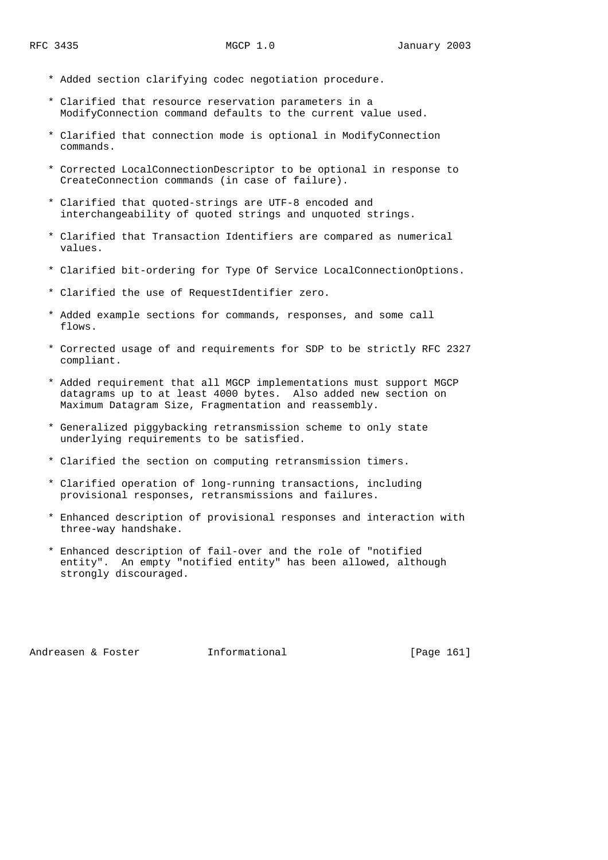- \* Added section clarifying codec negotiation procedure.
- \* Clarified that resource reservation parameters in a ModifyConnection command defaults to the current value used.
- \* Clarified that connection mode is optional in ModifyConnection commands.
- \* Corrected LocalConnectionDescriptor to be optional in response to CreateConnection commands (in case of failure).
- \* Clarified that quoted-strings are UTF-8 encoded and interchangeability of quoted strings and unquoted strings.
- \* Clarified that Transaction Identifiers are compared as numerical values.
- \* Clarified bit-ordering for Type Of Service LocalConnectionOptions.
- \* Clarified the use of RequestIdentifier zero.
- \* Added example sections for commands, responses, and some call flows.
- \* Corrected usage of and requirements for SDP to be strictly RFC 2327 compliant.
- \* Added requirement that all MGCP implementations must support MGCP datagrams up to at least 4000 bytes. Also added new section on Maximum Datagram Size, Fragmentation and reassembly.
- \* Generalized piggybacking retransmission scheme to only state underlying requirements to be satisfied.
- \* Clarified the section on computing retransmission timers.
- \* Clarified operation of long-running transactions, including provisional responses, retransmissions and failures.
- \* Enhanced description of provisional responses and interaction with three-way handshake.
- \* Enhanced description of fail-over and the role of "notified entity". An empty "notified entity" has been allowed, although strongly discouraged.

Andreasen & Foster **Informational** [Page 161]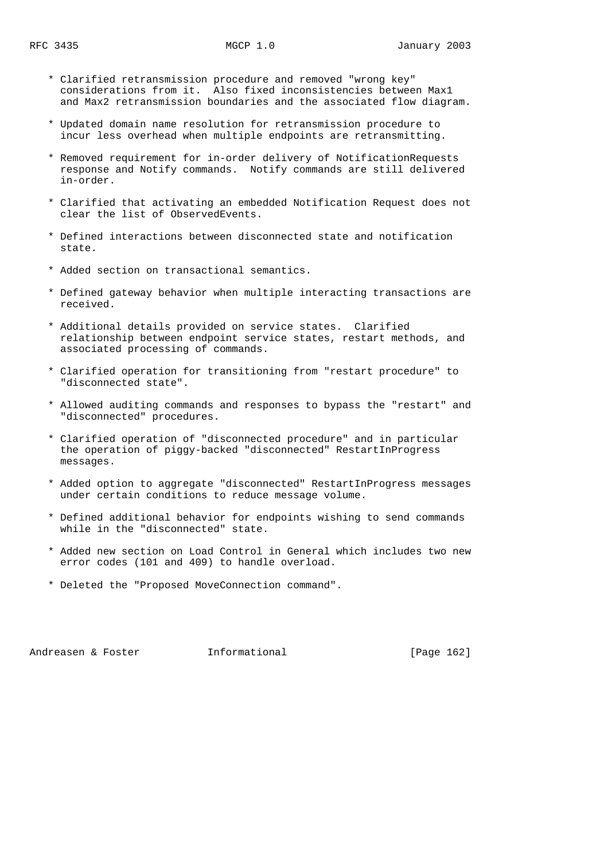- \* Clarified retransmission procedure and removed "wrong key" considerations from it. Also fixed inconsistencies between Max1 and Max2 retransmission boundaries and the associated flow diagram.
- \* Updated domain name resolution for retransmission procedure to incur less overhead when multiple endpoints are retransmitting.
- \* Removed requirement for in-order delivery of NotificationRequests response and Notify commands. Notify commands are still delivered in-order.
- \* Clarified that activating an embedded Notification Request does not clear the list of ObservedEvents.
- \* Defined interactions between disconnected state and notification state.
- \* Added section on transactional semantics.
- \* Defined gateway behavior when multiple interacting transactions are received.
- \* Additional details provided on service states. Clarified relationship between endpoint service states, restart methods, and associated processing of commands.
- \* Clarified operation for transitioning from "restart procedure" to "disconnected state".
- \* Allowed auditing commands and responses to bypass the "restart" and "disconnected" procedures.
- \* Clarified operation of "disconnected procedure" and in particular the operation of piggy-backed "disconnected" RestartInProgress messages.
- \* Added option to aggregate "disconnected" RestartInProgress messages under certain conditions to reduce message volume.
- \* Defined additional behavior for endpoints wishing to send commands while in the "disconnected" state.
- \* Added new section on Load Control in General which includes two new error codes (101 and 409) to handle overload.
- \* Deleted the "Proposed MoveConnection command".

Andreasen & Foster **Informational** [Page 162]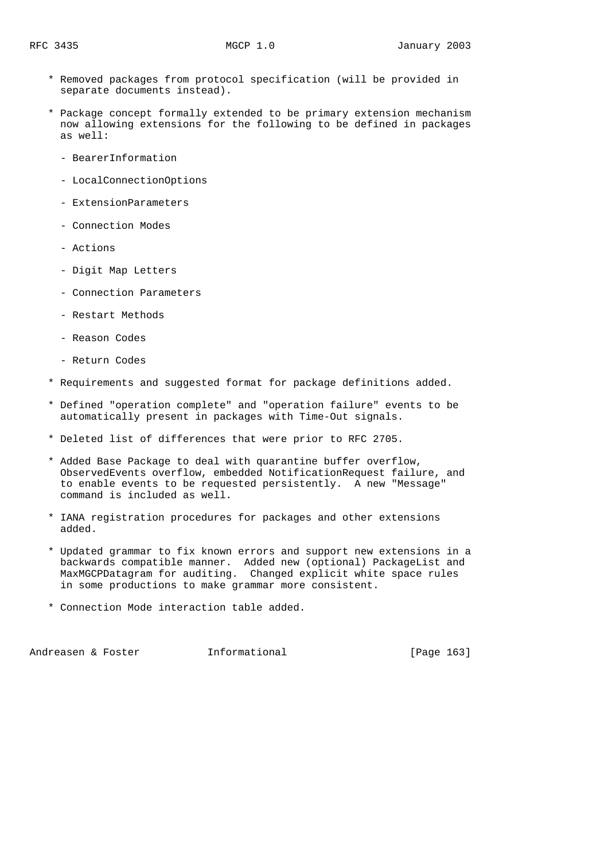- \* Removed packages from protocol specification (will be provided in separate documents instead).
- \* Package concept formally extended to be primary extension mechanism now allowing extensions for the following to be defined in packages as well:
	- BearerInformation
	- LocalConnectionOptions
	- ExtensionParameters
	- Connection Modes
	- Actions
	- Digit Map Letters
	- Connection Parameters
	- Restart Methods
	- Reason Codes
	- Return Codes
- \* Requirements and suggested format for package definitions added.
- \* Defined "operation complete" and "operation failure" events to be automatically present in packages with Time-Out signals.
- \* Deleted list of differences that were prior to RFC 2705.
- \* Added Base Package to deal with quarantine buffer overflow, ObservedEvents overflow, embedded NotificationRequest failure, and to enable events to be requested persistently. A new "Message" command is included as well.
- \* IANA registration procedures for packages and other extensions added.
- \* Updated grammar to fix known errors and support new extensions in a backwards compatible manner. Added new (optional) PackageList and MaxMGCPDatagram for auditing. Changed explicit white space rules in some productions to make grammar more consistent.
- \* Connection Mode interaction table added.

Andreasen & Foster **Informational** [Page 163]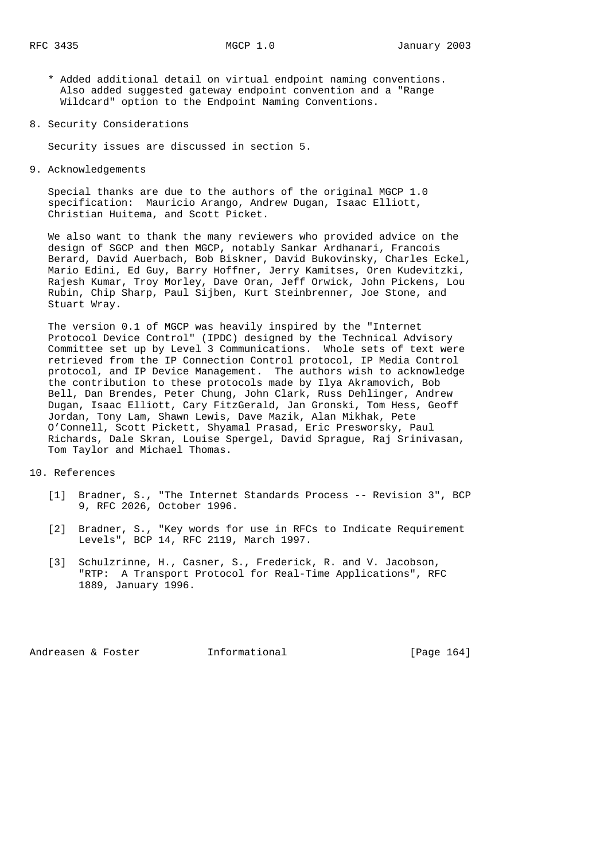\* Added additional detail on virtual endpoint naming conventions. Also added suggested gateway endpoint convention and a "Range Wildcard" option to the Endpoint Naming Conventions.

8. Security Considerations

Security issues are discussed in section 5.

9. Acknowledgements

 Special thanks are due to the authors of the original MGCP 1.0 specification: Mauricio Arango, Andrew Dugan, Isaac Elliott, Christian Huitema, and Scott Picket.

 We also want to thank the many reviewers who provided advice on the design of SGCP and then MGCP, notably Sankar Ardhanari, Francois Berard, David Auerbach, Bob Biskner, David Bukovinsky, Charles Eckel, Mario Edini, Ed Guy, Barry Hoffner, Jerry Kamitses, Oren Kudevitzki, Rajesh Kumar, Troy Morley, Dave Oran, Jeff Orwick, John Pickens, Lou Rubin, Chip Sharp, Paul Sijben, Kurt Steinbrenner, Joe Stone, and Stuart Wray.

 The version 0.1 of MGCP was heavily inspired by the "Internet Protocol Device Control" (IPDC) designed by the Technical Advisory Committee set up by Level 3 Communications. Whole sets of text were retrieved from the IP Connection Control protocol, IP Media Control protocol, and IP Device Management. The authors wish to acknowledge the contribution to these protocols made by Ilya Akramovich, Bob Bell, Dan Brendes, Peter Chung, John Clark, Russ Dehlinger, Andrew Dugan, Isaac Elliott, Cary FitzGerald, Jan Gronski, Tom Hess, Geoff Jordan, Tony Lam, Shawn Lewis, Dave Mazik, Alan Mikhak, Pete O'Connell, Scott Pickett, Shyamal Prasad, Eric Presworsky, Paul Richards, Dale Skran, Louise Spergel, David Sprague, Raj Srinivasan, Tom Taylor and Michael Thomas.

10. References

- [1] Bradner, S., "The Internet Standards Process -- Revision 3", BCP 9, RFC 2026, October 1996.
- [2] Bradner, S., "Key words for use in RFCs to Indicate Requirement Levels", BCP 14, RFC 2119, March 1997.
- [3] Schulzrinne, H., Casner, S., Frederick, R. and V. Jacobson, "RTP: A Transport Protocol for Real-Time Applications", RFC 1889, January 1996.

Andreasen & Foster **Informational** [Page 164]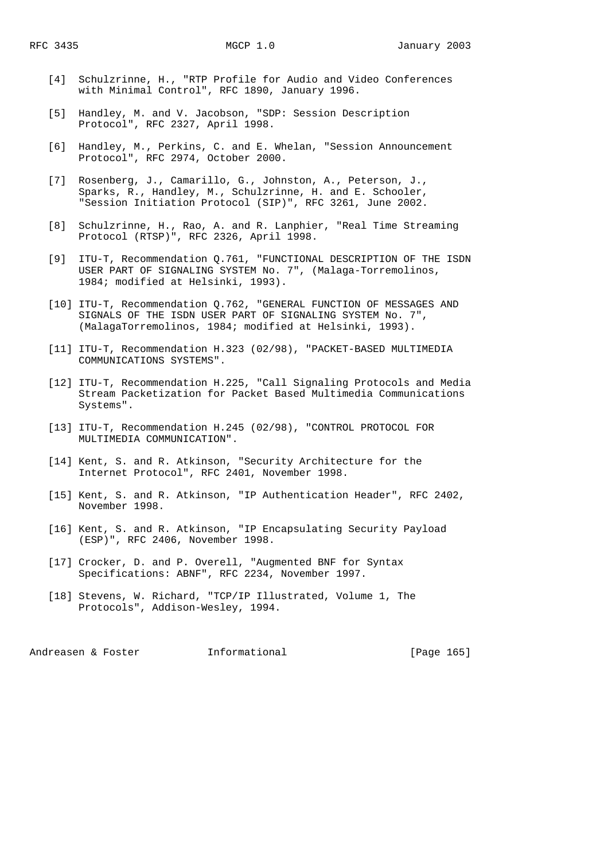- [4] Schulzrinne, H., "RTP Profile for Audio and Video Conferences with Minimal Control", RFC 1890, January 1996.
- [5] Handley, M. and V. Jacobson, "SDP: Session Description Protocol", RFC 2327, April 1998.
- [6] Handley, M., Perkins, C. and E. Whelan, "Session Announcement Protocol", RFC 2974, October 2000.
- [7] Rosenberg, J., Camarillo, G., Johnston, A., Peterson, J., Sparks, R., Handley, M., Schulzrinne, H. and E. Schooler, "Session Initiation Protocol (SIP)", RFC 3261, June 2002.
- [8] Schulzrinne, H., Rao, A. and R. Lanphier, "Real Time Streaming Protocol (RTSP)", RFC 2326, April 1998.
- [9] ITU-T, Recommendation Q.761, "FUNCTIONAL DESCRIPTION OF THE ISDN USER PART OF SIGNALING SYSTEM No. 7", (Malaga-Torremolinos, 1984; modified at Helsinki, 1993).
- [10] ITU-T, Recommendation Q.762, "GENERAL FUNCTION OF MESSAGES AND SIGNALS OF THE ISDN USER PART OF SIGNALING SYSTEM No. 7", (MalagaTorremolinos, 1984; modified at Helsinki, 1993).
- [11] ITU-T, Recommendation H.323 (02/98), "PACKET-BASED MULTIMEDIA COMMUNICATIONS SYSTEMS".
- [12] ITU-T, Recommendation H.225, "Call Signaling Protocols and Media Stream Packetization for Packet Based Multimedia Communications Systems".
- [13] ITU-T, Recommendation H.245 (02/98), "CONTROL PROTOCOL FOR MULTIMEDIA COMMUNICATION".
- [14] Kent, S. and R. Atkinson, "Security Architecture for the Internet Protocol", RFC 2401, November 1998.
- [15] Kent, S. and R. Atkinson, "IP Authentication Header", RFC 2402, November 1998.
- [16] Kent, S. and R. Atkinson, "IP Encapsulating Security Payload (ESP)", RFC 2406, November 1998.
- [17] Crocker, D. and P. Overell, "Augmented BNF for Syntax Specifications: ABNF", RFC 2234, November 1997.
- [18] Stevens, W. Richard, "TCP/IP Illustrated, Volume 1, The Protocols", Addison-Wesley, 1994.

Andreasen & Foster **Informational** [Page 165]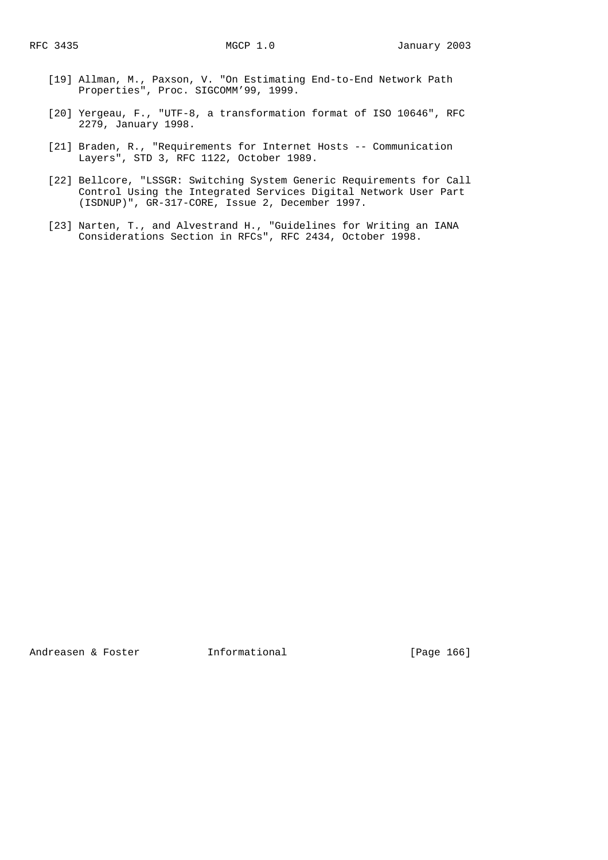- [19] Allman, M., Paxson, V. "On Estimating End-to-End Network Path Properties", Proc. SIGCOMM'99, 1999.
- [20] Yergeau, F., "UTF-8, a transformation format of ISO 10646", RFC 2279, January 1998.
- [21] Braden, R., "Requirements for Internet Hosts -- Communication Layers", STD 3, RFC 1122, October 1989.
- [22] Bellcore, "LSSGR: Switching System Generic Requirements for Call Control Using the Integrated Services Digital Network User Part (ISDNUP)", GR-317-CORE, Issue 2, December 1997.
- [23] Narten, T., and Alvestrand H., "Guidelines for Writing an IANA Considerations Section in RFCs", RFC 2434, October 1998.

Andreasen & Foster **Informational** [Page 166]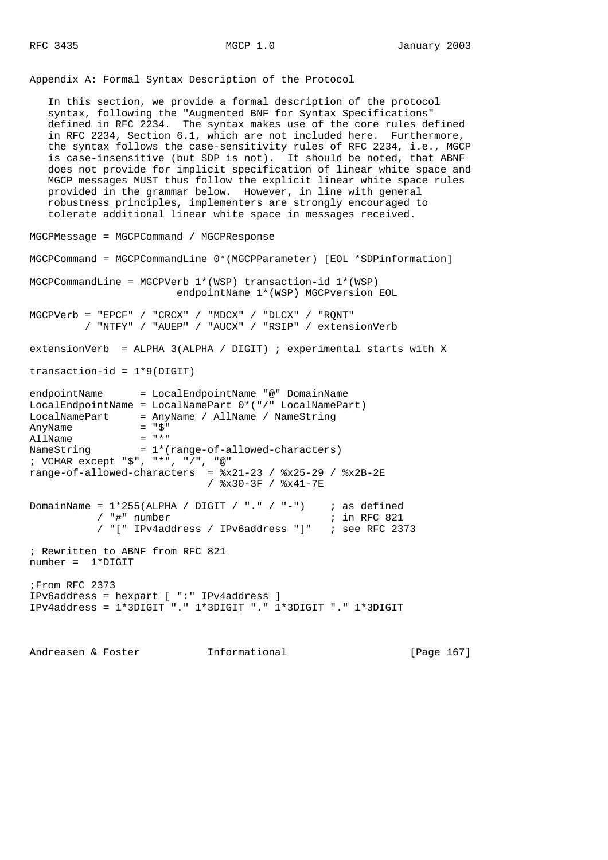Appendix A: Formal Syntax Description of the Protocol

 In this section, we provide a formal description of the protocol syntax, following the "Augmented BNF for Syntax Specifications" defined in RFC 2234. The syntax makes use of the core rules defined in RFC 2234, Section 6.1, which are not included here. Furthermore, the syntax follows the case-sensitivity rules of RFC 2234, i.e., MGCP is case-insensitive (but SDP is not). It should be noted, that ABNF does not provide for implicit specification of linear white space and MGCP messages MUST thus follow the explicit linear white space rules provided in the grammar below. However, in line with general robustness principles, implementers are strongly encouraged to tolerate additional linear white space in messages received. MGCPMessage = MGCPCommand / MGCPResponse MGCPCommand = MGCPCommandLine 0\*(MGCPParameter) [EOL \*SDPinformation] MGCPCommandLine = MGCPVerb  $1*(WSP)$  transaction-id  $1*(WSP)$  endpointName 1\*(WSP) MGCPversion EOL MGCPVerb = "EPCF" / "CRCX" / "MDCX" / "DLCX" / "RQNT" / "NTFY" / "AUEP" / "AUCX" / "RSIP" / extensionVerb extensionVerb = ALPHA 3(ALPHA / DIGIT) ; experimental starts with X  $transaction-id = 1*9(DIGIT)$ endpointName = LocalEndpointName "@" DomainName LocalEndpointName = LocalNamePart 0\*("/" LocalNamePart) LocalNamePart = AnyName / AllName / NameString AnyName  $=$  " $\zeta$ "<br>AllName  $=$  "\*" AllName<br>NameString  $= 1*(range-of-allowed-charactors)$ ; VCHAR except "\$", "\*", "/", "@" range-of-allowed-characters =  $x21-23 / x25-29 / x2B-2E$  / %x30-3F / %x41-7E DomainName = 1\*255(ALPHA / DIGIT / "." / "-") ; as defined /  $"$ #" number / "[" IPv4address / IPv6address "]" ; see RFC 2373 ; Rewritten to ABNF from RFC 821 number = 1\*DIGIT ;From RFC 2373 IPv6address = hexpart [ ":" IPv4address ] IPv4address = 1\*3DIGIT "." 1\*3DIGIT "." 1\*3DIGIT "." 1\*3DIGIT

Andreasen & Foster **Informational** [Page 167]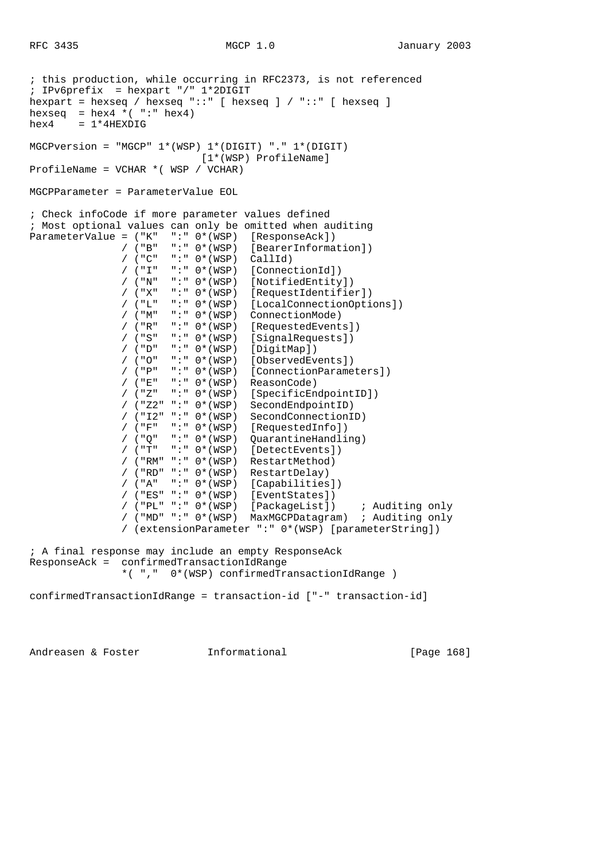```
; this production, while occurring in RFC2373, is not referenced
; IPv6prefix = hexpart "/" 1*2DIGIT
hexpart = hexseq / hexseq "::" [ hexseq ] / "::" [ hexseq ]
hexseq = hex4 \times ( ":" hex4)hex4 = 1*4HEXDIGMGCPversion = "MGCP" 1*(WSP) 1*(DIGIT) "." 1*(DIGIT)
                              [1*(WSP) ProfileName]
ProfileName = VCHAR *( WSP / VCHAR)
MGCPParameter = ParameterValue EOL
; Check infoCode if more parameter values defined
; Most optional values can only be omitted when auditing
ParameterValue = ("K" ":: 0*(WSP) [Responseack])<br>/ ("B" ":: 0*(WSP) [BearerInformation]/ ("B" ":: 0*(WSP) [BearerInformation])<br>/ ("C" ":: 0*(WSP) CallId)" : " 0*(WSP) CallId)
                / ("I" ":" 0*(WSP) [ConnectionId])
                / ("N" ":" 0*(WSP) [NotifiedEntity])
                / ("X" ":" 0*(WSP) [RequestIdentifier])
                / ("L" ":" 0*(WSP) [LocalConnectionOptions])
                / ("M" ":" 0*(WSP) ConnectionMode)
 / ("R" ":" 0*(WSP) [RequestedEvents])
 / ("S" ":" 0*(WSP) [SignalRequests])
                / ("D" ":" 0*(WSP) [DigitMap])
                / ("O" ":" 0*(WSP) [ObservedEvents])
               / ("P" ":" 0*(WSP) [ConnectionParameters])<br>/ ("E" ":" 0*(WSP) ReasonCode)
                       ":" 0*(WSP) ReasonCode)
                / ("Z" ":" 0*(WSP) [SpecificEndpointID])
                / ("Z2" ":" 0*(WSP) SecondEndpointID)
                / ("I2" ":" 0*(WSP) SecondConnectionID)
                / ("F" ":" 0*(WSP) [RequestedInfo])
                / ("Q" ":" 0*(WSP) QuarantineHandling)
                / ("T" ":" 0*(WSP) [DetectEvents])
                / ("RM" ":" 0*(WSP) RestartMethod)
                / ("RD" ":" 0*(WSP) RestartDelay)
                / ("A" ":" 0*(WSP) [Capabilities])
                / ("ES" ":" 0*(WSP) [EventStates])
                / ("PL" ":" 0*(WSP) [PackageList]) ; Auditing only
                / ("MD" ":" 0*(WSP) MaxMGCPDatagram) ; Auditing only
                / (extensionParameter ":" 0*(WSP) [parameterString])
; A final response may include an empty ResponseAck
ResponseAck = confirmedTransactionIdRange
                *( "," 0*(WSP) confirmedTransactionIdRange )
confirmedTransactionIdRange = transaction-id ["-" transaction-id]
```
Andreasen & Foster **Informational** [Page 168]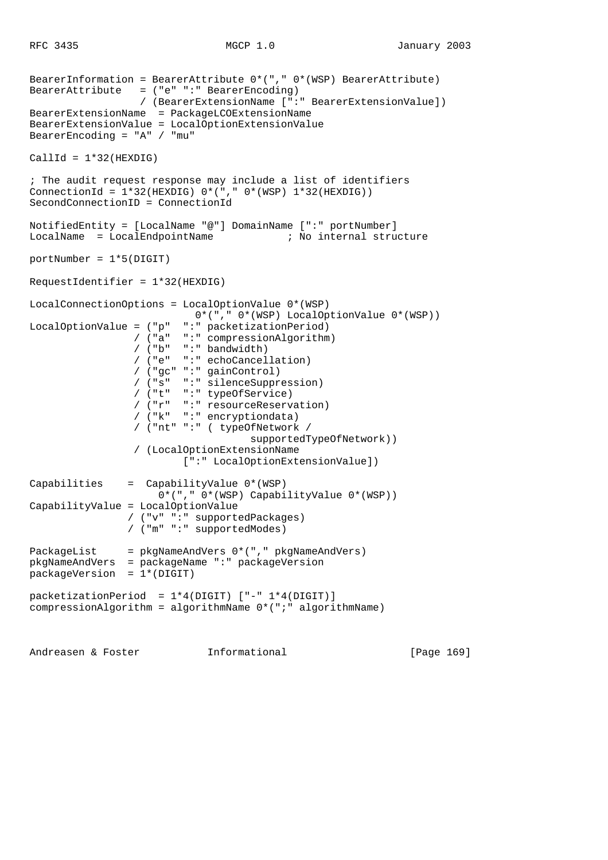```
BearerInformation = BearerAttribute 0*("," 0*(WSP) BearerAttribute)
BearerAttribute = ("e" ":" BearerEncoding)
                   / (BearerExtensionName [":" BearerExtensionValue])
BearerExtensionName = PackageLCOExtensionName
BearerExtensionValue = LocalOptionExtensionValue
BearerEncoding = "A" / "mu"
CallId = 1*32(HEXDIG); The audit request response may include a list of identifiers
ConnectionId = 1*32(HEXDIG) 0*(\sqrt{w} - 0*(\sqrt{w}) - 1*32)(HEXDIG))
SecondConnectionID = ConnectionId
NotifiedEntity = [LocalName "@"] DomainName [":" portNumber]
LocalName = LocalEndpointName ; No internal structure
portNumber = 1*5(DIGIT)RequestIdentifier = 1*32(HEXDIG)
LocalConnectionOptions = LocalOptionValue 0*(WSP)
                           0*("," 0*(WSP) LocalOptionValue 0*(WSP))
LocalOptionValue = ("p" ":" packetizationPeriod)
 / ("a" ":" compressionAlgorithm)
                  / ("b" ":" bandwidth)
                  / ("e" ":" echoCancellation)
                  / ("gc" ":" gainControl)
                 / ("s" ":" silenceSuppression)<br>/ ("t" ":" typeOfService)
                        ":" typeOfService)
                  / ("r" ":" resourceReservation)
                  / ("k" ":" encryptiondata)
                  / ("nt" ":" ( typeOfNetwork /
                                     supportedTypeOfNetwork))
                  / (LocalOptionExtensionName
                          [":" LocalOptionExtensionValue])
Capabilities = CapabilityValue 0*(WSP)
                      0*("," 0*(WSP) CapabilityValue 0*(WSP))
CapabilityValue = LocalOptionValue
                 / ("v" ":" supportedPackages)
                 / ("m" ":" supportedModes)
PackageList = pkgNameAndVers 0*("," pkgNameAndVers)
pkgNameAndVers = packageName ":" packageVersion
packageVersion = 1*(DIGIT)
packetizationPeriod = 1*4(DIGIT) ["-" 1*4(DIGIT)]
compressionAlgorithm = algorithmName 0*(";" algorithmName)
```
Andreasen & Foster **Informational** [Page 169]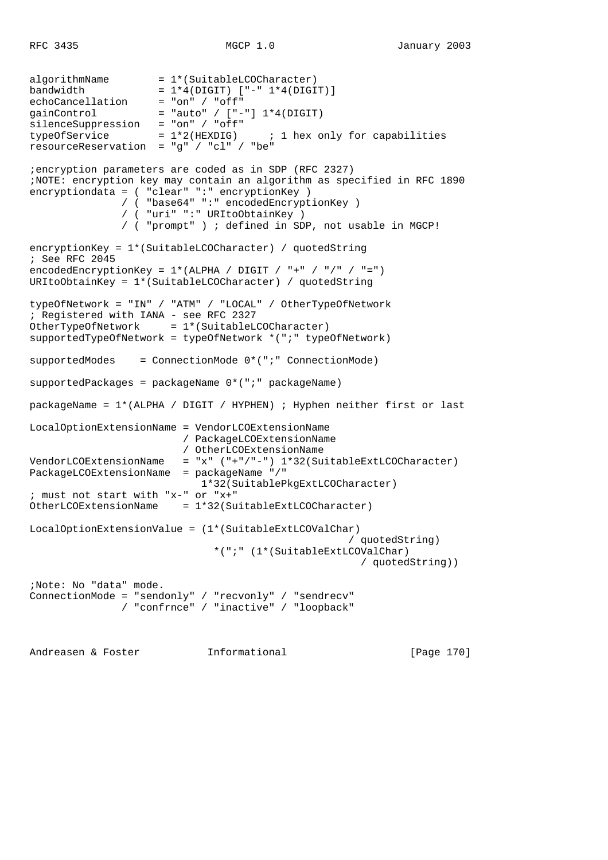```
algorithmName = 1*(SuitableLCOCharacter)
bandwidth = 1*4(DIGIT) ["-" 1*4(DIGIT)]
echoCancellation = "on" / "off"
gainControl = "auto" / ["-"] 1*4(DIGIT)silenceSuppression = "on" / "off"
\begin{array}{rcl}\n\text{surc}-\text{surc} & \text{surc} & \text{surc}\n\text{silencesuppression} & = "on" / "off" \\
\text{typeOfService} & = & 1*2(\text{HEXDIG}) & \text{if } 1 \text{ hex} & \text{only for capabilities}\n\end{array}resourceReservation = "g" / "cl" / "be"
;encryption parameters are coded as in SDP (RFC 2327)
;NOTE: encryption key may contain an algorithm as specified in RFC 1890
encryptiondata = ( "clear" ":" encryptionKey )
                 / ( "base64" ":" encodedEncryptionKey )
                 / ( "uri" ":" URItoObtainKey )
                 / ( "prompt" ) ; defined in SDP, not usable in MGCP!
encryptionKey = 1*(SuitableLCOCharacter) / quotedString
; See RFC 2045
encodedEncryptionKey = 1*(ALPHA / DIGIT / "+" / "/" / "=")URItoObtainKey = 1*(SuitableLCOCharacter) / quotedString
typeOfNetwork = "IN" / "ATM" / "LOCAL" / OtherTypeOfNetwork
; Registered with IANA - see RFC 2327
OtherTypeOfNetwork = 1*(\text{SuitableLCOCharacter})supportedTypeOfNetwork = typeOfNetwork *(";" typeOfNetwork)
supportedModes = ConnectionMode 0*(";" ConnectionMode)
supportedPackages = packageName 0*(";" packageName)
packageName = 1*(ALPHA / DIGIT / HYPHEN) ; Hyphen neither first or last
LocalOptionExtensionName = VendorLCOExtensionName
                           / PackageLCOExtensionName
                           / OtherLCOExtensionName
VendorLCOExtensionName = "x" ("+"/"-") 1*32(SuitableExtLCOCharacter)
PackageLCOExtensionName = packageName "/"
                              1*32(SuitablePkgExtLCOCharacter)
; must not start with "x-" or "x+"
OtherLCOExtensionName = 1*32(SuitableExtLCOCharacter)
LocalOptionExtensionValue = (1*(SuitableExtLCOValChar)
                                                        / quotedString)
                                 *(";" (1*(SuitableExtLCOValChar)
                                                          / quotedString))
;Note: No "data" mode.
ConnectionMode = "sendonly" / "recvonly" / "sendrecv"
                 / "confrnce" / "inactive" / "loopback"
```
Andreasen & Foster **Informational** [Page 170]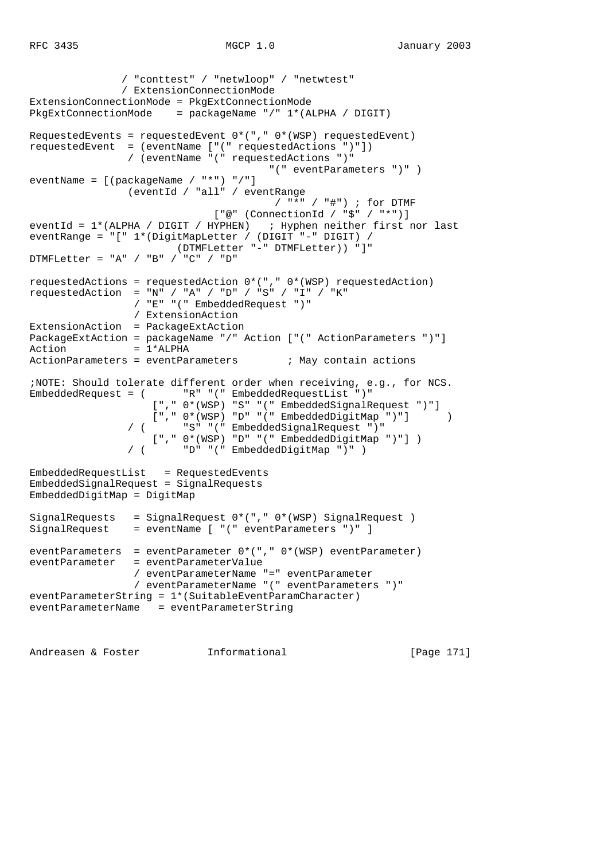```
 / "conttest" / "netwloop" / "netwtest"
                / ExtensionConnectionMode
ExtensionConnectionMode = PkgExtConnectionMode
PkgExtConnectionMode = packageName "/" 1*(ALPHA / DIGIT)
RequestedEvents = requestedEvent 0*("," 0*(WSP) requestedEvent)
requestedEvent = (eventName ["(" requestedActions ")"])
                / (eventName "(" requestedActions ")"
                                      "(" eventParameters ")" )
eventName = [(packageName / "*") "/"]
                 (eventId / "all" / eventRange
                                        / "*" / "#") ; for DTMF
                              ["@" (ConnectionId / "$" / "*")]
eventId = 1*(ALPHA / DIGIT / HYPHEN) ; Hyphen neither first nor last
eventRange = "[" 1*(DigitMapLetter / (DIGIT "-" DIGIT) /
                        (DTMFLetter "-" DTMFLetter)) "]"
DTMFLetter = "A" / "B" / "C" / "D"
requestedActions = requestedAction 0*("," 0*(WSP) requestedAction)
requestedAction = "N" / "A" / "D" / "S" / "I" / "K"
 / "E" "(" EmbeddedRequest ")"
                 / ExtensionAction
ExtensionAction = PackageExtAction
PackageExtAction = packageName "/" Action ["(" ActionParameters ")"]
Action = 1*ALPHA
ActionParameters = eventParameters ; May contain actions
;NOTE: Should tolerate different order when receiving, e.g., for NCS.
EmbeddedRequest = ( "R" "(" EmbeddedRequestList ")"
                    ["," 0*(WSP) "S" "(" EmbeddedSignalRequest ")"]
                   ["," 0*(WSP) "D" "(" EmbeddedDigitMap ")"] )
                       / ( "S" "(" EmbeddedSignalRequest ")"
                  ["," 0*(WSP) "D" "(" EmbeddedDigitMap ")"] )
                        / ( "D" "(" EmbeddedDigitMap ")" )
EmbeddedRequestList = RequestedEvents
EmbeddedSignalRequest = SignalRequests
EmbeddedDigitMap = DigitMap
SignalRequests = SignalRequest 0*("," 0*(WSP) SignalRequest )
SignalRequest = eventName [ "(" eventParameters ")" ]
eventParameters = eventParameter 0*("," 0*(WSP) eventParameter)
eventParameter = eventParameterValue
                 / eventParameterName "=" eventParameter
                 / eventParameterName "(" eventParameters ")"
eventParameterString = 1*(SuitableEventParamCharacter)
eventParameterName = eventParameterString
```
Andreasen & Foster **Informational** [Page 171]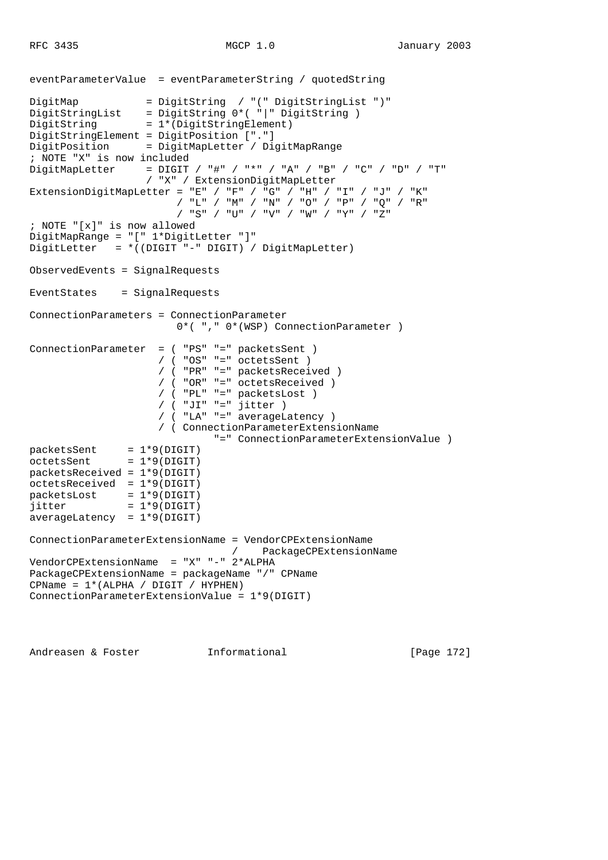```
eventParameterValue = eventParameterString / quotedString
DigitMap = DigitString / "(" DigitStringList ")"
DigitStringList = DigitString 0*( "|" DigitString )
DigitString = 1*(DigitStringElement)
DigitStringElement = DigitPosition ["."]
DigitPosition = DigitMapLetter / DigitMapRange
; NOTE "X" is now included
DigitMapLetter = \text{Diff} / \text{++} / \text{++} / \text{++} / \text{++} / \text{++} / \text{--} / \text{--} / \text{--} / \text{--} / \text{--} / "X" / ExtensionDigitMapLetter
ExtensionDigitMapLetter = "E" / "F" / "G" / "H" / "I" / "J" / "K"
                         / "L" / "M" / "N" / "O" / "P" / "Q" / "R"
                         / "S" / "U" / "V" / "W" / "Y" / "Z"
; NOTE "[x]" is now allowed
DigitMapRange = "[" 1*DigitLetter "]"
DigitLetter = *((DIGIT "-" DIGIT) / DigitMapLetter)
ObservedEvents = SignalRequests
EventStates = SignalRequests
ConnectionParameters = ConnectionParameter
                         0*( "," 0*(WSP) ConnectionParameter )
ConnectionParameter = ( "PS" "=" packetsSent )
                      / ( "OS" "=" octetsSent )
                      / ( "PR" "=" packetsReceived )
                      / ( "OR" "=" octetsReceived )
 / ( "PL" "=" packetsLost )
 / ( "JI" "=" jitter )
                      / ( "LA" "=" averageLatency )
                      / ( ConnectionParameterExtensionName
                               "=" ConnectionParameterExtensionValue )
packetsSent = 1*9(DIGIT)
octetsSent = 1*9(DIGIT)packetsReceived = 1*9(DIGIT)
octetsReceived = 1*9(DIGIT)
packetslost = 1*9(DIGIT)jitter = 1*9(DIGIT)averageLatency = 1*9(DIGIT)
ConnectionParameterExtensionName = VendorCPExtensionName
                              / PackageCPExtensionName
VendorCPExtensionName = "X" "-" 2*ALPHA
PackageCPExtensionName = packageName "/" CPName
CPName = 1*(ALPHA / DIGIT / HYPHEN)ConnectionParameterExtensionValue = 1*9(DIGIT)
```
Andreasen & Foster **Informational** [Page 172]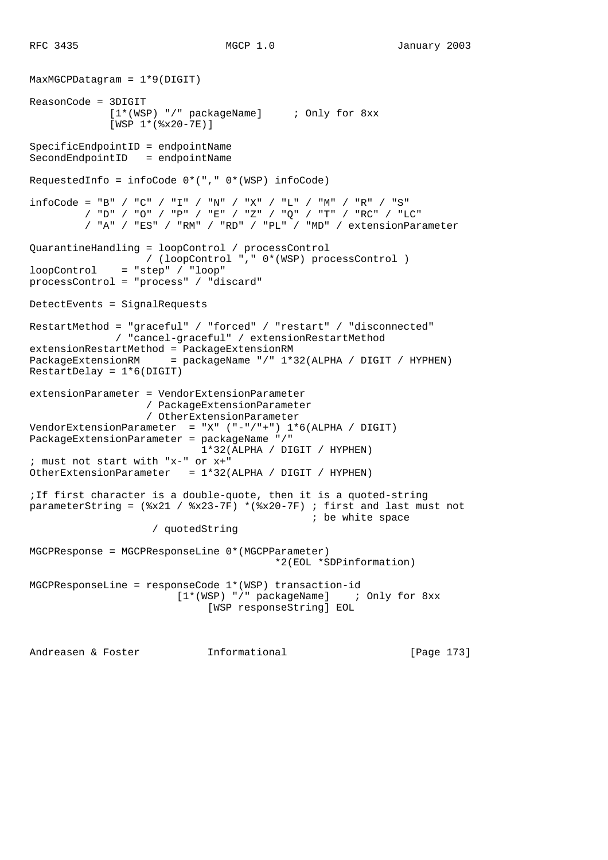```
MaxMGCPDatagram = 1*9(DIGIT)
ReasonCode = 3DIGIT
              [1*(WSP) "/" packageName] ; Only for 8xx
              [WSP 1*(%x20-7E)]
SpecificEndpointID = endpointName
SecondEndpointID = endpointName
RequestedInfo = infoCode 0*(", " 0*(WSP) infocode)infoCode = "B" / "C" / "I" / "N" / "X" / "L" / "M" / "M" / "R" / "S" / "D" / "O" / "P" / "E" / "Z" / "Q" / "T" / "RC" / "LC"
          / "A" / "ES" / "RM" / "RD" / "PL" / "MD" / extensionParameter
QuarantineHandling = loopControl / processControl
                  / (loopControl "," 0*(WSP) processControl )
loopControl = "step" / "loop"
processControl = "process" / "discard"
DetectEvents = SignalRequests
RestartMethod = "graceful" / "forced" / "restart" / "disconnected"
              / "cancel-graceful" / extensionRestartMethod
extensionRestartMethod = PackageExtensionRM
PackageExtensionRM = packageName "/" 1*32(ALPHA / DIGIT / HYPHEN)
RestartDelay = 1*6(DIGIT)
extensionParameter = VendorExtensionParameter
                   / PackageExtensionParameter
                   / OtherExtensionParameter
VendorExtensionParameter = "X" ("-"/"+") 1*6(ALPHA / DIGIT)
PackageExtensionParameter = packageName "/"
                            1*32(ALPHA / DIGIT / HYPHEN)
; must not start with "x-" or x+"
OtherExtensionParameter = 1*32(ALPHA / DIGIT / HYPHEN)
;If first character is a double-quote, then it is a quoted-string
parameterString = (*x21 / *x23-7F) *(*x20-7F); first and last must not
                                              ; be white space
                    / quotedString
MGCPResponse = MGCPResponseLine 0*(MGCPParameter)
                                        *2(EOL *SDPinformation)
MGCPResponseLine = responseCode 1*(WSP) transaction-id
                        [1*(WSP) "/" packageName] ; Only for 8xx
                             [WSP responseString] EOL
Andreasen & Foster Informational [Page 173]
```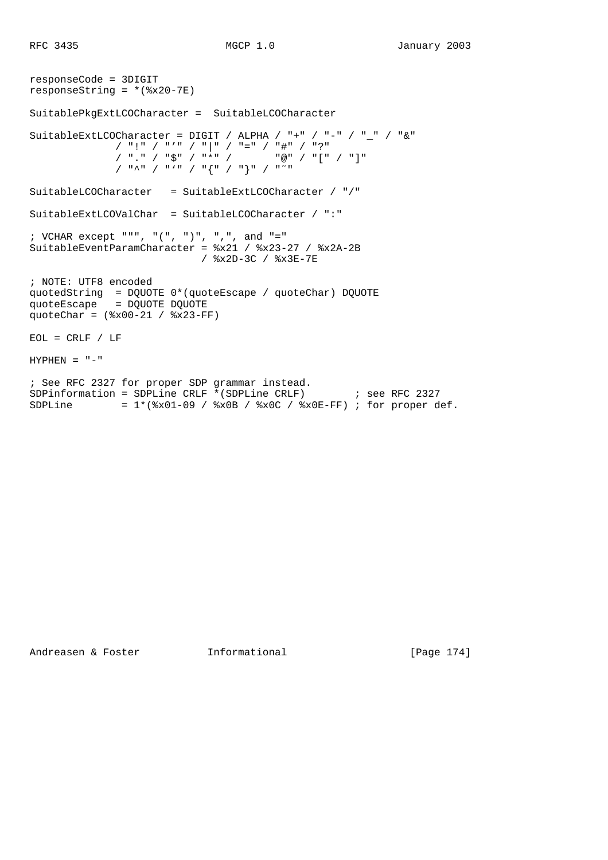```
responseCode = 3DIGIT
responseString = *(\text{$}x20-7E)SuitablePkgExtLCOCharacter = SuitableLCOCharacter
SuitableExtLCOCharacter = DIGIT / ALPHA / "+" / "-" / " " / "&"
 / "!" / "'" / "|" / "=" / "#" / "?"
 / "." / "$" / "*" / "@" / "[" / "]"
 / "^" / "'" / "{" / "}" / "˜"
SuitableLCOCharacter = SuitableExtLCOCharacter / "/"
SuitableExtLCOValChar = SuitableLCOCharacter / ":"
; VCHAR except """, "(", ")", ",", and "="
SuitableEventParamCharacter = %x21 / %x23-27 / %x2A-2B
                          / %x2D-3C / %x3E-7E
; NOTE: UTF8 encoded
quotedString = DQUOTE 0*(quoteEscape / quoteChar) DQUOTE
quoteEscape = DQUOTE DQUOTE
quoteChar = (%x00-21 / %x23-FF)
EOL = CRLF / LFHYPHEN = "-"; See RFC 2327 for proper SDP grammar instead.
SDPinformation = SDPLine CRLF *(SDPLine CRLF) ; see RFC 2327
SDPLine = 1*(8x01-09 / 8x0B / 8x0C / 8x0E-FF); for proper def.
```
Andreasen & Foster **Informational** [Page 174]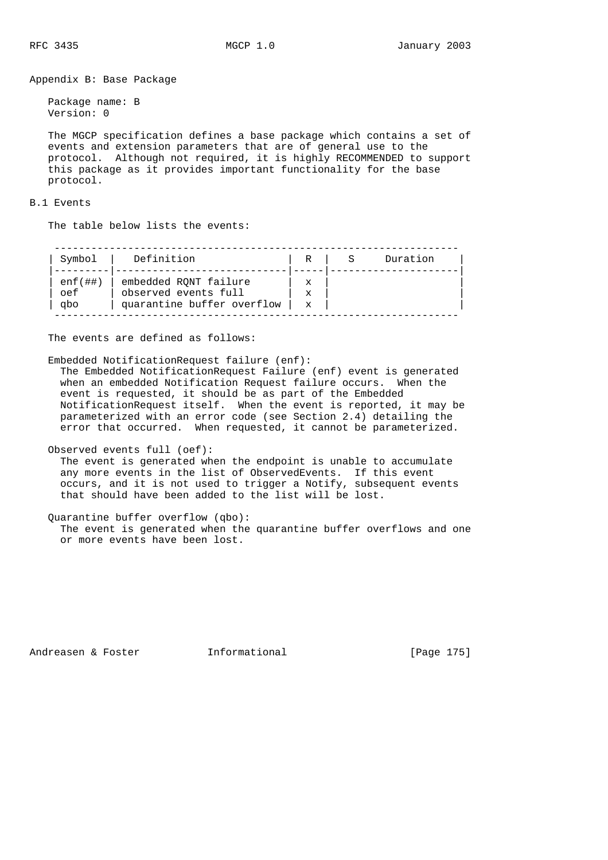Appendix B: Base Package

 Package name: B Version: 0

 The MGCP specification defines a base package which contains a set of events and extension parameters that are of general use to the protocol. Although not required, it is highly RECOMMENDED to support this package as it provides important functionality for the base protocol.

### B.1 Events

The table below lists the events:

| Symbol     | Definition                 | R           | Duration |
|------------|----------------------------|-------------|----------|
|            |                            |             |          |
| $enf$ (##) | embedded RONT failure      | x           |          |
| oef        | observed events full       | X           |          |
| apo        | quarantine buffer overflow | $\mathbf x$ |          |

The events are defined as follows:

Embedded NotificationRequest failure (enf):

 The Embedded NotificationRequest Failure (enf) event is generated when an embedded Notification Request failure occurs. When the event is requested, it should be as part of the Embedded NotificationRequest itself. When the event is reported, it may be parameterized with an error code (see Section 2.4) detailing the error that occurred. When requested, it cannot be parameterized.

Observed events full (oef):

 The event is generated when the endpoint is unable to accumulate any more events in the list of ObservedEvents. If this event occurs, and it is not used to trigger a Notify, subsequent events that should have been added to the list will be lost.

Quarantine buffer overflow (qbo):

 The event is generated when the quarantine buffer overflows and one or more events have been lost.

Andreasen & Foster **Informational** [Page 175]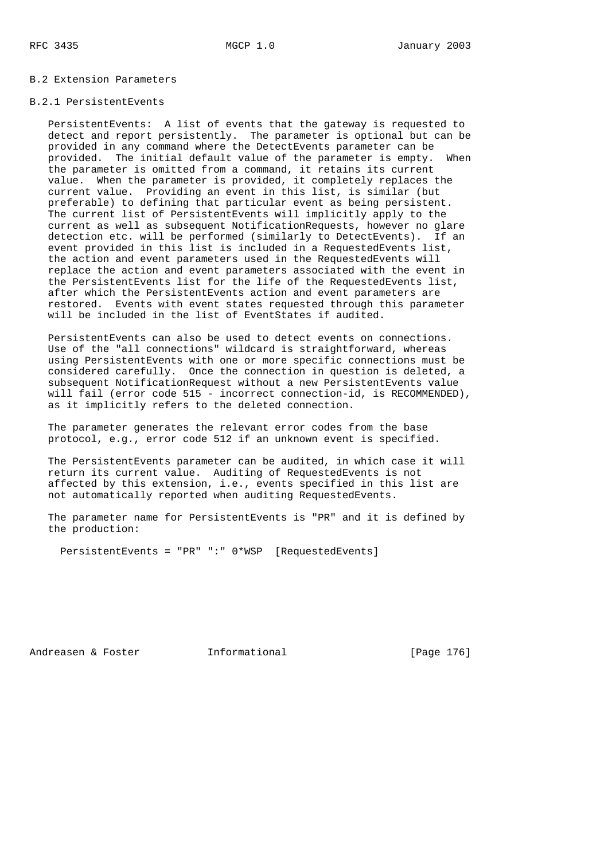### B.2 Extension Parameters

### B.2.1 PersistentEvents

 PersistentEvents: A list of events that the gateway is requested to detect and report persistently. The parameter is optional but can be provided in any command where the DetectEvents parameter can be provided. The initial default value of the parameter is empty. When the parameter is omitted from a command, it retains its current value. When the parameter is provided, it completely replaces the current value. Providing an event in this list, is similar (but preferable) to defining that particular event as being persistent. The current list of PersistentEvents will implicitly apply to the current as well as subsequent NotificationRequests, however no glare detection etc. will be performed (similarly to DetectEvents). If an event provided in this list is included in a RequestedEvents list, the action and event parameters used in the RequestedEvents will replace the action and event parameters associated with the event in the PersistentEvents list for the life of the RequestedEvents list, after which the PersistentEvents action and event parameters are restored. Events with event states requested through this parameter will be included in the list of EventStates if audited.

 PersistentEvents can also be used to detect events on connections. Use of the "all connections" wildcard is straightforward, whereas using PersistentEvents with one or more specific connections must be considered carefully. Once the connection in question is deleted, a subsequent NotificationRequest without a new PersistentEvents value will fail (error code 515 - incorrect connection-id, is RECOMMENDED), as it implicitly refers to the deleted connection.

 The parameter generates the relevant error codes from the base protocol, e.g., error code 512 if an unknown event is specified.

 The PersistentEvents parameter can be audited, in which case it will return its current value. Auditing of RequestedEvents is not affected by this extension, i.e., events specified in this list are not automatically reported when auditing RequestedEvents.

 The parameter name for PersistentEvents is "PR" and it is defined by the production:

PersistentEvents = "PR" ":" 0\*WSP [RequestedEvents]

Andreasen & Foster **Informational** [Page 176]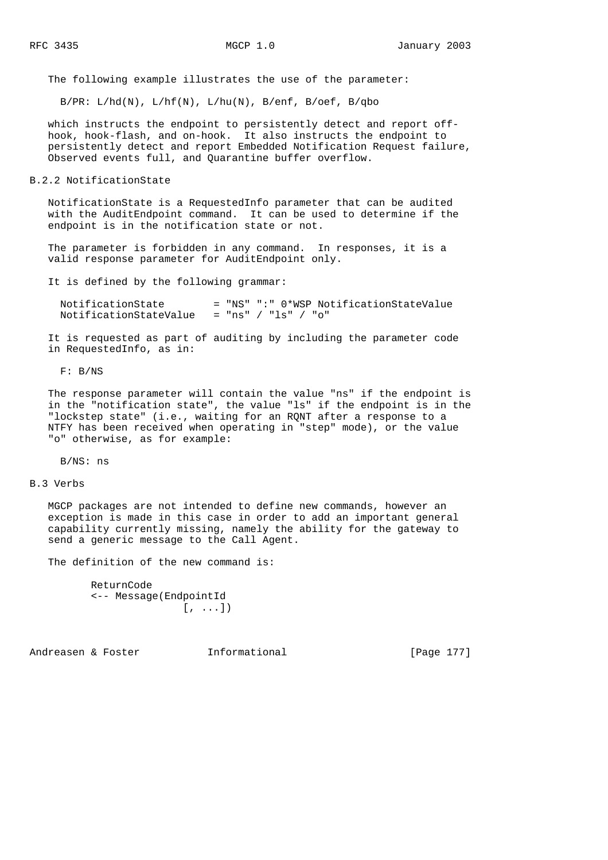The following example illustrates the use of the parameter:

 $B/PR: L/hd(N), L/hf(N), L/hu(N), B/enf, B/oef, B/qbo$ 

 which instructs the endpoint to persistently detect and report off hook, hook-flash, and on-hook. It also instructs the endpoint to persistently detect and report Embedded Notification Request failure, Observed events full, and Quarantine buffer overflow.

# B.2.2 NotificationState

 NotificationState is a RequestedInfo parameter that can be audited with the AuditEndpoint command. It can be used to determine if the endpoint is in the notification state or not.

 The parameter is forbidden in any command. In responses, it is a valid response parameter for AuditEndpoint only.

It is defined by the following grammar:

| NotificationState      |                     |  | = "NS" ":" 0*WSP NotificationStateValue |
|------------------------|---------------------|--|-----------------------------------------|
| NotificationStateValue | = "ns" / "ls" / "o" |  |                                         |

 It is requested as part of auditing by including the parameter code in RequestedInfo, as in:

F: B/NS

 The response parameter will contain the value "ns" if the endpoint is in the "notification state", the value "ls" if the endpoint is in the "lockstep state" (i.e., waiting for an RQNT after a response to a NTFY has been received when operating in "step" mode), or the value "o" otherwise, as for example:

B/NS: ns

### B.3 Verbs

 MGCP packages are not intended to define new commands, however an exception is made in this case in order to add an important general capability currently missing, namely the ability for the gateway to send a generic message to the Call Agent.

The definition of the new command is:

```
 ReturnCode
 <-- Message(EndpointId
                 [\ ,\ \ldots]
```
Andreasen & Foster **Informational** [Page 177]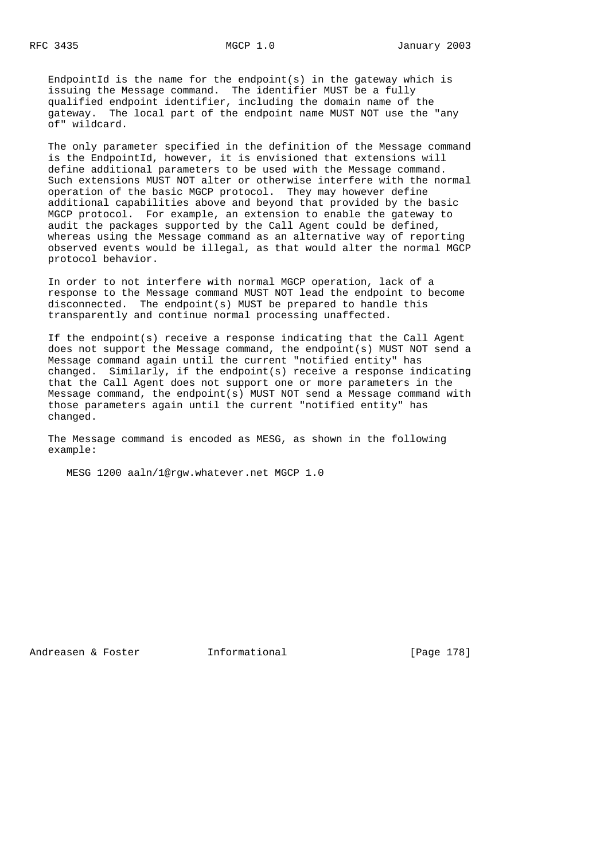EndpointId is the name for the endpoint(s) in the gateway which is issuing the Message command. The identifier MUST be a fully qualified endpoint identifier, including the domain name of the gateway. The local part of the endpoint name MUST NOT use the "any of" wildcard.

 The only parameter specified in the definition of the Message command is the EndpointId, however, it is envisioned that extensions will define additional parameters to be used with the Message command. Such extensions MUST NOT alter or otherwise interfere with the normal operation of the basic MGCP protocol. They may however define additional capabilities above and beyond that provided by the basic MGCP protocol. For example, an extension to enable the gateway to audit the packages supported by the Call Agent could be defined, whereas using the Message command as an alternative way of reporting observed events would be illegal, as that would alter the normal MGCP protocol behavior.

 In order to not interfere with normal MGCP operation, lack of a response to the Message command MUST NOT lead the endpoint to become disconnected. The endpoint(s) MUST be prepared to handle this transparently and continue normal processing unaffected.

 If the endpoint(s) receive a response indicating that the Call Agent does not support the Message command, the endpoint(s) MUST NOT send a Message command again until the current "notified entity" has changed. Similarly, if the endpoint(s) receive a response indicating that the Call Agent does not support one or more parameters in the Message command, the endpoint(s) MUST NOT send a Message command with those parameters again until the current "notified entity" has changed.

 The Message command is encoded as MESG, as shown in the following example:

MESG 1200 aaln/1@rgw.whatever.net MGCP 1.0

Andreasen & Foster **Informational** [Page 178]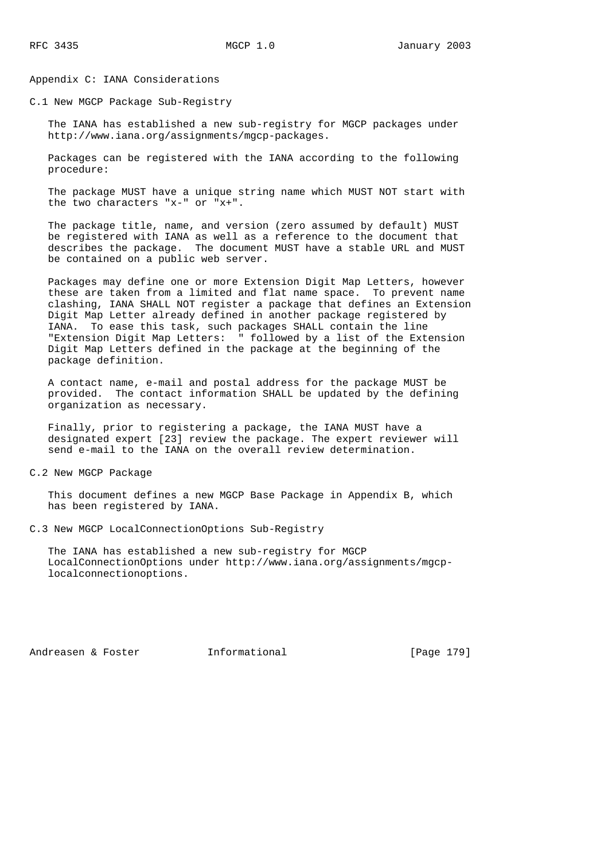Appendix C: IANA Considerations

C.1 New MGCP Package Sub-Registry

 The IANA has established a new sub-registry for MGCP packages under http://www.iana.org/assignments/mgcp-packages.

 Packages can be registered with the IANA according to the following procedure:

 The package MUST have a unique string name which MUST NOT start with the two characters "x-" or "x+".

 The package title, name, and version (zero assumed by default) MUST be registered with IANA as well as a reference to the document that describes the package. The document MUST have a stable URL and MUST be contained on a public web server.

 Packages may define one or more Extension Digit Map Letters, however these are taken from a limited and flat name space. To prevent name clashing, IANA SHALL NOT register a package that defines an Extension Digit Map Letter already defined in another package registered by IANA. To ease this task, such packages SHALL contain the line "Extension Digit Map Letters: " followed by a list of the Extension Digit Map Letters defined in the package at the beginning of the package definition.

 A contact name, e-mail and postal address for the package MUST be provided. The contact information SHALL be updated by the defining organization as necessary.

 Finally, prior to registering a package, the IANA MUST have a designated expert [23] review the package. The expert reviewer will send e-mail to the IANA on the overall review determination.

C.2 New MGCP Package

 This document defines a new MGCP Base Package in Appendix B, which has been registered by IANA.

C.3 New MGCP LocalConnectionOptions Sub-Registry

 The IANA has established a new sub-registry for MGCP LocalConnectionOptions under http://www.iana.org/assignments/mgcp localconnectionoptions.

Andreasen & Foster **Informational** [Page 179]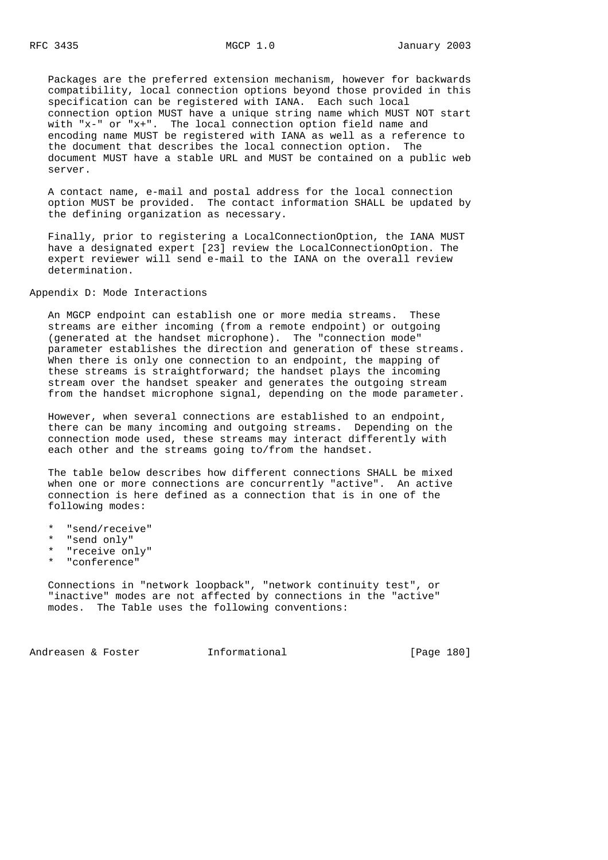Packages are the preferred extension mechanism, however for backwards compatibility, local connection options beyond those provided in this specification can be registered with IANA. Each such local connection option MUST have a unique string name which MUST NOT start with "x-" or "x+". The local connection option field name and encoding name MUST be registered with IANA as well as a reference to the document that describes the local connection option. The document MUST have a stable URL and MUST be contained on a public web server.

 A contact name, e-mail and postal address for the local connection option MUST be provided. The contact information SHALL be updated by the defining organization as necessary.

 Finally, prior to registering a LocalConnectionOption, the IANA MUST have a designated expert [23] review the LocalConnectionOption. The expert reviewer will send e-mail to the IANA on the overall review determination.

Appendix D: Mode Interactions

 An MGCP endpoint can establish one or more media streams. These streams are either incoming (from a remote endpoint) or outgoing (generated at the handset microphone). The "connection mode" parameter establishes the direction and generation of these streams. When there is only one connection to an endpoint, the mapping of these streams is straightforward; the handset plays the incoming stream over the handset speaker and generates the outgoing stream from the handset microphone signal, depending on the mode parameter.

 However, when several connections are established to an endpoint, there can be many incoming and outgoing streams. Depending on the connection mode used, these streams may interact differently with each other and the streams going to/from the handset.

 The table below describes how different connections SHALL be mixed when one or more connections are concurrently "active". An active connection is here defined as a connection that is in one of the following modes:

- \* "send/receive"
- \* "send only"
- \* "receive only"
- \* "conference"

 Connections in "network loopback", "network continuity test", or "inactive" modes are not affected by connections in the "active" modes. The Table uses the following conventions:

Andreasen & Foster **Informational** [Page 180]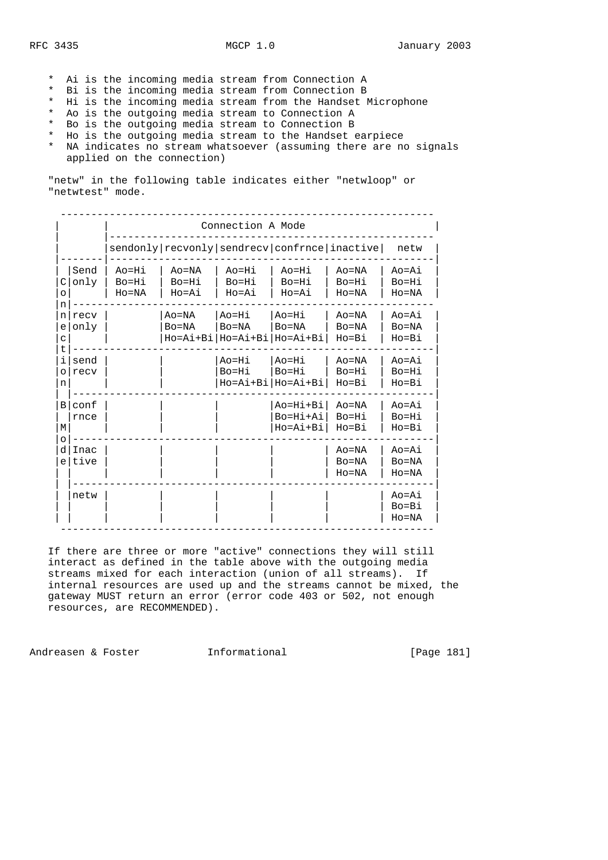- \* Ai is the incoming media stream from Connection A
- \* Bi is the incoming media stream from Connection B
- \* Hi is the incoming media stream from the Handset Microphone
- \* Ao is the outgoing media stream to Connection A
- \* Bo is the outgoing media stream to Connection B
- \* Ho is the outgoing media stream to the Handset earpiece
- \* NA indicates no stream whatsoever (assuming there are no signals applied on the connection)

 "netw" in the following table indicates either "netwloop" or "netwtest" mode.

|                                          |              | Connection A Mode            |                                                      |                               |                                                                          |                                  |                                    |
|------------------------------------------|--------------|------------------------------|------------------------------------------------------|-------------------------------|--------------------------------------------------------------------------|----------------------------------|------------------------------------|
|                                          |              |                              | sendonly   recvonly   sendrecv   confrnce   inactive |                               |                                                                          |                                  | netw                               |
| C<br>$\circ$                             | Send<br>only | Ao=Hi<br>Bo=Hi<br>$H_0 = NA$ | $A_0 = NA$<br>$Bo=Hi$<br>$Ho=Ai$                     | $Ao=Hi$<br>$Bo=Hi$<br>$Ho=Ai$ | $Ao=Hi$<br>$Bo=Hi$<br>Ho=Ai                                              | $A_0 = NA$<br>$Bo=Hi$<br>$Ho=NA$ | $Ao = Ai$<br>Bo=Hi<br>$HO=NA$      |
| n<br>n <sub>l</sub><br>e<br>$\mathsf{C}$ | recv<br>only |                              | $Ao=NA$<br>$Bo=NA$                                   | Ao=Hi<br>$Bo = NA$            | Ao=Hi<br>$Bo = NA$<br>Ho=Ai+Bi Ho=Ai+Bi Ho=Ai+Bi                         | $A_0 = NA$<br>$Bo=NA$<br>$Ho=B1$ | $Ao=Ai$<br>$Bo = NA$<br>$Ho = Bi$  |
| t<br>i.<br>$\circ$<br>n                  | send<br>recv |                              |                                                      | Ao=Hi<br>$Bo=Hi$              | $Ao=Hi$<br>Bo=Hi<br>$Ho = A\dot{i} + B\dot{i}  Ho = A\dot{i} + B\dot{i}$ | $Ao=NA$<br>Bo=Hi<br>$Ho=B1$      | $Ao=Ai$<br>$Bo=Hi$<br>$Ho=B1$      |
| $\overline{B}$<br>M                      | conf<br>rnce |                              |                                                      |                               | Ao=Hi+Bi<br>Bo=Hi+Ai<br>Ho=Ai+Bi                                         | $Ao=NA$<br>Bo=Hi<br>Ho=Bi        | $A \cap = A i$<br>Bo=Hi<br>$Ho=B1$ |
| $\circ$<br>d<br>e <sub>1</sub>           | Inac<br>tive |                              |                                                      |                               |                                                                          | $Ao=NA$<br>$Bo=NA$<br>$Ho=NA$    | $Ao=Ai$<br>$Bo=NA$<br>$Ho=NA$      |
|                                          | netw         |                              |                                                      |                               |                                                                          |                                  | Ao=Ai<br>$Bo = Bi$<br>$HO=NA$      |

 If there are three or more "active" connections they will still interact as defined in the table above with the outgoing media streams mixed for each interaction (union of all streams). If internal resources are used up and the streams cannot be mixed, the gateway MUST return an error (error code 403 or 502, not enough resources, are RECOMMENDED).

Andreasen & Foster **Informational** [Page 181]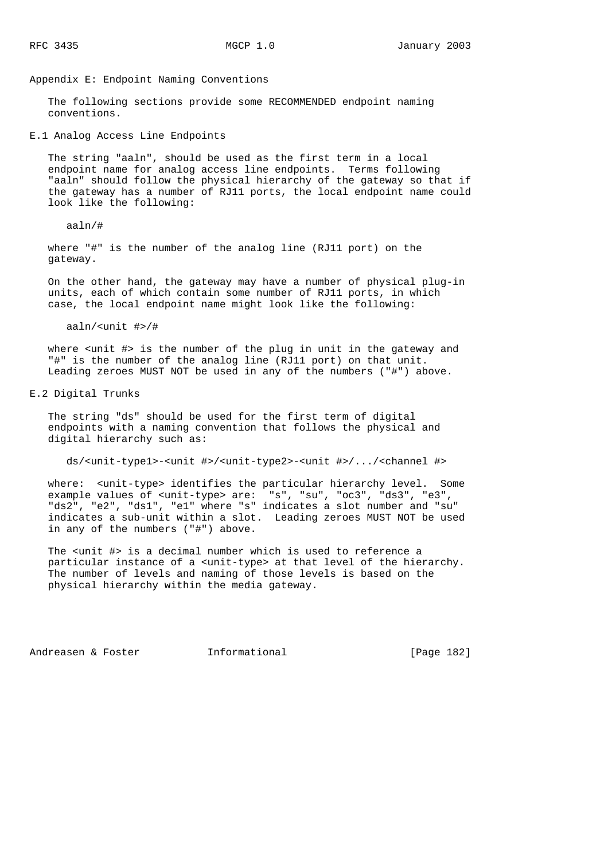Appendix E: Endpoint Naming Conventions

 The following sections provide some RECOMMENDED endpoint naming conventions.

E.1 Analog Access Line Endpoints

 The string "aaln", should be used as the first term in a local endpoint name for analog access line endpoints. Terms following "aaln" should follow the physical hierarchy of the gateway so that if the gateway has a number of RJ11 ports, the local endpoint name could look like the following:

#### aaln/#

 where "#" is the number of the analog line (RJ11 port) on the gateway.

 On the other hand, the gateway may have a number of physical plug-in units, each of which contain some number of RJ11 ports, in which case, the local endpoint name might look like the following:

aaln/<unit #>/#

where  $\langle$ unit #> is the number of the plug in unit in the gateway and "#" is the number of the analog line (RJ11 port) on that unit. Leading zeroes MUST NOT be used in any of the numbers ("#") above.

E.2 Digital Trunks

 The string "ds" should be used for the first term of digital endpoints with a naming convention that follows the physical and digital hierarchy such as:

ds/<unit-type1>-<unit #>/<unit-type2>-<unit #>/.../<channel #>

where: <unit-type> identifies the particular hierarchy level. Some example values of <unit-type> are: "s", "su", "oc3", "ds3", "e3", "ds2", "e2", "ds1", "e1" where "s" indicates a slot number and "su" indicates a sub-unit within a slot. Leading zeroes MUST NOT be used in any of the numbers ("#") above.

The <unit #> is a decimal number which is used to reference a particular instance of a <unit-type> at that level of the hierarchy. The number of levels and naming of those levels is based on the physical hierarchy within the media gateway.

Andreasen & Foster **Informational** [Page 182]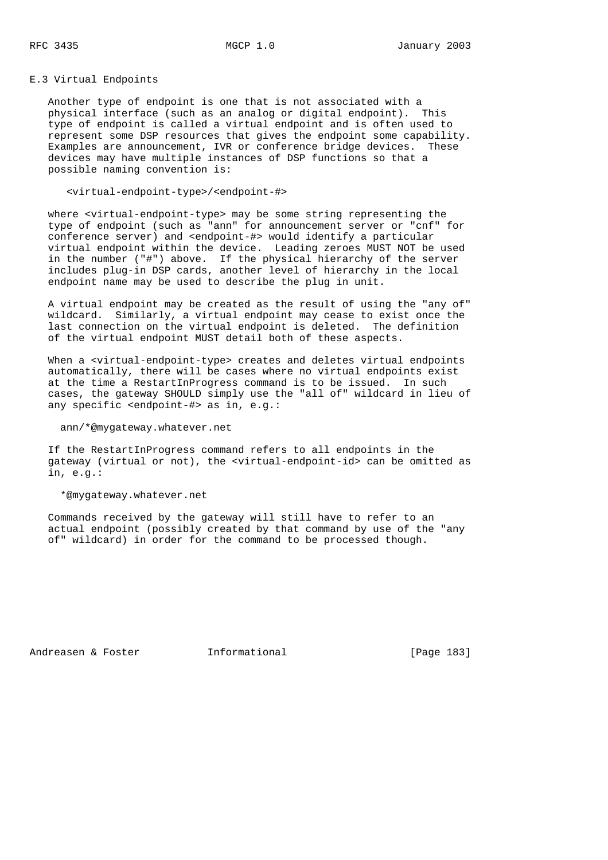E.3 Virtual Endpoints

 Another type of endpoint is one that is not associated with a physical interface (such as an analog or digital endpoint). This type of endpoint is called a virtual endpoint and is often used to represent some DSP resources that gives the endpoint some capability. Examples are announcement, IVR or conference bridge devices. These devices may have multiple instances of DSP functions so that a possible naming convention is:

<virtual-endpoint-type>/<endpoint-#>

 where <virtual-endpoint-type> may be some string representing the type of endpoint (such as "ann" for announcement server or "cnf" for conference server) and <endpoint-#> would identify a particular virtual endpoint within the device. Leading zeroes MUST NOT be used in the number ("#") above. If the physical hierarchy of the server includes plug-in DSP cards, another level of hierarchy in the local endpoint name may be used to describe the plug in unit.

 A virtual endpoint may be created as the result of using the "any of" wildcard. Similarly, a virtual endpoint may cease to exist once the last connection on the virtual endpoint is deleted. The definition of the virtual endpoint MUST detail both of these aspects.

When a <virtual-endpoint-type> creates and deletes virtual endpoints automatically, there will be cases where no virtual endpoints exist at the time a RestartInProgress command is to be issued. In such cases, the gateway SHOULD simply use the "all of" wildcard in lieu of any specific <endpoint-#> as in, e.g.:

ann/\*@mygateway.whatever.net

 If the RestartInProgress command refers to all endpoints in the gateway (virtual or not), the <virtual-endpoint-id> can be omitted as in, e.g.:

\*@mygateway.whatever.net

 Commands received by the gateway will still have to refer to an actual endpoint (possibly created by that command by use of the "any of" wildcard) in order for the command to be processed though.

Andreasen & Foster **Informational** [Page 183]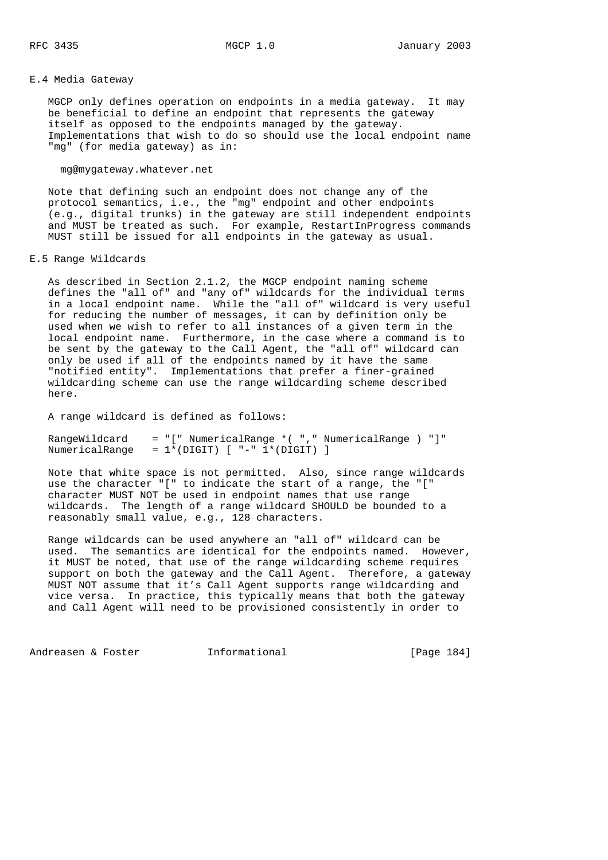### E.4 Media Gateway

 MGCP only defines operation on endpoints in a media gateway. It may be beneficial to define an endpoint that represents the gateway itself as opposed to the endpoints managed by the gateway. Implementations that wish to do so should use the local endpoint name "mg" (for media gateway) as in:

### mg@mygateway.whatever.net

 Note that defining such an endpoint does not change any of the protocol semantics, i.e., the "mg" endpoint and other endpoints (e.g., digital trunks) in the gateway are still independent endpoints and MUST be treated as such. For example, RestartInProgress commands MUST still be issued for all endpoints in the gateway as usual.

### E.5 Range Wildcards

 As described in Section 2.1.2, the MGCP endpoint naming scheme defines the "all of" and "any of" wildcards for the individual terms in a local endpoint name. While the "all of" wildcard is very useful for reducing the number of messages, it can by definition only be used when we wish to refer to all instances of a given term in the local endpoint name. Furthermore, in the case where a command is to be sent by the gateway to the Call Agent, the "all of" wildcard can only be used if all of the endpoints named by it have the same "notified entity". Implementations that prefer a finer-grained wildcarding scheme can use the range wildcarding scheme described here.

A range wildcard is defined as follows:

 RangeWildcard = "[" NumericalRange \*( "," NumericalRange ) "]" NumericalRange = 1\*(DIGIT) [ "-" 1\*(DIGIT) ]

 Note that white space is not permitted. Also, since range wildcards use the character "[" to indicate the start of a range, the "[" character MUST NOT be used in endpoint names that use range wildcards. The length of a range wildcard SHOULD be bounded to a reasonably small value, e.g., 128 characters.

 Range wildcards can be used anywhere an "all of" wildcard can be used. The semantics are identical for the endpoints named. However, it MUST be noted, that use of the range wildcarding scheme requires support on both the gateway and the Call Agent. Therefore, a gateway MUST NOT assume that it's Call Agent supports range wildcarding and vice versa. In practice, this typically means that both the gateway and Call Agent will need to be provisioned consistently in order to

Andreasen & Foster **Informational** [Page 184]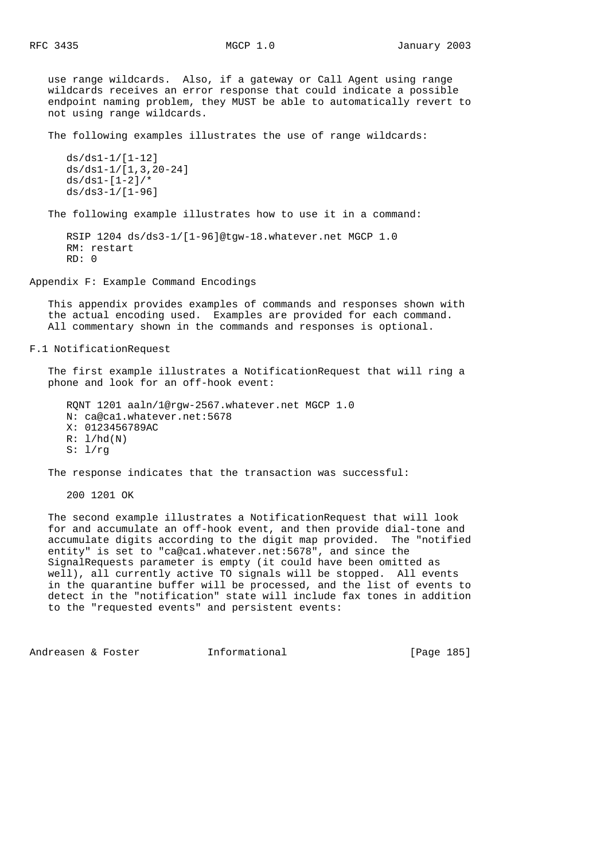use range wildcards. Also, if a gateway or Call Agent using range wildcards receives an error response that could indicate a possible endpoint naming problem, they MUST be able to automatically revert to not using range wildcards.

The following examples illustrates the use of range wildcards:

```
 ds/ds1-1/[1-12]
 ds/ds1-1/[1,3,20-24]
ds/ds1-[1-2]/* ds/ds3-1/[1-96]
```
The following example illustrates how to use it in a command:

```
 RSIP 1204 ds/ds3-1/[1-96]@tgw-18.whatever.net MGCP 1.0
 RM: restart
 RD: 0
```
Appendix F: Example Command Encodings

 This appendix provides examples of commands and responses shown with the actual encoding used. Examples are provided for each command. All commentary shown in the commands and responses is optional.

F.1 NotificationRequest

 The first example illustrates a NotificationRequest that will ring a phone and look for an off-hook event:

 RQNT 1201 aaln/1@rgw-2567.whatever.net MGCP 1.0 N: ca@ca1.whatever.net:5678 X: 0123456789AC  $R: 1/hd(N)$  $S: 1/rq$ 

The response indicates that the transaction was successful:

200 1201 OK

 The second example illustrates a NotificationRequest that will look for and accumulate an off-hook event, and then provide dial-tone and accumulate digits according to the digit map provided. The "notified entity" is set to "ca@ca1.whatever.net:5678", and since the SignalRequests parameter is empty (it could have been omitted as well), all currently active TO signals will be stopped. All events in the quarantine buffer will be processed, and the list of events to detect in the "notification" state will include fax tones in addition to the "requested events" and persistent events:

Andreasen & Foster **Informational** [Page 185]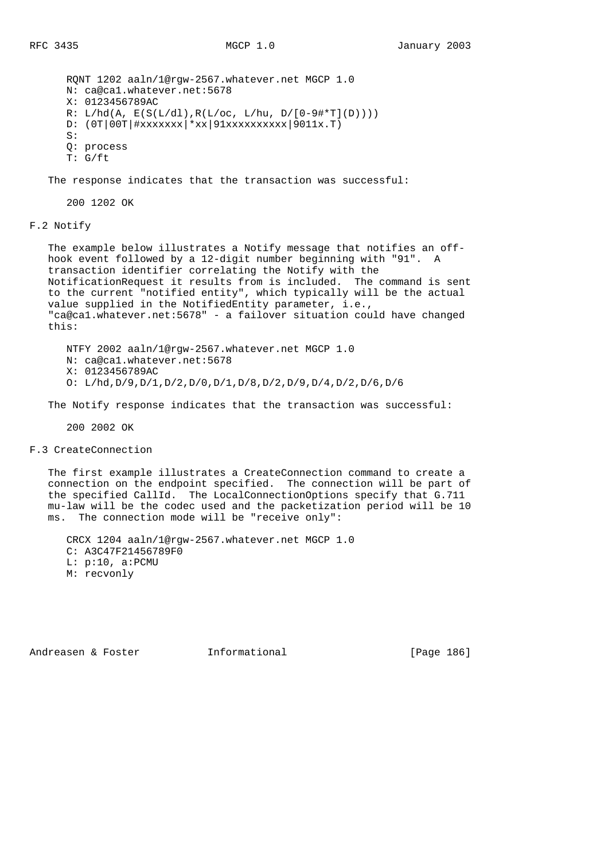RQNT 1202 aaln/1@rgw-2567.whatever.net MGCP 1.0 N: ca@ca1.whatever.net:5678 X: 0123456789AC  $R: L/hd(A, E(S(L/dl), R(L/oc, L/hu, D/[0-9#*T](D))))$  D: (0T|00T|#xxxxxxx|\*xx|91xxxxxxxxxx|9011x.T)  $S:$  Q: process T: G/ft

The response indicates that the transaction was successful:

200 1202 OK

F.2 Notify

The example below illustrates a Notify message that notifies an off hook event followed by a 12-digit number beginning with "91". A transaction identifier correlating the Notify with the NotificationRequest it results from is included. The command is sent to the current "notified entity", which typically will be the actual value supplied in the NotifiedEntity parameter, i.e., "ca@ca1.whatever.net:5678" - a failover situation could have changed this:

 NTFY 2002 aaln/1@rgw-2567.whatever.net MGCP 1.0 N: ca@ca1.whatever.net:5678 X: 0123456789AC O: L/hd,D/9,D/1,D/2,D/0,D/1,D/8,D/2,D/9,D/4,D/2,D/6,D/6

The Notify response indicates that the transaction was successful:

200 2002 OK

F.3 CreateConnection

 The first example illustrates a CreateConnection command to create a connection on the endpoint specified. The connection will be part of the specified CallId. The LocalConnectionOptions specify that G.711 mu-law will be the codec used and the packetization period will be 10 ms. The connection mode will be "receive only":

 CRCX 1204 aaln/1@rgw-2567.whatever.net MGCP 1.0 C: A3C47F21456789F0 L: p:10, a:PCMU M: recvonly

Andreasen & Foster **Informational** [Page 186]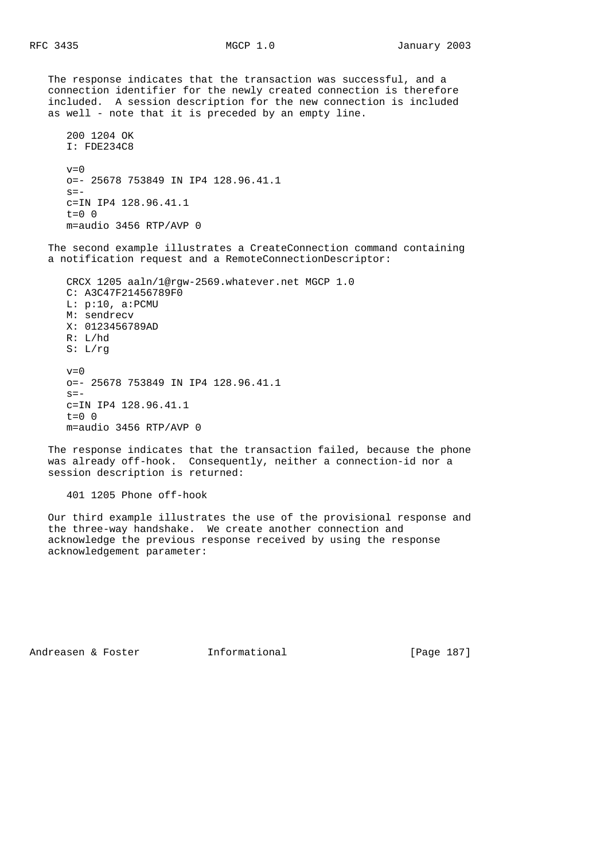The response indicates that the transaction was successful, and a connection identifier for the newly created connection is therefore included. A session description for the new connection is included as well - note that it is preceded by an empty line.

```
 200 1204 OK
 I: FDE234C8
v=0 o=- 25678 753849 IN IP4 128.96.41.1
s=- c=IN IP4 128.96.41.1
t=0 0
 m=audio 3456 RTP/AVP 0
```
 The second example illustrates a CreateConnection command containing a notification request and a RemoteConnectionDescriptor:

```
 CRCX 1205 aaln/1@rgw-2569.whatever.net MGCP 1.0
 C: A3C47F21456789F0
 L: p:10, a:PCMU
 M: sendrecv
 X: 0123456789AD
 R: L/hd
 S: L/rg
v=0 o=- 25678 753849 IN IP4 128.96.41.1
s=- c=IN IP4 128.96.41.1
t=0 0
 m=audio 3456 RTP/AVP 0
```
 The response indicates that the transaction failed, because the phone was already off-hook. Consequently, neither a connection-id nor a session description is returned:

401 1205 Phone off-hook

 Our third example illustrates the use of the provisional response and the three-way handshake. We create another connection and acknowledge the previous response received by using the response acknowledgement parameter:

Andreasen & Foster **Informational** [Page 187]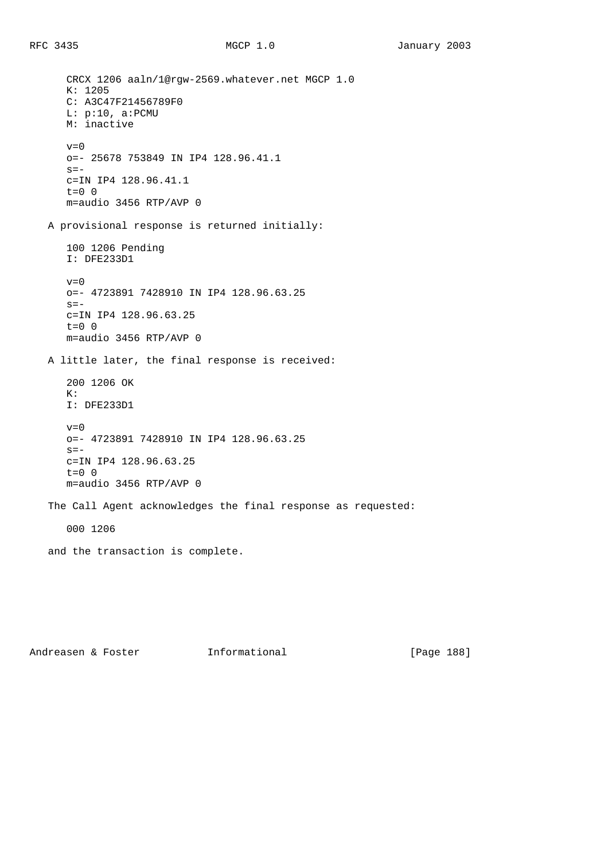CRCX 1206 aaln/1@rgw-2569.whatever.net MGCP 1.0 K: 1205 C: A3C47F21456789F0 L: p:10, a:PCMU M: inactive  $v=0$  o=- 25678 753849 IN IP4 128.96.41.1  $s=$  c=IN IP4 128.96.41.1 t=0 0 m=audio 3456 RTP/AVP 0 A provisional response is returned initially: 100 1206 Pending I: DFE233D1  $v=0$  o=- 4723891 7428910 IN IP4 128.96.63.25  $s=$  c=IN IP4 128.96.63.25  $t=0$  0 m=audio 3456 RTP/AVP 0 A little later, the final response is received: 200 1206 OK  $K:$  I: DFE233D1  $v=0$  o=- 4723891 7428910 IN IP4 128.96.63.25  $s =$  c=IN IP4 128.96.63.25 t=0 0 m=audio 3456 RTP/AVP 0 The Call Agent acknowledges the final response as requested: 000 1206 and the transaction is complete.

Andreasen & Foster **Informational** [Page 188]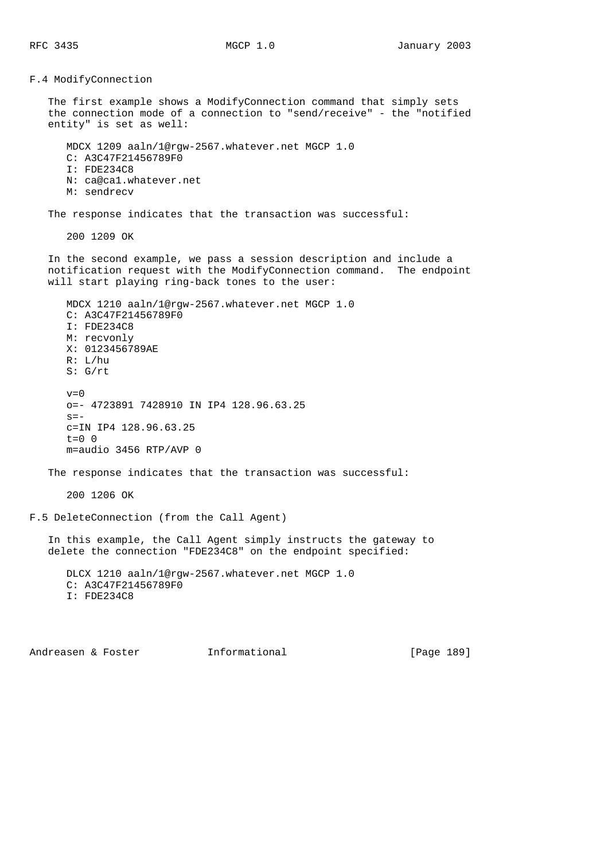F.4 ModifyConnection The first example shows a ModifyConnection command that simply sets the connection mode of a connection to "send/receive" - the "notified entity" is set as well: MDCX 1209 aaln/1@rgw-2567.whatever.net MGCP 1.0 C: A3C47F21456789F0 I: FDE234C8 N: ca@ca1.whatever.net M: sendrecv The response indicates that the transaction was successful: 200 1209 OK In the second example, we pass a session description and include a notification request with the ModifyConnection command. The endpoint will start playing ring-back tones to the user: MDCX 1210 aaln/1@rgw-2567.whatever.net MGCP 1.0 C: A3C47F21456789F0 I: FDE234C8 M: recvonly X: 0123456789AE R: L/hu S: G/rt  $v=0$  o=- 4723891 7428910 IN IP4 128.96.63.25  $s=$  c=IN IP4 128.96.63.25  $t=0$  0 m=audio 3456 RTP/AVP 0 The response indicates that the transaction was successful: 200 1206 OK F.5 DeleteConnection (from the Call Agent) In this example, the Call Agent simply instructs the gateway to delete the connection "FDE234C8" on the endpoint specified: DLCX 1210 aaln/1@rgw-2567.whatever.net MGCP 1.0 C: A3C47F21456789F0 I: FDE234C8

Andreasen & Foster Theormational Theorem [Page 189]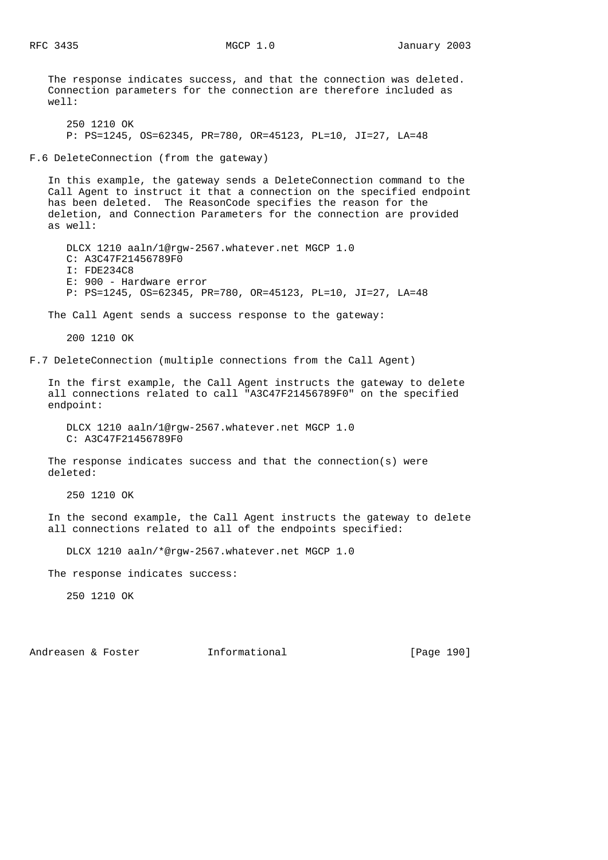The response indicates success, and that the connection was deleted. Connection parameters for the connection are therefore included as well:

 250 1210 OK P: PS=1245, OS=62345, PR=780, OR=45123, PL=10, JI=27, LA=48

F.6 DeleteConnection (from the gateway)

 In this example, the gateway sends a DeleteConnection command to the Call Agent to instruct it that a connection on the specified endpoint has been deleted. The ReasonCode specifies the reason for the deletion, and Connection Parameters for the connection are provided as well:

 DLCX 1210 aaln/1@rgw-2567.whatever.net MGCP 1.0 C: A3C47F21456789F0 I: FDE234C8 E: 900 - Hardware error P: PS=1245, OS=62345, PR=780, OR=45123, PL=10, JI=27, LA=48

The Call Agent sends a success response to the gateway:

200 1210 OK

F.7 DeleteConnection (multiple connections from the Call Agent)

 In the first example, the Call Agent instructs the gateway to delete all connections related to call "A3C47F21456789F0" on the specified endpoint:

 DLCX 1210 aaln/1@rgw-2567.whatever.net MGCP 1.0 C: A3C47F21456789F0

The response indicates success and that the connection(s) were deleted:

250 1210 OK

 In the second example, the Call Agent instructs the gateway to delete all connections related to all of the endpoints specified:

DLCX 1210 aaln/\*@rgw-2567.whatever.net MGCP 1.0

The response indicates success:

250 1210 OK

Andreasen & Foster **Informational** [Page 190]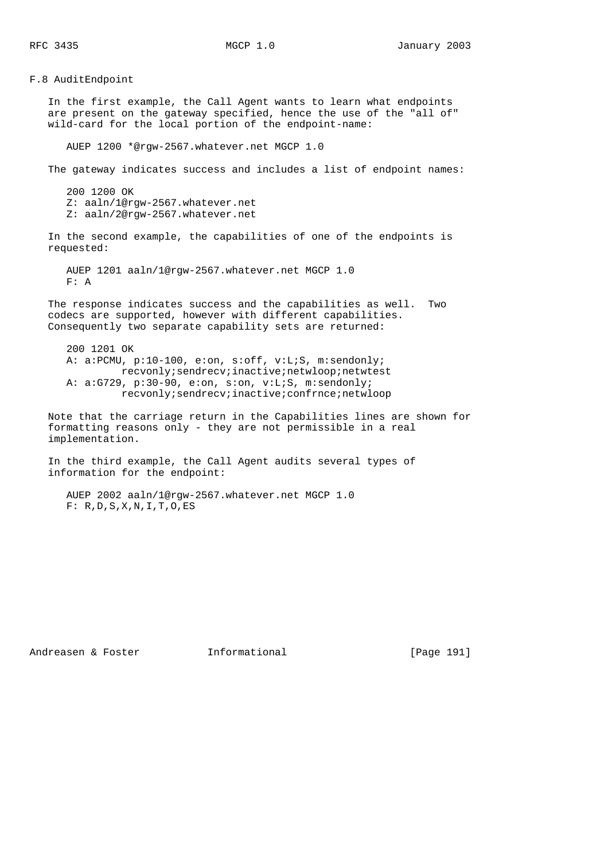F.8 AuditEndpoint In the first example, the Call Agent wants to learn what endpoints are present on the gateway specified, hence the use of the "all of" wild-card for the local portion of the endpoint-name: AUEP 1200 \*@rgw-2567.whatever.net MGCP 1.0 The gateway indicates success and includes a list of endpoint names: 200 1200 OK Z: aaln/1@rgw-2567.whatever.net Z: aaln/2@rgw-2567.whatever.net In the second example, the capabilities of one of the endpoints is requested: AUEP 1201 aaln/1@rgw-2567.whatever.net MGCP 1.0 F: A The response indicates success and the capabilities as well. Two codecs are supported, however with different capabilities. Consequently two separate capability sets are returned: 200 1201 OK A: a:PCMU, p:10-100, e:on, s:off, v:L;S, m:sendonly; recvonly;sendrecv;inactive;netwloop;netwtest A: a:G729, p:30-90, e:on, s:on, v:L;S, m:sendonly; recvonly;sendrecv;inactive;confrnce;netwloop

 Note that the carriage return in the Capabilities lines are shown for formatting reasons only - they are not permissible in a real implementation.

 In the third example, the Call Agent audits several types of information for the endpoint:

 AUEP 2002 aaln/1@rgw-2567.whatever.net MGCP 1.0 F: R,D,S,X,N,I,T,O,ES

Andreasen & Foster Theormational (Page 191)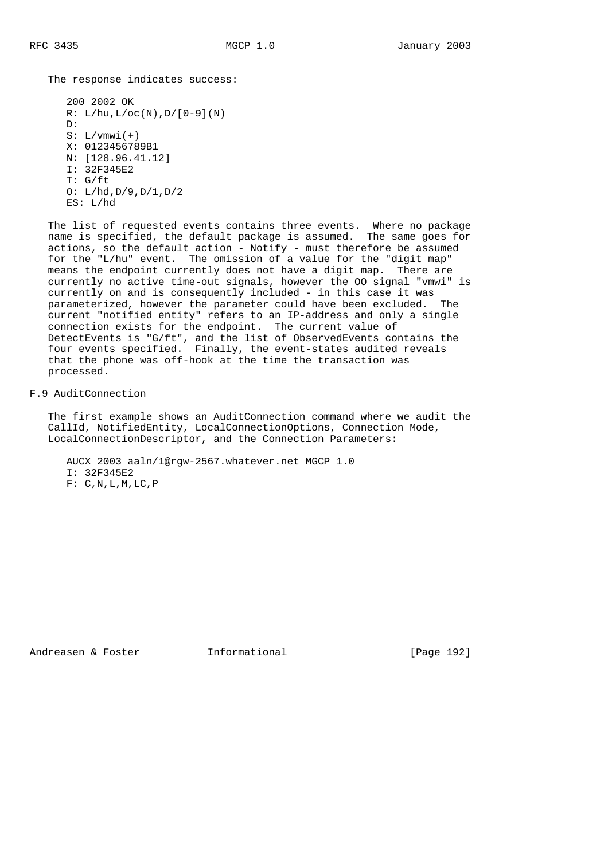The response indicates success:

```
 200 2002 OK
R: L/hu, L/oc(N), D/[0-9](N) D:
S: L/vmwi(+) X: 0123456789B1
 N: [128.96.41.12]
 I: 32F345E2
 T: G/ft
 O: L/hd,D/9,D/1,D/2
 ES: L/hd
```
 The list of requested events contains three events. Where no package name is specified, the default package is assumed. The same goes for actions, so the default action - Notify - must therefore be assumed for the "L/hu" event. The omission of a value for the "digit map" means the endpoint currently does not have a digit map. There are currently no active time-out signals, however the OO signal "vmwi" is currently on and is consequently included - in this case it was parameterized, however the parameter could have been excluded. The current "notified entity" refers to an IP-address and only a single connection exists for the endpoint. The current value of DetectEvents is "G/ft", and the list of ObservedEvents contains the four events specified. Finally, the event-states audited reveals that the phone was off-hook at the time the transaction was processed.

F.9 AuditConnection

 The first example shows an AuditConnection command where we audit the CallId, NotifiedEntity, LocalConnectionOptions, Connection Mode, LocalConnectionDescriptor, and the Connection Parameters:

```
 AUCX 2003 aaln/1@rgw-2567.whatever.net MGCP 1.0
 I: 32F345E2
F: C, N, L, M, LC, P
```
Andreasen & Foster **Informational** [Page 192]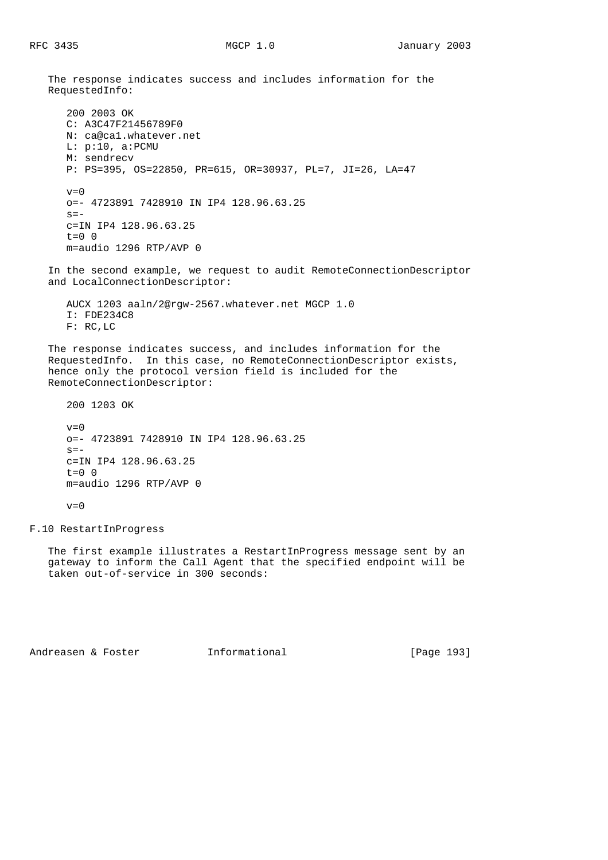The response indicates success and includes information for the RequestedInfo: 200 2003 OK C: A3C47F21456789F0 N: ca@ca1.whatever.net L: p:10, a:PCMU M: sendrecv P: PS=395, OS=22850, PR=615, OR=30937, PL=7, JI=26, LA=47  $v=0$  o=- 4723891 7428910 IN IP4 128.96.63.25  $s =$  c=IN IP4 128.96.63.25  $t=0$  0 m=audio 1296 RTP/AVP 0 In the second example, we request to audit RemoteConnectionDescriptor and LocalConnectionDescriptor: AUCX 1203 aaln/2@rgw-2567.whatever.net MGCP 1.0 I: FDE234C8 F: RC,LC The response indicates success, and includes information for the RequestedInfo. In this case, no RemoteConnectionDescriptor exists, hence only the protocol version field is included for the RemoteConnectionDescriptor: 200 1203 OK  $v=0$  o=- 4723891 7428910 IN IP4 128.96.63.25  $s=$  c=IN IP4 128.96.63.25  $t=0$  0 m=audio 1296 RTP/AVP 0  $v=0$ 

F.10 RestartInProgress

 The first example illustrates a RestartInProgress message sent by an gateway to inform the Call Agent that the specified endpoint will be taken out-of-service in 300 seconds:

Andreasen & Foster **Informational** [Page 193]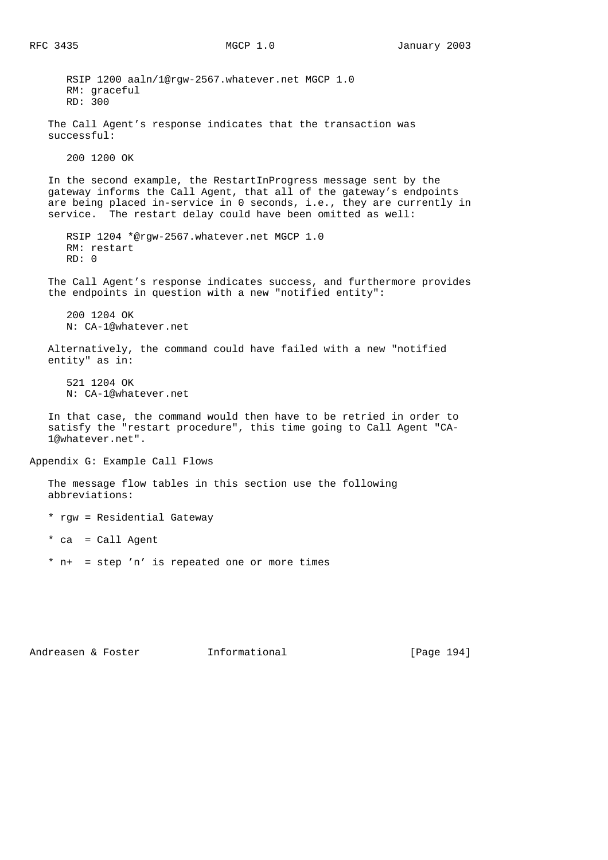RSIP 1200 aaln/1@rgw-2567.whatever.net MGCP 1.0 RM: graceful RD: 300 The Call Agent's response indicates that the transaction was successful: 200 1200 OK In the second example, the RestartInProgress message sent by the gateway informs the Call Agent, that all of the gateway's endpoints are being placed in-service in 0 seconds, i.e., they are currently in service. The restart delay could have been omitted as well: RSIP 1204 \*@rgw-2567.whatever.net MGCP 1.0 RM: restart RD: 0 The Call Agent's response indicates success, and furthermore provides the endpoints in question with a new "notified entity": 200 1204 OK N: CA-1@whatever.net Alternatively, the command could have failed with a new "notified entity" as in: 521 1204 OK N: CA-1@whatever.net In that case, the command would then have to be retried in order to satisfy the "restart procedure", this time going to Call Agent "CA- 1@whatever.net". Appendix G: Example Call Flows The message flow tables in this section use the following abbreviations: \* rgw = Residential Gateway \* ca = Call Agent \* n+ = step 'n' is repeated one or more times

Andreasen & Foster **Informational** [Page 194]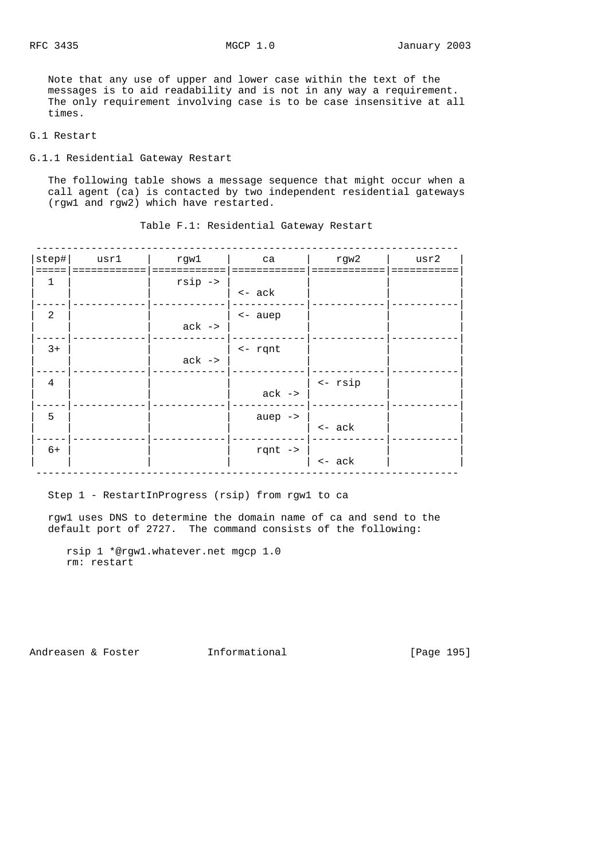Note that any use of upper and lower case within the text of the messages is to aid readability and is not in any way a requirement. The only requirement involving case is to be case insensitive at all times.

## G.1 Restart

G.1.1 Residential Gateway Restart

 The following table shows a message sequence that might occur when a call agent (ca) is contacted by two independent residential gateways (rgw1 and rgw2) which have restarted.

| step#<br>===== | usr1 | rgwl               | ca                 | rgw2             | usr2 |
|----------------|------|--------------------|--------------------|------------------|------|
| 1              |      | $rsip \rightarrow$ |                    |                  |      |
|                |      |                    | $\leftarrow$ ack   |                  |      |
| $\overline{2}$ |      |                    | <- auep            |                  |      |
|                |      | $ack -$            |                    |                  |      |
| $3+$           |      |                    | $\leftarrow$ rqnt  |                  |      |
|                |      | $ack -$            |                    |                  |      |
| $\overline{4}$ |      |                    |                    | <- rsip          |      |
|                |      |                    | $ack -$            |                  |      |
| 5              |      |                    | auep $\rightarrow$ |                  |      |
|                |      |                    |                    | $\leftarrow$ ack |      |
| $6+$           |      |                    | rqnt $\rightarrow$ |                  |      |
|                |      |                    |                    | $<-ack$          |      |

Table F.1: Residential Gateway Restart

### Step 1 - RestartInProgress (rsip) from rgw1 to ca

 rgw1 uses DNS to determine the domain name of ca and send to the default port of 2727. The command consists of the following:

Andreasen & Foster **Informational** [Page 195]

rsip 1 \*@rgw1.whatever.net mgcp 1.0 rm: restart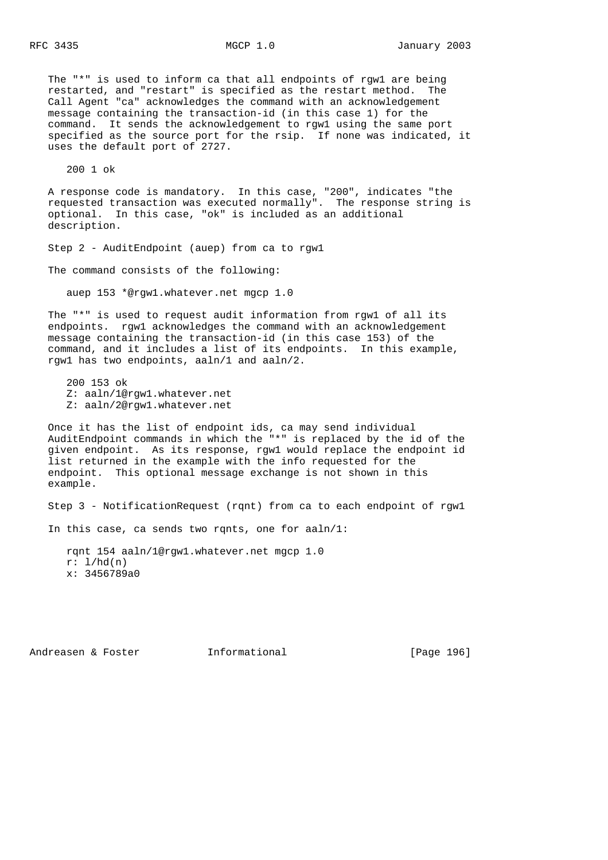The "\*" is used to inform ca that all endpoints of rgw1 are being restarted, and "restart" is specified as the restart method. The Call Agent "ca" acknowledges the command with an acknowledgement message containing the transaction-id (in this case 1) for the command. It sends the acknowledgement to rgw1 using the same port specified as the source port for the rsip. If none was indicated, it uses the default port of 2727.

200 1 ok

 A response code is mandatory. In this case, "200", indicates "the requested transaction was executed normally". The response string is optional. In this case, "ok" is included as an additional description.

Step 2 - AuditEndpoint (auep) from ca to rgw1

The command consists of the following:

auep 153 \*@rgw1.whatever.net mgcp 1.0

 The "\*" is used to request audit information from rgw1 of all its endpoints. rgw1 acknowledges the command with an acknowledgement message containing the transaction-id (in this case 153) of the command, and it includes a list of its endpoints. In this example, rgw1 has two endpoints, aaln/1 and aaln/2.

 200 153 ok Z: aaln/1@rgw1.whatever.net Z: aaln/2@rgw1.whatever.net

 Once it has the list of endpoint ids, ca may send individual AuditEndpoint commands in which the "\*" is replaced by the id of the given endpoint. As its response, rgw1 would replace the endpoint id list returned in the example with the info requested for the endpoint. This optional message exchange is not shown in this example.

Step 3 - NotificationRequest (rqnt) from ca to each endpoint of rgw1

In this case, ca sends two rqnts, one for aaln/1:

 rqnt 154 aaln/1@rgw1.whatever.net mgcp 1.0 r: l/hd(n) x: 3456789a0

Andreasen & Foster **Informational** [Page 196]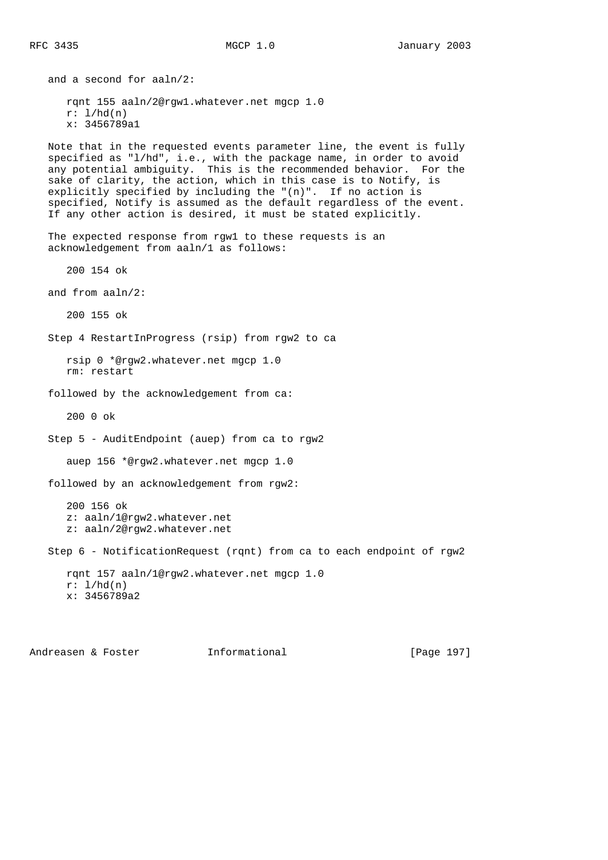and a second for aaln/2: rqnt 155 aaln/2@rgw1.whatever.net mgcp 1.0  $r: 1/hd(n)$  x: 3456789a1 Note that in the requested events parameter line, the event is fully specified as "l/hd", i.e., with the package name, in order to avoid any potential ambiguity. This is the recommended behavior. For the sake of clarity, the action, which in this case is to Notify, is explicitly specified by including the "(n)". If no action is specified, Notify is assumed as the default regardless of the event. If any other action is desired, it must be stated explicitly. The expected response from rgw1 to these requests is an acknowledgement from aaln/1 as follows: 200 154 ok and from aaln/2: 200 155 ok Step 4 RestartInProgress (rsip) from rgw2 to ca rsip 0 \*@rgw2.whatever.net mgcp 1.0 rm: restart followed by the acknowledgement from ca: 200 0 ok Step 5 - AuditEndpoint (auep) from ca to rgw2 auep 156 \*@rgw2.whatever.net mgcp 1.0 followed by an acknowledgement from rgw2: 200 156 ok z: aaln/1@rgw2.whatever.net z: aaln/2@rgw2.whatever.net Step 6 - NotificationRequest (rqnt) from ca to each endpoint of rgw2 rqnt 157 aaln/1@rgw2.whatever.net mgcp 1.0  $r: 1/hd(n)$ x: 3456789a2

Andreasen & Foster **Informational** [Page 197]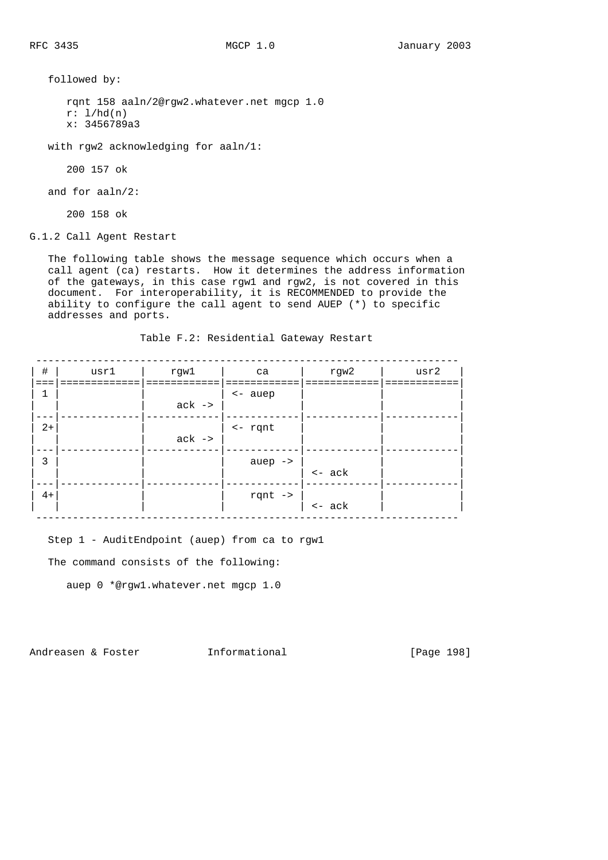followed by:

 rqnt 158 aaln/2@rgw2.whatever.net mgcp 1.0  $r: 1/hd(n)$ x: 3456789a3

with rgw2 acknowledging for aaln/1:

200 157 ok

and for aaln/2:

200 158 ok

G.1.2 Call Agent Restart

 The following table shows the message sequence which occurs when a call agent (ca) restarts. How it determines the address information of the gateways, in this case rgw1 and rgw2, is not covered in this document. For interoperability, it is RECOMMENDED to provide the ability to configure the call agent to send AUEP (\*) to specific addresses and ports.

Table F.2: Residential Gateway Restart

| $\#$ | usrl | rgwl    | ca                 | rgw2             | usr2 |
|------|------|---------|--------------------|------------------|------|
| 1    |      |         | <- auep            |                  |      |
|      |      | $ack -$ |                    |                  |      |
| $2+$ |      | $ack -$ | $\leftarrow$ rqnt  |                  |      |
|      |      |         |                    |                  |      |
| 3    |      |         | auep $\rightarrow$ | $\leftarrow$ ack |      |
|      |      |         |                    |                  |      |
| $4+$ |      |         | rqnt $\rightarrow$ | $\leftarrow$ ack |      |

Step 1 - AuditEndpoint (auep) from ca to rgw1

The command consists of the following:

auep 0 \*@rgw1.whatever.net mgcp 1.0

Andreasen & Foster **Informational** [Page 198]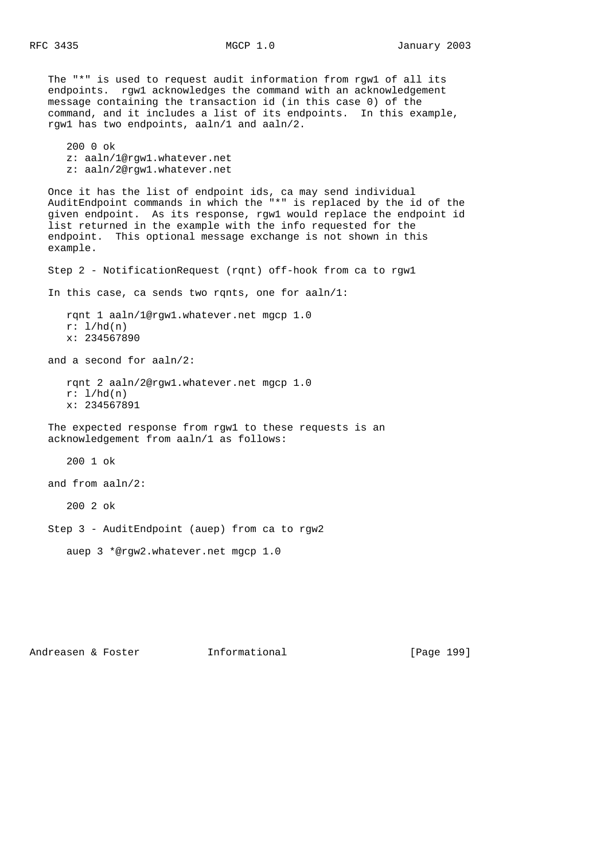The "\*" is used to request audit information from rgw1 of all its endpoints. rgw1 acknowledges the command with an acknowledgement message containing the transaction id (in this case 0) of the command, and it includes a list of its endpoints. In this example, rgw1 has two endpoints, aaln/1 and aaln/2. 200 0 ok z: aaln/1@rgw1.whatever.net z: aaln/2@rgw1.whatever.net Once it has the list of endpoint ids, ca may send individual AuditEndpoint commands in which the "\*" is replaced by the id of the given endpoint. As its response, rgw1 would replace the endpoint id list returned in the example with the info requested for the endpoint. This optional message exchange is not shown in this example. Step 2 - NotificationRequest (rqnt) off-hook from ca to rgw1 In this case, ca sends two rqnts, one for aaln/1: rqnt 1 aaln/1@rgw1.whatever.net mgcp 1.0  $r: 1/hd(n)$  x: 234567890 and a second for aaln/2: rqnt 2 aaln/2@rgw1.whatever.net mgcp 1.0  $r: 1/hd(n)$  x: 234567891 The expected response from rgw1 to these requests is an acknowledgement from aaln/1 as follows: 200 1 ok and from aaln/2: 200 2 ok Step 3 - AuditEndpoint (auep) from ca to rgw2 auep 3 \*@rgw2.whatever.net mgcp 1.0

Andreasen & Foster **Informational** [Page 199]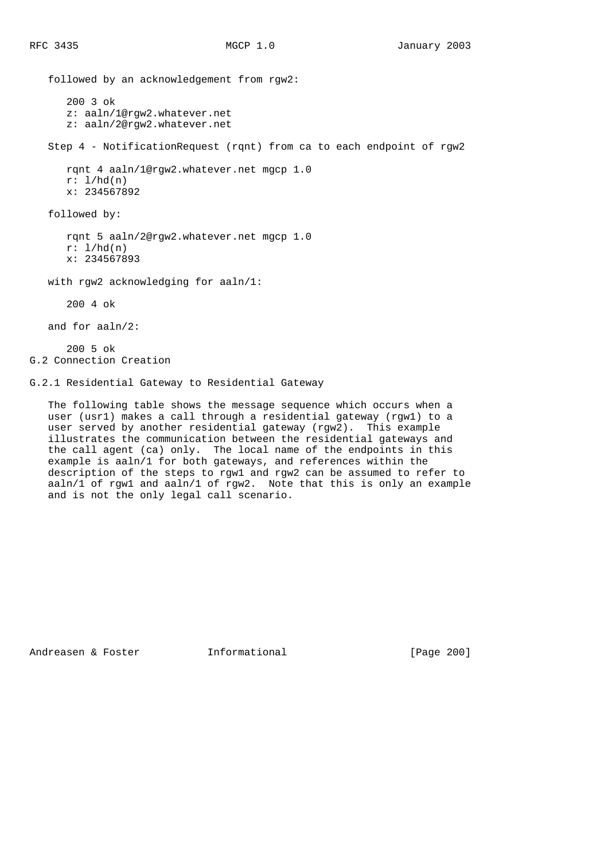followed by an acknowledgement from rgw2: 200 3 ok z: aaln/1@rgw2.whatever.net z: aaln/2@rgw2.whatever.net Step 4 - NotificationRequest (rqnt) from ca to each endpoint of rgw2 rqnt 4 aaln/1@rgw2.whatever.net mgcp 1.0  $r: 1/hd(n)$  x: 234567892 followed by: rqnt 5 aaln/2@rgw2.whatever.net mgcp 1.0  $r: 1/hd(n)$  x: 234567893 with rgw2 acknowledging for aaln/1: 200 4 ok and for aaln/2: 200 5 ok G.2 Connection Creation

G.2.1 Residential Gateway to Residential Gateway

 The following table shows the message sequence which occurs when a user (usr1) makes a call through a residential gateway (rgw1) to a user served by another residential gateway (rgw2). This example illustrates the communication between the residential gateways and the call agent (ca) only. The local name of the endpoints in this example is aaln/1 for both gateways, and references within the description of the steps to rgw1 and rgw2 can be assumed to refer to aaln/1 of rgw1 and aaln/1 of rgw2. Note that this is only an example and is not the only legal call scenario.

Andreasen & Foster **Informational** [Page 200]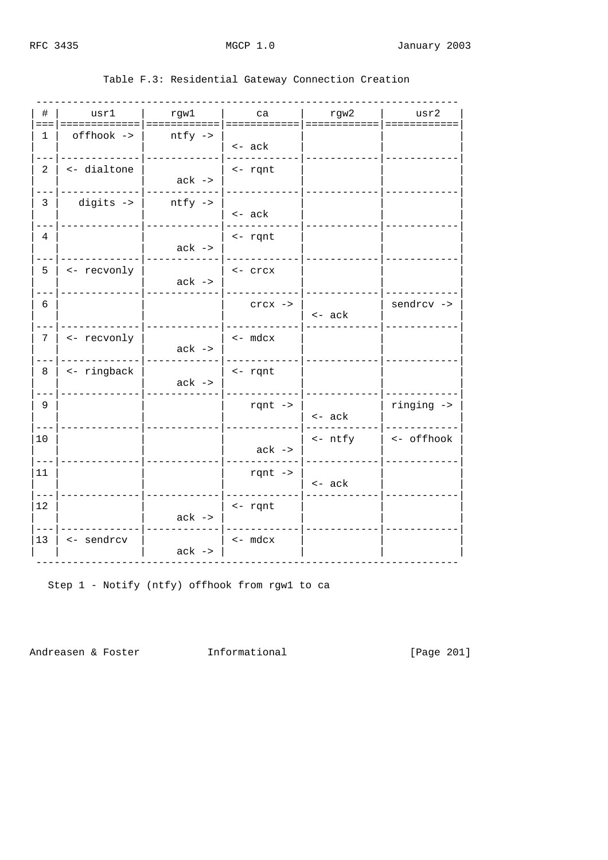| #               | usr1        | rgwl               | l ca               | rgw2    | usr2 usr   |
|-----------------|-------------|--------------------|--------------------|---------|------------|
| 1               | offhook ->  | $ntfy \rightarrow$ |                    |         |            |
|                 |             |                    | $\leftarrow$ ack   |         |            |
| 2               | <- dialtone | $ack -$            | $\leftarrow$ rqnt  |         |            |
|                 |             |                    |                    |         |            |
| $\overline{3}$  | digits ->   | $ntfy \rightarrow$ | $\leftarrow$ ack   |         |            |
| $\overline{4}$  |             |                    | <- rqnt            |         |            |
|                 |             | $ack -$            |                    |         |            |
| 5               | <- recvonly | $ack -$            | $\leftarrow$ crcx  |         |            |
|                 |             |                    |                    |         |            |
| 6               |             |                    | $crcx \rightarrow$ | $<-ack$ | sendrcv -> |
| $7\phantom{.0}$ | <- recvonly |                    | $\leftarrow$ mdcx  |         |            |
|                 |             | $ack -$            |                    |         |            |
| 8               | <- ringback |                    | $\leftarrow$ rqnt  |         |            |
|                 |             | $ack -$            |                    |         |            |
| 9               |             |                    | rqnt $\rightarrow$ | $<-ack$ | ringing -> |
| 10              |             |                    |                    | <- ntfy | <- offhook |
|                 |             |                    | $ack -$            |         |            |
| 11              |             |                    | rqnt $\rightarrow$ |         |            |
|                 |             |                    |                    | <- ack  |            |
| 12              |             | $ack -$            | <- rqnt            |         |            |
| 13              | <- sendrcv  |                    | $<-$ mdcx          |         |            |
|                 |             | $ack -$            |                    |         |            |

# Table F.3: Residential Gateway Connection Creation

Step 1 - Notify (ntfy) offhook from rgwl to ca

Andreasen & Foster 1nformational

[Page 201]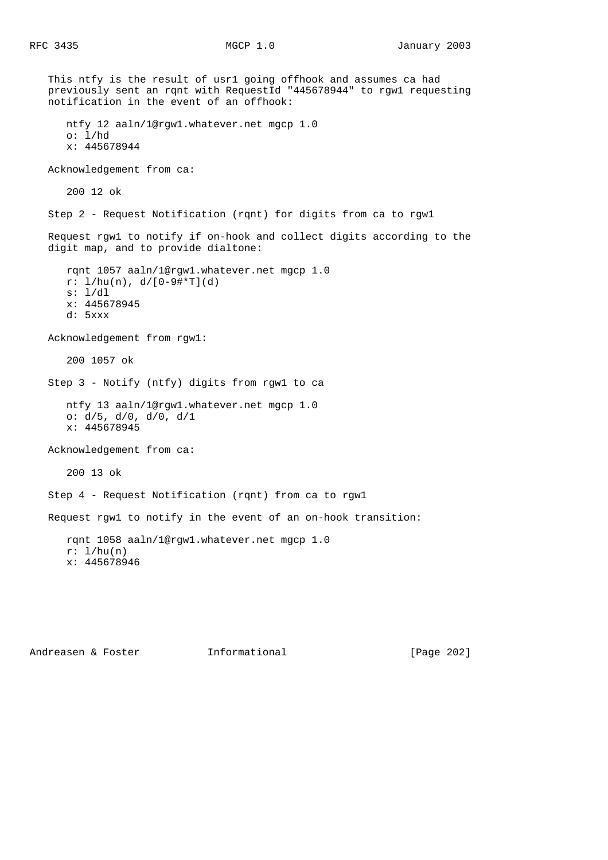This ntfy is the result of usr1 going offhook and assumes ca had previously sent an rqnt with RequestId "445678944" to rgw1 requesting notification in the event of an offhook: ntfy 12 aaln/1@rgw1.whatever.net mgcp 1.0  $o: 1/hd$  x: 445678944 Acknowledgement from ca: 200 12 ok Step 2 - Request Notification (rqnt) for digits from ca to rgw1 Request rgw1 to notify if on-hook and collect digits according to the digit map, and to provide dialtone: rqnt 1057 aaln/1@rgw1.whatever.net mgcp 1.0 r: l/hu(n), d/[0-9#\*T](d) s: l/dl x: 445678945 d: 5xxx Acknowledgement from rgw1: 200 1057 ok Step 3 - Notify (ntfy) digits from rgw1 to ca ntfy 13 aaln/1@rgw1.whatever.net mgcp 1.0 o: d/5, d/0, d/0, d/1 x: 445678945 Acknowledgement from ca: 200 13 ok Step 4 - Request Notification (rqnt) from ca to rgw1 Request rgw1 to notify in the event of an on-hook transition: rqnt 1058 aaln/1@rgw1.whatever.net mgcp 1.0  $r: 1/hu(n)$ x: 445678946

Andreasen & Foster Theormational (Page 202]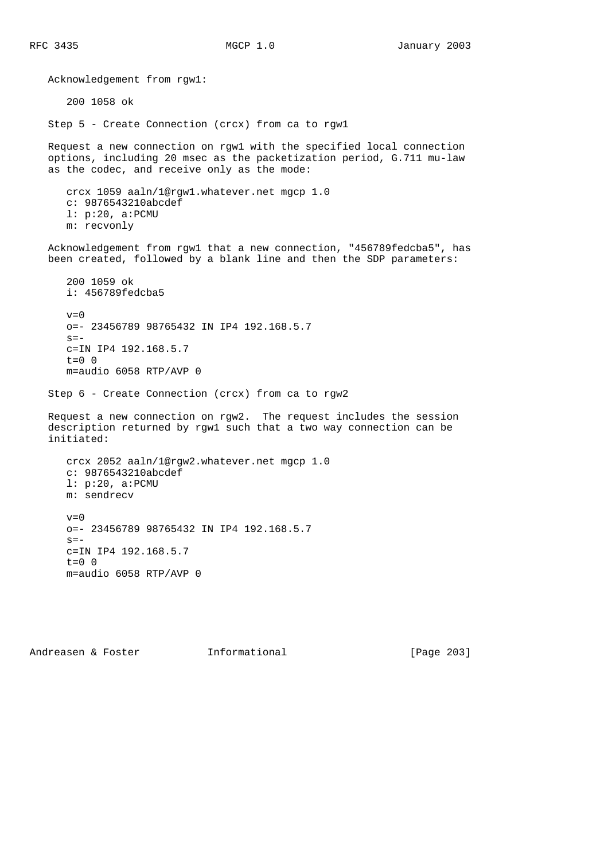Acknowledgement from rgw1: 200 1058 ok Step 5 - Create Connection (crcx) from ca to rgw1 Request a new connection on rgw1 with the specified local connection options, including 20 msec as the packetization period, G.711 mu-law as the codec, and receive only as the mode: crcx 1059 aaln/1@rgw1.whatever.net mgcp 1.0 c: 9876543210abcdef l: p:20, a:PCMU m: recvonly Acknowledgement from rgw1 that a new connection, "456789fedcba5", has been created, followed by a blank line and then the SDP parameters: 200 1059 ok i: 456789fedcba5  $v=0$  o=- 23456789 98765432 IN IP4 192.168.5.7  $s=$  c=IN IP4 192.168.5.7 t=0 0 m=audio 6058 RTP/AVP 0 Step 6 - Create Connection (crcx) from ca to rgw2 Request a new connection on rgw2. The request includes the session description returned by rgw1 such that a two way connection can be initiated: crcx 2052 aaln/1@rgw2.whatever.net mgcp 1.0 c: 9876543210abcdef l: p:20, a:PCMU m: sendrecv  $v=0$  o=- 23456789 98765432 IN IP4 192.168.5.7  $s =$  c=IN IP4 192.168.5.7  $t=0$  0 m=audio 6058 RTP/AVP 0

Andreasen & Foster **Informational** [Page 203]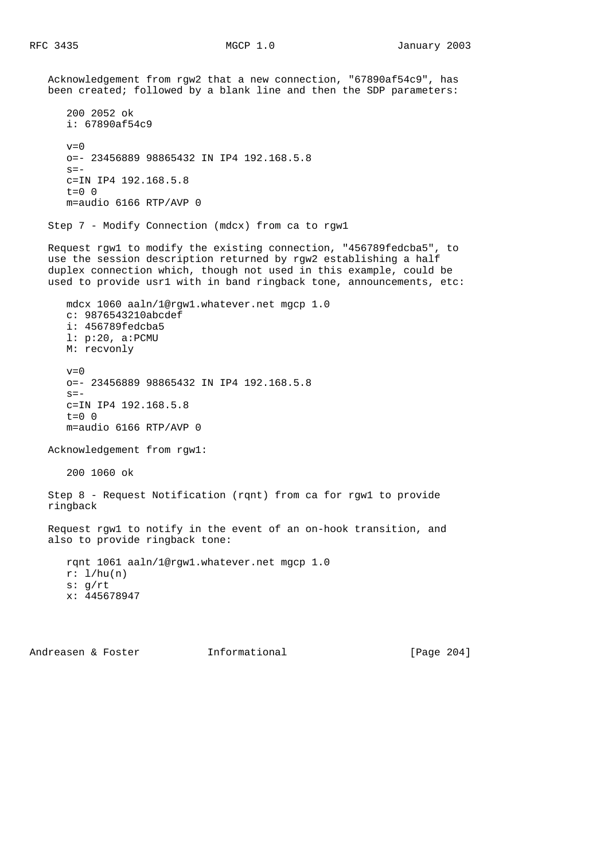Acknowledgement from rgw2 that a new connection, "67890af54c9", has been created; followed by a blank line and then the SDP parameters: 200 2052 ok i: 67890af54c9  $v=0$  o=- 23456889 98865432 IN IP4 192.168.5.8  $s=$  c=IN IP4 192.168.5.8 t=0 0 m=audio 6166 RTP/AVP 0 Step 7 - Modify Connection (mdcx) from ca to rgw1 Request rgw1 to modify the existing connection, "456789fedcba5", to use the session description returned by rgw2 establishing a half duplex connection which, though not used in this example, could be used to provide usr1 with in band ringback tone, announcements, etc: mdcx 1060 aaln/1@rgw1.whatever.net mgcp 1.0 c: 9876543210abcdef i: 456789fedcba5 l: p:20, a:PCMU M: recvonly  $v=0$  o=- 23456889 98865432 IN IP4 192.168.5.8  $s=$  c=IN IP4 192.168.5.8  $t=0$  0 m=audio 6166 RTP/AVP 0 Acknowledgement from rgw1: 200 1060 ok Step 8 - Request Notification (rqnt) from ca for rgw1 to provide ringback Request rgw1 to notify in the event of an on-hook transition, and also to provide ringback tone: rqnt 1061 aaln/1@rgw1.whatever.net mgcp 1.0  $r: 1/hu(n)$  s: g/rt x: 445678947

Andreasen & Foster **Informational** [Page 204]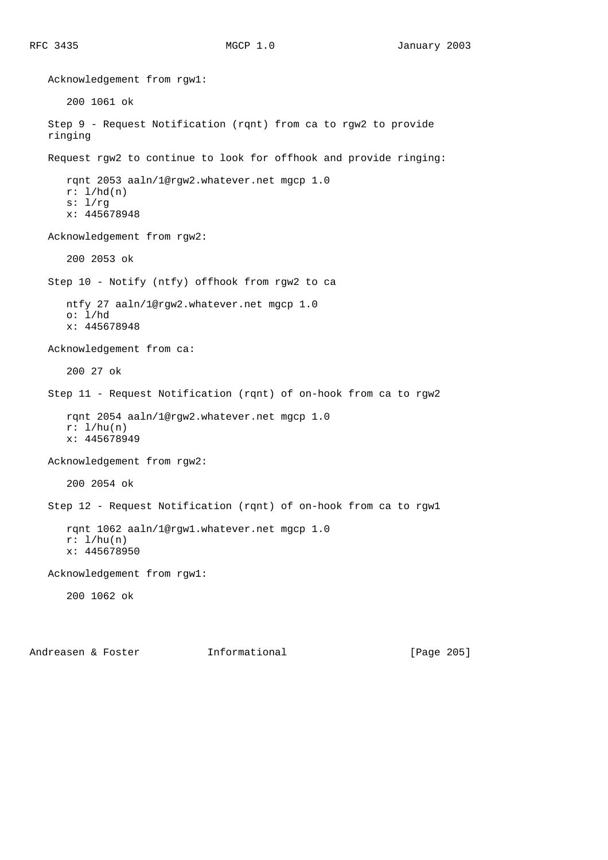Acknowledgement from rgw1: 200 1061 ok Step 9 - Request Notification (rqnt) from ca to rgw2 to provide ringing Request rgw2 to continue to look for offhook and provide ringing: rqnt 2053 aaln/1@rgw2.whatever.net mgcp 1.0  $r: 1/hd(n)$  s: l/rg x: 445678948 Acknowledgement from rgw2: 200 2053 ok Step 10 - Notify (ntfy) offhook from rgw2 to ca ntfy 27 aaln/1@rgw2.whatever.net mgcp 1.0 o: l/hd x: 445678948 Acknowledgement from ca: 200 27 ok Step 11 - Request Notification (rqnt) of on-hook from ca to rgw2 rqnt 2054 aaln/1@rgw2.whatever.net mgcp 1.0  $r: 1/hu(n)$  x: 445678949 Acknowledgement from rgw2: 200 2054 ok Step 12 - Request Notification (rqnt) of on-hook from ca to rgw1 rqnt 1062 aaln/1@rgw1.whatever.net mgcp 1.0 r: l/hu(n) x: 445678950 Acknowledgement from rgw1: 200 1062 ok

Andreasen & Foster **Informational** [Page 205]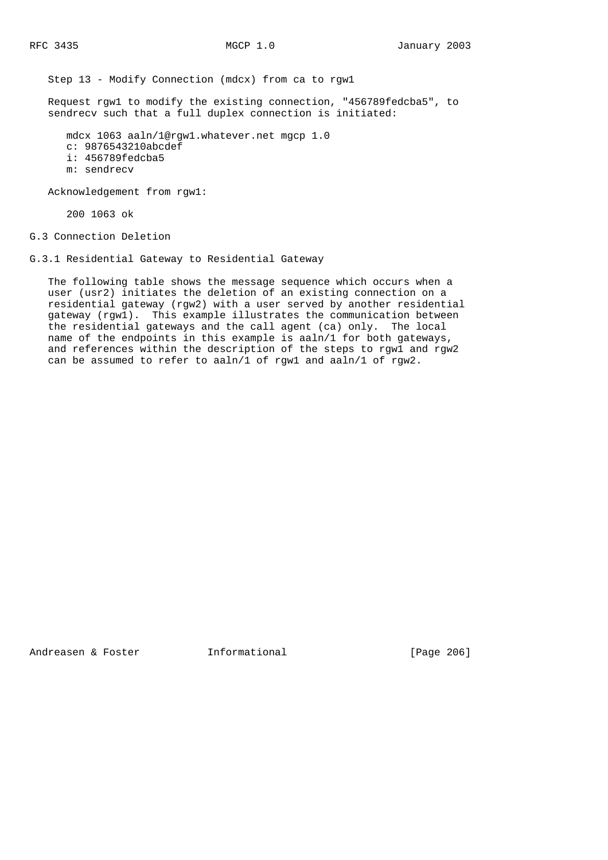Step 13 - Modify Connection (mdcx) from ca to rgw1

 Request rgw1 to modify the existing connection, "456789fedcba5", to sendrecv such that a full duplex connection is initiated:

 mdcx 1063 aaln/1@rgw1.whatever.net mgcp 1.0 c: 9876543210abcdef i: 456789fedcba5 m: sendrecv

Acknowledgement from rgw1:

200 1063 ok

G.3 Connection Deletion

G.3.1 Residential Gateway to Residential Gateway

 The following table shows the message sequence which occurs when a user (usr2) initiates the deletion of an existing connection on a residential gateway (rgw2) with a user served by another residential gateway (rgw1). This example illustrates the communication between the residential gateways and the call agent (ca) only. The local name of the endpoints in this example is aaln/1 for both gateways, and references within the description of the steps to rgw1 and rgw2 can be assumed to refer to aaln/1 of rgw1 and aaln/1 of rgw2.

Andreasen & Foster **Informational** [Page 206]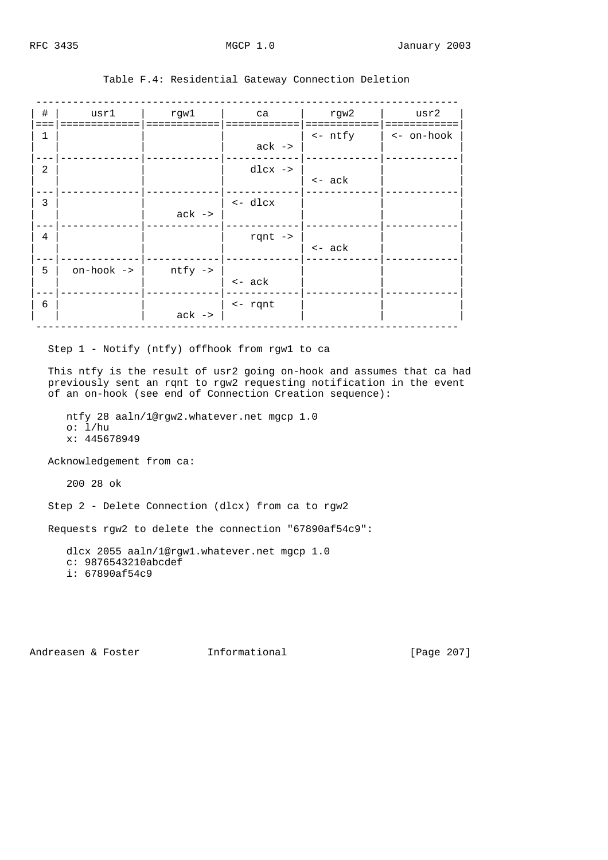| $\#$<br>$===$  | usr1<br>--------- | rgwl               | ca                 | rgw2             | usr2               |
|----------------|-------------------|--------------------|--------------------|------------------|--------------------|
| 1              |                   |                    | $ack -$            | <- ntfy          | $\vert$ <- on-hook |
|                |                   |                    |                    |                  |                    |
| $\overline{2}$ |                   |                    | $dlcx$ ->          |                  |                    |
|                |                   |                    |                    | $\leftarrow$ ack |                    |
| 3              |                   |                    | <- dlcx            |                  |                    |
|                |                   | $ack -$            |                    |                  |                    |
| 4              |                   |                    | rqnt $\rightarrow$ |                  |                    |
|                |                   |                    |                    | $\leftarrow$ ack |                    |
| 5              | on-hook ->        | $ntfy \rightarrow$ |                    |                  |                    |
|                |                   |                    | $\leftarrow$ ack   |                  |                    |
| 6              |                   |                    | $\leftarrow$ rqnt  |                  |                    |
|                |                   | $ack -$            |                    |                  |                    |

# Table F.4: Residential Gateway Connection Deletion

Step 1 - Notify (ntfy) offhook from rgw1 to ca

 This ntfy is the result of usr2 going on-hook and assumes that ca had previously sent an rqnt to rgw2 requesting notification in the event of an on-hook (see end of Connection Creation sequence):

 ntfy 28 aaln/1@rgw2.whatever.net mgcp 1.0 o:  $1/hu$ x: 445678949

Acknowledgement from ca:

200 28 ok

Step 2 - Delete Connection (dlcx) from ca to rgw2

Requests rgw2 to delete the connection "67890af54c9":

 dlcx 2055 aaln/1@rgw1.whatever.net mgcp 1.0 c: 9876543210abcdef i: 67890af54c9

Andreasen & Foster **Informational** [Page 207]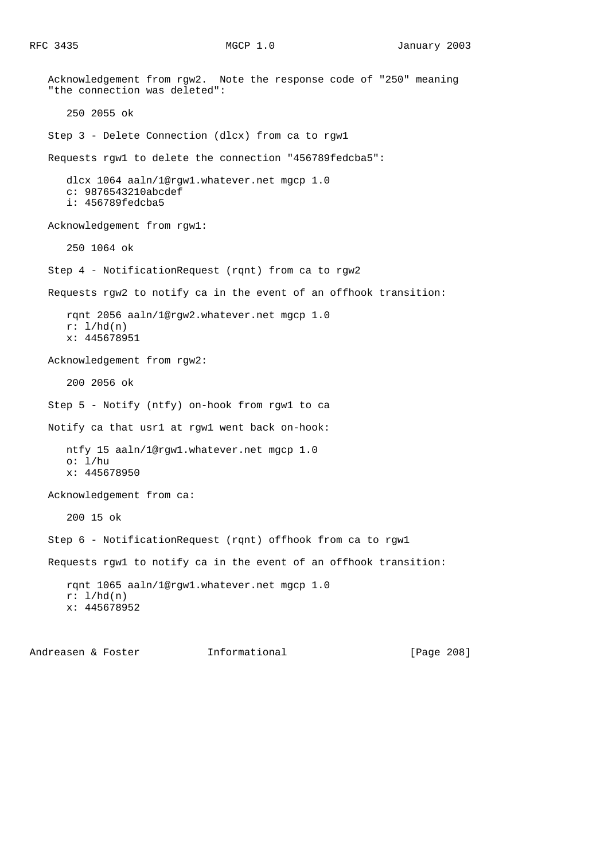Acknowledgement from rgw2. Note the response code of "250" meaning "the connection was deleted": 250 2055 ok Step 3 - Delete Connection (dlcx) from ca to rgw1 Requests rgw1 to delete the connection "456789fedcba5": dlcx 1064 aaln/1@rgw1.whatever.net mgcp 1.0 c: 9876543210abcdef i: 456789fedcba5 Acknowledgement from rgw1: 250 1064 ok Step 4 - NotificationRequest (rqnt) from ca to rgw2 Requests rgw2 to notify ca in the event of an offhook transition: rqnt 2056 aaln/1@rgw2.whatever.net mgcp 1.0  $r: 1/hd(n)$  x: 445678951 Acknowledgement from rgw2: 200 2056 ok Step 5 - Notify (ntfy) on-hook from rgw1 to ca Notify ca that usr1 at rgw1 went back on-hook: ntfy 15 aaln/1@rgw1.whatever.net mgcp 1.0 o:  $1/hu$  x: 445678950 Acknowledgement from ca: 200 15 ok Step 6 - NotificationRequest (rqnt) offhook from ca to rgw1 Requests rgw1 to notify ca in the event of an offhook transition: rqnt 1065 aaln/1@rgw1.whatever.net mgcp 1.0  $r: 1/hd(n)$ x: 445678952

Andreasen & Foster Theormational (Page 208]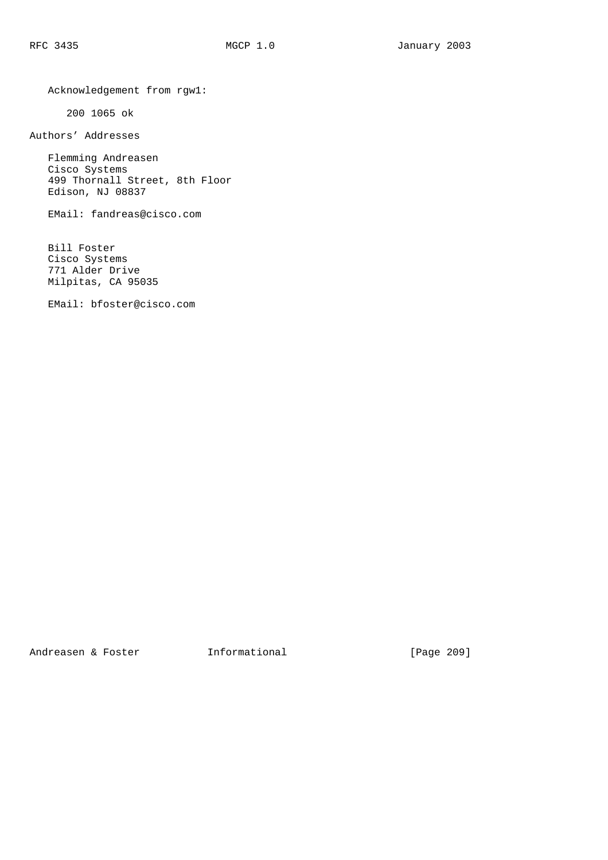Acknowledgement from rgw1:

200 1065 ok

Authors' Addresses

 Flemming Andreasen Cisco Systems 499 Thornall Street, 8th Floor Edison, NJ 08837

EMail: fandreas@cisco.com

 Bill Foster Cisco Systems 771 Alder Drive Milpitas, CA 95035

EMail: bfoster@cisco.com

Andreasen & Foster **Informational** [Page 209]